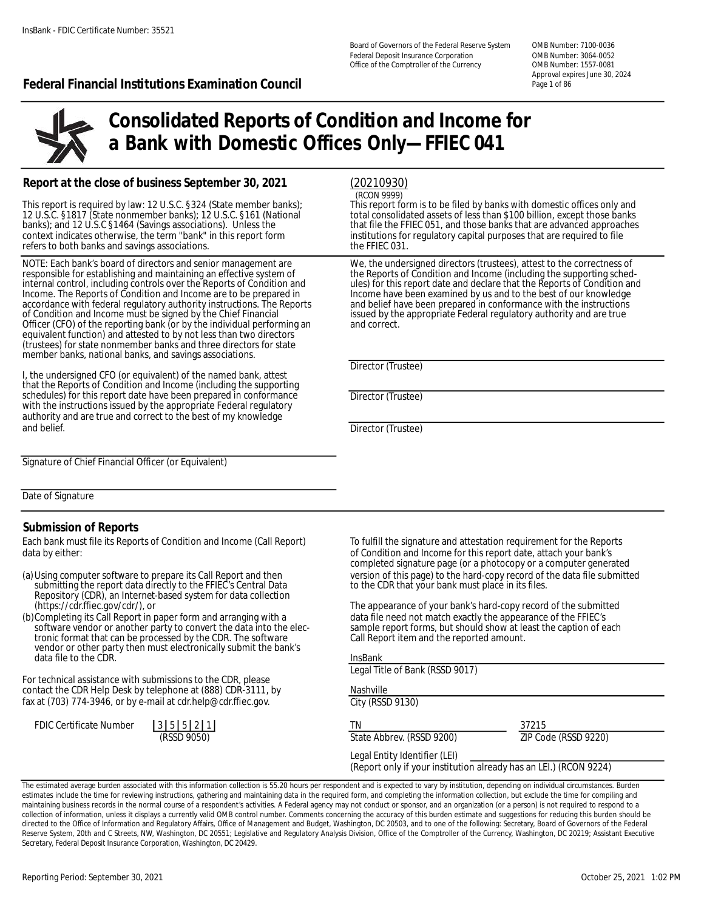Board of Governors of the Federal Reserve System OMB Number: 7100-0036 Federal Deposit Insurance Corporation Office of the Comptroller of the Currency OMB Number: 1557-0081

Approval expires June 30, 2024

#### **Federal Financial Institutions Examination Council Page 101 Second Page 1 of 86**



# **Consolidated Reports of Condition and Income for a Bank with Domestic Offices Only—FFIEC 041**

#### **Report at the close of business September 30, 2021**

This report is required by law: 12 U.S.C. §324 (State member banks); This report form is to be filed by banks with domestic offices only and<br>12 U.S.C. §1817 (State nonmember banks); 12 U.S.C. §161 (National total consolida refers to both banks and savings associations.

NOTE: Each bank's board of directors and senior management are We, the undersigned directors (trustees), attest to the correctness of responsible for establishing and maintaining an effective system of the Reports of Condition and Income (including the supporting sched-<br>internal control, including controls over the Reports of Condition and ules) for this internal control, including controls over the Reports of Condition and and ules) for this report date and declare that the Reports of Condition and income. The Reports of Condition and income are to be prepared in and inco accordance with federal regulatory authority instructions. The Reports of Condition and Income must be signed by the Chief Financial Officer (CFO) of the reporting bank (or by the individual performing an and correct. equivalent function) and attested to by not less than two directors (trustees) for state nonmember banks and three directors for state member banks, national banks, and savings associations.

I, the undersigned CFO (or equivalent) of the named bank, attest that the Reports of Condition and Income (including the supporting schedules) for this report date have been prepared in conformance Director (Trustee) with the instructions issued by the appropriate Federal regulatory authority and are true and correct to the best of my knowledge

#### (20210930)

(RCON 9999)

12 U.S.C. §1817 (State nonmember banks); 12 U.S.C. §161 (National total consolidated assets of less than \$100 billion, except those banks<br>banks); and 12 U.S.C §1464 (Savings associations). Unless the the fact that file the banks); and 12 U.S.C §1464 (Savings associations). Unless the that file the FFIEC 051, and those banks that are advanced approaches context indicates otherwise, the term "bank" in this report form in stitutions for requila institutions for regulatory capital purposes that are required to file the FFIEC 031.

> Income have been examined by us and to the best of our knowledge and belief have been prepared in conformance with the instructions issued by the appropriate Federal regulatory authority and are true<br>and correct.

Director (Trustee)

**Director (Trustee)** 

Signature of Chief Financial Officer (or Equivalent)

Date of Signature

#### **Submission of Reports**

Each bank must file its Reports of Condition and Income (Call Report) To fulfill the signature and attestation requirement for the Reports data by either: of Condition and Income for this report date, attach your bank's

- submitting the report data directly to the FFIEC's Central Data Repositorỹ (CDR), an Internet-based system for data collection<br>(https://cdr.ffiec.gov/cdr/), or
- (b)Completing its Call Report in paper form and arranging with a data file need not match exactly the appearance of the FFIEC's<br>software vendor or another party to convert the data into the elec-<br>sample report forms, but s software vendor or another party to convert the data into the elec- sample report forms, but should show at le<br>tronic format that can be processed by the CDR. The software Call Report item and the reported amount. tronic format that can be processed by the CDR. The software vendor or other party then must electronically submit the bank's data file to the CDR.

For technical assistance with submissions to the contact the CDR Help Desk by telephone at (888) fax at (703) 774-3946, or by e-mail at cdr.help@

| FDIC Certificate Number | 35521 |             |  |
|-------------------------|-------|-------------|--|
|                         |       | (RSSD 9050) |  |

completed signature page (or a photocopy or a computer generated (a) Using computer software to prepare its Call Report and then version of this page) to the hard-copy record of the data file submitted submitted submitting the report data directly to the FFIEC's Central Data vacca to th

The appearance of your bank's hard-copy record of the submitted

|                                  | <b>InsBank</b>                                                                                     |                      |  |
|----------------------------------|----------------------------------------------------------------------------------------------------|----------------------|--|
|                                  | Legal Title of Bank (RSSD 9017)                                                                    |                      |  |
| e CDR, please<br>8) CDR-3111, by | Nashville                                                                                          |                      |  |
| ecdr.ffiec.gov.                  | City (RSSD 9130)                                                                                   |                      |  |
|                                  | ΤN                                                                                                 | 37215                |  |
|                                  | State Abbrev. (RSSD 9200)                                                                          | ZIP Code (RSSD 9220) |  |
|                                  | Legal Entity Identifier (LEI)<br>(Report only if your institution already has an LEI.) (RCON 9224) |                      |  |

The estimated average burden associated with this information collection is 55.20 hours per respondent and is expected to vary by institution, depending on individual circumstances. Burden estimates include the time for reviewing instructions, gathering and maintaining data in the required form, and completing the information collection, but exclude the time for compiling and maintaining business records in the normal course of a respondent's activities. A Federal agency may not conduct or sponsor, and an organization (or a person) is not required to respond to a collection of information, unless it displays a currently valid OMB control number. Comments concerning the accuracy of this burden estimate and suggestions for reducing this burden should be directed to the Office of Information and Regulatory Affairs, Office of Management and Budget, Washington, DC 20503, and to one of the following: Secretary, Board of Governors of the Federal Reserve System, 20th and C Streets, NW, Washington, DC 20551; Legislative and Regulatory Analysis Division, Office of the Comptroller of the Currency, Washington, DC 20219; Assistant Executive Secretary, Federal Deposit Insurance Corporation, Washington, DC 20429.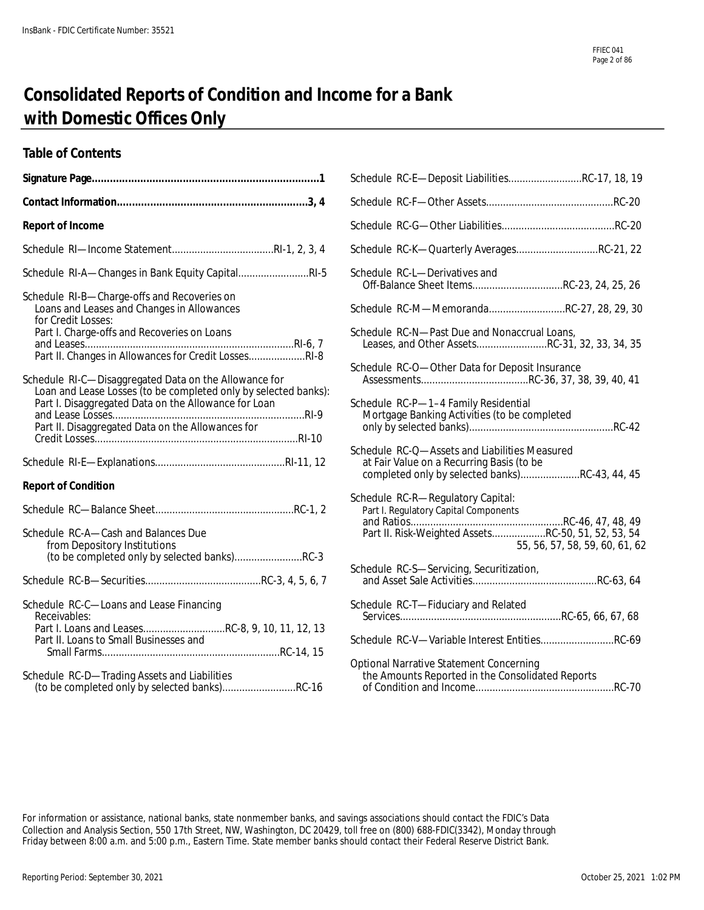# **Consolidated Reports of Condition and Income for a Bank with Domestic Offices Only**

#### **Table of Contents**

|                                                                                                                          | Schedule RC-E-Deposit LiabilitiesRC-17, 18, 19                                                                                               |
|--------------------------------------------------------------------------------------------------------------------------|----------------------------------------------------------------------------------------------------------------------------------------------|
|                                                                                                                          |                                                                                                                                              |
| <b>Report of Income</b>                                                                                                  |                                                                                                                                              |
|                                                                                                                          | Schedule RC-K-Quarterly AveragesRC-21, 22                                                                                                    |
| Schedule RI-A-Changes in Bank Equity CapitalRI-5                                                                         | Schedule RC-L-Derivatives and<br>Off-Balance Sheet ItemsRC-23, 24, 25, 26                                                                    |
| Schedule RI-B-Charge-offs and Recoveries on<br>Loans and Leases and Changes in Allowances<br>for Credit Losses:          | Schedule RC-M-MemorandaRC-27, 28, 29, 30                                                                                                     |
| Part I. Charge-offs and Recoveries on Loans<br>Part II. Changes in Allowances for Credit LossesRI-8                      | Schedule RC-N-Past Due and Nonaccrual Loans,<br>Leases, and Other AssetsRC-31, 32, 33, 34, 35                                                |
| Schedule RI-C-Disaggregated Data on the Allowance for<br>Loan and Lease Losses (to be completed only by selected banks): | Schedule RC-O-Other Data for Deposit Insurance                                                                                               |
| Part I. Disaggregated Data on the Allowance for Loan<br>Part II. Disaggregated Data on the Allowances for                | Schedule RC-P-1-4 Family Residential<br>Mortgage Banking Activities (to be completed                                                         |
|                                                                                                                          | Schedule RC-Q-Assets and Liabilities Measured<br>at Fair Value on a Recurring Basis (to be<br>completed only by selected banks)RC-43, 44, 45 |
| <b>Report of Condition</b>                                                                                               |                                                                                                                                              |
|                                                                                                                          | Schedule RC-R-Regulatory Capital:<br>Part I. Regulatory Capital Components                                                                   |
| Schedule RC-A-Cash and Balances Due<br>from Depository Institutions                                                      | Part II. Risk-Weighted AssetsRC-50, 51, 52, 53, 54<br>55, 56, 57, 58, 59, 60, 61, 62                                                         |
| (to be completed only by selected banks)RC-3                                                                             | Schedule RC-S-Servicing, Securitization,                                                                                                     |
| Schedule RC-C-Loans and Lease Financing<br>Receivables:                                                                  |                                                                                                                                              |
| Part I. Loans and LeasesRC-8, 9, 10, 11, 12, 13<br>Part II. Loans to Small Businesses and                                | Schedule RC-V-Variable Interest EntitiesRC-69                                                                                                |
| Schedule RC-D-Trading Assets and Liabilities<br>(to be completed only by selected banks)RC-16                            | <b>Optional Narrative Statement Concerning</b><br>the Amounts Reported in the Consolidated Reports                                           |

| Schedule RC-E-Deposit LiabilitiesRC-17, 18, 19                                                                                                                     |
|--------------------------------------------------------------------------------------------------------------------------------------------------------------------|
|                                                                                                                                                                    |
|                                                                                                                                                                    |
| Schedule RC-K-Quarterly AveragesRC-21, 22                                                                                                                          |
| Schedule RC-L-Derivatives and<br>Off-Balance Sheet ItemsRC-23, 24, 25, 26                                                                                          |
| Schedule RC-M-MemorandaRC-27, 28, 29, 30                                                                                                                           |
| Schedule RC-N-Past Due and Nonaccrual Loans,<br>Leases, and Other AssetsRC-31, 32, 33, 34, 35                                                                      |
| Schedule RC-O-Other Data for Deposit Insurance                                                                                                                     |
| Schedule RC-P-1-4 Family Residential<br>Mortgage Banking Activities (to be completed                                                                               |
| Schedule RC-Q-Assets and Liabilities Measured<br>at Fair Value on a Recurring Basis (to be<br>completed only by selected banks)RC-43, 44, 45                       |
| Schedule RC-R-Regulatory Capital:<br>Part I. Regulatory Capital Components<br>Part II. Risk-Weighted AssetsRC-50, 51, 52, 53, 54<br>55, 56, 57, 58, 59, 60, 61, 62 |
| Schedule RC-S-Servicing, Securitization,                                                                                                                           |
| Schedule RC-T-Fiduciary and Related                                                                                                                                |
| Schedule RC-V-Variable Interest EntitiesRC-69                                                                                                                      |
| Optional Narrative Statement Concerning<br>the Amounts Reported in the Consolidated Reports                                                                        |

For information or assistance, national banks, state nonmember banks, and savings associations should contact the FDIC's Data Collection and Analysis Section, 550 17th Street, NW, Washington, DC 20429, toll free on (800) 688-FDIC(3342), Monday through Friday between 8:00 a.m. and 5:00 p.m., Eastern Time. State member banks should contact their Federal Reserve District Bank.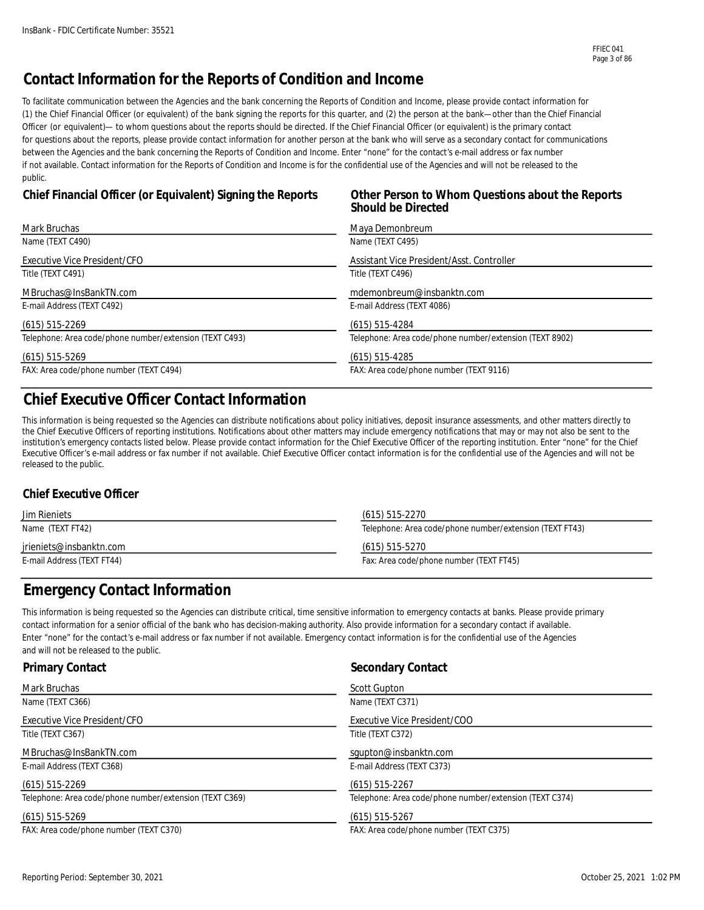### **Contact Information for the Reports of Condition and Income**

To facilitate communication between the Agencies and the bank concerning the Reports of Condition and Income, please provide contact information for (1) the Chief Financial Officer (or equivalent) of the bank signing the reports for this quarter, and (2) the person at the bank—other than the Chief Financial Officer (or equivalent)— to whom questions about the reports should be directed. If the Chief Financial Officer (or equivalent) is the primary contact for questions about the reports, please provide contact information for another person at the bank who will serve as a secondary contact for communications between the Agencies and the bank concerning the Reports of Condition and Income. Enter "none" for the contact's e-mail address or fax number if not available. Contact information for the Reports of Condition and Income is for the confidential use of the Agencies and will not be released to the public.

#### **Chief Financial Officer (or Equivalent) Signing the Reports Other Person to Whom Questions about the Reports**

# **Should be Directed**

| Mark Bruchas                                            | Maya Demonbreum                                         |
|---------------------------------------------------------|---------------------------------------------------------|
| Name (TEXT C490)                                        | Name (TEXT C495)                                        |
| Executive Vice President/CFO                            | Assistant Vice President/Asst. Controller               |
| Title (TEXT C491)                                       | Title (TEXT C496)                                       |
| MBruchas@InsBankTN.com                                  | mdemonbreum@insbanktn.com                               |
| E-mail Address (TEXT C492)                              | E-mail Address (TEXT 4086)                              |
| $(615)$ 515-2269                                        | $(615)$ 515-4284                                        |
| Telephone: Area code/phone number/extension (TEXT C493) | Telephone: Area code/phone number/extension (TEXT 8902) |
| $(615)$ 515-5269                                        | $(615)$ 515-4285                                        |
| FAX: Area code/phone number (TEXT C494)                 | FAX: Area code/phone number (TEXT 9116)                 |

### **Chief Executive Officer Contact Information**

This information is being requested so the Agencies can distribute notifications about policy initiatives, deposit insurance assessments, and other matters directly to the Chief Executive Officers of reporting institutions. Notifications about other matters may include emergency notifications that may or may not also be sent to the institution's emergency contacts listed below. Please provide contact information for the Chief Executive Officer of the reporting institution. Enter "none" for the Chief Executive Officer's e-mail address or fax number if not available. Chief Executive Officer contact information is for the confidential use of the Agencies and will not be released to the public.

#### **Chief Executive Officer**

| <b>Jim Rieniets</b>        | (615) 515-2270                                          |  |
|----------------------------|---------------------------------------------------------|--|
| Name (TEXT FT42)           | Telephone: Area code/phone number/extension (TEXT FT43) |  |
| irieniets@insbanktn.com    | (615) 515-5270                                          |  |
| E-mail Address (TEXT FT44) | Fax: Area code/phone number (TEXT FT45)                 |  |

### **Emergency Contact Information**

This information is being requested so the Agencies can distribute critical, time sensitive information to emergency contacts at banks. Please provide primary contact information for a senior official of the bank who has decision-making authority. Also provide information for a secondary contact if available. Enter "none" for the contact's e-mail address or fax number if not available. Emergency contact information is for the confidential use of the Agencies and will not be released to the public.

| <b>Primary Contact</b>                                  | <b>Secondary Contact</b>                                |
|---------------------------------------------------------|---------------------------------------------------------|
| Mark Bruchas                                            | <b>Scott Gupton</b>                                     |
| Name (TEXT C366)                                        | Name (TEXT C371)                                        |
| Executive Vice President/CFO                            | Executive Vice President/COO                            |
| Title (TEXT C367)                                       | Title (TEXT C372)                                       |
| MBruchas@InsBankTN.com                                  | squpton@insbanktn.com                                   |
| E-mail Address (TEXT C368)                              | E-mail Address (TEXT C373)                              |
| $(615)$ 515-2269                                        | $(615)$ 515-2267                                        |
| Telephone: Area code/phone number/extension (TEXT C369) | Telephone: Area code/phone number/extension (TEXT C374) |
| $(615)$ 515-5269                                        | $(615)$ 515-5267                                        |
| FAX: Area code/phone number (TEXT C370)                 | FAX: Area code/phone number (TEXT C375)                 |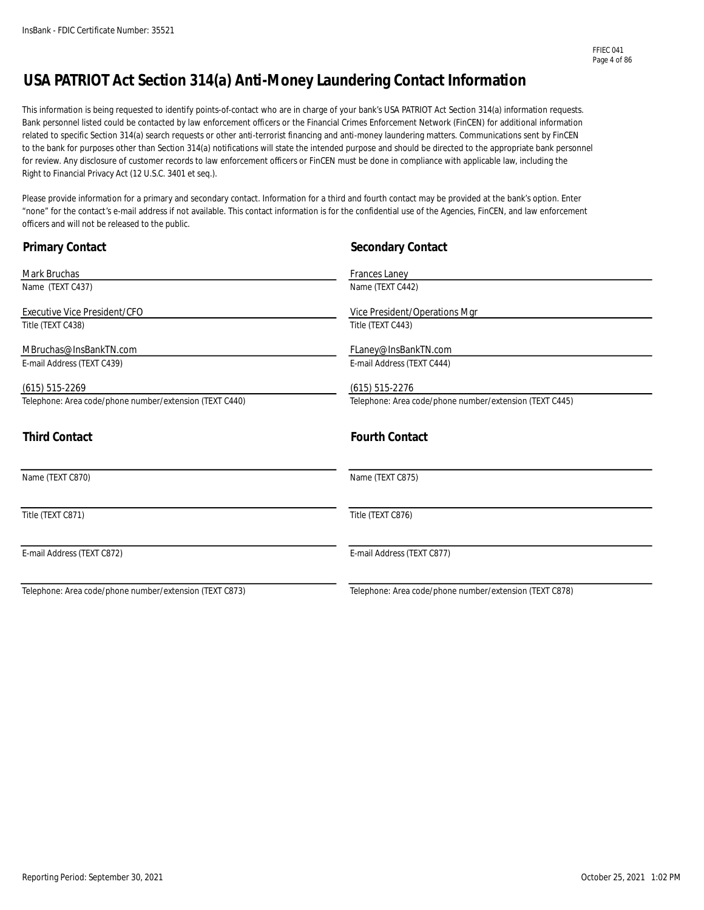### **USA PATRIOT Act Section 314(a) Anti-Money Laundering Contact Information**

This information is being requested to identify points-of-contact who are in charge of your bank's USA PATRIOT Act Section 314(a) information requests. Bank personnel listed could be contacted by law enforcement officers or the Financial Crimes Enforcement Network (FinCEN) for additional information related to specific Section 314(a) search requests or other anti-terrorist financing and anti-money laundering matters. Communications sent by FinCEN to the bank for purposes other than Section 314(a) notifications will state the intended purpose and should be directed to the appropriate bank personnel for review. Any disclosure of customer records to law enforcement officers or FinCEN must be done in compliance with applicable law, including the Right to Financial Privacy Act (12 U.S.C. 3401 et seq.).

Please provide information for a primary and secondary contact. Information for a third and fourth contact may be provided at the bank's option. Enter "none" for the contact's e-mail address if not available. This contact information is for the confidential use of the Agencies, FinCEN, and law enforcement officers and will not be released to the public.

| <b>Primary Contact</b>                                  | <b>Secondary Contact</b>                                |
|---------------------------------------------------------|---------------------------------------------------------|
| Mark Bruchas                                            | Frances Laney                                           |
| Name (TEXT C437)                                        | Name (TEXT C442)                                        |
| Executive Vice President/CFO                            | Vice President/Operations Mgr                           |
| Title (TEXT C438)                                       | Title (TEXT C443)                                       |
| MBruchas@InsBankTN.com                                  | FLaney@InsBankTN.com                                    |
| E-mail Address (TEXT C439)                              | E-mail Address (TEXT C444)                              |
| $(615)$ 515-2269                                        | $(615)$ 515-2276                                        |
| Telephone: Area code/phone number/extension (TEXT C440) | Telephone: Area code/phone number/extension (TEXT C445) |
| <b>Third Contact</b>                                    | <b>Fourth Contact</b>                                   |
| Name (TEXT C870)                                        | Name (TEXT C875)                                        |
| Title (TEXT C871)                                       | Title (TEXT C876)                                       |
| E-mail Address (TEXT C872)                              | E-mail Address (TEXT C877)                              |
| Telephone: Area code/phone number/extension (TEXT C873) | Telephone: Area code/phone number/extension (TEXT C878) |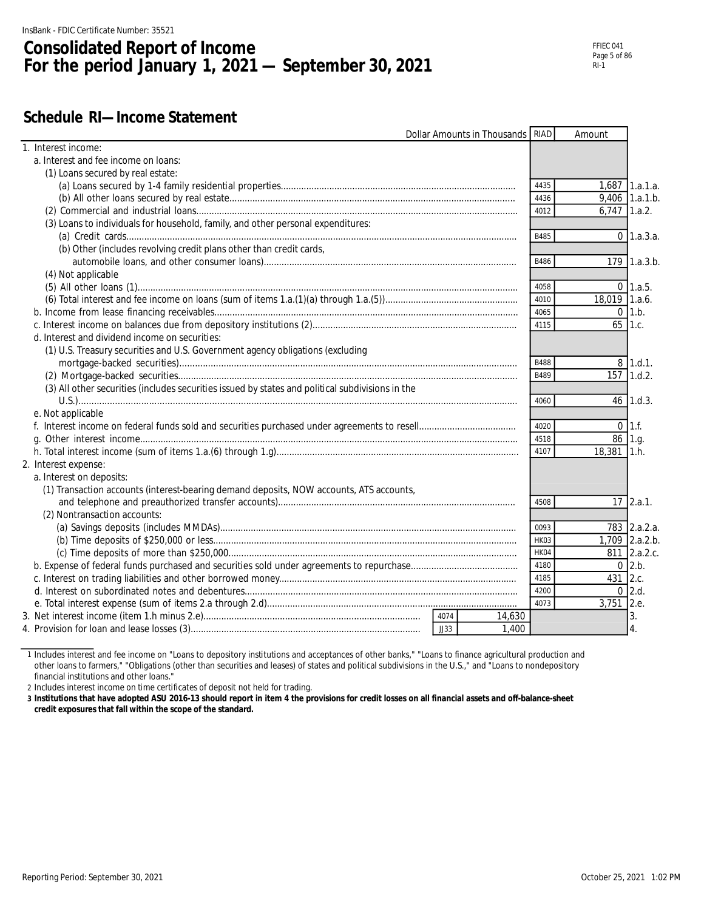## **Consolidated Report of Income For the period January 1, 2021 — September 30, 2021**

### **Schedule RI—Income Statement**

|                                                                                                  | Dollar Amounts in Thousands   RIAD |             | Amount         |                 |
|--------------------------------------------------------------------------------------------------|------------------------------------|-------------|----------------|-----------------|
| 1. Interest income:                                                                              |                                    |             |                |                 |
| a. Interest and fee income on loans:                                                             |                                    |             |                |                 |
| (1) Loans secured by real estate:                                                                |                                    |             |                |                 |
|                                                                                                  |                                    | 4435        |                | 1,687 1.a.1.a.  |
|                                                                                                  |                                    | 4436        |                | 9,406 1.a.1.b.  |
|                                                                                                  |                                    | 4012        | $6.747$ 1.a.2. |                 |
| (3) Loans to individuals for household, family, and other personal expenditures:                 |                                    |             |                |                 |
|                                                                                                  |                                    | B485        |                | $0 \, 1.a.3.a.$ |
| (b) Other (includes revolving credit plans other than credit cards,                              |                                    |             |                |                 |
|                                                                                                  |                                    | B486        |                | 179 1.a.3.b.    |
| (4) Not applicable                                                                               |                                    |             |                |                 |
|                                                                                                  |                                    | 4058        |                | $0 \, 1.a.5.$   |
|                                                                                                  |                                    | 4010        | 18,019 1.a.6.  |                 |
|                                                                                                  |                                    | 4065        |                | $0 \; 1.b.$     |
|                                                                                                  |                                    | 4115        |                | $65$ 1.c.       |
| d. Interest and dividend income on securities:                                                   |                                    |             |                |                 |
| (1) U.S. Treasury securities and U.S. Government agency obligations (excluding                   |                                    |             |                |                 |
|                                                                                                  |                                    | <b>B488</b> |                | $8$ 1.d.1.      |
|                                                                                                  |                                    | B489        |                | 157 1.d.2.      |
| (3) All other securities (includes securities issued by states and political subdivisions in the |                                    |             |                |                 |
|                                                                                                  |                                    | 4060        |                | $46$ 1.d.3.     |
| e. Not applicable                                                                                |                                    |             |                |                 |
|                                                                                                  |                                    | 4020        |                | $0 \; 11.6$     |
|                                                                                                  |                                    | 4518        | 86 1.g.        |                 |
|                                                                                                  |                                    | 4107        | 18,381 1.h.    |                 |
| 2. Interest expense:                                                                             |                                    |             |                |                 |
| a. Interest on deposits:                                                                         |                                    |             |                |                 |
| (1) Transaction accounts (interest-bearing demand deposits, NOW accounts, ATS accounts,          |                                    |             |                |                 |
|                                                                                                  |                                    | 4508        |                | $17$ 2.a.1.     |
| (2) Nontransaction accounts:                                                                     |                                    |             |                |                 |
|                                                                                                  |                                    | 0093        |                | 783 2.a.2.a.    |
|                                                                                                  |                                    | HK03        |                | 1,709 2.a.2.b.  |
|                                                                                                  |                                    | HK04        |                | 811 2.a.2.c.    |
|                                                                                                  |                                    | 4180        |                | $0$ 2.b.        |
|                                                                                                  |                                    | 4185        | 431 2.c.       |                 |
|                                                                                                  |                                    | 4200        |                | $0$ 2.d.        |
|                                                                                                  |                                    | 4073        | 3,751 2.e.     |                 |
|                                                                                                  | 4074<br>14,630                     |             |                | 3.              |
|                                                                                                  | JJ33<br>1,400                      |             |                | 4.              |
|                                                                                                  |                                    |             |                |                 |

1 Includes interest and fee income on "Loans to depository institutions and acceptances of other banks," "Loans to finance agricultural production and other loans to farmers," "Obligations (other than securities and leases) of states and political subdivisions in the U.S.," and "Loans to nondepository financial institutions and other loans."

2 Includes interest income on time certificates of deposit not held for trading.

**3 Institutions that have adopted ASU 2016-13 should report in item 4 the provisions for credit losses on all financial assets and off-balance-sheet credit exposures that fall within the scope of the standard.**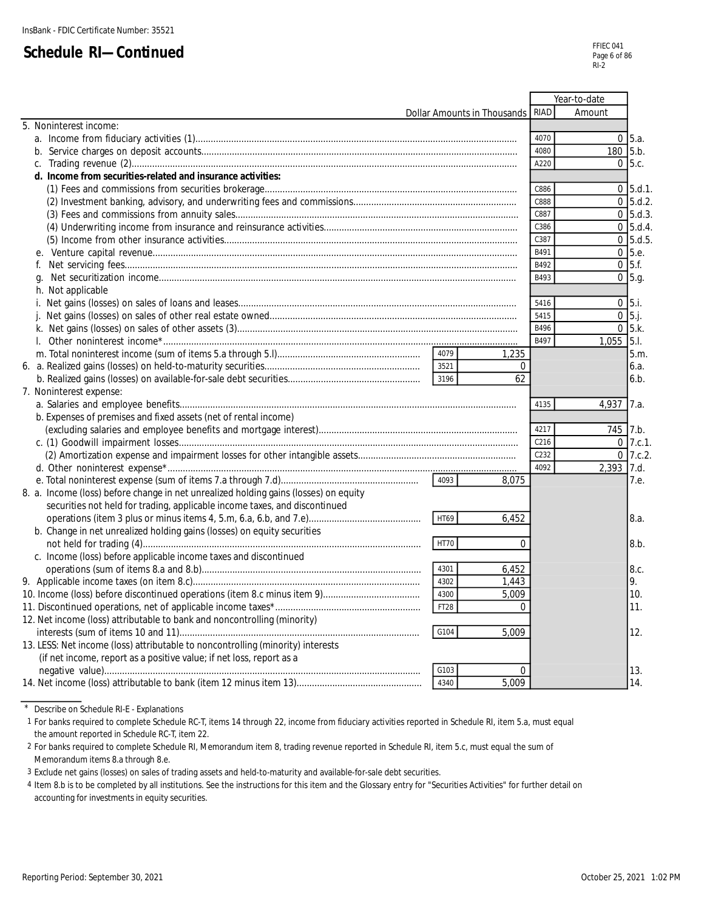|                                                                                      |                             |                  | Year-to-date   |
|--------------------------------------------------------------------------------------|-----------------------------|------------------|----------------|
|                                                                                      | Dollar Amounts in Thousands | RIAD             | Amount         |
| 5. Noninterest income:                                                               |                             |                  |                |
|                                                                                      |                             | 4070             | $0\,$ 5.a.     |
|                                                                                      |                             | 4080             | $180$ 5.b.     |
|                                                                                      |                             | A220             | $0\,$ 5.c.     |
| d. Income from securities-related and insurance activities:                          |                             |                  |                |
|                                                                                      |                             | C886             | $0$ 5.d.1.     |
|                                                                                      |                             | C888             | $0\,$ 5.d.2.   |
|                                                                                      |                             | C887             | $0\,$ 5.d.3.   |
|                                                                                      |                             | C386             | $0 \,$ 5.d.4.  |
|                                                                                      |                             | C387             | $0$ 5.d.5      |
|                                                                                      |                             | B491             | $0\,$ 5.e.     |
| f.                                                                                   |                             | B492             | $0\,$ 5.f.     |
|                                                                                      |                             | B493             | $0\,$ 5.g.     |
| h. Not applicable                                                                    |                             |                  |                |
|                                                                                      |                             | 5416             | $0$ 5.i.       |
|                                                                                      |                             | 5415             | $0$ 5.j.       |
|                                                                                      |                             | B496             | $0\,$ 5.k.     |
|                                                                                      |                             | B497             | $1,055$ 5.1.   |
|                                                                                      | 4079                        |                  | 5.m.           |
|                                                                                      | 1,235<br>3521               |                  |                |
|                                                                                      | 3196                        | $\Omega$<br>62   | 6.a.           |
|                                                                                      |                             |                  | 6.b.           |
| 7. Noninterest expense:                                                              |                             | 4135             |                |
|                                                                                      |                             |                  | 4,937<br>17.a. |
| b. Expenses of premises and fixed assets (net of rental income)                      |                             |                  |                |
|                                                                                      |                             | 4217             | 745 7.b.       |
|                                                                                      |                             | C <sub>216</sub> | $0$ 7.c.1.     |
|                                                                                      |                             | C <sub>232</sub> | $0$ 7.c.2.     |
|                                                                                      |                             | 4092             | 2,393 7.d.     |
|                                                                                      | 4093<br>8,075               |                  | 7.e.           |
| 8. a. Income (loss) before change in net unrealized holding gains (losses) on equity |                             |                  |                |
| securities not held for trading, applicable income taxes, and discontinued           |                             |                  |                |
|                                                                                      | HT69<br>6,452               |                  | 8.a.           |
| b. Change in net unrealized holding gains (losses) on equity securities              |                             |                  |                |
|                                                                                      | <b>HT70</b>                 | $\Omega$         | 8.b.           |
| c. Income (loss) before applicable income taxes and discontinued                     |                             |                  |                |
|                                                                                      | 4301<br>6,452               |                  | 8.c.           |
|                                                                                      | 4302<br>1,443               |                  | 9.             |
|                                                                                      | 4300<br>5,009               |                  | 10.            |
|                                                                                      | <b>FT28</b>                 | $\Omega$         | 11.            |
| 12. Net income (loss) attributable to bank and noncontrolling (minority)             |                             |                  |                |
|                                                                                      | G104<br>5,009               |                  | 12.            |
| 13. LESS: Net income (loss) attributable to noncontrolling (minority) interests      |                             |                  |                |
| (if net income, report as a positive value; if net loss, report as a                 |                             |                  |                |
|                                                                                      | G103                        | $\Omega$         | 13.            |
|                                                                                      | 4340<br>5,009               |                  | 14.            |
|                                                                                      |                             |                  |                |

\* Describe on Schedule RI-E - Explanations

1 For banks required to complete Schedule RC-T, items 14 through 22, income from fiduciary activities reported in Schedule RI, item 5.a, must equal the amount reported in Schedule RC-T, item 22.

2 For banks required to complete Schedule RI, Memorandum item 8, trading revenue reported in Schedule RI, item 5.c, must equal the sum of Memorandum items 8.a through 8.e.

3 Exclude net gains (losses) on sales of trading assets and held-to-maturity and available-for-sale debt securities.

4 Item 8.b is to be completed by all institutions. See the instructions for this item and the Glossary entry for "Securities Activities" for further detail on accounting for investments in equity securities.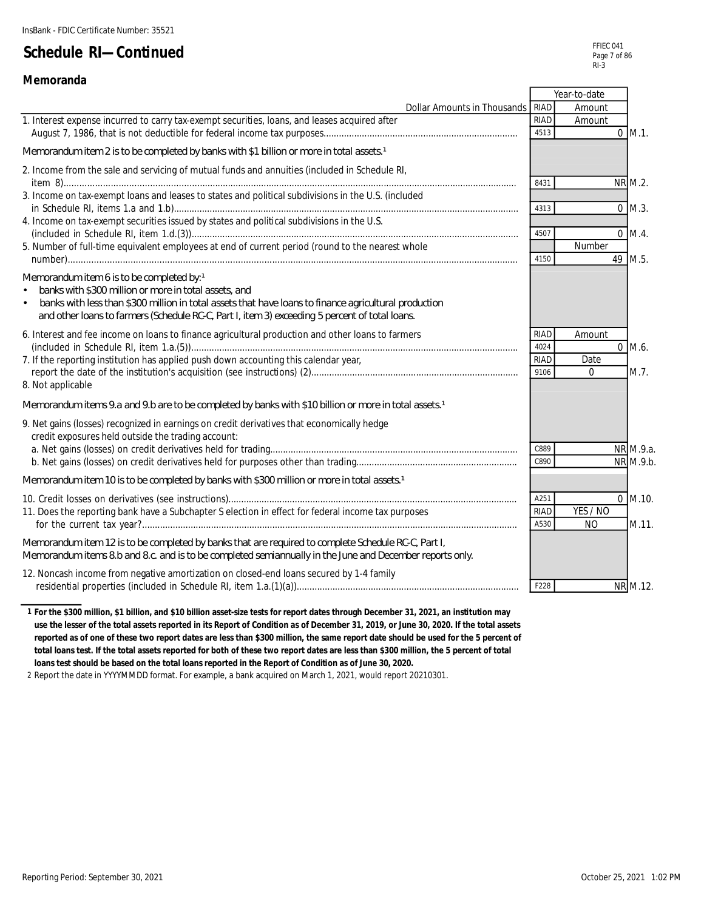#### **Memoranda**

|                                                                                                                                                                                                                                                                                                                             |                                            | Year-to-date               |                  |
|-----------------------------------------------------------------------------------------------------------------------------------------------------------------------------------------------------------------------------------------------------------------------------------------------------------------------------|--------------------------------------------|----------------------------|------------------|
| Dollar Amounts in Thousands RIAD                                                                                                                                                                                                                                                                                            |                                            | Amount                     |                  |
| 1. Interest expense incurred to carry tax-exempt securities, loans, and leases acquired after                                                                                                                                                                                                                               | <b>RIAD</b>                                | Amount                     |                  |
|                                                                                                                                                                                                                                                                                                                             | 4513                                       |                            | $0$ M.1.         |
| Memorandum item 2 is to be completed by banks with \$1 billion or more in total assets 1                                                                                                                                                                                                                                    |                                            |                            |                  |
| 2. Income from the sale and servicing of mutual funds and annuities (included in Schedule RI,                                                                                                                                                                                                                               | 8431                                       |                            | NR M.2.          |
| 3. Income on tax-exempt loans and leases to states and political subdivisions in the U.S. (included                                                                                                                                                                                                                         | 4313                                       |                            | $0$ M.3.         |
| 4. Income on tax-exempt securities issued by states and political subdivisions in the U.S.                                                                                                                                                                                                                                  | 4507                                       |                            | $0$ M.4.         |
| 5. Number of full-time equivalent employees at end of current period (round to the nearest whole                                                                                                                                                                                                                            | 4150                                       | Number                     | 49 M.5.          |
| Memorandum item 6 is to be completed by: 1<br>banks with \$300 million or more in total assets, and<br>banks with less than \$300 million in total assets that have loans to finance agricultural production<br>$\bullet$<br>and other loans to farmers (Schedule RC-C, Part I, item 3) exceeding 5 percent of total loans. |                                            |                            |                  |
| 6. Interest and fee income on loans to finance agricultural production and other loans to farmers<br>7. If the reporting institution has applied push down accounting this calendar year,<br>8. Not applicable                                                                                                              | <b>RIAD</b><br>4024<br><b>RIAD</b><br>9106 | Amount<br>Date<br>$\Omega$ | $0$ M.6.<br>M.7. |
| Memorandum items 9.a and 9.b are to be completed by banks with \$10 billion or more in total assets 1                                                                                                                                                                                                                       |                                            |                            |                  |
| 9. Net gains (losses) recognized in earnings on credit derivatives that economically hedge<br>credit exposures held outside the trading account:                                                                                                                                                                            | C889                                       |                            | NR M.9.a.        |
|                                                                                                                                                                                                                                                                                                                             | C890                                       |                            | NR M.9.b.        |
| Memorandum item 10 is to be completed by banks with \$300 million or more in total assets 1                                                                                                                                                                                                                                 |                                            |                            |                  |
| 11. Does the reporting bank have a Subchapter S election in effect for federal income tax purposes                                                                                                                                                                                                                          | A251<br><b>RIAD</b>                        | YES / NO                   | $0$ M.10.        |
|                                                                                                                                                                                                                                                                                                                             | A530                                       | <b>NO</b>                  | M.11.            |
| Memorandum item 12 is to be completed by banks that are required to complete Schedule RC-C, Part I,<br>Memorandum items 8.b and 8.c. and is to be completed semiannually in the June and December reports only.                                                                                                             |                                            |                            |                  |
| 12. Noncash income from negative amortization on closed-end loans secured by 1-4 family                                                                                                                                                                                                                                     | F228                                       |                            | NR M.12.         |

**1 For the \$300 million, \$1 billion, and \$10 billion asset-size tests for report dates through December 31, 2021, an institution may use the lesser of the total assets reported in its Report of Condition as of December 31, 2019, or June 30, 2020. If the total assets reported as of one of these two report dates are less than \$300 million, the same report date should be used for the 5 percent of total loans test. If the total assets reported for both of these two report dates are less than \$300 million, the 5 percent of total loans test should be based on the total loans reported in the Report of Condition as of June 30, 2020.**

2 Report the date in YYYYMMDD format. For example, a bank acquired on March 1, 2021, would report 20210301.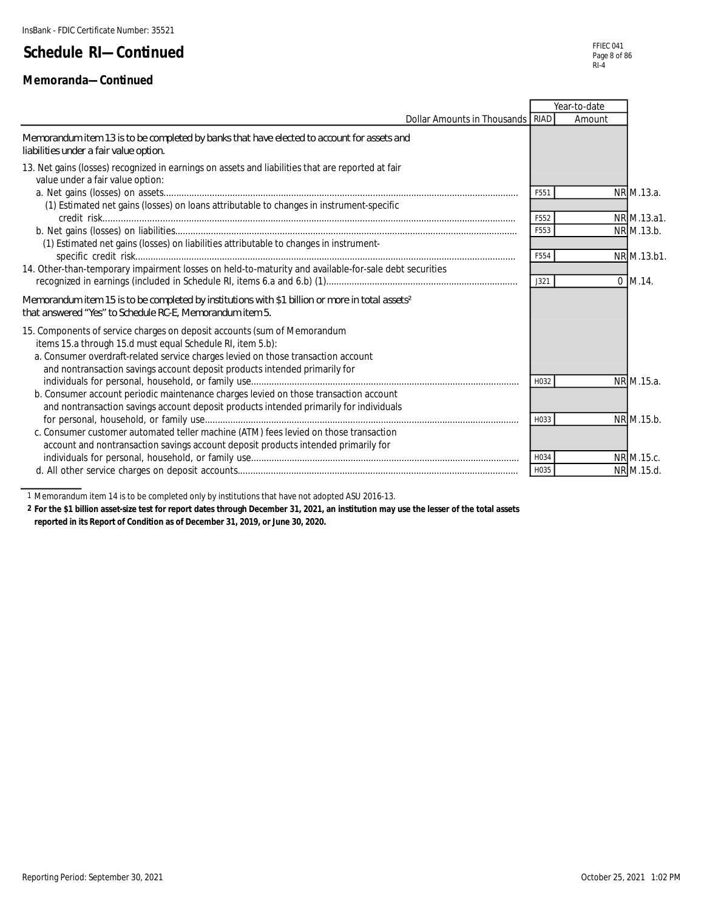#### **Memoranda—Continued**

|                                                                                                                                                                                                                                                                                                           |      | Year-to-date |             |
|-----------------------------------------------------------------------------------------------------------------------------------------------------------------------------------------------------------------------------------------------------------------------------------------------------------|------|--------------|-------------|
| Dollar Amounts in Thousands   RIAD                                                                                                                                                                                                                                                                        |      | Amount       |             |
| Memorandum item 13 is to be completed by banks that have elected to account for assets and<br>liabilities under a fair value option.                                                                                                                                                                      |      |              |             |
| 13. Net gains (losses) recognized in earnings on assets and liabilities that are reported at fair<br>value under a fair value option:                                                                                                                                                                     |      |              |             |
|                                                                                                                                                                                                                                                                                                           | F551 |              | NR M.13.a.  |
| (1) Estimated net gains (losses) on loans attributable to changes in instrument-specific                                                                                                                                                                                                                  | F552 |              | NR M.13.a1. |
|                                                                                                                                                                                                                                                                                                           | F553 |              | NR M.13.b.  |
| (1) Estimated net gains (losses) on liabilities attributable to changes in instrument-                                                                                                                                                                                                                    | F554 |              | NR M.13.b1. |
| 14. Other-than-temporary impairment losses on held-to-maturity and available-for-sale debt securities                                                                                                                                                                                                     | J321 |              | $0$ M.14.   |
| Memorandum item 15 is to be completed by institutions with \$1 billion or more in total assets <sup>2</sup><br>that answered "Yes" to Schedule RC-E, Memorandum item 5.                                                                                                                                   |      |              |             |
| 15. Components of service charges on deposit accounts (sum of Memorandum<br>items 15.a through 15.d must equal Schedule RI, item 5.b):<br>a. Consumer overdraft-related service charges levied on those transaction account<br>and nontransaction savings account deposit products intended primarily for |      |              |             |
| b. Consumer account periodic maintenance charges levied on those transaction account                                                                                                                                                                                                                      | H032 |              | NR M.15.a.  |
| and nontransaction savings account deposit products intended primarily for individuals                                                                                                                                                                                                                    | H033 |              | NR M.15.b.  |
| c. Consumer customer automated teller machine (ATM) fees levied on those transaction<br>account and nontransaction savings account deposit products intended primarily for                                                                                                                                |      |              |             |
|                                                                                                                                                                                                                                                                                                           | H034 |              | NR M.15.c.  |
|                                                                                                                                                                                                                                                                                                           | H035 |              | NR M.15.d.  |

1 Memorandum item 14 is to be completed only by institutions that have not adopted ASU 2016-13.

**2 For the \$1 billion asset-size test for report dates through December 31, 2021, an institution may use the lesser of the total assets reported in its Report of Condition as of December 31, 2019, or June 30, 2020.**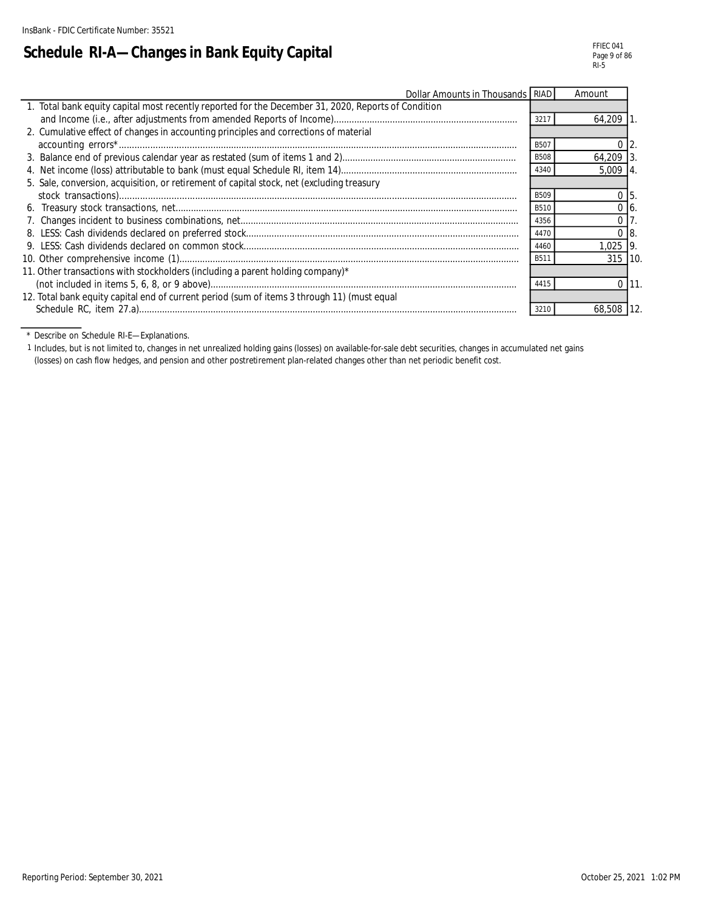# **Schedule RI-A—Changes in Bank Equity Capital**

| Dollar Amounts in Thousands RIAD                                                                    |             | Amount         |    |
|-----------------------------------------------------------------------------------------------------|-------------|----------------|----|
| 1. Total bank equity capital most recently reported for the December 31, 2020, Reports of Condition |             |                |    |
|                                                                                                     | 3217        | 64,209         |    |
| 2. Cumulative effect of changes in accounting principles and corrections of material                |             |                |    |
|                                                                                                     | B507        |                |    |
|                                                                                                     | <b>B508</b> | 64,209 3       |    |
|                                                                                                     | 4340        | $5.009$   4    |    |
| 5. Sale, conversion, acquisition, or retirement of capital stock, net (excluding treasury           |             |                |    |
|                                                                                                     | <b>B509</b> |                |    |
|                                                                                                     | <b>B510</b> |                |    |
|                                                                                                     | 4356        |                |    |
|                                                                                                     | 4470        | 0 <sub>8</sub> |    |
|                                                                                                     | 4460        | $1.025$ 9.     |    |
|                                                                                                     | B511        | 315 10.        |    |
| 11. Other transactions with stockholders (including a parent holding company)*                      |             |                |    |
|                                                                                                     | 4415        |                | 11 |
| 12. Total bank equity capital end of current period (sum of items 3 through 11) (must equal         |             |                |    |
|                                                                                                     | 3210        | 68,508 12.     |    |

\* Describe on Schedule RI-E—Explanations.

1 Includes, but is not limited to, changes in net unrealized holding gains (losses) on available-for-sale debt securities, changes in accumulated net gains (losses) on cash flow hedges, and pension and other postretirement plan-related changes other than net periodic benefit cost.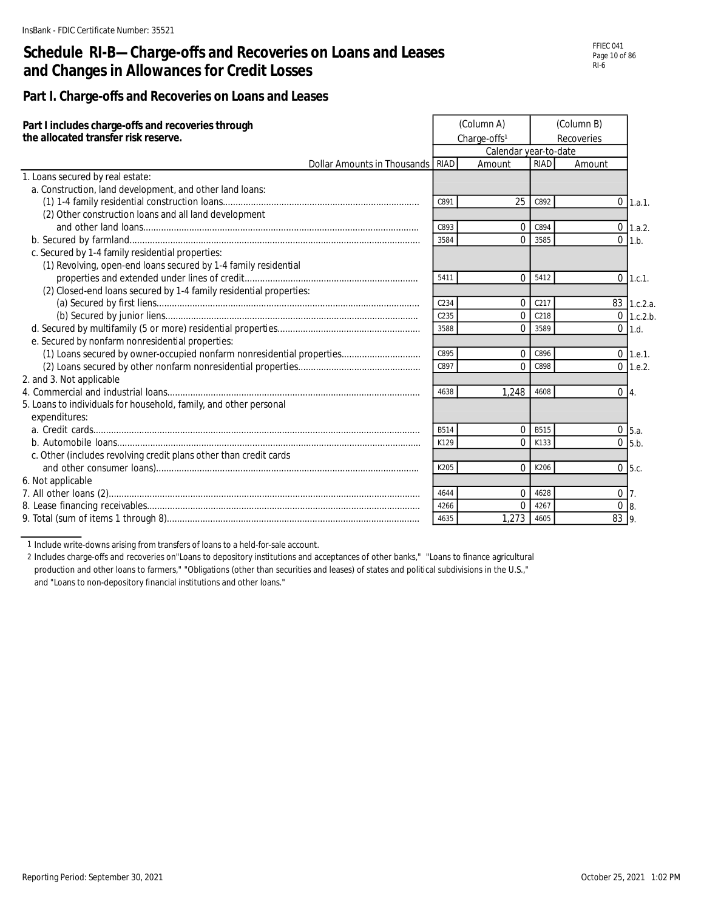### **Schedule RI-B—Charge-offs and Recoveries on Loans and Leases and Changes in Allowances for Credit Losses**

FFIEC 041 Page 10 of 86 RI-6

#### **Part I. Charge-offs and Recoveries on Loans and Leases**

| Part I includes charge-offs and recoveries through<br>the allocated transfer risk reserve. |                  | (Column A)<br>Charge-offs <sup>1</sup> | (Column B)<br>Recoveries |              |               |
|--------------------------------------------------------------------------------------------|------------------|----------------------------------------|--------------------------|--------------|---------------|
|                                                                                            |                  | Calendar year-to-date                  |                          |              |               |
| Dollar Amounts in Thousands                                                                | <b>RIAD</b>      | Amount                                 | <b>RIAD</b>              | Amount       |               |
| 1. Loans secured by real estate:                                                           |                  |                                        |                          |              |               |
| a. Construction, land development, and other land loans:                                   |                  |                                        |                          |              |               |
|                                                                                            | C891             | 25                                     | C892                     |              | $0$ 1.a.1.    |
| (2) Other construction loans and all land development                                      |                  |                                        |                          |              |               |
|                                                                                            | C893             | $\Omega$                               | C894                     |              | $0$ 1.a.2.    |
|                                                                                            | 3584             | $\Omega$                               | 3585                     |              | $0$ 1.b.      |
| c. Secured by 1-4 family residential properties:                                           |                  |                                        |                          |              |               |
| (1) Revolving, open-end loans secured by 1-4 family residential                            |                  |                                        |                          |              |               |
|                                                                                            | 5411             | $\Omega$                               | 5412                     |              | $0$ 1.c.1.    |
| (2) Closed-end loans secured by 1-4 family residential properties:                         |                  |                                        |                          |              |               |
|                                                                                            | C234             | $\overline{0}$                         | C <sub>217</sub>         |              | 83 1.c.2.a.   |
|                                                                                            | C <sub>235</sub> | $\overline{0}$                         | C218                     |              | $0$ 1.c.2.b.  |
|                                                                                            | 3588             | $\Omega$                               | 3589                     |              | $0$ 1.d.      |
| e. Secured by nonfarm nonresidential properties:                                           |                  |                                        |                          |              |               |
| (1) Loans secured by owner-occupied nonfarm nonresidential properties                      | C895             | $\Omega$                               | C896                     |              | $0$ 1.e.1.    |
|                                                                                            | C897             | $\Omega$                               | C898                     |              | $0$ 1.e.2.    |
| 2. and 3. Not applicable                                                                   |                  |                                        |                          |              |               |
|                                                                                            | 4638             | 1.248                                  | 4608                     | $0\vert 4.$  |               |
| 5. Loans to individuals for household, family, and other personal                          |                  |                                        |                          |              |               |
| expenditures:                                                                              |                  |                                        |                          |              |               |
|                                                                                            | <b>B514</b>      | $\mathbf{0}$                           | <b>B515</b>              |              | $0 \mid 5.a.$ |
|                                                                                            | K129             | $\Omega$                               | K133                     |              | $0$ 5.b.      |
| c. Other (includes revolving credit plans other than credit cards                          |                  |                                        |                          |              |               |
|                                                                                            | K205             | $\Omega$                               | K206                     |              | $0$ 5.c.      |
| 6. Not applicable                                                                          |                  |                                        |                          |              |               |
|                                                                                            | 4644             | $\Omega$                               | 4628                     | $0\vert 7$ . |               |
|                                                                                            | 4266             | 0                                      | 4267                     | $0 \vert 8$  |               |
|                                                                                            | 4635             | 1,273                                  | 4605                     | 83 9.        |               |

1 Include write-downs arising from transfers of loans to a held-for-sale account.

2 Includes charge-offs and recoveries on"Loans to depository institutions and acceptances of other banks," "Loans to finance agricultural production and other loans to farmers," "Obligations (other than securities and leases) of states and political subdivisions in the U.S.," and "Loans to non-depository financial institutions and other loans."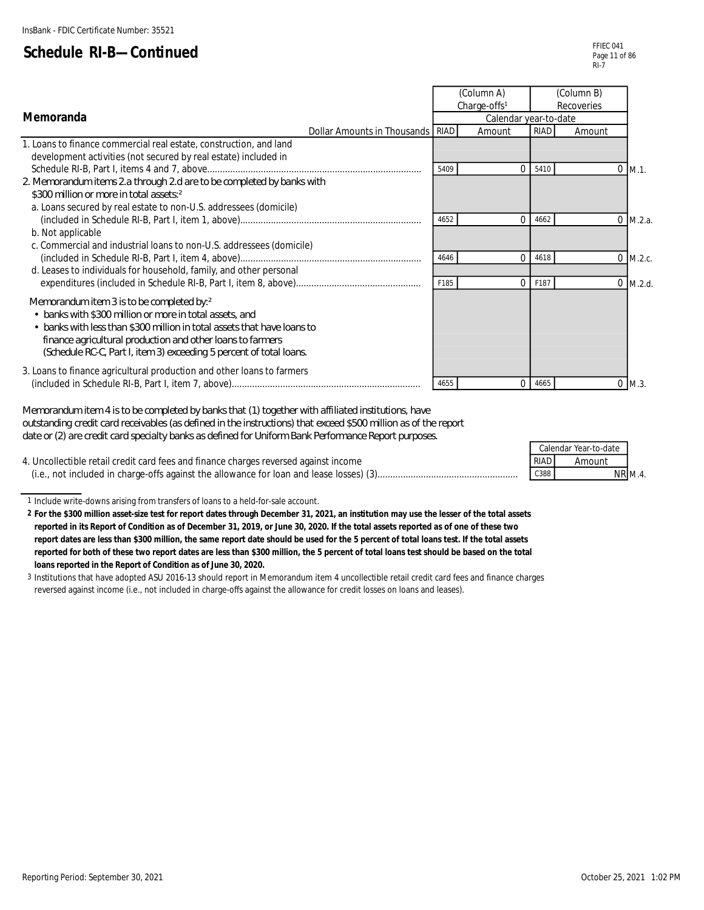|                                                                                                                                                                                                                                                                                                                      |      | (Column A)<br>Charge-offs <sup>1</sup> |             | (Column B)<br>Recoveries |            |
|----------------------------------------------------------------------------------------------------------------------------------------------------------------------------------------------------------------------------------------------------------------------------------------------------------------------|------|----------------------------------------|-------------|--------------------------|------------|
| <b>Memoranda</b>                                                                                                                                                                                                                                                                                                     |      | Calendar year-to-date                  |             |                          |            |
| Dollar Amounts in Thousands   RIAD                                                                                                                                                                                                                                                                                   |      | Amount                                 | <b>RIAD</b> | Amount                   |            |
| 1. Loans to finance commercial real estate, construction, and land                                                                                                                                                                                                                                                   |      |                                        |             |                          |            |
| development activities (not secured by real estate) included in                                                                                                                                                                                                                                                      |      |                                        |             |                          |            |
|                                                                                                                                                                                                                                                                                                                      | 5409 | $\Omega$                               | 5410        |                          | $0$ M.1.   |
| 2 Memorandum items 2a through 2d are to be completed by banks with                                                                                                                                                                                                                                                   |      |                                        |             |                          |            |
| \$300 million or more in total assets <sup>2</sup>                                                                                                                                                                                                                                                                   |      |                                        |             |                          |            |
| a. Loans secured by real estate to non-U.S. addressees (domicile)                                                                                                                                                                                                                                                    |      |                                        |             |                          |            |
|                                                                                                                                                                                                                                                                                                                      | 4652 | 0                                      | 4662        |                          | $0$ M.2.a. |
| b. Not applicable                                                                                                                                                                                                                                                                                                    |      |                                        |             |                          |            |
| c. Commercial and industrial loans to non-U.S. addressees (domicile)                                                                                                                                                                                                                                                 |      |                                        |             |                          |            |
|                                                                                                                                                                                                                                                                                                                      | 4646 | 0                                      | 4618        | 0                        | M.2.c.     |
| d. Leases to individuals for household, family, and other personal                                                                                                                                                                                                                                                   |      |                                        |             |                          |            |
|                                                                                                                                                                                                                                                                                                                      | F185 | 0                                      | F187        |                          | $0$ M.2.d. |
| Memorandum item 3 is to be completed by:2<br>• banks with \$300 million or more in total assets, and<br>• banks with less than \$300 million in total assets that have loans to<br>finance agricultural production and other loans to farmers<br>(Schedule RC-C, Part I, item 3) exceeding 5 percent of total loans. |      |                                        |             |                          |            |
| 3. Loans to finance agricultural production and other loans to farmers                                                                                                                                                                                                                                               | 4655 | 0                                      | 4665        |                          | $0$ M.3.   |

*Memorandum item 4 is to be completed by banks that (1) together with affiliated institutions, have outstanding credit card receivables (as defined in the instructions) that exceed \$500 million as of the report date or (2) are credit card specialty banks as defined for Uniform Bank Performance Report purposes.*

|                                                                                         |             | Calendar Year-to-date |
|-----------------------------------------------------------------------------------------|-------------|-----------------------|
| 4. Uncollectible retail credit card fees and finance charges reversed against income    | <b>RIAD</b> | Amount                |
| (i.e., not included in charge-offs against the allowance for loan and lease losses) (3) | C388        | <b>NR M.4.</b>        |

1 Include write-downs arising from transfers of loans to a held-for-sale account.

**2 For the \$300 million asset-size test for report dates through December 31, 2021, an institution may use the lesser of the total assets reported in its Report of Condition as of December 31, 2019, or June 30, 2020. If the total assets reported as of one of these two report dates are less than \$300 million, the same report date should be used for the 5 percent of total loans test. If the total assets reported for both of these two report dates are less than \$300 million, the 5 percent of total loans test should be based on the total loans reported in the Report of Condition as of June 30, 2020.**

3 Institutions that have adopted ASU 2016-13 should report in Memorandum item 4 uncollectible retail credit card fees and finance charges reversed against income (i.e., not included in charge-offs against the allowance for credit losses on loans and leases).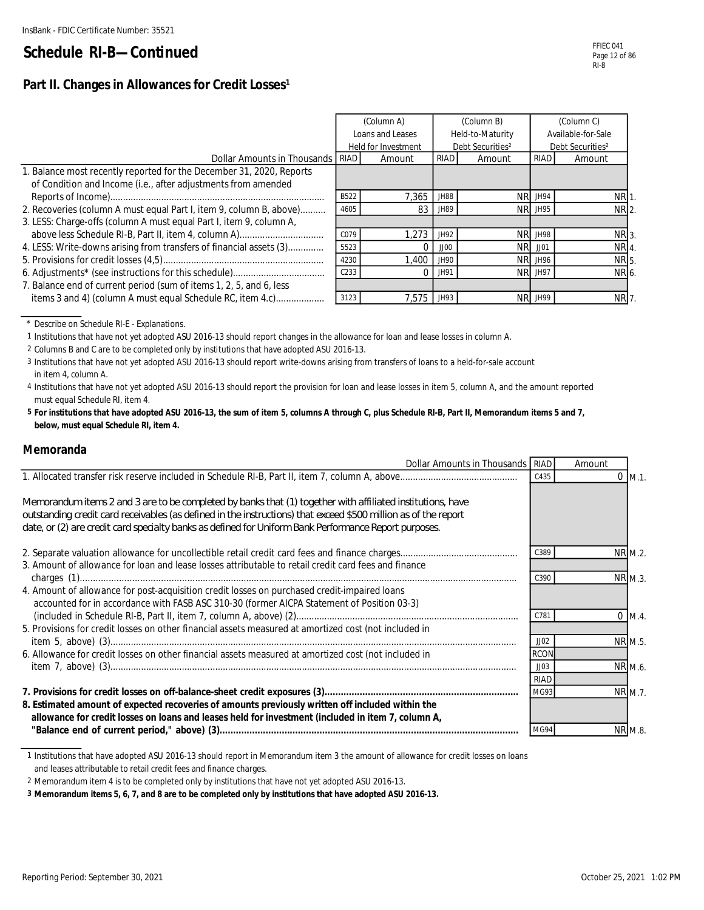|                                                                      |                  | (Column A)                                          |             | (Column B)       | (Column C)                   |                 |  |
|----------------------------------------------------------------------|------------------|-----------------------------------------------------|-------------|------------------|------------------------------|-----------------|--|
|                                                                      |                  | Loans and Leases                                    |             | Held-to-Maturity | Available-for-Sale           |                 |  |
|                                                                      |                  | Debt Securities <sup>2</sup><br>Held for Investment |             |                  | Debt Securities <sup>2</sup> |                 |  |
| Dollar Amounts in Thousands   RIAD                                   |                  | Amount                                              | <b>RIAD</b> | Amount           | <b>RIAD</b>                  | Amount          |  |
| 1. Balance most recently reported for the December 31, 2020, Reports |                  |                                                     |             |                  |                              |                 |  |
| of Condition and Income (i.e., after adjustments from amended        |                  |                                                     |             |                  |                              |                 |  |
|                                                                      | B522             | 7.365                                               | JH88        | NR.              | JH94                         | NR <sub>1</sub> |  |
| 2. Recoveries (column A must equal Part I, item 9, column B, above)  | 4605             | 83                                                  | JH89        |                  | <b>NR JH95</b>               | NR 2.           |  |
| 3. LESS: Charge-offs (column A must equal Part I, item 9, column A,  |                  |                                                     |             |                  |                              |                 |  |
|                                                                      | C079             | 1.273                                               | JH92        |                  | <b>NR JH98</b>               | NR 3.           |  |
| 4. LESS: Write-downs arising from transfers of financial assets (3)  | 5523             |                                                     | JJOO        | NR.              | JJO1                         | NR <sub>4</sub> |  |
|                                                                      | 4230             | 1,400                                               | JH90        |                  | <b>NR JH96</b>               | NR 5.           |  |
|                                                                      | C <sub>233</sub> |                                                     | JH91        |                  | NR JH97                      | NR 6.           |  |
| 7. Balance end of current period (sum of items 1, 2, 5, and 6, less  |                  |                                                     |             |                  |                              |                 |  |
| items 3 and 4) (column A must equal Schedule RC, item 4.c)           | 3123             | 7.575                                               | JH93        | NR.              | JH99                         | NR 7.           |  |

\* Describe on Schedule RI-E - Explanations.

1 Institutions that have not yet adopted ASU 2016-13 should report changes in the allowance for loan and lease losses in column A.

2 Columns B and C are to be completed only by institutions that have adopted ASU 2016-13.

3 Institutions that have not yet adopted ASU 2016-13 should report write-downs arising from transfers of loans to a held-for-sale account in item 4, column A.

4 Institutions that have not yet adopted ASU 2016-13 should report the provision for loan and lease losses in item 5, column A, and the amount reported must equal Schedule RI, item 4.

**5 For institutions that have adopted ASU 2016-13, the sum of item 5, columns A through C, plus Schedule RI-B, Part II, Memorandum items 5 and 7, below, must equal Schedule RI, item 4.**

#### **Memoranda**

| Dollar Amounts in Thousands RIAD                                                                                                                                                                                                                                                                                                       |             | Amount         |
|----------------------------------------------------------------------------------------------------------------------------------------------------------------------------------------------------------------------------------------------------------------------------------------------------------------------------------------|-------------|----------------|
|                                                                                                                                                                                                                                                                                                                                        | C435        | $0$ M.1.       |
| Memorandum items 2 and 3 are to be completed by banks that (1) together with affiliated institutions, have<br>outstanding credit card receivables (as defined in the instructions) that exceed \$500 million as of the report<br>date, or (2) are credit card specialty banks as defined for Uniform Bank Performance Report purposes. |             |                |
|                                                                                                                                                                                                                                                                                                                                        | C389        | NR M.2.        |
| 3. Amount of allowance for loan and lease losses attributable to retail credit card fees and finance                                                                                                                                                                                                                                   |             |                |
|                                                                                                                                                                                                                                                                                                                                        | C390        | <b>NR M.3.</b> |
| 4. Amount of allowance for post-acquisition credit losses on purchased credit-impaired loans<br>accounted for in accordance with FASB ASC 310-30 (former AICPA Statement of Position 03-3)                                                                                                                                             |             |                |
|                                                                                                                                                                                                                                                                                                                                        | C781        | $0 \, M.4.$    |
| 5. Provisions for credit losses on other financial assets measured at amortized cost (not included in                                                                                                                                                                                                                                  |             |                |
|                                                                                                                                                                                                                                                                                                                                        | JJO2        | NR M.5.        |
| 6. Allowance for credit losses on other financial assets measured at amortized cost (not included in                                                                                                                                                                                                                                   | <b>RCON</b> |                |
|                                                                                                                                                                                                                                                                                                                                        | JJO3        | NR M.6.        |
|                                                                                                                                                                                                                                                                                                                                        | <b>RIAD</b> |                |
|                                                                                                                                                                                                                                                                                                                                        | MG93        | NR M.7.        |
| 8. Estimated amount of expected recoveries of amounts previously written off included within the<br>allowance for credit losses on loans and leases held for investment (included in item 7, column A,                                                                                                                                 |             |                |
|                                                                                                                                                                                                                                                                                                                                        | MG94        | <b>NR M.8</b>  |

1 Institutions that have adopted ASU 2016-13 should report in Memorandum item 3 the amount of allowance for credit losses on loans and leases attributable to retail credit fees and finance charges.

2 Memorandum item 4 is to be completed only by institutions that have not yet adopted ASU 2016-13.

**3 Memorandum items 5, 6, 7, and 8 are to be completed only by institutions that have adopted ASU 2016-13.**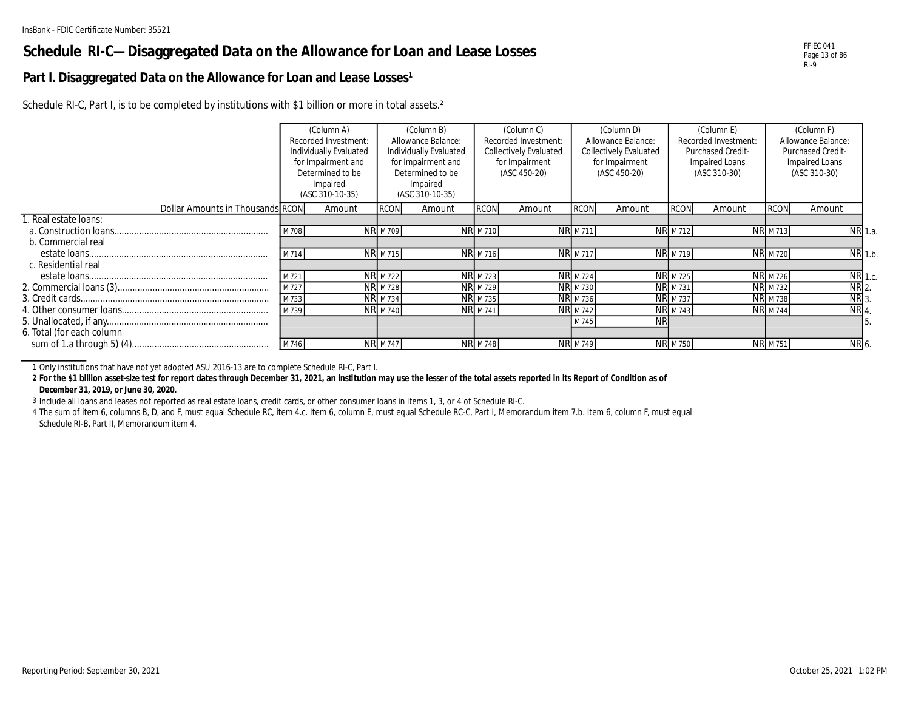### **Schedule RI-C—Disaggregated Data on the Allowance for Loan and Lease Losses**

#### Part I. Disaggregated Data on the Allowance for Loan and Lease Losses<sup>1</sup>

Schedule RI-C, Part I, is to be completed by institutions with \$1 billion or more in total assets.<sup>2</sup>

|                                  |      | (Column A)             |                | (Column B)             |                | (Column C)                    |                | (Column D)                    |                | (Column E)           |                | (Column F)         |                    |
|----------------------------------|------|------------------------|----------------|------------------------|----------------|-------------------------------|----------------|-------------------------------|----------------|----------------------|----------------|--------------------|--------------------|
|                                  |      | Recorded Investment:   |                | Allowance Balance:     |                | Recorded Investment:          |                | Allowance Balance:            |                | Recorded Investment: |                | Allowance Balance: |                    |
|                                  |      | Individually Evaluated |                | Individually Evaluated |                | <b>Collectively Evaluated</b> |                | <b>Collectively Evaluated</b> |                | Purchased Credit-    |                | Purchased Credit-  |                    |
|                                  |      | for Impairment and     |                | for Impairment and     |                | for Impairment                |                | for Impairment                |                | Impaired Loans       |                | Impaired Loans     |                    |
|                                  |      | Determined to be       |                | Determined to be       |                | (ASC 450-20)                  |                | (ASC 450-20)                  |                | (ASC 310-30)         |                | (ASC 310-30)       |                    |
|                                  |      | Impaired               |                | Impaired               |                |                               |                |                               |                |                      |                |                    |                    |
|                                  |      | (ASC 310-10-35)        |                | (ASC 310-10-35)        |                |                               |                |                               |                |                      |                |                    |                    |
| Dollar Amounts in Thousands RCON |      | Amount                 | <b>RCON</b>    | Amount                 | <b>RCON</b>    | Amount                        | <b>RCON</b>    | Amount                        | <b>RCON</b>    | Amount               | <b>RCON</b>    | Amount             |                    |
| I. Real estate Ioans:            |      |                        |                |                        |                |                               |                |                               |                |                      |                |                    |                    |
|                                  | M708 |                        | <b>NR M709</b> |                        | <b>NR M710</b> |                               | <b>NR M711</b> |                               | <b>NR</b> M712 |                      | <b>NR M713</b> |                    | NR 1.a.            |
| b. Commercial real               |      |                        |                |                        |                |                               |                |                               |                |                      |                |                    |                    |
|                                  | M714 |                        | <b>NR M715</b> |                        | <b>NR M716</b> |                               | <b>NR</b> M717 |                               | <b>NR</b> M719 |                      | <b>NR M720</b> |                    | $NR$ 1.b.          |
| c. Residential real              |      |                        |                |                        |                |                               |                |                               |                |                      |                |                    |                    |
|                                  | M721 |                        | <b>NR M722</b> |                        | <b>NR M723</b> |                               | <b>NR M724</b> |                               | <b>NR M725</b> |                      | <b>NR M726</b> |                    | NR 1.c.            |
|                                  | M727 |                        | <b>NR M728</b> |                        | <b>NR M729</b> |                               | <b>NR M730</b> |                               | <b>NR M731</b> |                      | <b>NR M732</b> |                    | $NR$ <sub>2.</sub> |
|                                  | M733 |                        | <b>NR M734</b> |                        | <b>NR M735</b> |                               | <b>NR M736</b> |                               | <b>NR</b> M737 |                      | <b>NR</b> M738 | NR 3.              |                    |
|                                  | M739 |                        | <b>NR M740</b> |                        | <b>NR M741</b> |                               | <b>NR M742</b> |                               | <b>NR M743</b> |                      | <b>NR M744</b> |                    | NR 4.              |
|                                  |      |                        |                |                        |                |                               | M745           | ΝR                            |                |                      |                |                    |                    |
| 6. Total (for each column        |      |                        |                |                        |                |                               |                |                               |                |                      |                |                    |                    |
|                                  | M746 |                        | <b>NR M747</b> |                        | <b>NR M748</b> |                               | <b>NR M749</b> |                               | <b>NR M750</b> |                      | <b>NR M751</b> |                    | NR 6.              |

1 Only institutions that have not yet adopted ASU 2016-13 are to complete Schedule RI-C, Part I.

**2 For the \$1 billion asset-size test for report dates through December 31, 2021, an institution may use the lesser of the total assets reported in its Report of Condition as of December 31, 2019, or June 30, 2020.**

3 Include all loans and leases not reported as real estate loans, credit cards, or other consumer loans in items 1, 3, or 4 of Schedule RI-C.

4 The sum of item 6, columns B, D, and F, must equal Schedule RC, item 4.c. Item 6, column E, must equal Schedule RC-C, Part I, Memorandum item 7.b. Item 6, column F, must equal Schedule RI-B, Part II, Memorandum item 4.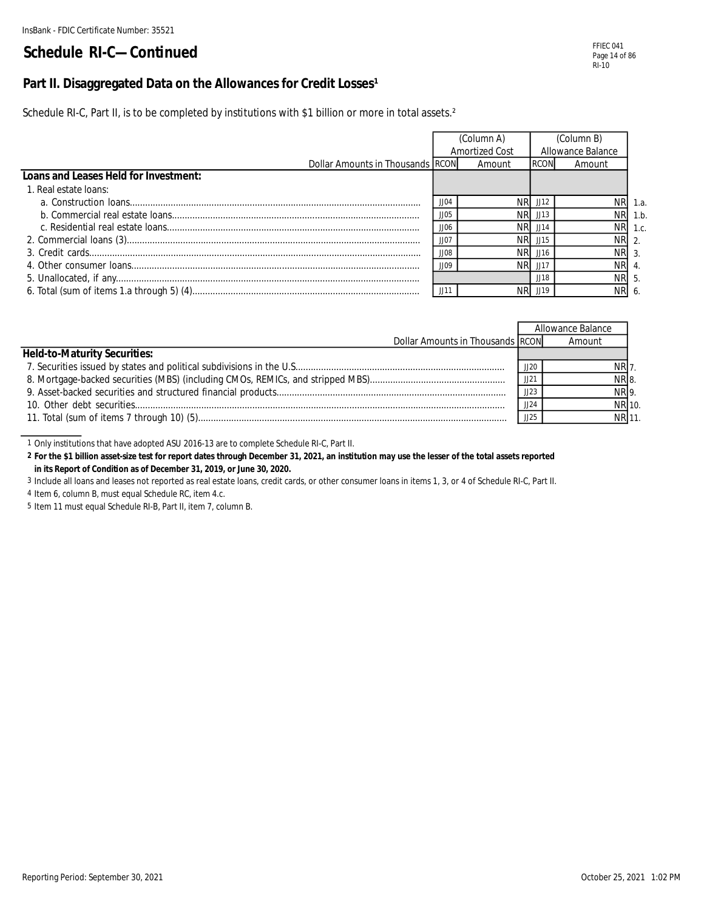#### Part II. Disaggregated Data on the Allowances for Credit Losses<sup>1</sup>

Schedule RI-C, Part II, is to be completed by institutions with \$1 billion or more in total assets.<sup>2</sup>

|                                       |             | (Column A)<br>Amortized Cost | (Column B)<br>Allowance Balance |        |         |  |
|---------------------------------------|-------------|------------------------------|---------------------------------|--------|---------|--|
| Dollar Amounts in Thousands RCON      |             | Amount                       | <b>RCON</b>                     | Amount |         |  |
| Loans and Leases Held for Investment: |             |                              |                                 |        |         |  |
| 1. Real estate loans:                 |             |                              |                                 |        |         |  |
|                                       | JJO4        | NRI                          | JJ12                            |        | NR 1.a. |  |
|                                       | JJO5        | <b>NRI</b>                   | J113                            |        | NR 1.b. |  |
|                                       | JJO6        |                              | JJ14                            |        | NR 1.c. |  |
|                                       | $JJO^-$     |                              | JJ15                            | NR 2.  |         |  |
|                                       | <b>SOLL</b> | NRI                          | JJ16                            | NR 3.  |         |  |
|                                       | <b>JIOS</b> | NRI                          | JJ11                            | NR 4.  |         |  |
|                                       |             |                              | JJ18                            | NR 5.  |         |  |
|                                       | $ $   11    |                              | JJ19                            | NR 6.  |         |  |

|                                     |      | Allowance Balance |        |
|-------------------------------------|------|-------------------|--------|
| Dollar Amounts in Thousands RCON    |      | Amount            |        |
| <b>Held-to-Maturity Securities:</b> |      |                   |        |
|                                     | JJ2C | NR 7.             |        |
|                                     | JJ21 | NR 8.             |        |
|                                     | JJ23 | NR 9.             |        |
|                                     | JJ24 |                   | NR 10. |
|                                     | JJ25 |                   | NR 11. |

1 Only institutions that have adopted ASU 2016-13 are to complete Schedule RI-C, Part II.

**2 For the \$1 billion asset-size test for report dates through December 31, 2021, an institution may use the lesser of the total assets reported in its Report of Condition as of December 31, 2019, or June 30, 2020.**

3 Include all loans and leases not reported as real estate loans, credit cards, or other consumer loans in items 1, 3, or 4 of Schedule RI-C, Part II.

4 Item 6, column B, must equal Schedule RC, item 4.c.

5 Item 11 must equal Schedule RI-B, Part II, item 7, column B.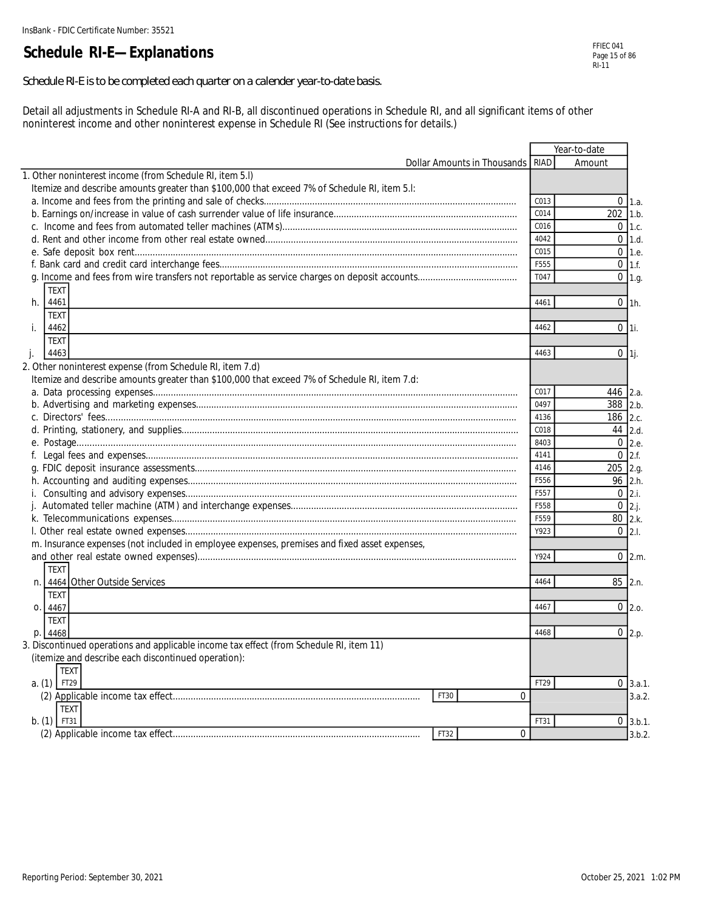### **Schedule RI-E—Explanations**

*Schedule RI-E is to be completed each quarter on a calender year-to-date basis.*

Detail all adjustments in Schedule RI-A and RI-B, all discontinued operations in Schedule RI, and all significant items of other noninterest income and other noninterest expense in Schedule RI (See instructions for details.)

|                                                                                              |                                  |      | Year-to-date        |
|----------------------------------------------------------------------------------------------|----------------------------------|------|---------------------|
|                                                                                              | Dollar Amounts in Thousands RIAD |      | Amount              |
| 1. Other noninterest income (from Schedule RI, item 5.I)                                     |                                  |      |                     |
| Itemize and describe amounts greater than \$100,000 that exceed 7% of Schedule RI, item 5.1: |                                  |      |                     |
|                                                                                              |                                  | C013 | $0$ 1.a.            |
|                                                                                              |                                  | C014 | 202<br>1.b.         |
|                                                                                              |                                  | C016 | $0 \mid 1.c.$       |
|                                                                                              |                                  | 4042 | $0$ 1.d.            |
|                                                                                              |                                  | C015 | $0$ 1.e.            |
|                                                                                              |                                  | F555 | $0$ 1.f.            |
|                                                                                              |                                  | T047 | $0$ 1.g.            |
| <b>TEXT</b>                                                                                  |                                  |      |                     |
| 4461<br>h.                                                                                   |                                  | 4461 | $0$ 1h.             |
| <b>TEXT</b>                                                                                  |                                  |      |                     |
| j.<br>4462                                                                                   |                                  | 4462 | $0$ 1i.             |
| <b>TEXT</b>                                                                                  |                                  |      |                     |
| 4463                                                                                         |                                  | 4463 |                     |
| j.                                                                                           |                                  |      | $0$ <sup>1</sup> j. |
| 2. Other noninterest expense (from Schedule RI, item 7.d)                                    |                                  |      |                     |
| Itemize and describe amounts greater than \$100,000 that exceed 7% of Schedule RI, item 7.d: |                                  |      |                     |
|                                                                                              |                                  | C017 | 446 2.a.            |
|                                                                                              |                                  | 0497 | 388 2.b.            |
|                                                                                              |                                  | 4136 | 186 2.c.            |
|                                                                                              |                                  | C018 | 44 2.d.             |
|                                                                                              |                                  | 8403 | 0 <sub>2.e.</sub>   |
| f.                                                                                           |                                  | 4141 | $0$ 2.f.            |
|                                                                                              |                                  | 4146 | $205$ 2.g.          |
|                                                                                              |                                  | F556 | 96 2.h.             |
|                                                                                              |                                  | F557 | $0 \, 2.i.$         |
|                                                                                              |                                  | F558 | $0 \, 2 \, j.$      |
|                                                                                              |                                  | F559 | 80 2.k.             |
|                                                                                              |                                  | Y923 | $0 \, 2.1$          |
| m. Insurance expenses (not included in employee expenses, premises and fixed asset expenses, |                                  |      |                     |
|                                                                                              |                                  | Y924 | $0 \,   2.m.$       |
| <b>TEXT</b>                                                                                  |                                  |      |                     |
| n. 4464 Other Outside Services                                                               |                                  | 4464 | 85 2.n.             |
| <b>TEXT</b>                                                                                  |                                  |      |                     |
| 4467<br>O <sub>1</sub>                                                                       |                                  | 4467 | $0$ 2.o.            |
| <b>TEXT</b>                                                                                  |                                  |      |                     |
| p. 4468                                                                                      |                                  | 4468 | $0$ 2.p.            |
| 3. Discontinued operations and applicable income tax effect (from Schedule RI, item 11)      |                                  |      |                     |
| (itemize and describe each discontinued operation):                                          |                                  |      |                     |
| <b>TEXT</b>                                                                                  |                                  |      |                     |
| FT29<br>a. (1)                                                                               |                                  | FT29 | $0 \, 3.a.1.$       |
| FT30                                                                                         | $\Omega$                         |      | 3.a.2.              |
| <b>TEXT</b>                                                                                  |                                  |      |                     |
| $b. (1)$ FT31                                                                                |                                  | FT31 | $0 \, 3.b.1$        |
| FT32                                                                                         | $\Omega$                         |      | 3.b.2               |
|                                                                                              |                                  |      |                     |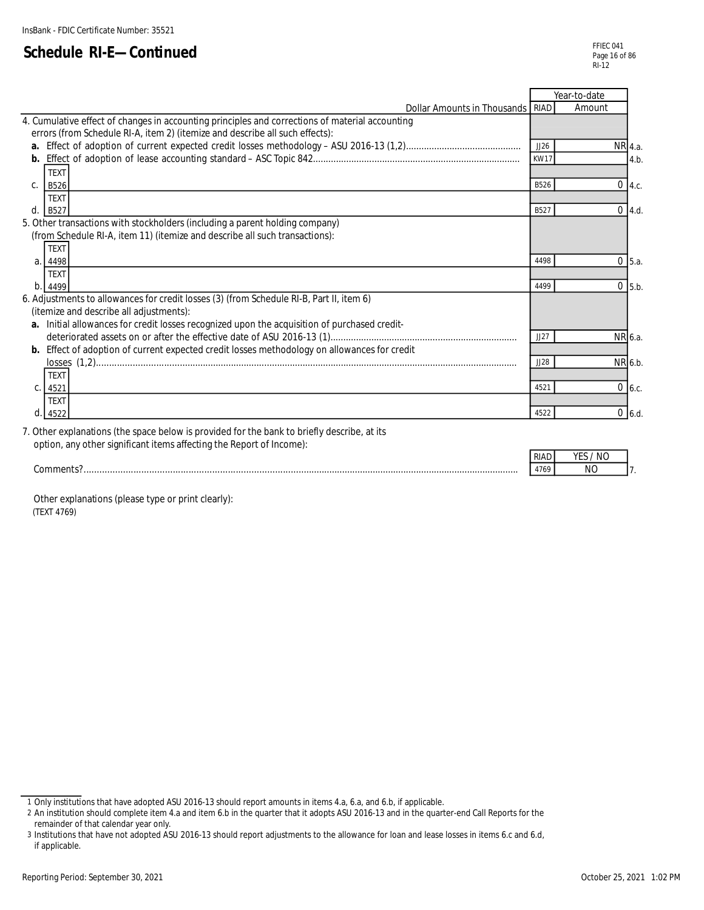|                                                                                                 |             | Year-to-date |                   |
|-------------------------------------------------------------------------------------------------|-------------|--------------|-------------------|
| Dollar Amounts in Thousands   RIAD                                                              |             | Amount       |                   |
| 4. Cumulative effect of changes in accounting principles and corrections of material accounting |             |              |                   |
| errors (from Schedule RI-A, item 2) (itemize and describe all such effects):                    |             |              |                   |
|                                                                                                 | JJ26        | NR 4.a.      |                   |
|                                                                                                 | <b>KW17</b> |              | 4.b               |
| <b>TEXT</b>                                                                                     |             |              |                   |
| <b>B526</b><br>$C_{1}$                                                                          | B526        |              | $0 \mid 4.c.$     |
| <b>TEXT</b>                                                                                     |             |              |                   |
| d.<br>B527                                                                                      | B527        |              | $0$ 4.d.          |
| 5. Other transactions with stockholders (including a parent holding company)                    |             |              |                   |
| (from Schedule RI-A, item 11) (itemize and describe all such transactions):                     |             |              |                   |
| <b>TEXT</b>                                                                                     |             |              |                   |
| 4498<br>a <sub>1</sub>                                                                          | 4498        |              | 0 <sub>5.a.</sub> |
| <b>TEXT</b>                                                                                     |             |              |                   |
| b.<br>4499                                                                                      | 4499        |              | $0$ 5.b.          |
| 6. Adjustments to allowances for credit losses (3) (from Schedule RI-B, Part II, item 6)        |             |              |                   |
| (itemize and describe all adjustments):                                                         |             |              |                   |
| a. Initial allowances for credit losses recognized upon the acquisition of purchased credit-    |             |              |                   |
|                                                                                                 | JJ27        | NR 6.a.      |                   |
| b. Effect of adoption of current expected credit losses methodology on allowances for credit    |             |              |                   |
|                                                                                                 | JJ28        | NR 6.b.      |                   |
| <b>TEXT</b>                                                                                     |             |              |                   |
| C. 4521                                                                                         | 4521        |              | $0\,$ 6.c.        |
| <b>TEXT</b>                                                                                     |             |              |                   |
| 4522<br>d.                                                                                      | 4522        |              | $0, 6$ .d.        |
| 7. Other explanations (the space below is provided for the bank to briefly describe, at its     |             |              |                   |
| option, any other significant items affecting the Report of Income):                            |             |              |                   |
|                                                                                                 |             |              |                   |

| ---------<br>$\sim$ | . RIA | N( |  |
|---------------------|-------|----|--|
| .0r                 |       |    |  |

 Other explanations (please type or print clearly): (TEXT 4769)

<sup>1</sup> Only institutions that have adopted ASU 2016-13 should report amounts in items 4.a, 6.a, and 6.b, if applicable.

<sup>2</sup> An institution should complete item 4.a and item 6.b in the quarter that it adopts ASU 2016-13 and in the quarter-end Call Reports for the remainder of that calendar year only.

<sup>3</sup> Institutions that have not adopted ASU 2016-13 should report adjustments to the allowance for loan and lease losses in items 6.c and 6.d, if applicable.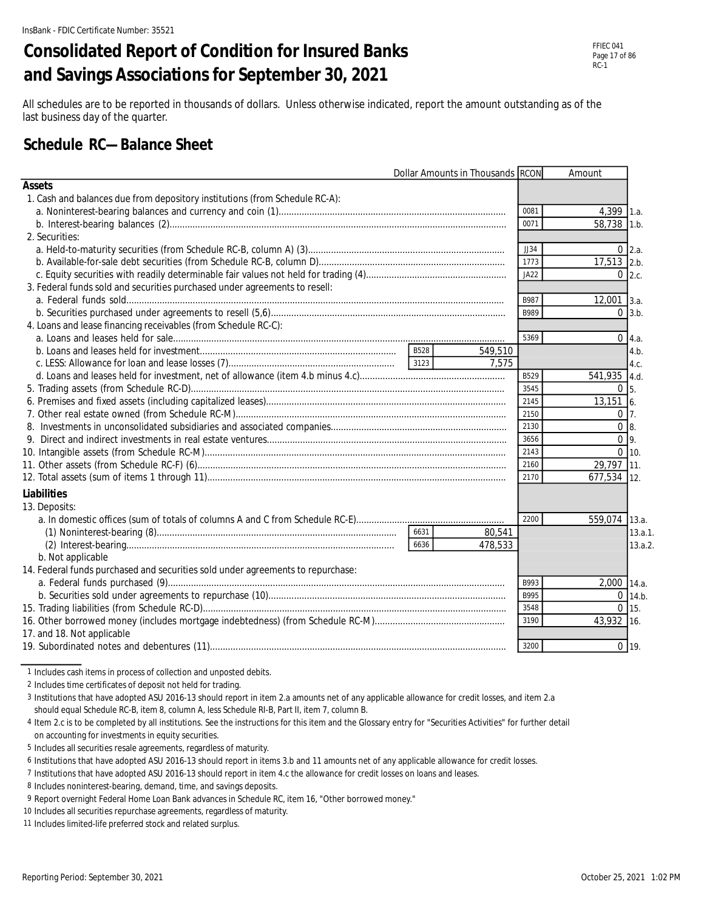# **Consolidated Report of Condition for Insured Banks and Savings Associations for September 30, 2021**

All schedules are to be reported in thousands of dollars. Unless otherwise indicated, report the amount outstanding as of the last business day of the quarter.

### **Schedule RC—Balance Sheet**

| Dollar Amounts in Thousands RCON<br>Amount<br><b>Assets</b><br>1. Cash and balances due from depository institutions (from Schedule RC-A):<br>0081<br>$4,399$ 1.a.<br>58,738 1.b.<br>0071<br>2. Securities:<br>$0\,2.a.$<br>JJ34<br>1773<br>17,513 2.b.<br>JA22<br>$0\,$ 2.c.<br>3. Federal funds sold and securities purchased under agreements to resell:<br>B987<br>$12,001$ 3.a.<br>B989<br>$0 \mid 3.b.$ |
|---------------------------------------------------------------------------------------------------------------------------------------------------------------------------------------------------------------------------------------------------------------------------------------------------------------------------------------------------------------------------------------------------------------|
|                                                                                                                                                                                                                                                                                                                                                                                                               |
|                                                                                                                                                                                                                                                                                                                                                                                                               |
|                                                                                                                                                                                                                                                                                                                                                                                                               |
|                                                                                                                                                                                                                                                                                                                                                                                                               |
|                                                                                                                                                                                                                                                                                                                                                                                                               |
|                                                                                                                                                                                                                                                                                                                                                                                                               |
|                                                                                                                                                                                                                                                                                                                                                                                                               |
|                                                                                                                                                                                                                                                                                                                                                                                                               |
|                                                                                                                                                                                                                                                                                                                                                                                                               |
|                                                                                                                                                                                                                                                                                                                                                                                                               |
|                                                                                                                                                                                                                                                                                                                                                                                                               |
| 4. Loans and lease financing receivables (from Schedule RC-C):                                                                                                                                                                                                                                                                                                                                                |
| 5369<br>$0 \, 4.a.$                                                                                                                                                                                                                                                                                                                                                                                           |
| B528<br>549,510<br>4.b.                                                                                                                                                                                                                                                                                                                                                                                       |
| 3123<br>7.575<br>4.c.                                                                                                                                                                                                                                                                                                                                                                                         |
| 541,935 4.d.<br>B529                                                                                                                                                                                                                                                                                                                                                                                          |
| $0\overline{5}$<br>3545                                                                                                                                                                                                                                                                                                                                                                                       |
| 2145<br>13,1516.                                                                                                                                                                                                                                                                                                                                                                                              |
| $0\vert 7.$<br>2150                                                                                                                                                                                                                                                                                                                                                                                           |
| 0 <sub>8</sub><br>2130                                                                                                                                                                                                                                                                                                                                                                                        |
| 0 <sub>9</sub><br>3656                                                                                                                                                                                                                                                                                                                                                                                        |
| $0 \ 10.$<br>2143                                                                                                                                                                                                                                                                                                                                                                                             |
| 2160<br>29,797 11.                                                                                                                                                                                                                                                                                                                                                                                            |
| 2170<br>677,534 12.                                                                                                                                                                                                                                                                                                                                                                                           |
| Liabilities                                                                                                                                                                                                                                                                                                                                                                                                   |
| 13. Deposits:                                                                                                                                                                                                                                                                                                                                                                                                 |
| 559,074 13.a.<br>2200                                                                                                                                                                                                                                                                                                                                                                                         |
| 6631<br>80,541<br>13.a.1.                                                                                                                                                                                                                                                                                                                                                                                     |
| 6636<br>478,533<br>13.a.2.                                                                                                                                                                                                                                                                                                                                                                                    |
| b. Not applicable                                                                                                                                                                                                                                                                                                                                                                                             |
| 14. Federal funds purchased and securities sold under agreements to repurchase:                                                                                                                                                                                                                                                                                                                               |
| 2,000 14.a.<br>B993                                                                                                                                                                                                                                                                                                                                                                                           |
| B995<br>$0$ 14.b.                                                                                                                                                                                                                                                                                                                                                                                             |
| 3548<br>$0 \mid 15.$                                                                                                                                                                                                                                                                                                                                                                                          |
| 43,932 16.<br>3190                                                                                                                                                                                                                                                                                                                                                                                            |
| 17. and 18. Not applicable                                                                                                                                                                                                                                                                                                                                                                                    |
| $0$ 19.<br>3200                                                                                                                                                                                                                                                                                                                                                                                               |

1 Includes cash items in process of collection and unposted debits.

2 Includes time certificates of deposit not held for trading.

3 Institutions that have adopted ASU 2016-13 should report in item 2.a amounts net of any applicable allowance for credit losses, and item 2.a should equal Schedule RC-B, item 8, column A, less Schedule RI-B, Part II, item 7, column B.

4 Item 2.c is to be completed by all institutions. See the instructions for this item and the Glossary entry for "Securities Activities" for further detail on accounting for investments in equity securities.

5 Includes all securities resale agreements, regardless of maturity.

6 Institutions that have adopted ASU 2016-13 should report in items 3.b and 11 amounts net of any applicable allowance for credit losses.

7 Institutions that have adopted ASU 2016-13 should report in item 4.c the allowance for credit losses on loans and leases.

8 Includes noninterest-bearing, demand, time, and savings deposits.

9 Report overnight Federal Home Loan Bank advances in Schedule RC, item 16, "Other borrowed money."

10 Includes all securities repurchase agreements, regardless of maturity.

11 Includes limited-life preferred stock and related surplus.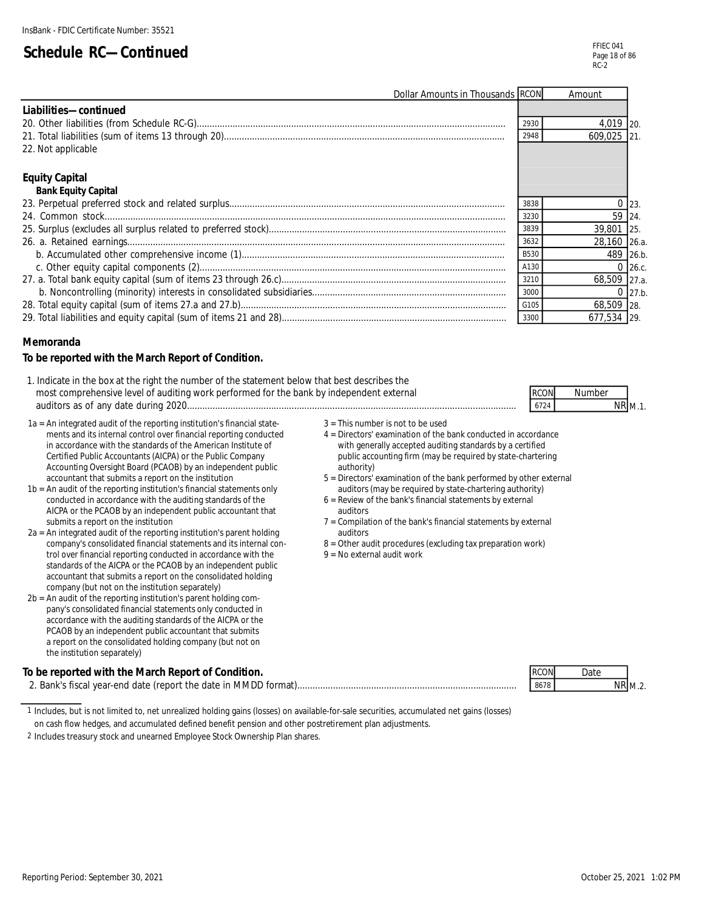M.1.

RCON Number

| Dollar Amounts in Thousands RCON |             | Amount       |              |
|----------------------------------|-------------|--------------|--------------|
| Liabilities-continued            |             |              |              |
|                                  | 2930        | 4,019 20.    |              |
|                                  | 2948        | 609.025 21   |              |
| 22. Not applicable               |             |              |              |
| <b>Equity Capital</b>            |             |              |              |
| <b>Bank Equity Capital</b>       |             |              |              |
|                                  | 3838        |              | $0 \mid 23.$ |
|                                  | 3230        | 59 24.       |              |
|                                  | 3839        | 39,801 25.   |              |
|                                  | 3632        | 28,160 26.a. |              |
|                                  | <b>B530</b> | 489 26.b.    |              |
|                                  | A130        |              | $0\,$ 26.c.  |
|                                  | 3210        | 68,509 27.a. |              |
|                                  | 3000        |              | $0$ 27.b.    |
|                                  | G105        | 68,509 28.   |              |
|                                  | 3300        | 677.534 29.  |              |

#### **Memoranda**

#### **To be reported with the March Report of Condition.**

- 1. Indicate in the box at the right the number of the statement below that best describes the most comprehensive level of auditing work performed for the bank by independent external auditors as of any date during 2020................................................................................................................................. 6724 NR
- 1a = An integrated audit of the reporting institution's financial state-<br>ments and its internal control over financial reporting conducted  $\begin{array}{c} 3 =$  This number is not to be used<br> $4 =$  Directors' examination of the bank ments and its internal control over financial reporting conducted in accordance with the standards of the American Institute of with generally accepted auditing standards by a certified Certified Public Accountants (AICPA) or the Public Company public accounting firm (may be required by state-chartering Accounting Oversight Board (PCAOB) by an independent public authority)
- $1b = An$  audit of the reporting institution's financial statements only conducted in accordance with the auditing standards of the  $6 =$  Review of the bank's financial statements by external AICPA or the PCAOB by an independent public accountant that auditors submits a report on the institution  $7 =$  Compilation of the bank's financial statements by external
- $2a = An integrated audit of the reporting institution's parent holding company's consolidated financial statements and its internal con- $8 = Other$  at a 20.$ trol over financial reporting conducted in accordance with the standards of the AICPA or the PCAOB by an independent public accountant that submits a report on the consolidated holding company (but not on the institution separately)
- 2b = An audit of the reporting institution's parent holding company's consolidated financial statements only conducted in accordance with the auditing standards of the AICPA or the PCAOB by an independent public accountant that submits a report on the consolidated holding company (but not on the institution separately)

#### **To be reported with the March Report of Condition.**

2. Bank's fiscal year-end date (report the date in MMDD format)...................................................................................... 8678 NR

|        | h1/4 |
|--------|------|
| $\sim$ |      |

- 
- 
- accountant that submits a report on the institution<br>An audit of the bank performed by other external<br>audit of the reporting institution's financial statements only<br>auditors (may be required by state-chartering authority)
	-
	-
	- $8 =$  Other audit procedures (excluding tax preparation work)<br> $9 =$  No external audit work
	-

| $D^{\prime\prime}$ | Date. |                |
|--------------------|-------|----------------|
| 8678               |       | M <sub>2</sub> |

1 Includes, but is not limited to, net unrealized holding gains (losses) on available-for-sale securities, accumulated net gains (losses)

on cash flow hedges, and accumulated defined benefit pension and other postretirement plan adjustments.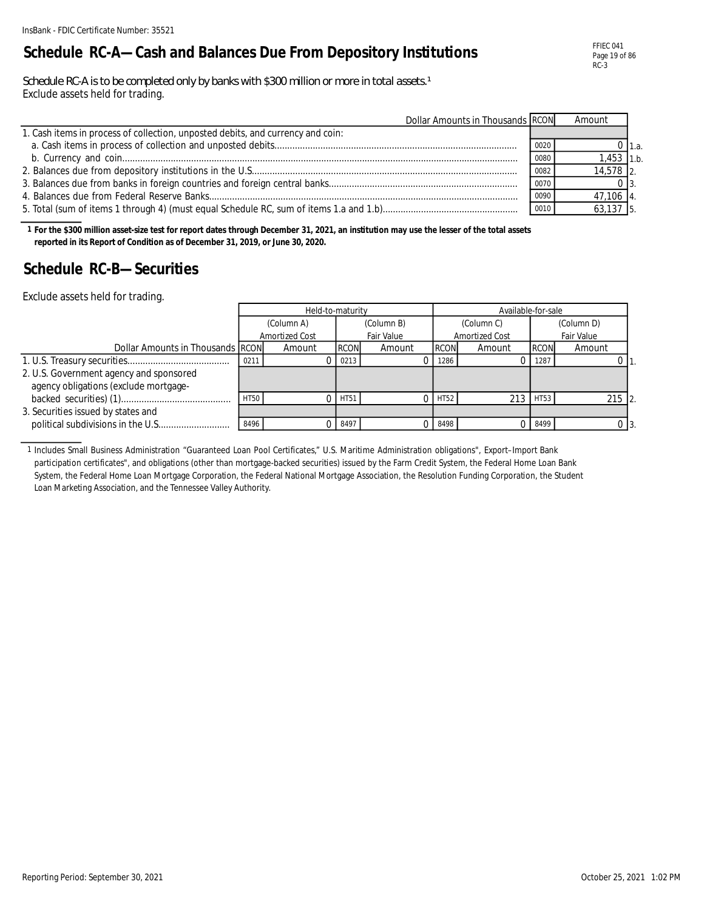### **Schedule RC-A—Cash and Balances Due From Depository Institutions**

FFIEC 041 Page 19 of 86 RC-3

Schedule RC-A is to be completed only by banks with \$300 million or more in total assets.<sup>1</sup> Exclude assets held for trading.

| Dollar Amounts in Thousands RCON                                                |      | Amount       |       |
|---------------------------------------------------------------------------------|------|--------------|-------|
| 1. Cash items in process of collection, unposted debits, and currency and coin: |      |              |       |
|                                                                                 | 0020 |              | 11.а. |
|                                                                                 | 0080 | $1.453$ 1.b. |       |
|                                                                                 | 0082 | $14,578$ 2.  |       |
|                                                                                 | 0070 |              |       |
|                                                                                 | 0090 | 47,106 4     |       |
|                                                                                 | 0010 | $63,137$ 5.  |       |

**1 For the \$300 million asset-size test for report dates through December 31, 2021, an institution may use the lesser of the total assets reported in its Report of Condition as of December 31, 2019, or June 30, 2020.**

### **Schedule RC-B—Securities**

Exclude assets held for trading.

|                                         | Held-to-maturity |                |             |            |             | Available-for-sale |             |                   |  |  |
|-----------------------------------------|------------------|----------------|-------------|------------|-------------|--------------------|-------------|-------------------|--|--|
|                                         |                  | (Column A)     |             | (Column B) |             | (Column C)         |             | (Column D)        |  |  |
|                                         |                  | Amortized Cost |             | Fair Value |             | Amortized Cost     |             | <b>Fair Value</b> |  |  |
| Dollar Amounts in Thousands RCON        |                  | Amount         | <b>RCON</b> | Amount     | <b>RCON</b> | Amount             | <b>RCON</b> | Amount            |  |  |
|                                         | 0211             |                | 0213        |            | 1286        |                    | 1287        |                   |  |  |
| 2. U.S. Government agency and sponsored |                  |                |             |            |             |                    |             |                   |  |  |
| agency obligations (exclude mortgage-   |                  |                |             |            |             |                    |             |                   |  |  |
|                                         | <b>HT50</b>      |                | <b>HT51</b> |            | $0$ HT52    | 213                | HT53        | $215$ 2.          |  |  |
| 3. Securities issued by states and      |                  |                |             |            |             |                    |             |                   |  |  |
|                                         | 8496             |                | 8497        |            | 8498        |                    | 0 8499      |                   |  |  |

1 Includes Small Business Administration "Guaranteed Loan Pool Certificates," U.S. Maritime Administration obligations", Export–Import Bank participation certificates", and obligations (other than mortgage-backed securities) issued by the Farm Credit System, the Federal Home Loan Bank System, the Federal Home Loan Mortgage Corporation, the Federal National Mortgage Association, the Resolution Funding Corporation, the Student Loan Marketing Association, and the Tennessee Valley Authority.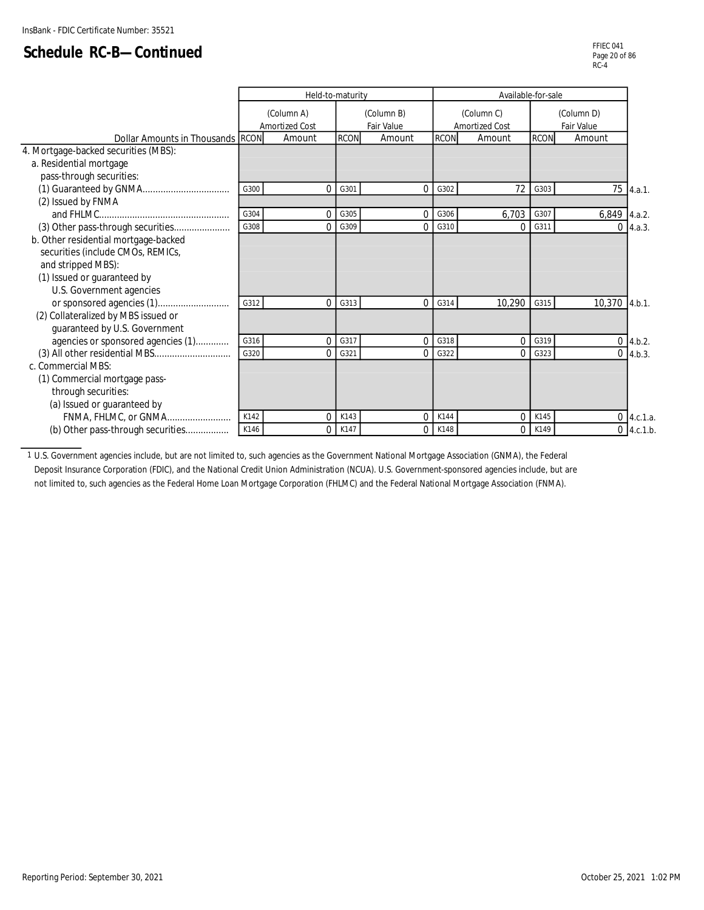|                                      |      | Held-to-maturity      |             |            | Available-for-sale |                |             |                   |                 |
|--------------------------------------|------|-----------------------|-------------|------------|--------------------|----------------|-------------|-------------------|-----------------|
|                                      |      | (Column A)            |             | (Column B) |                    | (Column C)     |             | (Column D)        |                 |
|                                      |      | <b>Amortized Cost</b> |             | Fair Value |                    | Amortized Cost |             | <b>Fair Value</b> |                 |
| Dollar Amounts in Thousands RCON     |      | Amount                | <b>RCON</b> | Amount     | <b>RCON</b>        | Amount         | <b>RCON</b> | Amount            |                 |
| 4. Mortgage-backed securities (MBS): |      |                       |             |            |                    |                |             |                   |                 |
| a. Residential mortgage              |      |                       |             |            |                    |                |             |                   |                 |
| pass-through securities:             |      |                       |             |            |                    |                |             |                   |                 |
|                                      | G300 | $\Omega$              | G301        | 0          | G302               | 72             | G303        |                   | 75 4.a.1.       |
| (2) Issued by FNMA                   |      |                       |             |            |                    |                |             |                   |                 |
|                                      | G304 | $\mathbf 0$           | G305        | $\Omega$   | G306               | 6,703          | G307        | $6,849$ 4.a.2.    |                 |
| (3) Other pass-through securities    | G308 | $\Omega$              | G309        | 0          | G310               | 0              | G311        | 0                 | 4.a.3.          |
| b. Other residential mortgage-backed |      |                       |             |            |                    |                |             |                   |                 |
| securities (include CMOs, REMICs,    |      |                       |             |            |                    |                |             |                   |                 |
| and stripped MBS):                   |      |                       |             |            |                    |                |             |                   |                 |
| (1) Issued or guaranteed by          |      |                       |             |            |                    |                |             |                   |                 |
| U.S. Government agencies             |      |                       |             |            |                    |                |             |                   |                 |
|                                      | G312 | $\Omega$              | G313        | 0          | G314               | 10,290         | G315        | 10,370            | 4.b.1.          |
| (2) Collateralized by MBS issued or  |      |                       |             |            |                    |                |             |                   |                 |
| guaranteed by U.S. Government        |      |                       |             |            |                    |                |             |                   |                 |
| agencies or sponsored agencies (1)   | G316 | $\mathbf 0$           | G317        | $\Omega$   | G318               | $\Omega$       | G319        |                   | $0$ 4.b.2.      |
| (3) All other residential MBS        | G320 | $\Omega$              | G321        | 0          | G322               | 0              | G323        |                   | $0\,$ 4.b.3.    |
| c. Commercial MBS:                   |      |                       |             |            |                    |                |             |                   |                 |
| (1) Commercial mortgage pass-        |      |                       |             |            |                    |                |             |                   |                 |
| through securities:                  |      |                       |             |            |                    |                |             |                   |                 |
| (a) Issued or guaranteed by          |      |                       |             |            |                    |                |             |                   |                 |
| FNMA, FHLMC, or GNMA                 | K142 | $\Omega$              | K143        | 0          | K144               | $\Omega$       | K145        |                   | $0 \, 4.c.1.a.$ |
| (b) Other pass-through securities    | K146 | 0                     | K147        | 0          | K148               | $\Omega$       | K149        |                   | $0$ 4.c.1.b.    |

1 U.S. Government agencies include, but are not limited to, such agencies as the Government National Mortgage Association (GNMA), the Federal Deposit Insurance Corporation (FDIC), and the National Credit Union Administration (NCUA). U.S. Government-sponsored agencies include, but are not limited to, such agencies as the Federal Home Loan Mortgage Corporation (FHLMC) and the Federal National Mortgage Association (FNMA).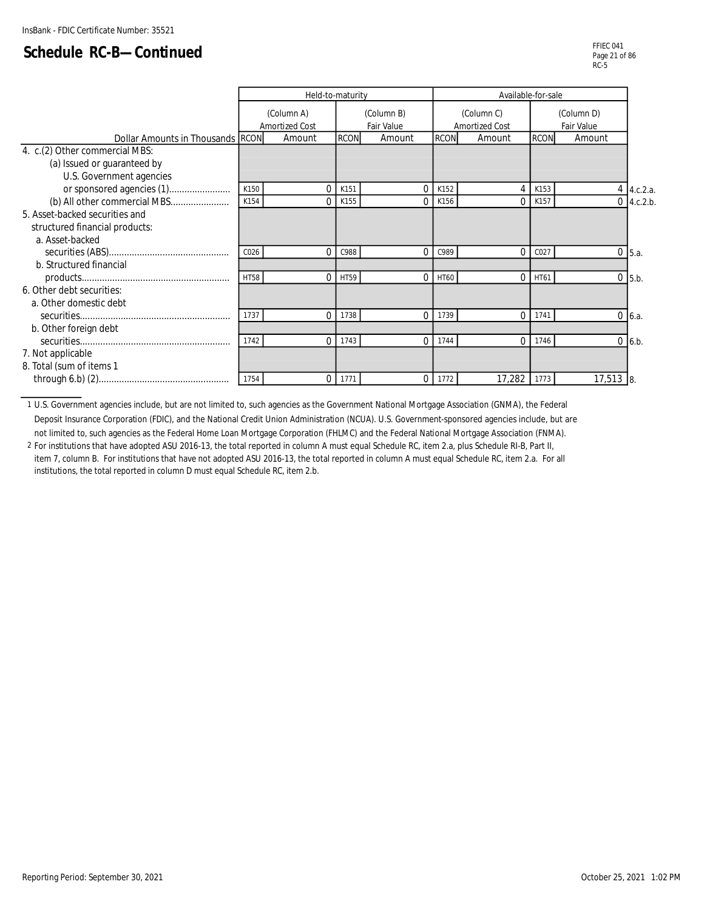|                                         |             | Held-to-maturity |             |            | Available-for-sale |                |             |            |                 |
|-----------------------------------------|-------------|------------------|-------------|------------|--------------------|----------------|-------------|------------|-----------------|
|                                         |             | (Column A)       |             | (Column B) |                    | (Column C)     |             |            |                 |
|                                         |             | Amortized Cost   |             | Fair Value |                    | Amortized Cost |             | Fair Value |                 |
| <b>Dollar Amounts in Thousands RCON</b> |             | Amount           | <b>RCON</b> | Amount     | <b>RCON</b>        | Amount         | <b>RCON</b> | Amount     |                 |
| 4. c.(2) Other commercial MBS:          |             |                  |             |            |                    |                |             |            |                 |
| (a) Issued or guaranteed by             |             |                  |             |            |                    |                |             |            |                 |
| U.S. Government agencies                |             |                  |             |            |                    |                |             |            |                 |
|                                         | K150        | $\Omega$         | K151        |            | K152               | 4              | K153        |            | $4 \,$ 4.c.2.a. |
| (b) All other commercial MBS            | K154        | 0                | K155        | $\Omega$   | K156               | $\Omega$       | K157        |            | $0\,$ 4.c.2.b.  |
| 5. Asset-backed securities and          |             |                  |             |            |                    |                |             |            |                 |
| structured financial products:          |             |                  |             |            |                    |                |             |            |                 |
| a. Asset-backed                         |             |                  |             |            |                    |                |             |            |                 |
|                                         | C026        | $\Omega$         | C988        | $\Omega$   | C989               | $\Omega$       | C027        |            | $0$ 5.a.        |
| b. Structured financial                 |             |                  |             |            |                    |                |             |            |                 |
|                                         | <b>HT58</b> | $\Omega$         | HT59        | $\Omega$   | HT60               | $\Omega$       | HT61        |            | $0$ 5.b.        |
| 6. Other debt securities:               |             |                  |             |            |                    |                |             |            |                 |
| a. Other domestic debt                  |             |                  |             |            |                    |                |             |            |                 |
|                                         | 1737        | 0                | 1738        | $\Omega$   | 1739               | $\Omega$       | 1741        |            | $0\,$ 6.a.      |
| b. Other foreign debt                   |             |                  |             |            |                    |                |             |            |                 |
|                                         | 1742        | $\Omega$         | 1743        | $\Omega$   | 1744               | $\Omega$       | 1746        |            | $0 \vert 6.b.$  |
| 7. Not applicable                       |             |                  |             |            |                    |                |             |            |                 |
| 8. Total (sum of items 1                |             |                  |             |            |                    |                |             |            |                 |
|                                         | 1754        | 0                | 1771        | $\Omega$   | 1772               | 17,282         | 1773        | $17,513$ 8 |                 |

1 U.S. Government agencies include, but are not limited to, such agencies as the Government National Mortgage Association (GNMA), the Federal Deposit Insurance Corporation (FDIC), and the National Credit Union Administration (NCUA). U.S. Government-sponsored agencies include, but are not limited to, such agencies as the Federal Home Loan Mortgage Corporation (FHLMC) and the Federal National Mortgage Association (FNMA).

2 For institutions that have adopted ASU 2016-13, the total reported in column A must equal Schedule RC, item 2.a, plus Schedule RI-B, Part II, item 7, column B. For institutions that have not adopted ASU 2016-13, the total reported in column A must equal Schedule RC, item 2.a. For all institutions, the total reported in column D must equal Schedule RC, item 2.b.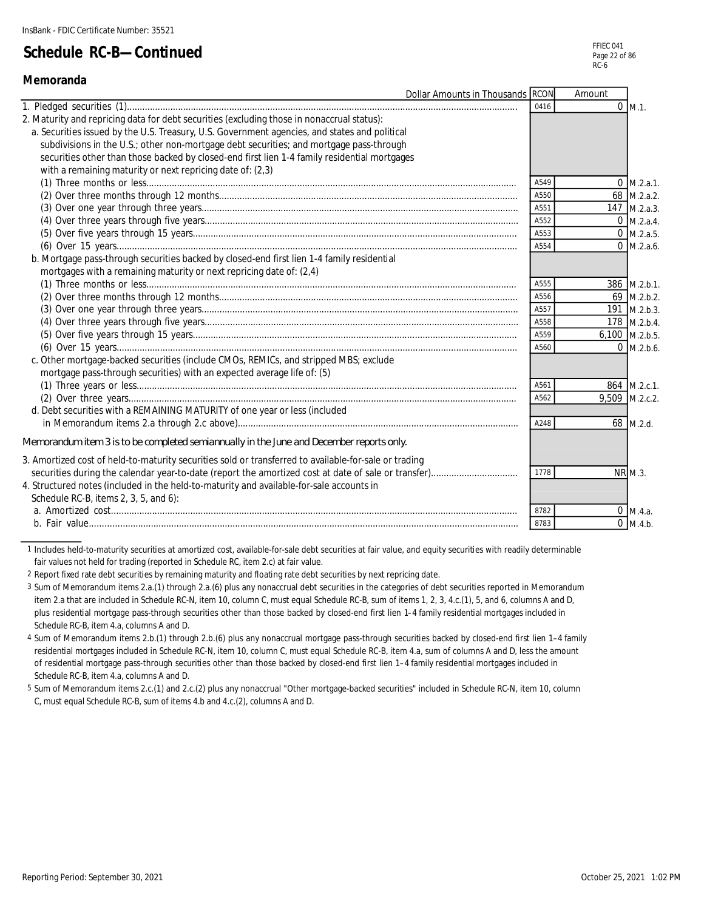**Memoranda**

### **Schedule RC-B—Continued**

| <b>Dollar Amounts in Thousands RCON</b>                                                               |      | Amount        |                      |
|-------------------------------------------------------------------------------------------------------|------|---------------|----------------------|
|                                                                                                       | 0416 |               | $0$ M.1.             |
| 2. Maturity and repricing data for debt securities (excluding those in nonaccrual status):            |      |               |                      |
| a. Securities issued by the U.S. Treasury, U.S. Government agencies, and states and political         |      |               |                      |
| subdivisions in the U.S.; other non-mortgage debt securities; and mortgage pass-through               |      |               |                      |
| securities other than those backed by closed-end first lien 1-4 family residential mortgages          |      |               |                      |
| with a remaining maturity or next repricing date of: (2,3)                                            |      |               |                      |
|                                                                                                       | A549 |               | $0 \text{ M.2.a.1.}$ |
|                                                                                                       | A550 |               | 68 M.2.a.2.          |
|                                                                                                       | A551 |               | 147 M.2.a.3.         |
|                                                                                                       | A552 |               | $0$ M.2.a.4.         |
|                                                                                                       | A553 |               | $0$ M.2.a.5.         |
|                                                                                                       | A554 |               | $0 \,$ M.2.a.6.      |
| b. Mortgage pass-through securities backed by closed-end first lien 1-4 family residential            |      |               |                      |
| mortgages with a remaining maturity or next repricing date of: (2,4)                                  |      |               |                      |
|                                                                                                       | A555 |               | 386 M.2.b.1.         |
|                                                                                                       | A556 |               | $69$ M.2.b.2.        |
|                                                                                                       | A557 |               | 191 M.2.b.3.         |
|                                                                                                       | A558 |               | 178 M.2.b.4.         |
|                                                                                                       | A559 |               | 6,100 M.2.b.5.       |
|                                                                                                       | A560 |               | $0$ M.2.b.6.         |
| c. Other mortgage-backed securities (include CMOs, REMICs, and stripped MBS; exclude                  |      |               |                      |
| mortgage pass-through securities) with an expected average life of: (5)                               |      |               |                      |
|                                                                                                       | A561 |               | 864 M.2.c.1.         |
|                                                                                                       | A562 | 9,509 M.2.c.2 |                      |
| d. Debt securities with a REMAINING MATURITY of one year or less (included                            |      |               |                      |
|                                                                                                       | A248 |               | 68 M.2.d.            |
| Memorandum item 3 is to be completed semiannually in the June and December reports only.              |      |               |                      |
| 3. Amortized cost of held-to-maturity securities sold or transferred to available-for-sale or trading |      |               |                      |
|                                                                                                       | 1778 |               | <b>NR M.3.</b>       |
| 4. Structured notes (included in the held-to-maturity and available-for-sale accounts in              |      |               |                      |
| Schedule RC-B, items 2, 3, 5, and 6):                                                                 |      |               |                      |
|                                                                                                       | 8782 |               | $0 \, M.4.a.$        |
|                                                                                                       | 8783 |               | $0 \, M.4.b.$        |

1 Includes held-to-maturity securities at amortized cost, available-for-sale debt securities at fair value, and equity securities with readily determinable fair values not held for trading (reported in Schedule RC, item 2.c) at fair value.

2 Report fixed rate debt securities by remaining maturity and floating rate debt securities by next repricing date.

3 Sum of Memorandum items 2.a.(1) through 2.a.(6) plus any nonaccrual debt securities in the categories of debt securities reported in Memorandum item 2.a that are included in Schedule RC-N, item 10, column C, must equal Schedule RC-B, sum of items 1, 2, 3, 4.c.(1), 5, and 6, columns A and D, plus residential mortgage pass-through securities other than those backed by closed-end first lien 1–4 family residential mortgages included in Schedule RC-B, item 4.a, columns A and D.

4 Sum of Memorandum items 2.b.(1) through 2.b.(6) plus any nonaccrual mortgage pass-through securities backed by closed-end first lien 1–4 family residential mortgages included in Schedule RC-N, item 10, column C, must equal Schedule RC-B, item 4.a, sum of columns A and D, less the amount of residential mortgage pass-through securities other than those backed by closed-end first lien 1–4 family residential mortgages included in Schedule RC-B, item 4.a, columns A and D.

5 Sum of Memorandum items 2.c.(1) and 2.c.(2) plus any nonaccrual "Other mortgage-backed securities" included in Schedule RC-N, item 10, column C, must equal Schedule RC-B, sum of items 4.b and 4.c.(2), columns A and D.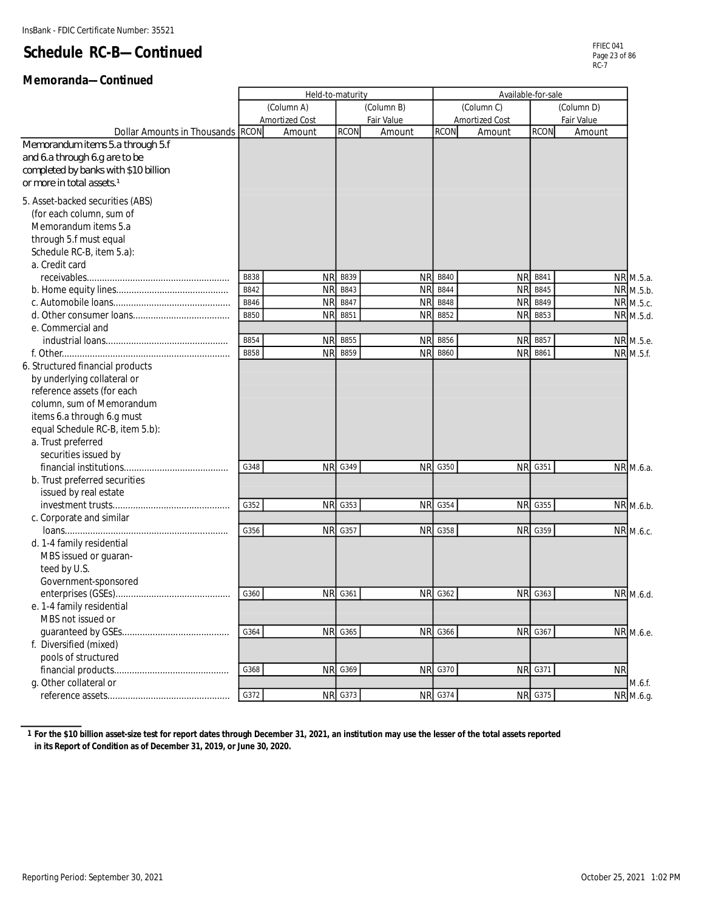#### **Memoranda—Continued**

|                                                                                                                                                                                                                                           | Held-to-maturity |                |                | Available-for-sale |                |                |                |            |
|-------------------------------------------------------------------------------------------------------------------------------------------------------------------------------------------------------------------------------------------|------------------|----------------|----------------|--------------------|----------------|----------------|----------------|------------|
|                                                                                                                                                                                                                                           |                  | (Column A)     |                | (Column B)         |                | (Column C)     |                | (Column D) |
|                                                                                                                                                                                                                                           |                  | Amortized Cost |                | Fair Value         |                | Amortized Cost |                | Fair Value |
| Dollar Amounts in Thousands RCON                                                                                                                                                                                                          |                  | Amount         | <b>RCON</b>    | Amount             | <b>RCON</b>    | Amount         | <b>RCON</b>    | Amount     |
| Memorandum items 5.a through 5.f<br>and 6.a through 6.g are to be<br>completed by banks with \$10 billion<br>or more in total assets. <sup>1</sup>                                                                                        |                  |                |                |                    |                |                |                |            |
| 5. Asset-backed securities (ABS)<br>(for each column, sum of<br>Memorandum items 5.a<br>through 5.f must equal<br>Schedule RC-B, item 5.a):<br>a. Credit card                                                                             |                  |                |                |                    |                |                |                |            |
|                                                                                                                                                                                                                                           | <b>B838</b>      | <b>NR</b>      | B839           | <b>NR</b>          | <b>B840</b>    | <b>NR</b>      | B841           | NR M.5.a.  |
|                                                                                                                                                                                                                                           | B842             | <b>NR</b>      | B843           | <b>NR</b>          | <b>B844</b>    | <b>NR</b>      | B845           | NR M.5.b.  |
|                                                                                                                                                                                                                                           | <b>B846</b>      | <b>NR</b>      | B847           | <b>NF</b>          | <b>B848</b>    | <b>NR</b>      | <b>B849</b>    | NR M.5.c.  |
|                                                                                                                                                                                                                                           | <b>B850</b>      | ΝR             | B851           | <b>NR</b>          | B852           | <b>NR</b>      | B853           | NR M.5.d.  |
| e. Commercial and                                                                                                                                                                                                                         |                  |                |                |                    |                |                |                |            |
|                                                                                                                                                                                                                                           | <b>B854</b>      | <b>NR</b>      | <b>B855</b>    | <b>NR</b>          | <b>B856</b>    | <b>NR</b>      | B857           | NR M.5.e.  |
|                                                                                                                                                                                                                                           | <b>B858</b>      | <b>NR</b>      | B859           | <b>NR</b>          | <b>B860</b>    | <b>NR</b>      | B861           | NR M.5.f.  |
| 6. Structured financial products<br>by underlying collateral or<br>reference assets (for each<br>column, sum of Memorandum<br>items 6.a through 6.g must<br>equal Schedule RC-B, item 5.b):<br>a. Trust preferred<br>securities issued by |                  |                |                |                    |                |                |                |            |
| financial institutions                                                                                                                                                                                                                    | G348             | <b>NR</b>      | G349           | <b>NR</b>          | G350           | <b>NR</b>      | G351           | NR M.6.a.  |
| b. Trust preferred securities<br>issued by real estate                                                                                                                                                                                    |                  |                |                |                    |                |                |                |            |
|                                                                                                                                                                                                                                           | G352             | <b>NR</b>      | G353           | <b>NR</b>          | G354           | <b>NR</b>      | G355           | NR M.6.b.  |
| c. Corporate and similar                                                                                                                                                                                                                  |                  |                |                |                    |                |                |                |            |
| d. 1-4 family residential<br>MBS issued or guaran-<br>teed by U.S.<br>Government-sponsored                                                                                                                                                | G356             | <b>NR</b>      | G357           | <b>NR</b>          | G358           | <b>NR</b>      | G359           | NR M.6.c.  |
|                                                                                                                                                                                                                                           | G360             | <b>NR</b>      | G361           | <b>NR</b>          | G362           | <b>NR</b>      | G363           | NR M.6.d.  |
| e. 1-4 family residential                                                                                                                                                                                                                 |                  |                |                |                    |                |                |                |            |
| MBS not issued or                                                                                                                                                                                                                         |                  |                |                |                    |                |                |                |            |
| quaranteed by GSEs                                                                                                                                                                                                                        | G364             |                | NR G365        |                    | <b>NR G366</b> |                | NR G367        | NR M.6.e.  |
| f. Diversified (mixed)                                                                                                                                                                                                                    |                  |                |                |                    |                |                |                |            |
| pools of structured                                                                                                                                                                                                                       |                  |                |                |                    |                |                |                |            |
|                                                                                                                                                                                                                                           | G368             | <b>NR</b>      | G369           |                    | <b>NR G370</b> | <b>NR</b>      | G371           | <b>NR</b>  |
| q. Other collateral or                                                                                                                                                                                                                    |                  |                |                |                    |                |                |                | M.6.f.     |
|                                                                                                                                                                                                                                           | G372             |                | <b>NR</b> G373 |                    | <b>NR G374</b> |                | <b>NR G375</b> | NR M.6.g.  |

**1 For the \$10 billion asset-size test for report dates through December 31, 2021, an institution may use the lesser of the total assets reported in its Report of Condition as of December 31, 2019, or June 30, 2020.**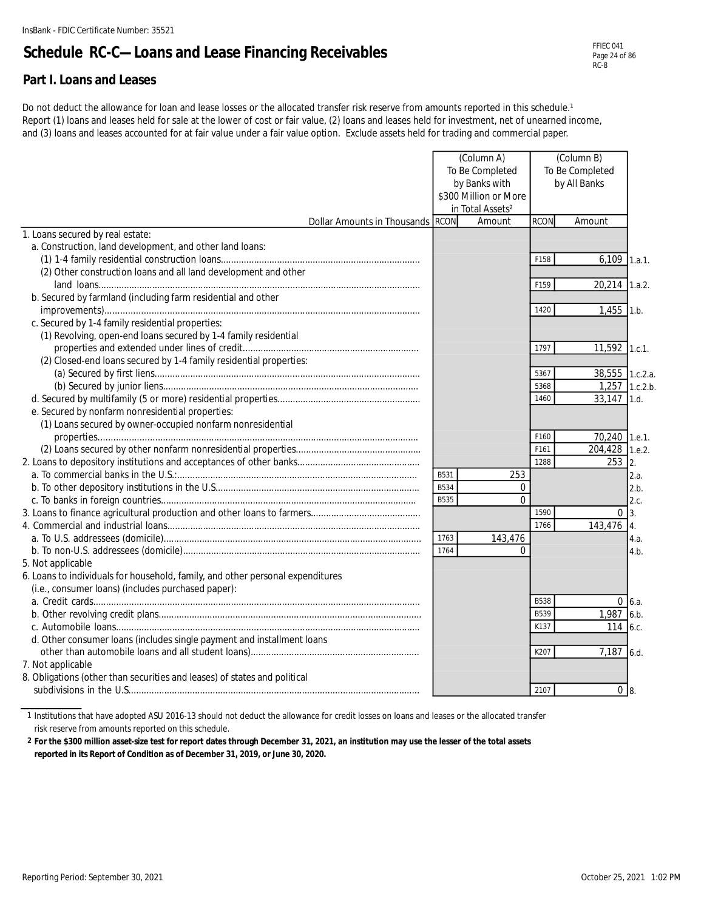### **Schedule RC-C—Loans and Lease Financing Receivables**

#### **Part I. Loans and Leases**

Do not deduct the allowance for loan and lease losses or the allocated transfer risk reserve from amounts reported in this schedule.<sup>1</sup> Report (1) loans and leases held for sale at the lower of cost or fair value, (2) loans and leases held for investment, net of unearned income, and (3) loans and leases accounted for at fair value under a fair value option. Exclude assets held for trading and commercial paper.

|                                                                                |             | (Column A)<br>To Be Completed<br>by Banks with<br>\$300 Million or More<br>in Total Assets <sup>2</sup> |              | (Column B)<br>To Be Completed<br>by All Banks |                |
|--------------------------------------------------------------------------------|-------------|---------------------------------------------------------------------------------------------------------|--------------|-----------------------------------------------|----------------|
| Dollar Amounts in Thousands RCON                                               |             | Amount                                                                                                  | <b>RCON</b>  | Amount                                        |                |
| 1. Loans secured by real estate:                                               |             |                                                                                                         |              |                                               |                |
| a. Construction, land development, and other land loans:                       |             |                                                                                                         |              |                                               |                |
|                                                                                |             |                                                                                                         | F158         | 6,109                                         | 1.a.1.         |
| (2) Other construction loans and all land development and other                |             |                                                                                                         |              |                                               |                |
|                                                                                |             |                                                                                                         | F159         | 20,214 1.a.2.                                 |                |
| b. Secured by farmland (including farm residential and other                   |             |                                                                                                         |              |                                               |                |
|                                                                                |             |                                                                                                         | 1420         | $1,455$ 1.b.                                  |                |
| c. Secured by 1-4 family residential properties:                               |             |                                                                                                         |              |                                               |                |
| (1) Revolving, open-end loans secured by 1-4 family residential                |             |                                                                                                         |              |                                               |                |
|                                                                                |             |                                                                                                         | 1797         | 11,592                                        | 1.c.1.         |
| (2) Closed-end loans secured by 1-4 family residential properties:             |             |                                                                                                         |              |                                               |                |
|                                                                                |             |                                                                                                         | 5367         | 38,555 1.c.2.a.                               |                |
|                                                                                |             |                                                                                                         | 5368         | 1,257 1.c.2.b.                                |                |
|                                                                                |             |                                                                                                         | 1460         | $33,147$ 1.d.                                 |                |
| e. Secured by nonfarm nonresidential properties:                               |             |                                                                                                         |              |                                               |                |
| (1) Loans secured by owner-occupied nonfarm nonresidential                     |             |                                                                                                         |              |                                               |                |
|                                                                                |             |                                                                                                         | F160         | 70,240 1.e.1.                                 |                |
|                                                                                |             |                                                                                                         | F161         | 204,428                                       | 1.e.2.         |
|                                                                                |             |                                                                                                         | 1288         | 253                                           | 2.             |
|                                                                                | B531        | 253                                                                                                     |              |                                               | 2.a.           |
|                                                                                | <b>B534</b> | $\overline{0}$                                                                                          |              |                                               | 2.b.           |
|                                                                                | <b>B535</b> | $\Omega$                                                                                                |              |                                               | 2.c.           |
|                                                                                |             |                                                                                                         | 1590<br>1766 |                                               | 0 <sup>3</sup> |
|                                                                                | 1763        | 143,476                                                                                                 |              | 143,476 4.                                    |                |
|                                                                                | 1764        | $\Omega$                                                                                                |              |                                               | 4.a.           |
| 5. Not applicable                                                              |             |                                                                                                         |              |                                               | 4.b.           |
| 6. Loans to individuals for household, family, and other personal expenditures |             |                                                                                                         |              |                                               |                |
| (i.e., consumer loans) (includes purchased paper):                             |             |                                                                                                         |              |                                               |                |
|                                                                                |             |                                                                                                         | <b>B538</b>  |                                               | $0\,6.a.$      |
|                                                                                |             |                                                                                                         | B539         | 1,987 6.b.                                    |                |
|                                                                                |             |                                                                                                         | K137         | 114 6.c.                                      |                |
| d. Other consumer loans (includes single payment and installment loans         |             |                                                                                                         |              |                                               |                |
|                                                                                |             |                                                                                                         | K207         | $7,187$ 6.d.                                  |                |
| 7. Not applicable                                                              |             |                                                                                                         |              |                                               |                |
| 8. Obligations (other than securities and leases) of states and political      |             |                                                                                                         |              |                                               |                |
|                                                                                |             |                                                                                                         | 2107         | 0 8                                           |                |
|                                                                                |             |                                                                                                         |              |                                               |                |

1 Institutions that have adopted ASU 2016-13 should not deduct the allowance for credit losses on loans and leases or the allocated transfer

risk reserve from amounts reported on this schedule.

**2 For the \$300 million asset-size test for report dates through December 31, 2021, an institution may use the lesser of the total assets reported in its Report of Condition as of December 31, 2019, or June 30, 2020.**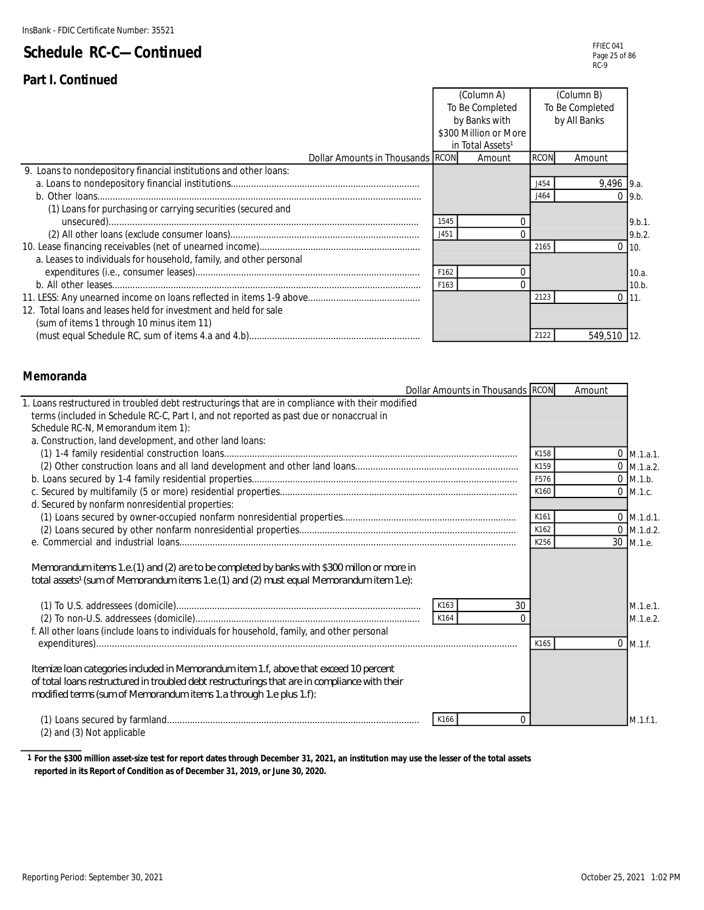|                                                                    |                  | (Column A)                   |             | (Column B)      |          |
|--------------------------------------------------------------------|------------------|------------------------------|-------------|-----------------|----------|
|                                                                    |                  | To Be Completed              |             | To Be Completed |          |
|                                                                    |                  | by Banks with                |             | by All Banks    |          |
|                                                                    |                  | \$300 Million or More        |             |                 |          |
|                                                                    |                  | in Total Assets <sup>1</sup> |             |                 |          |
| Dollar Amounts in Thousands RCON                                   |                  | Amount                       | <b>RCON</b> | Amount          |          |
| 9. Loans to nondepository financial institutions and other loans:  |                  |                              |             |                 |          |
|                                                                    |                  |                              | 1454        | $9,496$ 9.a.    |          |
|                                                                    |                  |                              | J464        |                 | $0$ 9.b. |
| (1) Loans for purchasing or carrying securities (secured and       |                  |                              |             |                 |          |
|                                                                    | 1545             |                              |             |                 | 9.b.1.   |
|                                                                    | J451             |                              |             |                 | 9.b.2.   |
|                                                                    |                  |                              | 2165        |                 | 10.      |
| a. Leases to individuals for household, family, and other personal |                  |                              |             |                 |          |
|                                                                    | F162             |                              |             |                 | 10.a.    |
|                                                                    | F <sub>163</sub> |                              |             |                 | 10.b.    |
|                                                                    |                  |                              | 2123        | $\cap$          | 11.      |
| 12. Total loans and leases held for investment and held for sale   |                  |                              |             |                 |          |
| (sum of items 1 through 10 minus item 11)                          |                  |                              |             |                 |          |
|                                                                    |                  |                              | 2122        | 549,510         |          |

#### **Memoranda**

Ĭ.

| Dollar Amounts in Thousands RCON                                                                                                                                                                                                                             |          | Amount |              |
|--------------------------------------------------------------------------------------------------------------------------------------------------------------------------------------------------------------------------------------------------------------|----------|--------|--------------|
| 1. Loans restructured in troubled debt restructurings that are in compliance with their modified                                                                                                                                                             |          |        |              |
| terms (included in Schedule RC-C, Part I, and not reported as past due or nonaccrual in                                                                                                                                                                      |          |        |              |
| Schedule RC-N, Memorandum item 1):                                                                                                                                                                                                                           |          |        |              |
| a. Construction, land development, and other land loans:                                                                                                                                                                                                     |          |        |              |
|                                                                                                                                                                                                                                                              | K158     |        | $0$ M.1.a.1. |
|                                                                                                                                                                                                                                                              | K159     |        | $0$ M.1.a.2. |
|                                                                                                                                                                                                                                                              | F576     |        | $0$ M.1.b.   |
|                                                                                                                                                                                                                                                              | K160     |        | $0$ M.1.c.   |
| d. Secured by nonfarm nonresidential properties:                                                                                                                                                                                                             |          |        |              |
|                                                                                                                                                                                                                                                              | K161     |        | $0$ M.1.d.1. |
|                                                                                                                                                                                                                                                              | K162     |        | $0$ M.1.d.2. |
|                                                                                                                                                                                                                                                              | K256     |        | 30 M.1.e.    |
| Memorandum items 1.e. (1) and (2) are to be completed by banks with \$300 millon or more in<br>total assets <sup>1</sup> (sum of Memorandum items 1.e. (1) and (2) must equal Memorandum item 1.e):                                                          |          |        |              |
| K163                                                                                                                                                                                                                                                         | 30       |        | M.1.e.1.     |
| K164                                                                                                                                                                                                                                                         | $\Omega$ |        | M.1.e.2.     |
| f. All other loans (include loans to individuals for household, family, and other personal                                                                                                                                                                   |          |        |              |
|                                                                                                                                                                                                                                                              | K165     |        | $0$ M.1.f.   |
|                                                                                                                                                                                                                                                              |          |        |              |
| Itemize Ioan categories included in Memorandum item 1.f, above that exceed 10 percent<br>of total loans restructured in troubled debt restructurings that are in compliance with their<br>modified terms (sum of Memorandum items 1.a through 1.e plus 1.f): |          |        |              |
| K166                                                                                                                                                                                                                                                         |          |        | M.1.f.1.     |

(2) and (3) Not applicable

**1 For the \$300 million asset-size test for report dates through December 31, 2021, an institution may use the lesser of the total assets reported in its Report of Condition as of December 31, 2019, or June 30, 2020.**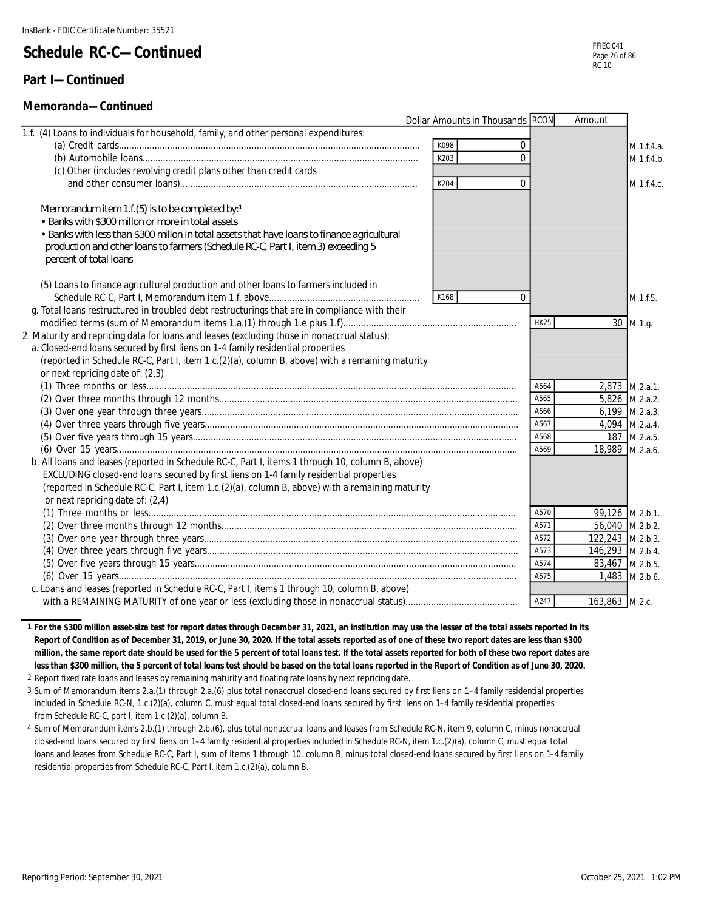#### **Part I—Continued**

#### **Memoranda—Continued**

|                                                                                                  | Dollar Amounts in Thousands RCON | Amount           |
|--------------------------------------------------------------------------------------------------|----------------------------------|------------------|
| 1.f. (4) Loans to individuals for household, family, and other personal expenditures:            |                                  |                  |
|                                                                                                  | K098<br>0                        | M.1.f.4.a.       |
|                                                                                                  | K203<br>$\Omega$                 | M.1.f.4.b.       |
| (c) Other (includes revolving credit plans other than credit cards                               |                                  |                  |
|                                                                                                  | K204<br>$\Omega$                 | M.1.f.4.c.       |
|                                                                                                  |                                  |                  |
| Memorandum item 1.f. (5) is to be completed by: $1$                                              |                                  |                  |
| • Banks with \$300 millon or more in total assets                                                |                                  |                  |
| • Banks with less than \$300 millon in total assets that have loans to finance agricultural      |                                  |                  |
| production and other loans to farmers (Schedule RC-C, Part I, item 3) exceeding 5                |                                  |                  |
| percent of total loans                                                                           |                                  |                  |
|                                                                                                  |                                  |                  |
| (5) Loans to finance agricultural production and other loans to farmers included in              |                                  |                  |
|                                                                                                  | K168<br>$\Omega$                 | M.1.f.5.         |
| g. Total loans restructured in troubled debt restructurings that are in compliance with their    |                                  |                  |
|                                                                                                  | <b>HK25</b>                      | 30 M.1.g.        |
| 2. Maturity and repricing data for loans and leases (excluding those in nonaccrual status):      |                                  |                  |
| a. Closed-end loans secured by first liens on 1-4 family residential properties                  |                                  |                  |
| (reported in Schedule RC-C, Part I, item 1.c.(2)(a), column B, above) with a remaining maturity  |                                  |                  |
| or next repricing date of: (2,3)                                                                 |                                  |                  |
|                                                                                                  | A564                             | 2,873 M.2.a.1.   |
|                                                                                                  | A565                             | 5,826 M.2.a.2.   |
|                                                                                                  | A566                             | 6,199 M.2.a.3.   |
|                                                                                                  | A567                             | 4,094 M.2.a.4.   |
|                                                                                                  | A568                             | 187 M.2.a.5.     |
|                                                                                                  | A569                             | 18,989 M.2.a.6.  |
| b. All loans and leases (reported in Schedule RC-C, Part I, items 1 through 10, column B, above) |                                  |                  |
| EXCLUDING closed-end loans secured by first liens on 1-4 family residential properties           |                                  |                  |
| (reported in Schedule RC-C, Part I, item 1.c.(2)(a), column B, above) with a remaining maturity  |                                  |                  |
| or next repricing date of: (2,4)                                                                 |                                  |                  |
|                                                                                                  | A570                             | 99,126 M.2.b.1.  |
|                                                                                                  | A571                             | 56,040 M.2.b.2.  |
|                                                                                                  | A572                             | 122,243 M.2.b.3. |
|                                                                                                  | A573                             | 146,293 M.2.b.4. |
|                                                                                                  | A574                             | 83,467 M.2.b.5.  |
|                                                                                                  | A575                             | 1,483 M.2.b.6.   |
| c. Loans and leases (reported in Schedule RC-C, Part I, items 1 through 10, column B, above)     |                                  |                  |
|                                                                                                  | A247                             | 163,863 M.2.c.   |

**1 For the \$300 million asset-size test for report dates through December 31, 2021, an institution may use the lesser of the total assets reported in its Report of Condition as of December 31, 2019, or June 30, 2020. If the total assets reported as of one of these two report dates are less than \$300 million, the same report date should be used for the 5 percent of total loans test. If the total assets reported for both of these two report dates are less than \$300 million, the 5 percent of total loans test should be based on the total loans reported in the Report of Condition as of June 30, 2020.**

2 Report fixed rate loans and leases by remaining maturity and floating rate loans by next repricing date.

3 Sum of Memorandum items 2.a.(1) through 2.a.(6) plus total nonaccrual closed-end loans secured by first liens on 1–4 family residential properties included in Schedule RC-N, 1.c.(2)(a), column C, must equal total closed-end loans secured by first liens on 1–4 family residential properties from Schedule RC-C, part I, item 1.c.(2)(a), column B.

4 Sum of Memorandum items 2.b.(1) through 2.b.(6), plus total nonaccrual loans and leases from Schedule RC-N, item 9, column C, minus nonaccrual closed-end loans secured by first liens on 1–4 family residential properties included in Schedule RC-N, item 1.c.(2)(a), column C, must equal total loans and leases from Schedule RC-C, Part I, sum of items 1 through 10, column B, minus total closed-end loans secured by first liens on 1–4 family residential properties from Schedule RC-C, Part I, item 1.c.(2)(a), column B.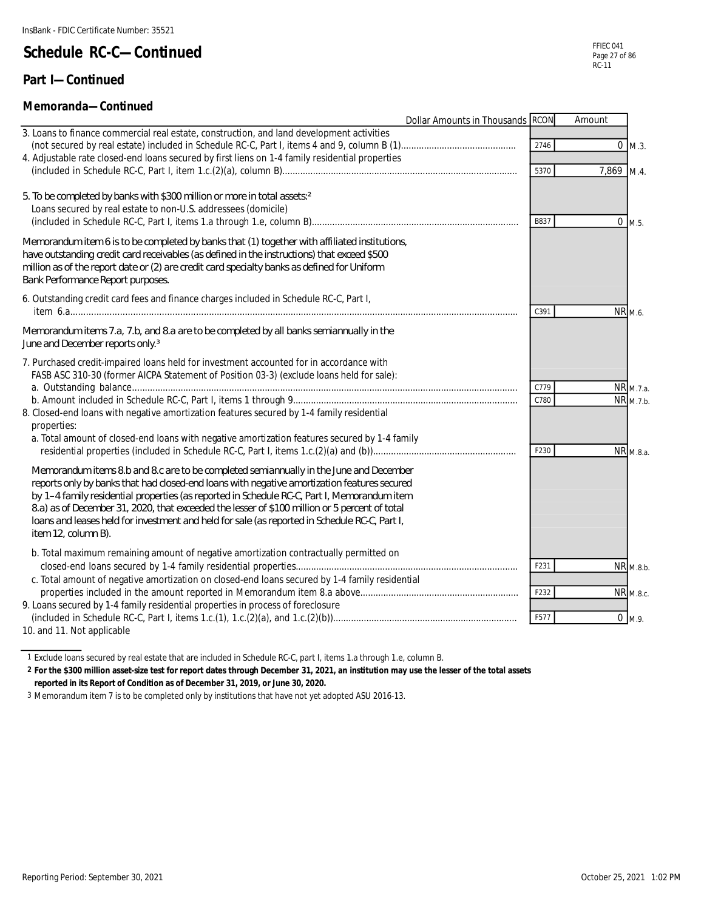#### **Part I—Continued**

#### **Memoranda—Continued**

|                                                                                                                                                                                                                                                                                                                                                                                                                                                                                                               | Dollar Amounts in Thousands RCON |      | Amount             |                       |
|---------------------------------------------------------------------------------------------------------------------------------------------------------------------------------------------------------------------------------------------------------------------------------------------------------------------------------------------------------------------------------------------------------------------------------------------------------------------------------------------------------------|----------------------------------|------|--------------------|-----------------------|
| 3. Loans to finance commercial real estate, construction, and land development activities<br>4. Adjustable rate closed-end loans secured by first liens on 1-4 family residential properties                                                                                                                                                                                                                                                                                                                  |                                  | 2746 |                    | $0 \, M.3.$           |
|                                                                                                                                                                                                                                                                                                                                                                                                                                                                                                               |                                  | 5370 | 7,869 M.4.         |                       |
| 5. To be completed by banks with \$300 million or more in total assets: 2<br>Loans secured by real estate to non-U.S. addressees (domicile)                                                                                                                                                                                                                                                                                                                                                                   |                                  | B837 |                    | $0$ M.5.              |
| Memorandum item 6 is to be completed by banks that (1) together with affiliated institutions,<br>have outstanding credit card receivables (as defined in the instructions) that exceed \$500<br>million as of the report date or (2) are credit card specialty banks as defined for Uniform<br>Bank Performance Report purposes.                                                                                                                                                                              |                                  |      |                    |                       |
| 6. Outstanding credit card fees and finance charges included in Schedule RC-C, Part I,                                                                                                                                                                                                                                                                                                                                                                                                                        |                                  | C391 | NR <sub>M.6.</sub> |                       |
| Memorandum items 7.a, 7.b, and 8.a are to be completed by all banks semiannually in the<br>June and December reports only. <sup>3</sup>                                                                                                                                                                                                                                                                                                                                                                       |                                  |      |                    |                       |
| 7. Purchased credit-impaired loans held for investment accounted for in accordance with<br>FASB ASC 310-30 (former AICPA Statement of Position 03-3) (exclude loans held for sale):                                                                                                                                                                                                                                                                                                                           |                                  | C779 |                    | NR <sub>M.7.a.</sub>  |
| 8. Closed-end loans with negative amortization features secured by 1-4 family residential<br>properties:<br>a. Total amount of closed-end loans with negative amortization features secured by 1-4 family                                                                                                                                                                                                                                                                                                     |                                  | C780 |                    | NR <sub>M.7.b</sub> . |
|                                                                                                                                                                                                                                                                                                                                                                                                                                                                                                               |                                  | F230 |                    | NR <sub>M.8.a.</sub>  |
| Memorandum items 8.b and 8.c are to be completed semiannually in the June and December<br>reports only by banks that had closed-end loans with negative amortization features secured<br>by 1-4 family residential properties (as reported in Schedule RC-C, Part I, Memorandum item<br>8.a) as of December 31, 2020, that exceeded the lesser of \$100 million or 5 percent of total<br>loans and leases held for investment and held for sale (as reported in Schedule RC-C, Part I,<br>item 12, column B). |                                  |      |                    |                       |
| b. Total maximum remaining amount of negative amortization contractually permitted on<br>c. Total amount of negative amortization on closed-end loans secured by 1-4 family residential                                                                                                                                                                                                                                                                                                                       |                                  | F231 |                    | NR M.8.b.             |
| 9. Loans secured by 1-4 family residential properties in process of foreclosure                                                                                                                                                                                                                                                                                                                                                                                                                               |                                  | F232 |                    | NR M.8.c.             |
|                                                                                                                                                                                                                                                                                                                                                                                                                                                                                                               |                                  | F577 |                    | $\overline{0}$ M.9.   |

10. and 11. Not applicable

1 Exclude loans secured by real estate that are included in Schedule RC-C, part I, items 1.a through 1.e, column B.

**2 For the \$300 million asset-size test for report dates through December 31, 2021, an institution may use the lesser of the total assets reported in its Report of Condition as of December 31, 2019, or June 30, 2020.**

3 Memorandum item 7 is to be completed only by institutions that have not yet adopted ASU 2016-13.

FFIEC 041 Page 27 of 86 RC-11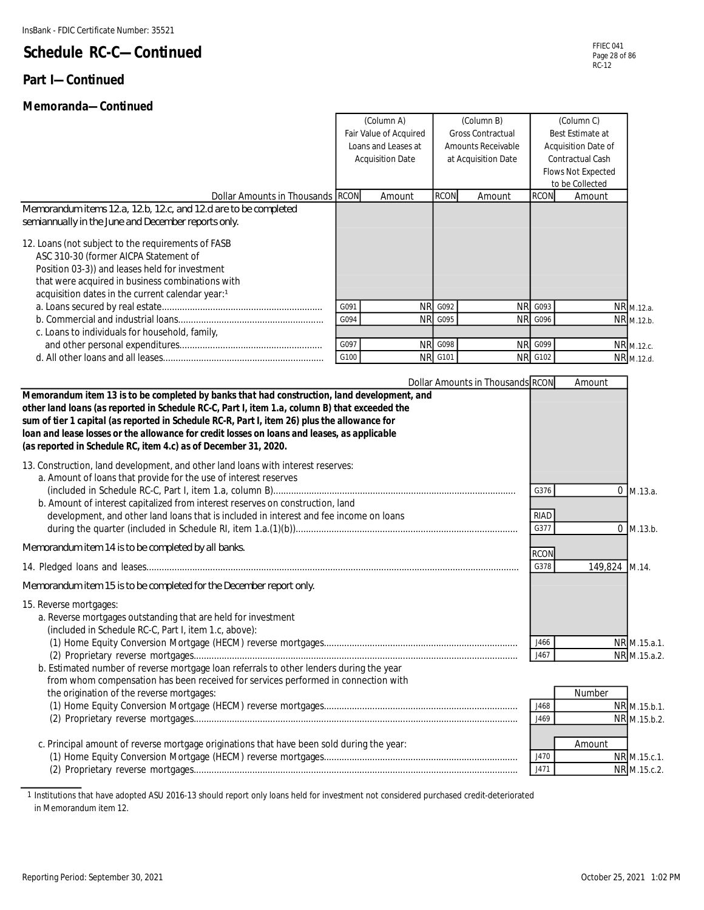#### **Part I—Continued**

#### **Memoranda—Continued**

| (Column A)<br>(Column B)<br><b>Gross Contractual</b><br>Fair Value of Acquired<br>Loans and Leases at<br>Amounts Receivable<br><b>Acquisition Date</b><br>at Acquisition Date                                                                                                                                                                                                                                                                                                                                                                                                                                                                                                                                                                              |      |           |                | (Column C)<br>Best Estimate at<br>Acquisition Date of<br>Contractual Cash<br>Flows Not Expected<br>to be Collected |                                     |                        |                                                              |
|------------------------------------------------------------------------------------------------------------------------------------------------------------------------------------------------------------------------------------------------------------------------------------------------------------------------------------------------------------------------------------------------------------------------------------------------------------------------------------------------------------------------------------------------------------------------------------------------------------------------------------------------------------------------------------------------------------------------------------------------------------|------|-----------|----------------|--------------------------------------------------------------------------------------------------------------------|-------------------------------------|------------------------|--------------------------------------------------------------|
| Dollar Amounts in Thousands RCON                                                                                                                                                                                                                                                                                                                                                                                                                                                                                                                                                                                                                                                                                                                           |      | Amount    | <b>RCON</b>    | Amount                                                                                                             | <b>RCON</b>                         | Amount                 |                                                              |
| Memorandum items 12a, 12b, 12c, and 12d are to be completed<br>semiannually in the June and December reports only.                                                                                                                                                                                                                                                                                                                                                                                                                                                                                                                                                                                                                                         |      |           |                |                                                                                                                    |                                     |                        |                                                              |
| 12. Loans (not subject to the requirements of FASB<br>ASC 310-30 (former AICPA Statement of<br>Position 03-3)) and leases held for investment<br>that were acquired in business combinations with<br>acquisition dates in the current calendar year:1                                                                                                                                                                                                                                                                                                                                                                                                                                                                                                      |      |           |                |                                                                                                                    |                                     |                        |                                                              |
|                                                                                                                                                                                                                                                                                                                                                                                                                                                                                                                                                                                                                                                                                                                                                            | G091 | <b>NR</b> | G092           | <b>NR</b>                                                                                                          | G093                                | NR <sub>M.12.a</sub> . |                                                              |
|                                                                                                                                                                                                                                                                                                                                                                                                                                                                                                                                                                                                                                                                                                                                                            | G094 | <b>NR</b> | G095           | <b>NR</b>                                                                                                          | G096                                | NR M.12.b.             |                                                              |
| c. Loans to individuals for household, family,                                                                                                                                                                                                                                                                                                                                                                                                                                                                                                                                                                                                                                                                                                             | G097 | <b>NR</b> | G098           | <b>NR</b>                                                                                                          | G099                                | NR M.12.c.             |                                                              |
|                                                                                                                                                                                                                                                                                                                                                                                                                                                                                                                                                                                                                                                                                                                                                            | G100 |           | <b>NR G101</b> | <b>NR</b>                                                                                                          | G102                                | NR M.12.d.             |                                                              |
|                                                                                                                                                                                                                                                                                                                                                                                                                                                                                                                                                                                                                                                                                                                                                            |      |           |                | <b>Dollar Amounts in Thousands RCON</b>                                                                            |                                     | Amount                 |                                                              |
| other land loans (as reported in Schedule RC-C, Part I, item 1.a, column B) that exceeded the<br>sum of tier 1 capital (as reported in Schedule RC-R, Part I, item 26) plus the allowance for<br>loan and lease losses or the allowance for credit losses on loans and leases, as applicable<br>(as reported in Schedule RC, item 4.c) as of December 31, 2020.<br>13. Construction, land development, and other land loans with interest reserves:<br>a. Amount of loans that provide for the use of interest reserves<br>b. Amount of interest capitalized from interest reserves on construction, land<br>development, and other land loans that is included in interest and fee income on loans<br>Memorandum item 14 is to be completed by all banks. |      |           |                |                                                                                                                    | G376<br>RIAD<br>G377<br><b>RCON</b> |                        | $0$ M.13.a.<br>$0$ M.13.b.                                   |
|                                                                                                                                                                                                                                                                                                                                                                                                                                                                                                                                                                                                                                                                                                                                                            |      |           |                |                                                                                                                    | G378                                | 149,824 M.14.          |                                                              |
| Memorandum item 15 is to be completed for the December report only.                                                                                                                                                                                                                                                                                                                                                                                                                                                                                                                                                                                                                                                                                        |      |           |                |                                                                                                                    |                                     |                        |                                                              |
| 15. Reverse mortgages:<br>a. Reverse mortgages outstanding that are held for investment<br>(included in Schedule RC-C, Part I, item 1.c, above):<br>b. Estimated number of reverse mortgage loan referrals to other lenders during the year<br>from whom compensation has been received for services performed in connection with<br>the origination of the reverse mortgages:                                                                                                                                                                                                                                                                                                                                                                             |      |           |                |                                                                                                                    | J466<br>J467<br>J468<br>J469        | Number                 | NR M.15.a.1.<br>NR M.15.a.2.<br>NR M.15.b.1.<br>NR M.15.b.2. |
| c. Principal amount of reverse mortgage originations that have been sold during the year:                                                                                                                                                                                                                                                                                                                                                                                                                                                                                                                                                                                                                                                                  |      |           |                |                                                                                                                    | J470<br>J471                        | Amount                 | NR M.15.c.1.<br>NR M.15.c.2.                                 |

1 Institutions that have adopted ASU 2016-13 should report only loans held for investment not considered purchased credit-deteriorated in Memorandum item 12.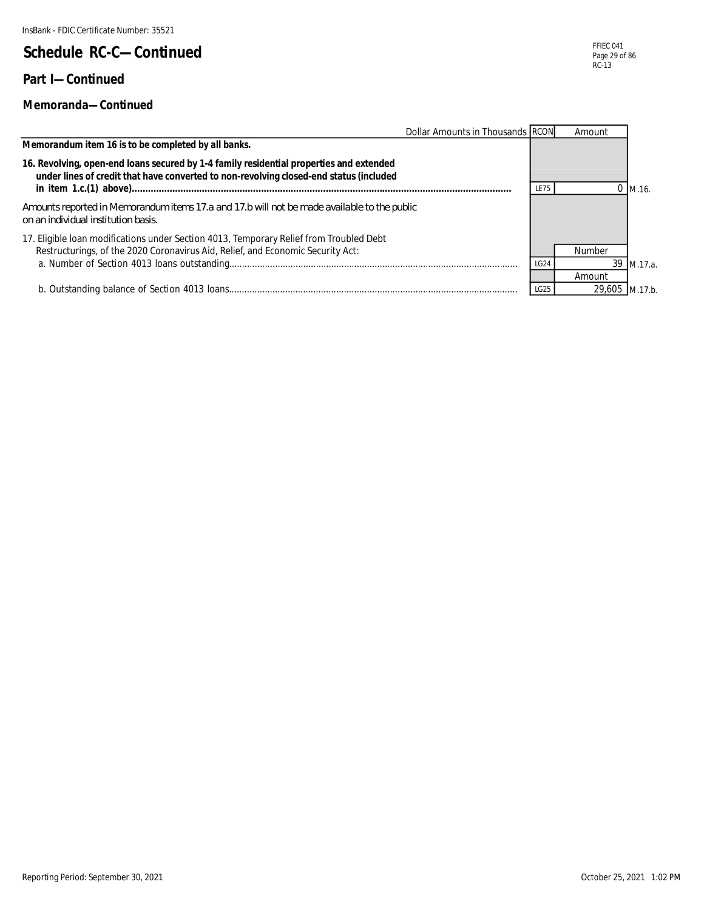#### **Part I—Continued**

#### **Memoranda—Continued**

|                                                                                                                                                                                   | Dollar Amounts in Thousands RCON |             | Amount |            |
|-----------------------------------------------------------------------------------------------------------------------------------------------------------------------------------|----------------------------------|-------------|--------|------------|
| Memorandum item 16 is to be completed by all banks.                                                                                                                               |                                  |             |        |            |
| 16. Revolving, open-end loans secured by 1-4 family residential properties and extended<br>under lines of credit that have converted to non-revolving closed-end status (included |                                  | LE75        |        | M.16.      |
| Amounts reported in Memorandum items 17.a and 17.b will not be made available to the public<br>on an individual institution basis.                                                |                                  |             |        |            |
| 17. Eligible Ioan modifications under Section 4013, Temporary Relief from Troubled Debt<br>Restructurings, of the 2020 Coronavirus Aid, Relief, and Economic Security Act:        |                                  |             | Number |            |
|                                                                                                                                                                                   |                                  | <b>LG24</b> |        | 39 M.17.a. |
|                                                                                                                                                                                   |                                  |             | Amount |            |
|                                                                                                                                                                                   |                                  | LG25        | 29,605 | M.17.b.    |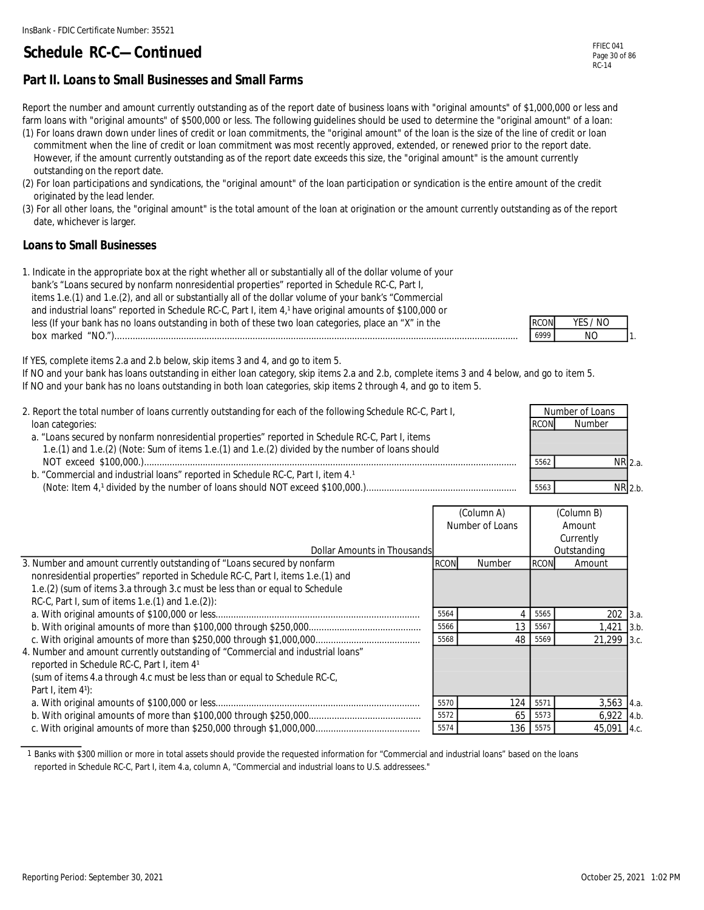#### **Part II. Loans to Small Businesses and Small Farms**

Report the number and amount currently outstanding as of the report date of business loans with "original amounts" of \$1,000,000 or less and farm loans with "original amounts" of \$500,000 or less. The following guidelines should be used to determine the "original amount" of a loan: (1) For loans drawn down under lines of credit or loan commitments, the "original amount" of the loan is the size of the line of credit or loan

- commitment when the line of credit or loan commitment was most recently approved, extended, or renewed prior to the report date. However, if the amount currently outstanding as of the report date exceeds this size, the "original amount" is the amount currently outstanding on the report date.
- (2) For loan participations and syndications, the "original amount" of the loan participation or syndication is the entire amount of the credit originated by the lead lender.
- (3) For all other loans, the "original amount" is the total amount of the loan at origination or the amount currently outstanding as of the report date, whichever is larger.

#### **Loans to Small Businesses**

| 1. Indicate in the appropriate box at the right whether all or substantially all of the dollar volume of your |             |         |
|---------------------------------------------------------------------------------------------------------------|-------------|---------|
| bank's "Loans secured by nonfarm nonresidential properties" reported in Schedule RC-C, Part I,                |             |         |
| items 1.e.(1) and 1.e.(2), and all or substantially all of the dollar volume of your bank's "Commercial       |             |         |
| and industrial loans" reported in Schedule RC-C, Part I, item 4,1 have original amounts of \$100,000 or       |             |         |
| less (If your bank has no loans outstanding in both of these two loan categories, place an "X" in the         | <b>RCON</b> | YES / I |
|                                                                                                               | 6999        | NO.     |

|  | -77 |   |
|--|-----|---|
|  |     | ٠ |

If YES, complete items 2.a and 2.b below, skip items 3 and 4, and go to item 5.

If NO and your bank has loans outstanding in either loan category, skip items 2.a and 2.b, complete items 3 and 4 below, and go to item 5. If NO and your bank has no loans outstanding in both loan categories, skip items 2 through 4, and go to item 5.

| 2. Report the total number of loans currently outstanding for each of the following Schedule RC-C, Part I,<br>loan categories:                                                                        | <b>RCON</b> | Number of Loans<br><b>Number</b> |  |
|-------------------------------------------------------------------------------------------------------------------------------------------------------------------------------------------------------|-------------|----------------------------------|--|
| a. "Loans secured by nonfarm nonresidential properties" reported in Schedule RC-C, Part I, items<br>1.e.(1) and 1.e.(2) (Note: Sum of items 1.e.(1) and 1.e.(2) divided by the number of loans should |             |                                  |  |
| b. "Commercial and industrial loans" reported in Schedule RC-C, Part I, item 4.1                                                                                                                      | 5562        | NR 2.a.                          |  |
|                                                                                                                                                                                                       | 5563        | $NR$ 2 h                         |  |

|                                                                                 |             | (Column A)      |             | (Column B)   |  |
|---------------------------------------------------------------------------------|-------------|-----------------|-------------|--------------|--|
|                                                                                 |             | Number of Loans |             | Amount       |  |
|                                                                                 |             |                 |             | Currently    |  |
| Dollar Amounts in Thousands                                                     |             |                 |             | Outstanding  |  |
| 3. Number and amount currently outstanding of "Loans secured by nonfarm         | <b>RCON</b> | <b>Number</b>   | <b>RCON</b> | Amount       |  |
| nonresidential properties" reported in Schedule RC-C, Part I, items 1.e.(1) and |             |                 |             |              |  |
| 1.e.(2) (sum of items 3.a through 3.c must be less than or equal to Schedule    |             |                 |             |              |  |
| RC-C, Part I, sum of items 1.e. (1) and 1.e. (2)):                              |             |                 |             |              |  |
|                                                                                 | 5564        |                 | 5565        | 202 3.a.     |  |
|                                                                                 | 5566        | 13              | 5567        | $1,421$ 3.b. |  |
|                                                                                 | 5568        | 48              | 5569        | 21,299 3.c.  |  |
| 4. Number and amount currently outstanding of "Commercial and industrial loans" |             |                 |             |              |  |
| reported in Schedule RC-C, Part I, item 41                                      |             |                 |             |              |  |
| (sum of items 4.a through 4.c must be less than or equal to Schedule RC-C,      |             |                 |             |              |  |
| Part I, item $4$ <sup>1</sup> ):                                                |             |                 |             |              |  |
|                                                                                 | 5570        | 124             | 5571        | $3,563$ 4.a. |  |
|                                                                                 | 5572        | 65              | 5573        | $6,922$ 4.b. |  |
|                                                                                 | 5574        |                 | 136 5575    | 45,091 4.c.  |  |

1 Banks with \$300 million or more in total assets should provide the requested information for "Commercial and industrial loans" based on the loans reported in Schedule RC-C, Part I, item 4.a, column A, "Commercial and industrial loans to U.S. addressees."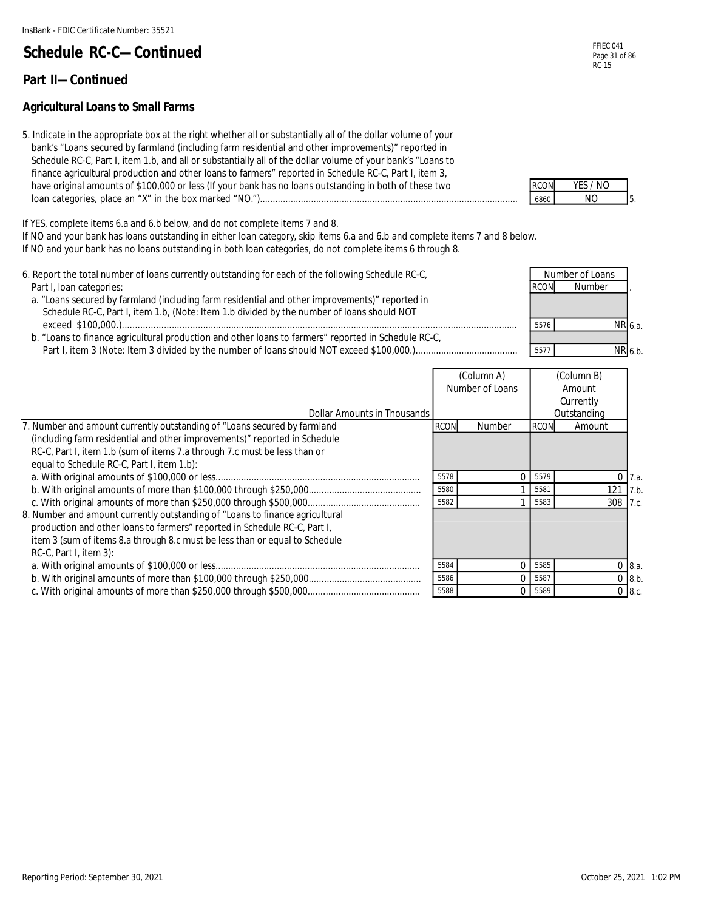#### **Part II—Continued**

#### **Agricultural Loans to Small Farms**

5. Indicate in the appropriate box at the right whether all or substantially all of the dollar volume of your bank's "Loans secured by farmland (including farm residential and other improvements)" reported in Schedule RC-C, Part I, item 1.b, and all or substantially all of the dollar volume of your bank's "Loans to finance agricultural production and other loans to farmers" reported in Schedule RC-C, Part I, item 3, have original amounts of \$100,000 or less (If your bank has no loans outstanding in both of these two loan categories, place an "X" in the box marked "NO.")..................................................................................................... 6860 NO

If YES, complete items 6.a and 6.b below, and do not complete items 7 and 8.

If NO and your bank has loans outstanding in either loan category, skip items 6.a and 6.b and complete items 7 and 8 below.

- If NO and your bank has no loans outstanding in both loan categories, do not complete items 6 through 8.
- 6. Report the total number of loans currently outstanding for each of the following Schedule RC-C, Part I, loan categories: . a. "Loans secured by farmland (including farm residential and other improvements)" reported in Schedule RC-C, Part I, item 1.b, (Note: Item 1.b divided by the number of loans should NOT NR 6.a. b. "Loans to finance agricultural production and other loans to farmers" reported in Schedule RC-C, 6.b. Number of Loans **Number**  exceed \$100,000.).......................................................................................................................................................... 5576 NR Part I, item 3 (Note: Item 3 divided by the number of loans should NOT exceed \$100,000.)........................................ 5577 NR

|                                                                              | (Column A)<br>Number of Loans |          |             | (Column B)  |             |
|------------------------------------------------------------------------------|-------------------------------|----------|-------------|-------------|-------------|
|                                                                              |                               |          | Amount      |             |             |
|                                                                              |                               |          |             | Currently   |             |
| Dollar Amounts in Thousands                                                  |                               |          |             | Outstanding |             |
| 7. Number and amount currently outstanding of "Loans secured by farmland     | <b>RCON</b>                   | Number   | <b>RCON</b> | Amount      |             |
| (including farm residential and other improvements)" reported in Schedule    |                               |          |             |             |             |
| RC-C, Part I, item 1.b (sum of items 7.a through 7.c must be less than or    |                               |          |             |             |             |
| equal to Schedule RC-C, Part I, item 1.b):                                   |                               |          |             |             |             |
|                                                                              | 5578                          | $\Omega$ | 5579        |             | 7.a.        |
|                                                                              | 5580                          |          | 5581        | 121         | 7.b.        |
|                                                                              | 5582                          |          | 5583        | 308 7.c.    |             |
| 8. Number and amount currently outstanding of "Loans to finance agricultural |                               |          |             |             |             |
| production and other loans to farmers" reported in Schedule RC-C, Part I,    |                               |          |             |             |             |
| item 3 (sum of items 8.a through 8.c must be less than or equal to Schedule  |                               |          |             |             |             |
| $RC-C$ , Part I, item 3):                                                    |                               |          |             |             |             |
|                                                                              | 5584                          | $\Omega$ | 5585        |             | 08.a.       |
|                                                                              | 5586                          | $\Omega$ | 5587        |             | $0 \, 8.b.$ |
|                                                                              | 5588                          | $\Omega$ | 5589        |             | $0 \, 8.c.$ |

| ' ' I | - 1<br>-57. |  |
|-------|-------------|--|
|       |             |  |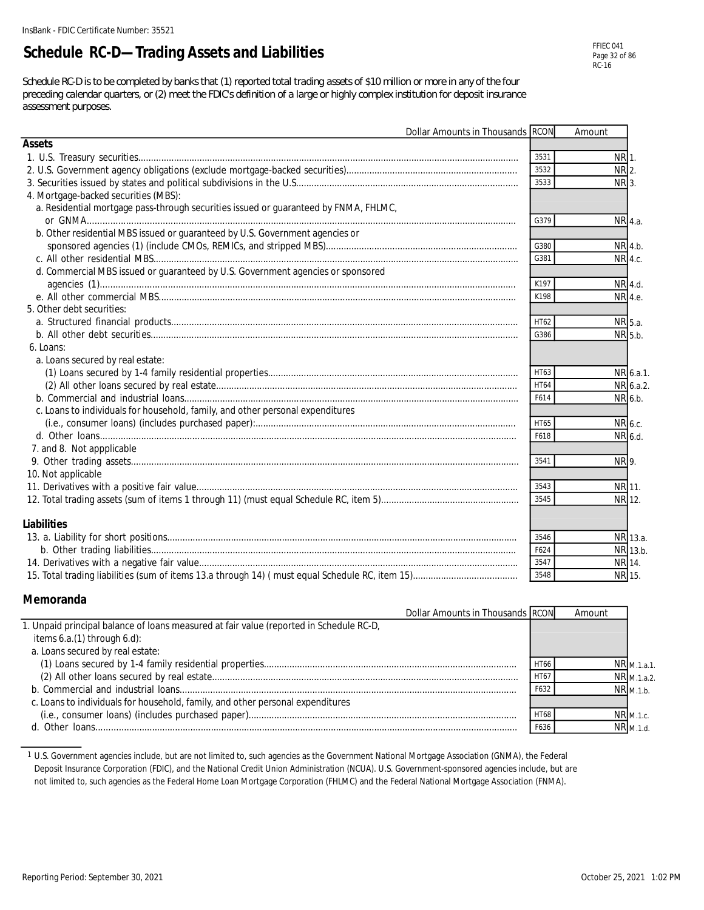### **Schedule RC-D—Trading Assets and Liabilities**

*Schedule RC-D is to be completed by banks that (1) reported total trading assets of \$10 million or more in any of the four preceding calendar quarters, or (2) meet the FDIC's definition of a large or highly complex institution for deposit insurance assessment purposes.*

|                                                                                      | Dollar Amounts in Thousands RCON |             | Amount             |           |
|--------------------------------------------------------------------------------------|----------------------------------|-------------|--------------------|-----------|
| Assets                                                                               |                                  |             |                    |           |
|                                                                                      |                                  | 3531        | NR 1.              |           |
|                                                                                      |                                  | 3532        | $NR$ <sub>2.</sub> |           |
|                                                                                      |                                  | 3533        | NR 3.              |           |
| 4. Mortgage-backed securities (MBS):                                                 |                                  |             |                    |           |
| a. Residential mortgage pass-through securities issued or guaranteed by FNMA, FHLMC, |                                  |             |                    |           |
|                                                                                      |                                  | G379        |                    | NR 4.a.   |
| b. Other residential MBS issued or guaranteed by U.S. Government agencies or         |                                  |             |                    |           |
|                                                                                      |                                  | G380        |                    | NR 4.b.   |
|                                                                                      |                                  | G381        |                    | NR 4.c.   |
| d. Commercial MBS issued or guaranteed by U.S. Government agencies or sponsored      |                                  |             |                    |           |
|                                                                                      |                                  | K197        |                    | NR 4.d.   |
|                                                                                      |                                  | K198        | NR 4.e.            |           |
| 5. Other debt securities:                                                            |                                  |             |                    |           |
|                                                                                      |                                  | HT62        |                    | NR 5.a.   |
|                                                                                      |                                  | G386        |                    | NR 5.b.   |
| 6. Loans:                                                                            |                                  |             |                    |           |
| a. Loans secured by real estate:                                                     |                                  |             |                    |           |
|                                                                                      |                                  | HT63        |                    | NR 6.a.1. |
|                                                                                      |                                  | <b>HT64</b> |                    | NR 6.a.2. |
|                                                                                      |                                  | F614        |                    | NR 6.b.   |
| c. Loans to individuals for household, family, and other personal expenditures       |                                  |             |                    |           |
|                                                                                      |                                  | HT65        |                    | NR 6.c.   |
|                                                                                      |                                  | F618        |                    | NR 6.d.   |
| 7. and 8. Not appplicable                                                            |                                  |             |                    |           |
|                                                                                      |                                  | 3541        | NR 9.              |           |
| 10. Not applicable                                                                   |                                  |             |                    |           |
|                                                                                      |                                  | 3543        | NR 11.             |           |
|                                                                                      |                                  | 3545        | NR 12.             |           |
|                                                                                      |                                  |             |                    |           |
| Liabilities                                                                          |                                  |             |                    |           |
|                                                                                      |                                  | 3546        |                    | NR 13.a.  |
|                                                                                      |                                  | F624        |                    | NR 13.b.  |
|                                                                                      |                                  | 3547        |                    | NR 14.    |
|                                                                                      |                                  | 3548        | NR 15.             |           |

#### **Memoranda**

| Dollar Amounts in Thousands RCON                                                        |             | Amount |                       |
|-----------------------------------------------------------------------------------------|-------------|--------|-----------------------|
| 1. Unpaid principal balance of loans measured at fair value (reported in Schedule RC-D, |             |        |                       |
| items $6.a.(1)$ through $6.d$ ):                                                        |             |        |                       |
| a. Loans secured by real estate:                                                        |             |        |                       |
|                                                                                         | <b>HT66</b> |        | NR <sub>M.1.a.1</sub> |
|                                                                                         | <b>HT67</b> |        | NR M.1.a.2.           |
|                                                                                         | F632        |        | $NR_{M.1.b.}$         |
| c. Loans to individuals for household, family, and other personal expenditures          |             |        |                       |
|                                                                                         | <b>HT68</b> |        | $NR$ $M.1.c.$         |
|                                                                                         | F636        |        | $NR_{M.1.d.}$         |

1 U.S. Government agencies include, but are not limited to, such agencies as the Government National Mortgage Association (GNMA), the Federal Deposit Insurance Corporation (FDIC), and the National Credit Union Administration (NCUA). U.S. Government-sponsored agencies include, but are not limited to, such agencies as the Federal Home Loan Mortgage Corporation (FHLMC) and the Federal National Mortgage Association (FNMA).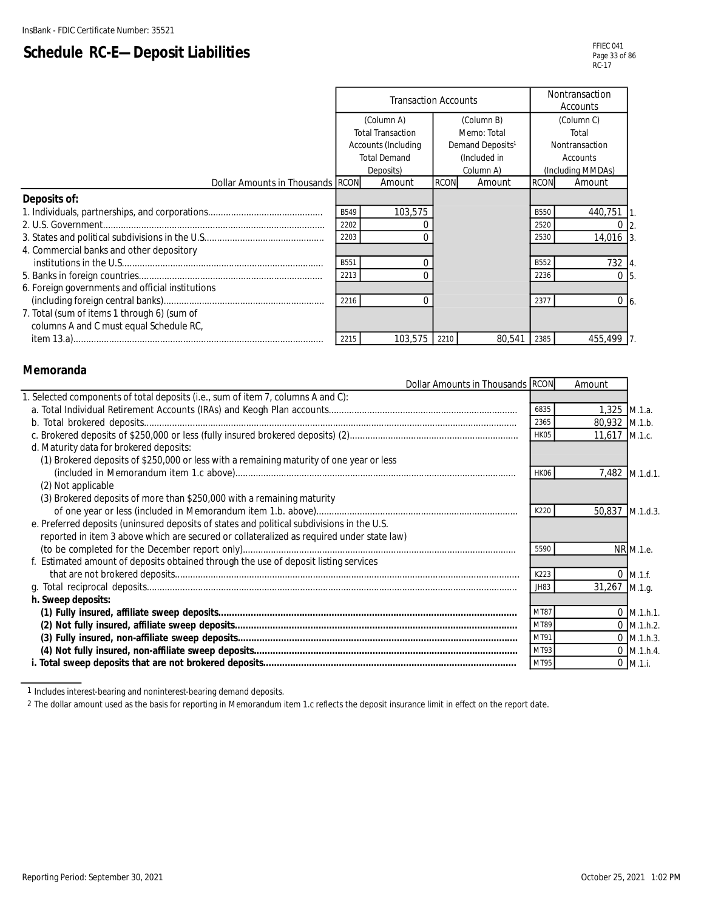# **Schedule RC-E—Deposit Liabilities**

|                                                  | <b>Transaction Accounts</b> |            |                              |           | Nontransaction<br>Accounts |                   |
|--------------------------------------------------|-----------------------------|------------|------------------------------|-----------|----------------------------|-------------------|
|                                                  |                             | (Column A) | (Column B)                   |           | (Column C)                 |                   |
|                                                  | <b>Total Transaction</b>    |            | Memo: Total                  |           |                            | Total             |
|                                                  | Accounts (Including         |            | Demand Deposits <sup>1</sup> |           | Nontransaction             |                   |
|                                                  | <b>Total Demand</b>         |            | (Included in                 |           |                            | <b>Accounts</b>   |
|                                                  |                             | Deposits)  |                              | Column A) |                            | (Including MMDAs) |
| Dollar Amounts in Thousands RCON                 |                             | Amount     | <b>RCON</b>                  | Amount    | <b>RCON</b>                | Amount            |
| Deposits of:                                     |                             |            |                              |           |                            |                   |
|                                                  | B549                        | 103,575    |                              |           | <b>B550</b>                | 440,751           |
|                                                  | 2202                        |            |                              |           | 2520                       |                   |
|                                                  | 2203                        |            |                              |           | 2530                       | 14,016            |
| 4. Commercial banks and other depository         |                             |            |                              |           |                            |                   |
|                                                  | B551                        |            |                              |           | <b>B552</b>                | 732 4             |
|                                                  | 2213                        |            |                              |           | 2236                       | $\Omega$          |
| 6. Foreign governments and official institutions |                             |            |                              |           |                            |                   |
|                                                  | 2216                        |            |                              |           | 2377                       | $0\vert 6$        |
| 7. Total (sum of items 1 through 6) (sum of      |                             |            |                              |           |                            |                   |
| columns A and C must equal Schedule RC,          |                             |            |                              |           |                            |                   |
|                                                  | 2215                        | 103,575    | 2210                         | 80.541    | 2385                       | 455,499           |

#### **Memoranda**

L

| Dollar Amounts in Thousands RCON                                                           |             | Amount          |                |
|--------------------------------------------------------------------------------------------|-------------|-----------------|----------------|
| 1. Selected components of total deposits (i.e., sum of item 7, columns A and C):           |             |                 |                |
|                                                                                            | 6835        | 1,325 M.1.a.    |                |
|                                                                                            | 2365        | 80,932 M.1.b.   |                |
|                                                                                            | HK05        | 11,617 M.1.c.   |                |
| d. Maturity data for brokered deposits:                                                    |             |                 |                |
| (1) Brokered deposits of \$250,000 or less with a remaining maturity of one year or less   |             |                 |                |
|                                                                                            | <b>HK06</b> |                 | 7,482 M.1.d.1. |
| (2) Not applicable                                                                         |             |                 |                |
| (3) Brokered deposits of more than \$250,000 with a remaining maturity                     |             |                 |                |
|                                                                                            | K220        | 50,837 M.1.d.3. |                |
| e. Preferred deposits (uninsured deposits of states and political subdivisions in the U.S. |             |                 |                |
| reported in item 3 above which are secured or collateralized as required under state law)  |             |                 |                |
|                                                                                            | 5590        |                 | NR M.1.e.      |
| f. Estimated amount of deposits obtained through the use of deposit listing services       |             |                 |                |
|                                                                                            | K223        |                 | $0$ M.1.f.     |
|                                                                                            | JH83        | 31,267 M.1.g.   |                |
| h. Sweep deposits:                                                                         |             |                 |                |
|                                                                                            | MT87        |                 | $0$ M.1.h.1.   |
|                                                                                            | MT89        |                 | $0$ M.1.h.2.   |
|                                                                                            | MT91        |                 | $0$ M.1.h.3.   |
|                                                                                            | MT93        |                 | $0$ M.1.h.4.   |
|                                                                                            | MT95        |                 | $0$ M.1.i.     |

1 Includes interest-bearing and noninterest-bearing demand deposits.

2 The dollar amount used as the basis for reporting in Memorandum item 1.c reflects the deposit insurance limit in effect on the report date.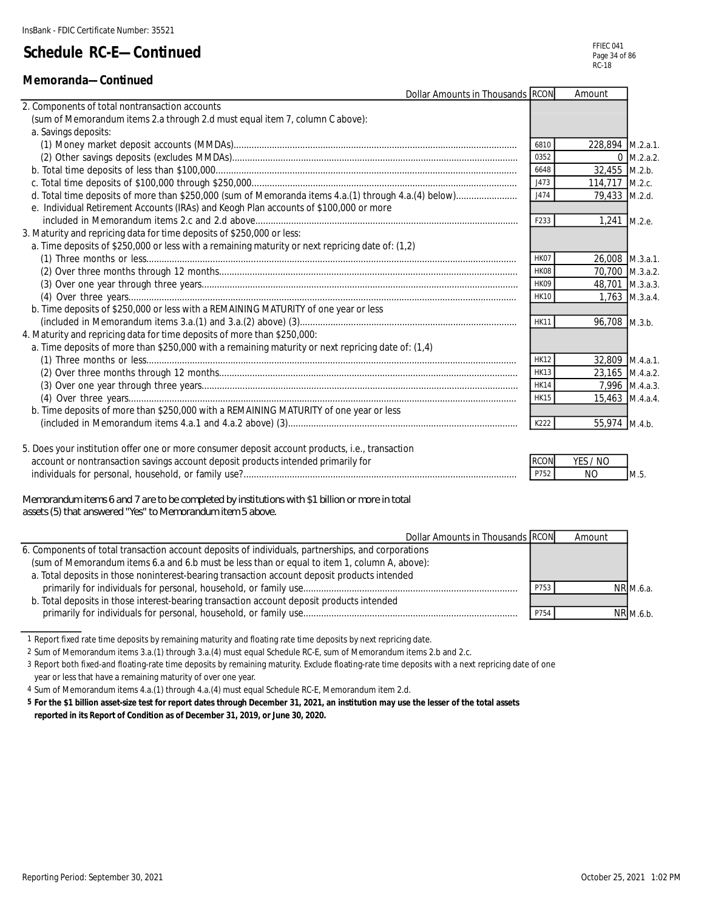#### **Memoranda—Continued**

| Dollar Amounts in Thousands RCON                                                                     |             | Amount           |                |
|------------------------------------------------------------------------------------------------------|-------------|------------------|----------------|
| 2. Components of total nontransaction accounts                                                       |             |                  |                |
| (sum of Memorandum items 2.a through 2.d must equal item 7, column C above):                         |             |                  |                |
| a. Savings deposits:                                                                                 |             |                  |                |
|                                                                                                      | 6810        | 228,894 M.2.a.1. |                |
|                                                                                                      | 0352        |                  | $0$ M.2.a.2.   |
|                                                                                                      | 6648        | 32,455 M.2.b.    |                |
|                                                                                                      | J473        | 114,717 M.2.c.   |                |
| d. Total time deposits of more than \$250,000 (sum of Memoranda items 4.a.(1) through 4.a.(4) below) | J474        | 79,433 M.2.d.    |                |
| e. Individual Retirement Accounts (IRAs) and Keogh Plan accounts of \$100,000 or more                |             |                  |                |
|                                                                                                      | F233        | 1,241 M.2.e.     |                |
| 3. Maturity and repricing data for time deposits of \$250,000 or less:                               |             |                  |                |
| a. Time deposits of \$250,000 or less with a remaining maturity or next repricing date of: (1,2)     |             |                  |                |
|                                                                                                      | HK07        | 26.008 M.3.a.1.  |                |
|                                                                                                      | HK08        | 70,700 M.3.a.2.  |                |
|                                                                                                      | HK09        | 48,701 M.3.a.3.  |                |
|                                                                                                      | <b>HK10</b> |                  | 1,763 M.3.a.4. |
| b. Time deposits of \$250,000 or less with a REMAINING MATURITY of one year or less                  |             |                  |                |
|                                                                                                      | <b>HK11</b> | 96,708 M.3.b.    |                |
| 4. Maturity and repricing data for time deposits of more than \$250,000:                             |             |                  |                |
| a. Time deposits of more than \$250,000 with a remaining maturity or next repricing date of: (1,4)   |             |                  |                |
|                                                                                                      | <b>HK12</b> | 32,809 M.4.a.1.  |                |
|                                                                                                      | <b>HK13</b> | 23,165 M.4.a.2.  |                |
|                                                                                                      | <b>HK14</b> |                  | 7.996 M.4.a.3. |
|                                                                                                      | <b>HK15</b> | 15,463 M.4.a.4.  |                |
| b. Time deposits of more than \$250,000 with a REMAINING MATURITY of one year or less                |             |                  |                |
|                                                                                                      | K222        | 55,974 M.4.b.    |                |
|                                                                                                      |             |                  |                |
| 5. Does your institution offer one or more consumer deposit account products, i.e., transaction      |             |                  |                |
| account or nontransaction savings account deposit products intended primarily for                    | <b>RCON</b> | YES / NO         |                |
|                                                                                                      | P752        | N <sub>O</sub>   | M.5.           |

*Memorandum items 6 and 7 are to be completed by institutions with \$1 billion or more in total assets (5) that answered "Yes" to Memorandum item 5 above.*

| Dollar Amounts in Thousands RCON                                                                   |      | Amount |           |
|----------------------------------------------------------------------------------------------------|------|--------|-----------|
| 6. Components of total transaction account deposits of individuals, partnerships, and corporations |      |        |           |
| (sum of Memorandum items 6.a and 6.b must be less than or equal to item 1, column A, above):       |      |        |           |
| a. Total deposits in those noninterest-bearing transaction account deposit products intended       |      |        |           |
|                                                                                                    | P753 |        | NR M.6.a. |
| b. Total deposits in those interest-bearing transaction account deposit products intended          |      |        |           |
|                                                                                                    | P754 |        | NR M.6.b. |

1 Report fixed rate time deposits by remaining maturity and floating rate time deposits by next repricing date.

2 Sum of Memorandum items 3.a.(1) through 3.a.(4) must equal Schedule RC-E, sum of Memorandum items 2.b and 2.c.

3 Report both fixed-and floating-rate time deposits by remaining maturity. Exclude floating-rate time deposits with a next repricing date of one

year or less that have a remaining maturity of over one year.

4 Sum of Memorandum items 4.a.(1) through 4.a.(4) must equal Schedule RC-E, Memorandum item 2.d.

**5 For the \$1 billion asset-size test for report dates through December 31, 2021, an institution may use the lesser of the total assets reported in its Report of Condition as of December 31, 2019, or June 30, 2020.**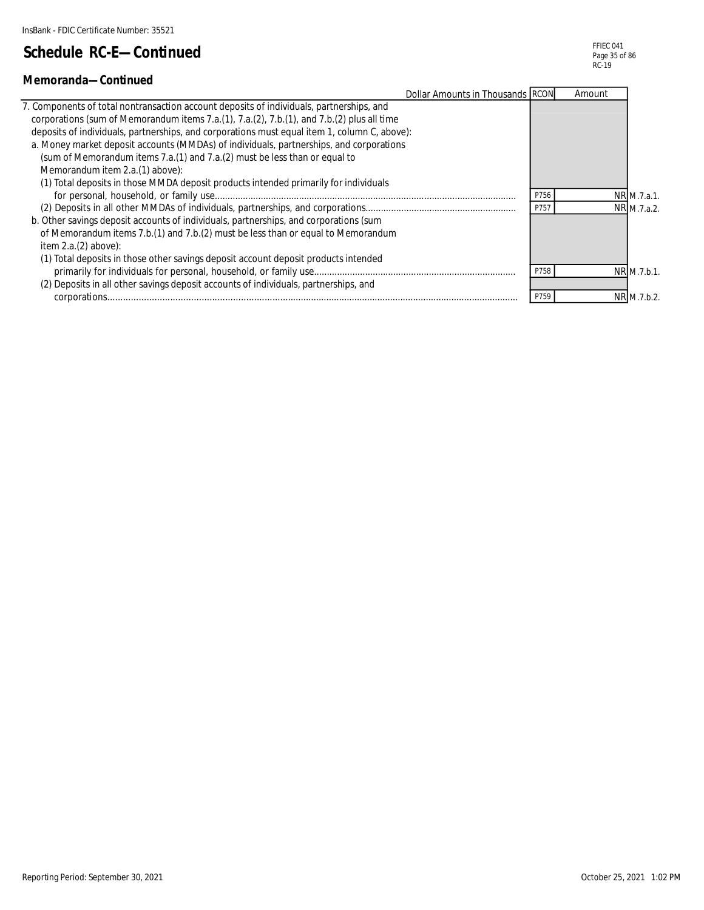#### **Memoranda—Continued**

| Dollar Amounts in Thousands RCON                                                             |      | Amount |             |
|----------------------------------------------------------------------------------------------|------|--------|-------------|
| 7. Components of total nontransaction account deposits of individuals, partnerships, and     |      |        |             |
| corporations (sum of Memorandum items 7.a.(1), 7.a.(2), 7.b.(1), and 7.b.(2) plus all time   |      |        |             |
| deposits of individuals, partnerships, and corporations must equal item 1, column C, above): |      |        |             |
| a. Money market deposit accounts (MMDAs) of individuals, partnerships, and corporations      |      |        |             |
| (sum of Memorandum items 7.a.(1) and 7.a.(2) must be less than or equal to                   |      |        |             |
| Memorandum item 2.a.(1) above):                                                              |      |        |             |
| (1) Total deposits in those MMDA deposit products intended primarily for individuals         |      |        |             |
|                                                                                              | P756 |        | NR M.7.a.1. |
|                                                                                              | P757 |        | NR M.7.a.2. |
| b. Other savings deposit accounts of individuals, partnerships, and corporations (sum        |      |        |             |
| of Memorandum items 7.b.(1) and 7.b.(2) must be less than or equal to Memorandum             |      |        |             |
| item $2.a.(2) above$ :                                                                       |      |        |             |
| (1) Total deposits in those other savings deposit account deposit products intended          |      |        |             |
|                                                                                              | P758 |        | NR M.7.b.1. |
| (2) Deposits in all other savings deposit accounts of individuals, partnerships, and         |      |        |             |
|                                                                                              | P759 |        | NR M.7.b.2. |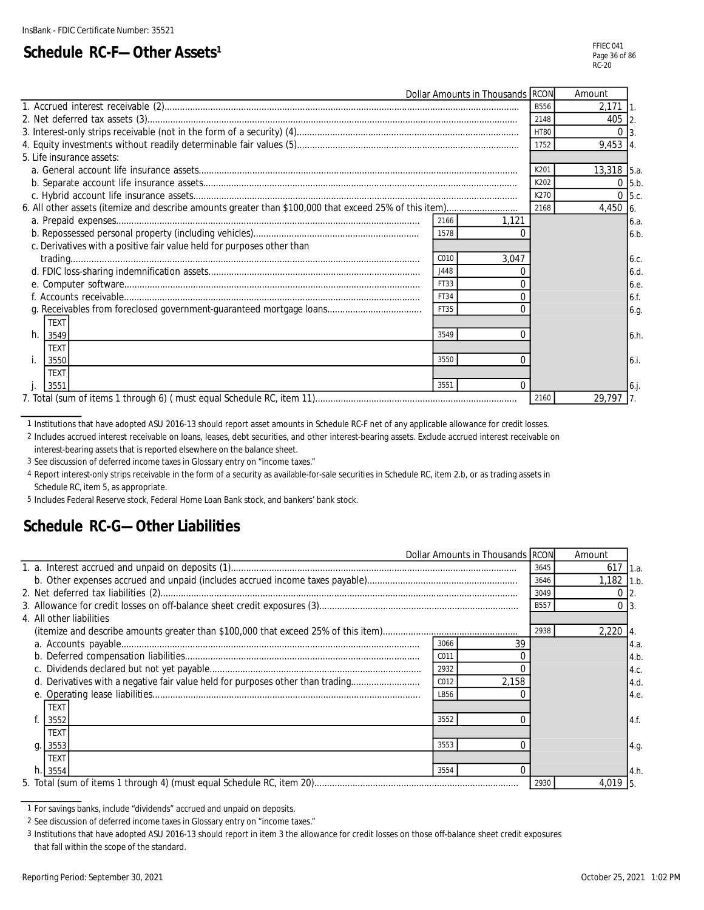### **Schedule RC-F-Other Assets<sup>1</sup>**

| Dollar Amounts in Thousands RCON                                       |             | Amount           |  |
|------------------------------------------------------------------------|-------------|------------------|--|
|                                                                        | <b>B556</b> | 2,171            |  |
|                                                                        | 2148        | 405 2            |  |
|                                                                        | <b>HT80</b> | $\Omega$         |  |
|                                                                        | 1752        | 9,453 4.         |  |
| 5. Life insurance assets:                                              |             |                  |  |
|                                                                        | K201        | 13,318 5.a.      |  |
|                                                                        | K202        | $0$ 5.b.         |  |
|                                                                        | K270        | $\Omega$<br>5.c. |  |
|                                                                        | 2168        | 4,450 6.         |  |
| 2166<br>1,121                                                          |             | 6.a.             |  |
| 1578                                                                   |             | 6.b              |  |
| c. Derivatives with a positive fair value held for purposes other than |             |                  |  |
| C <sub>010</sub><br>3.047                                              |             | 6.c.             |  |
| J448                                                                   |             | 6.d              |  |
| FT33                                                                   |             | 6.e.             |  |
| FT34                                                                   |             | 6.f.             |  |
| FT35                                                                   |             | 6.g.             |  |
| <b>TEXT</b>                                                            |             |                  |  |
| h.<br>3549<br>$\Omega$<br>3549                                         |             | 6.h.             |  |
| <b>TEXT</b>                                                            |             |                  |  |
| 3550<br>$\Omega$<br>3550                                               |             | 6.i.             |  |
| <b>TEXT</b>                                                            |             |                  |  |
| $\Omega$<br>3551<br>3551                                               |             | 6.1              |  |
|                                                                        | 2160        | 29,797           |  |

1 Institutions that have adopted ASU 2016-13 should report asset amounts in Schedule RC-F net of any applicable allowance for credit losses.

2 Includes accrued interest receivable on loans, leases, debt securities, and other interest-bearing assets. Exclude accrued interest receivable on interest-bearing assets that is reported elsewhere on the balance sheet.

3 See discussion of deferred income taxes in Glossary entry on "income taxes."

4 Report interest-only strips receivable in the form of a security as available-for-sale securities in Schedule RC, item 2.b, or as trading assets in Schedule RC, item 5, as appropriate.

5 Includes Federal Reserve stock, Federal Home Loan Bank stock, and bankers' bank stock.

### **Schedule RC-G—Other Liabilities**

|                                                                                |      | Dollar Amounts in Thousands RCON |             | Amount       |      |
|--------------------------------------------------------------------------------|------|----------------------------------|-------------|--------------|------|
|                                                                                |      |                                  | 3645        | 617          | 1.a. |
|                                                                                |      |                                  | 3646        | $1,182$ 1.b. |      |
|                                                                                |      |                                  | 3049        |              |      |
|                                                                                |      |                                  | <b>B557</b> |              |      |
| 4. All other liabilities                                                       |      |                                  |             |              |      |
|                                                                                |      |                                  | 2938        | $2,220$ 4.   |      |
|                                                                                | 3066 | 39                               |             |              | 4.a. |
|                                                                                | C011 |                                  |             |              | 4.b  |
|                                                                                | 2932 |                                  |             |              | 4.c. |
| d. Derivatives with a negative fair value held for purposes other than trading | C012 | 2,158                            |             |              | 4.d. |
|                                                                                | LB56 |                                  |             |              | 4.e. |
| <b>TEXT</b>                                                                    |      |                                  |             |              |      |
| 3552                                                                           | 3552 |                                  |             |              | 4.f. |
| <b>TEXT</b>                                                                    |      |                                  |             |              |      |
| 3553<br>g.                                                                     | 3553 |                                  |             |              | 4.g. |
| TEXT                                                                           |      |                                  |             |              |      |
| 3554<br>h.1                                                                    | 3554 |                                  |             |              | 4.h  |
|                                                                                |      |                                  | 2930        | 4,019 5.     |      |

<sup>1</sup> For savings banks, include "dividends" accrued and unpaid on deposits.

3 Institutions that have adopted ASU 2016-13 should report in item 3 the allowance for credit losses on those off-balance sheet credit exposures that fall within the scope of the standard.

<sup>2</sup> See discussion of deferred income taxes in Glossary entry on "income taxes."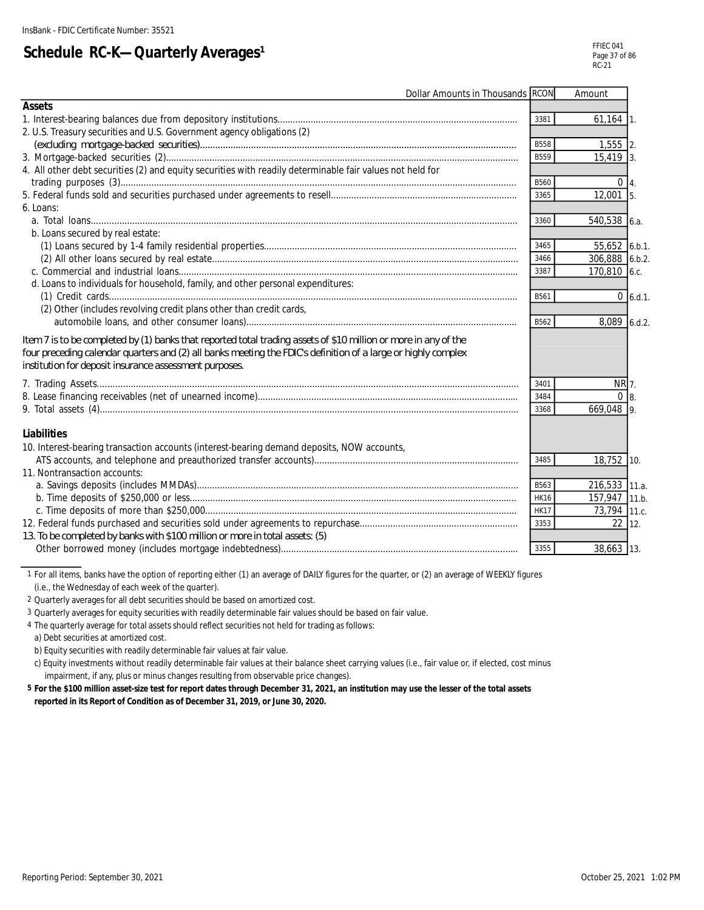# **Schedule RC-K-Quarterly Averages<sup>1</sup>**

| Dollar Amounts in Thousands RCON                                                                                                                                                                                                                                                           |             | Amount         |               |
|--------------------------------------------------------------------------------------------------------------------------------------------------------------------------------------------------------------------------------------------------------------------------------------------|-------------|----------------|---------------|
| <b>Assets</b>                                                                                                                                                                                                                                                                              |             |                |               |
|                                                                                                                                                                                                                                                                                            | 3381        | $61,164$ 1.    |               |
| 2. U.S. Treasury securities and U.S. Government agency obligations (2)                                                                                                                                                                                                                     |             |                |               |
|                                                                                                                                                                                                                                                                                            | <b>B558</b> | $1,555$ 2.     |               |
|                                                                                                                                                                                                                                                                                            | B559        | $15.419$ 3.    |               |
| 4. All other debt securities (2) and equity securities with readily determinable fair values not held for                                                                                                                                                                                  | B560        | $0\vert 4.$    |               |
|                                                                                                                                                                                                                                                                                            | 3365        | $12,001$ 5.    |               |
| 6. Loans:                                                                                                                                                                                                                                                                                  |             |                |               |
|                                                                                                                                                                                                                                                                                            | 3360        | 540,538 6.a.   |               |
| b. Loans secured by real estate:                                                                                                                                                                                                                                                           |             |                |               |
|                                                                                                                                                                                                                                                                                            | 3465        | 55,652 6.b.1.  |               |
|                                                                                                                                                                                                                                                                                            | 3466        | 306,888 6.b.2. |               |
|                                                                                                                                                                                                                                                                                            | 3387        | 170,810 6.c.   |               |
| d. Loans to individuals for household, family, and other personal expenditures:                                                                                                                                                                                                            |             |                |               |
|                                                                                                                                                                                                                                                                                            | B561        |                | $0 \, 6.d.1.$ |
| (2) Other (includes revolving credit plans other than credit cards,                                                                                                                                                                                                                        |             |                |               |
|                                                                                                                                                                                                                                                                                            | B562        | 8,089 6.d.2.   |               |
| Item 7 is to be completed by (1) banks that reported total trading assets of \$10 million or more in any of the<br>four preceding calendar quarters and (2) all banks meeting the FDIC's definition of a large or highly complex<br>institution for deposit insurance assessment purposes. |             |                |               |
|                                                                                                                                                                                                                                                                                            | 3401        | NR 7.          |               |
|                                                                                                                                                                                                                                                                                            | 3484        | 0 <sub>8</sub> |               |
|                                                                                                                                                                                                                                                                                            | 3368        | 669,048 9.     |               |
| <b>Liabilities</b><br>10. Interest-bearing transaction accounts (interest-bearing demand deposits, NOW accounts,                                                                                                                                                                           |             |                |               |
|                                                                                                                                                                                                                                                                                            | 3485        | 18,752 10.     |               |
| 11. Nontransaction accounts:                                                                                                                                                                                                                                                               |             |                |               |
|                                                                                                                                                                                                                                                                                            | B563        | 216,533 11.a.  |               |
|                                                                                                                                                                                                                                                                                            | <b>HK16</b> | 157,947 11.b.  |               |
|                                                                                                                                                                                                                                                                                            | <b>HK17</b> | 73,794 11.c.   |               |
|                                                                                                                                                                                                                                                                                            | 3353        | $22 \mid 12.$  |               |
| 13. To be completed by banks with \$100 million or more in total assets: (5)                                                                                                                                                                                                               |             |                |               |
|                                                                                                                                                                                                                                                                                            | 3355        | 38,663 13.     |               |

1 For all items, banks have the option of reporting either (1) an average of DAILY figures for the quarter, or (2) an average of WEEKLY figures (i.e., the Wednesday of each week of the quarter).

2 Quarterly averages for all debt securities should be based on amortized cost.

3 Quarterly averages for equity securities with readily determinable fair values should be based on fair value.

4 The quarterly average for total assets should reflect securities not held for trading as follows:

a) Debt securities at amortized cost.

b) Equity securities with readily determinable fair values at fair value.

c) Equity investments without readily determinable fair values at their balance sheet carrying values (i.e., fair value or, if elected, cost minus impairment, if any, plus or minus changes resulting from observable price changes).

**5 For the \$100 million asset-size test for report dates through December 31, 2021, an institution may use the lesser of the total assets reported in its Report of Condition as of December 31, 2019, or June 30, 2020.**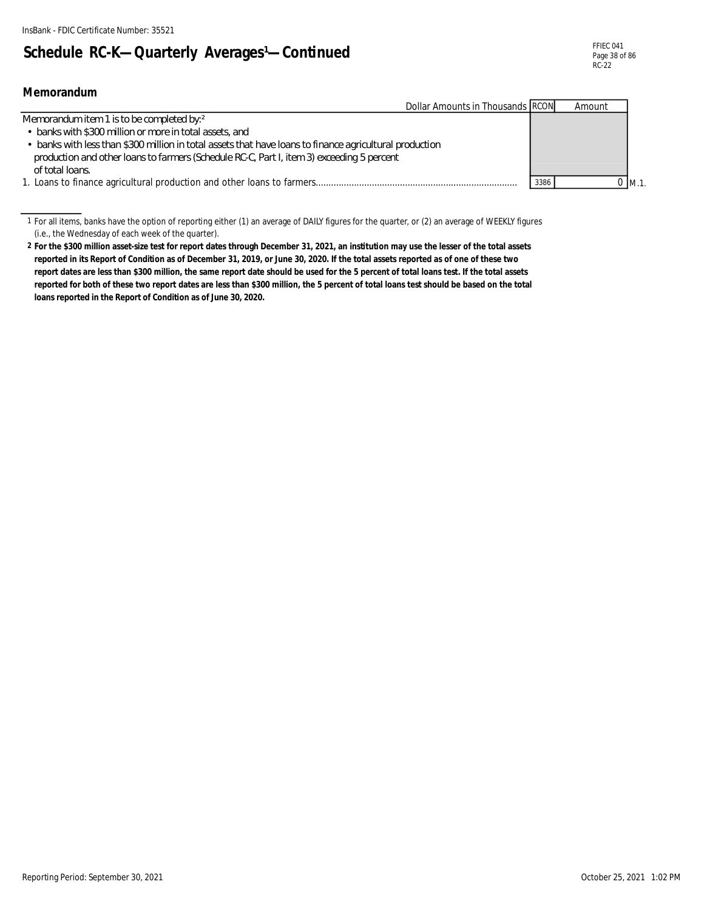**Memorandum**

# Schedule RC-K-Quarterly Averages<sup>1</sup>-Continued

| Dollar Amounts in Thousands RCON                                                                        |      | Amount  |
|---------------------------------------------------------------------------------------------------------|------|---------|
| Memorandum item 1 is to be completed by: <sup>2</sup>                                                   |      |         |
| • banks with \$300 million or more in total assets, and                                                 |      |         |
| • banks with less than \$300 million in total assets that have loans to finance agricultural production |      |         |
| production and other loans to farmers (Schedule RC-C, Part I, item 3) exceeding 5 percent               |      |         |
| of total loans                                                                                          |      |         |
| 1. Loans to finance agricultural production and other loans to farmers                                  | 3386 | 0 IM.1. |

<sup>1</sup> For all items, banks have the option of reporting either (1) an average of DAILY figures for the quarter, or (2) an average of WEEKLY figures (i.e., the Wednesday of each week of the quarter).

Reporting Period: September 30, 2021 October 25, 2021 1:02 PM

**<sup>2</sup> For the \$300 million asset-size test for report dates through December 31, 2021, an institution may use the lesser of the total assets reported in its Report of Condition as of December 31, 2019, or June 30, 2020. If the total assets reported as of one of these two report dates are less than \$300 million, the same report date should be used for the 5 percent of total loans test. If the total assets reported for both of these two report dates are less than \$300 million, the 5 percent of total loans test should be based on the total loans reported in the Report of Condition as of June 30, 2020.**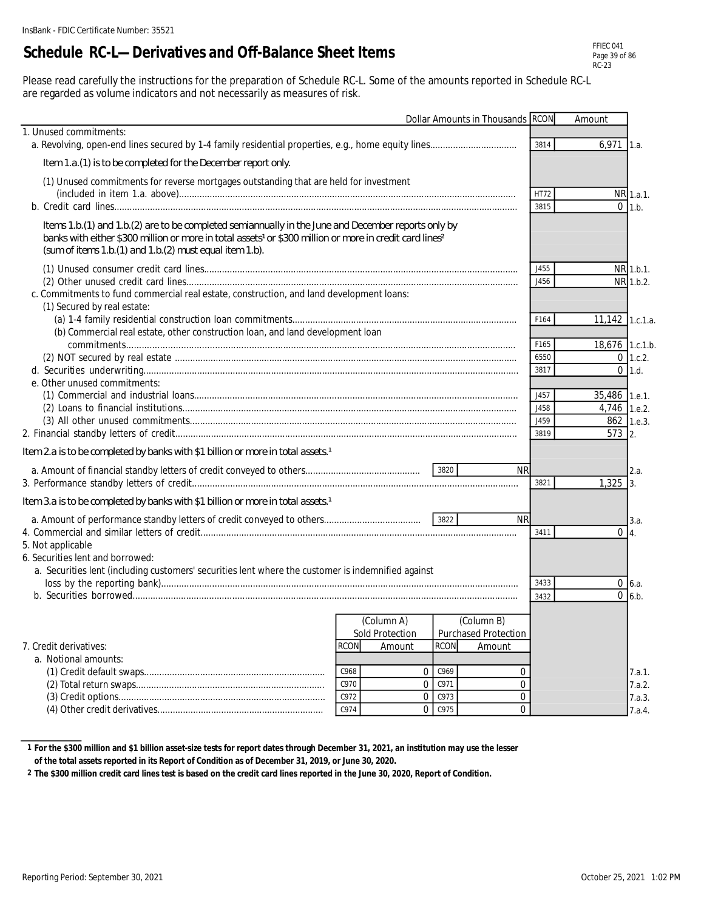## **Schedule RC-L—Derivatives and Off-Balance Sheet Items**

| FFIFC 041     |
|---------------|
| Page 39 of 86 |
| RC-23         |

Please read carefully the instructions for the preparation of Schedule RC-L. Some of the amounts reported in Schedule RC-L are regarded as volume indicators and not necessarily as measures of risk.

|                                                                                                                                                                                                                                                                                                        |              |                 |             | Dollar Amounts in Thousands RCON |              | Amount          |                 |
|--------------------------------------------------------------------------------------------------------------------------------------------------------------------------------------------------------------------------------------------------------------------------------------------------------|--------------|-----------------|-------------|----------------------------------|--------------|-----------------|-----------------|
| 1. Unused commitments:                                                                                                                                                                                                                                                                                 |              |                 |             |                                  | 3814         | 6,971           | 1.a.            |
| Item 1.a. (1) is to be completed for the December report only.                                                                                                                                                                                                                                         |              |                 |             |                                  |              |                 |                 |
| (1) Unused commitments for reverse mortgages outstanding that are held for investment                                                                                                                                                                                                                  |              |                 |             |                                  |              |                 |                 |
|                                                                                                                                                                                                                                                                                                        |              |                 |             |                                  | HT72         |                 | NR 1.a.1.       |
|                                                                                                                                                                                                                                                                                                        |              |                 |             |                                  | 3815         |                 | $0$ 1.b.        |
| Items 1.b.(1) and 1.b.(2) are to be completed semiannually in the June and December reports only by<br>banks with either \$300 million or more in total assets <sup>1</sup> or \$300 million or more in credit card lines <sup>2</sup><br>(sum of items $1.b(1)$ and $1.b(2)$ must equal item $1.b$ ). |              |                 |             |                                  |              |                 |                 |
|                                                                                                                                                                                                                                                                                                        |              |                 |             |                                  | J455         |                 | NR 1.b.1.       |
|                                                                                                                                                                                                                                                                                                        |              |                 |             |                                  | J456         |                 | NR 1.b.2.       |
| c. Commitments to fund commercial real estate, construction, and land development loans:<br>(1) Secured by real estate:                                                                                                                                                                                |              |                 |             |                                  |              |                 |                 |
|                                                                                                                                                                                                                                                                                                        |              |                 |             |                                  | F164         | 11,142 1.c.1.a. |                 |
| (b) Commercial real estate, other construction loan, and land development loan                                                                                                                                                                                                                         |              |                 |             |                                  |              |                 |                 |
|                                                                                                                                                                                                                                                                                                        |              |                 |             |                                  | F165<br>6550 | 18,676 1.c.1.b. | $0$ 1.c.2.      |
|                                                                                                                                                                                                                                                                                                        |              |                 |             |                                  | 3817         |                 | $0$ 1.d.        |
| e. Other unused commitments:                                                                                                                                                                                                                                                                           |              |                 |             |                                  |              |                 |                 |
|                                                                                                                                                                                                                                                                                                        |              |                 |             |                                  | J457         | 35,486 1.e.1.   |                 |
|                                                                                                                                                                                                                                                                                                        |              |                 |             |                                  | J458<br>J459 | 4,746 1.e.2.    | 862 1.e.3.      |
|                                                                                                                                                                                                                                                                                                        |              |                 |             |                                  | 3819         | 573 2.          |                 |
| Item 2a is to be completed by banks with \$1 billion or more in total assets. <sup>1</sup>                                                                                                                                                                                                             |              |                 |             |                                  |              |                 |                 |
|                                                                                                                                                                                                                                                                                                        |              |                 | 3820        | <b>NR</b>                        |              |                 | 2.a.            |
|                                                                                                                                                                                                                                                                                                        |              |                 |             |                                  | 3821         | 1,325           | 3.              |
| Item 3.a is to be completed by banks with \$1 billion or more in total assets. <sup>1</sup>                                                                                                                                                                                                            |              |                 |             |                                  |              |                 |                 |
|                                                                                                                                                                                                                                                                                                        |              |                 |             | <b>NR</b>                        |              |                 | 3.a.            |
| 5. Not applicable                                                                                                                                                                                                                                                                                      |              |                 |             |                                  | 3411         | $\Omega$        | $\mathsf{I}4$ . |
| 6. Securities lent and borrowed:                                                                                                                                                                                                                                                                       |              |                 |             |                                  |              |                 |                 |
| a. Securities lent (including customers' securities lent where the customer is indemnified against                                                                                                                                                                                                     |              |                 |             |                                  |              |                 |                 |
|                                                                                                                                                                                                                                                                                                        |              |                 |             |                                  | 3433         | 0<br>$\Omega$   | 6.a.            |
|                                                                                                                                                                                                                                                                                                        |              |                 |             |                                  | 3432         |                 | 6.b.            |
|                                                                                                                                                                                                                                                                                                        |              | (Column A)      |             | (Column B)                       |              |                 |                 |
|                                                                                                                                                                                                                                                                                                        | <b>RCON</b>  | Sold Protection | <b>RCON</b> | Purchased Protection             |              |                 |                 |
| 7. Credit derivatives:<br>a. Notional amounts:                                                                                                                                                                                                                                                         |              | Amount          |             | Amount                           |              |                 |                 |
|                                                                                                                                                                                                                                                                                                        | C968         | 0               | C969        | 0                                |              |                 | 7.a.1.          |
|                                                                                                                                                                                                                                                                                                        | C970         | $\Omega$        | C971        | $\overline{0}$                   |              |                 | 7.a.2.          |
|                                                                                                                                                                                                                                                                                                        | C972<br>C974 | 0               | C973        | 0                                |              |                 | 7.a.3.          |
|                                                                                                                                                                                                                                                                                                        |              | 0               | C975        | 0                                |              |                 | 7.a.4.          |

**<sup>1</sup> For the \$300 million and \$1 billion asset-size tests for report dates through December 31, 2021, an institution may use the lesser** 

**of the total assets reported in its Report of Condition as of December 31, 2019, or June 30, 2020.**

**<sup>2</sup> The \$300 million credit card lines test is based on the credit card lines reported in the June 30, 2020, Report of Condition.**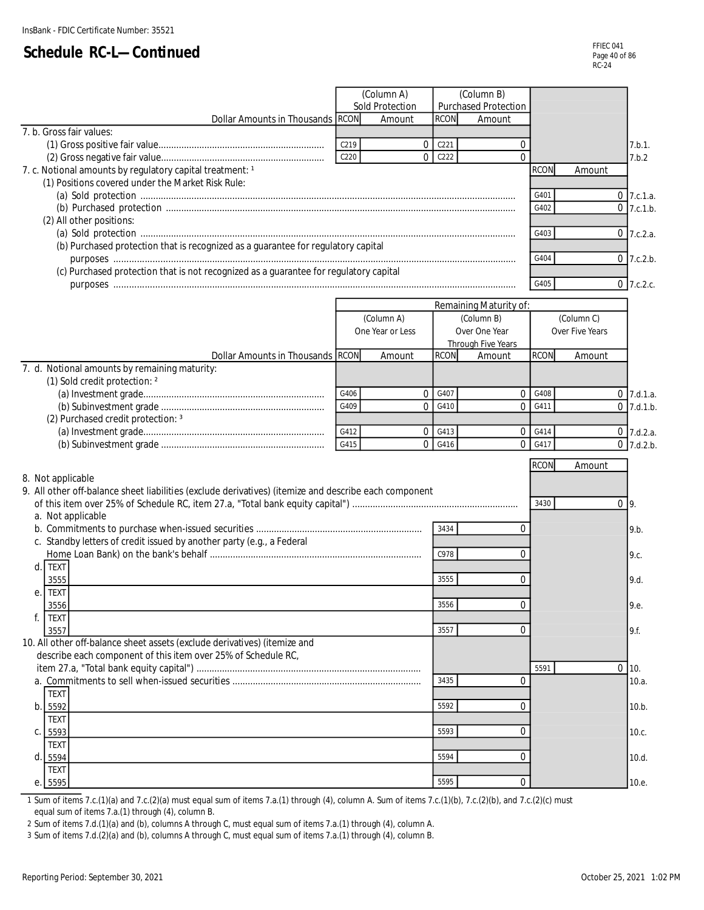|                                                                                                       |      | (Column A)       |             | (Column B)             |             |                 |              |        |
|-------------------------------------------------------------------------------------------------------|------|------------------|-------------|------------------------|-------------|-----------------|--------------|--------|
|                                                                                                       |      | Sold Protection  |             | Purchased Protection   |             |                 |              |        |
| Dollar Amounts in Thousands RCON                                                                      |      | Amount           | <b>RCON</b> | Amount                 |             |                 |              |        |
| 7. b. Gross fair values:                                                                              |      |                  |             |                        |             |                 |              |        |
|                                                                                                       | C219 | 0                | C221        | 0                      |             |                 |              | 7.b.1. |
|                                                                                                       | C220 | 0                | C222        | $\Omega$               |             |                 |              | 7.b.2  |
| 7. c. Notional amounts by regulatory capital treatment: 1                                             |      |                  |             |                        | <b>RCON</b> | Amount          |              |        |
| (1) Positions covered under the Market Risk Rule:                                                     |      |                  |             |                        |             |                 |              |        |
|                                                                                                       |      |                  |             |                        | G401        |                 | $0$ 7.c.1.a. |        |
|                                                                                                       |      |                  |             |                        | G402        |                 | $0$ 7.c.1.b. |        |
| (2) All other positions:                                                                              |      |                  |             |                        |             |                 |              |        |
|                                                                                                       |      |                  |             |                        | G403        |                 | $0$ 7.c.2.a. |        |
|                                                                                                       |      |                  |             |                        |             |                 |              |        |
| (b) Purchased protection that is recognized as a guarantee for regulatory capital                     |      |                  |             |                        |             |                 |              |        |
|                                                                                                       |      |                  |             |                        | G404        |                 | $0$ 7.c.2.b. |        |
| (c) Purchased protection that is not recognized as a guarantee for regulatory capital                 |      |                  |             |                        |             |                 |              |        |
|                                                                                                       |      |                  |             |                        | G405        |                 | $0$ 7.c.2.c. |        |
|                                                                                                       |      |                  |             |                        |             |                 |              |        |
|                                                                                                       |      |                  |             | Remaining Maturity of: |             |                 |              |        |
|                                                                                                       |      | (Column A)       |             | (Column B)             |             | (Column C)      |              |        |
|                                                                                                       |      | One Year or Less |             | Over One Year          |             | Over Five Years |              |        |
|                                                                                                       |      |                  |             | Through Five Years     |             |                 |              |        |
| Dollar Amounts in Thousands RCON                                                                      |      | Amount           | <b>RCON</b> | Amount                 | <b>RCON</b> | Amount          |              |        |
| 7. d. Notional amounts by remaining maturity:                                                         |      |                  |             |                        |             |                 |              |        |
| (1) Sold credit protection: 2                                                                         |      |                  |             |                        |             |                 |              |        |
|                                                                                                       | G406 | 0                | G407        |                        | 0 G408      |                 | $0$ 7.d.1.a. |        |
|                                                                                                       | G409 | $\Omega$         | G410        | $\Omega$               | G411        |                 | $0$ 7.d.1.b. |        |
| (2) Purchased credit protection: 3                                                                    |      |                  |             |                        |             |                 |              |        |
|                                                                                                       | G412 | 0                | G413        | $\overline{0}$         | G414        |                 | $0$ 7.d.2.a. |        |
|                                                                                                       | G415 | $\Omega$         | G416        | $\overline{0}$         | G417        |                 | $0$ 7.d.2.b. |        |
|                                                                                                       |      |                  |             |                        |             |                 |              |        |
|                                                                                                       |      |                  |             |                        | <b>RCON</b> | Amount          |              |        |
| 8. Not applicable                                                                                     |      |                  |             |                        |             |                 |              |        |
| 9. All other off-balance sheet liabilities (exclude derivatives) (itemize and describe each component |      |                  |             |                        |             |                 |              |        |
|                                                                                                       |      |                  |             |                        | 3430        |                 | $0\vert 9$ . |        |
| a. Not applicable                                                                                     |      |                  |             |                        |             |                 |              |        |
|                                                                                                       |      |                  | 3434        | 0                      |             |                 | 9.b.         |        |
| c. Standby letters of credit issued by another party (e.g., a Federal                                 |      |                  |             |                        |             |                 |              |        |
|                                                                                                       |      |                  | C978        | 0                      |             |                 | 9.c.         |        |
| d. TEXT                                                                                               |      |                  |             |                        |             |                 |              |        |
|                                                                                                       |      |                  | 3555        |                        |             |                 |              |        |
| 3555                                                                                                  |      |                  |             | 0                      |             |                 | 9.d.         |        |
| e. TEXT                                                                                               |      |                  |             |                        |             |                 |              |        |
| 3556                                                                                                  |      |                  | 3556        | 0                      |             |                 | 9.e.         |        |
| f.<br><b>TEXT</b>                                                                                     |      |                  |             |                        |             |                 |              |        |
| 3557                                                                                                  |      |                  | 3557        | 0                      |             |                 | 9.f.         |        |
| 10. All other off-balance sheet assets (exclude derivatives) (itemize and                             |      |                  |             |                        |             |                 |              |        |
| describe each component of this item over 25% of Schedule RC,                                         |      |                  |             |                        |             |                 |              |        |
|                                                                                                       |      |                  |             |                        | 5591        |                 | $0$ 10.      |        |
|                                                                                                       |      |                  | 3435        | $\Omega$               |             |                 |              | 10.a.  |
| <b>TEXT</b>                                                                                           |      |                  |             |                        |             |                 |              |        |
| b. 5592                                                                                               |      |                  | 5592        | 0                      |             |                 |              | 10.b.  |
| <b>TEXT</b>                                                                                           |      |                  |             |                        |             |                 |              |        |
|                                                                                                       |      |                  | 5593        | 0                      |             |                 |              |        |
| C. 5593                                                                                               |      |                  |             |                        |             |                 |              | 10.c.  |
| <b>TEXT</b>                                                                                           |      |                  |             |                        |             |                 |              |        |
| d. 5594                                                                                               |      |                  | 5594        | 0                      |             |                 |              | 10.d.  |
| <b>TEXT</b>                                                                                           |      |                  |             |                        |             |                 |              |        |
| e. 5595                                                                                               |      |                  | 5595        | 0                      |             |                 |              | 10.e.  |

1 Sum of items 7.c.(1)(a) and 7.c.(2)(a) must equal sum of items 7.a.(1) through (4), column A. Sum of items 7.c.(1)(b), 7.c.(2)(b), and 7.c.(2)(c) must equal sum of items 7.a.(1) through (4), column B.

2 Sum of items 7.d.(1)(a) and (b), columns A through C, must equal sum of items 7.a.(1) through (4), column A.

3 Sum of items 7.d.(2)(a) and (b), columns A through C, must equal sum of items 7.a.(1) through (4), column B.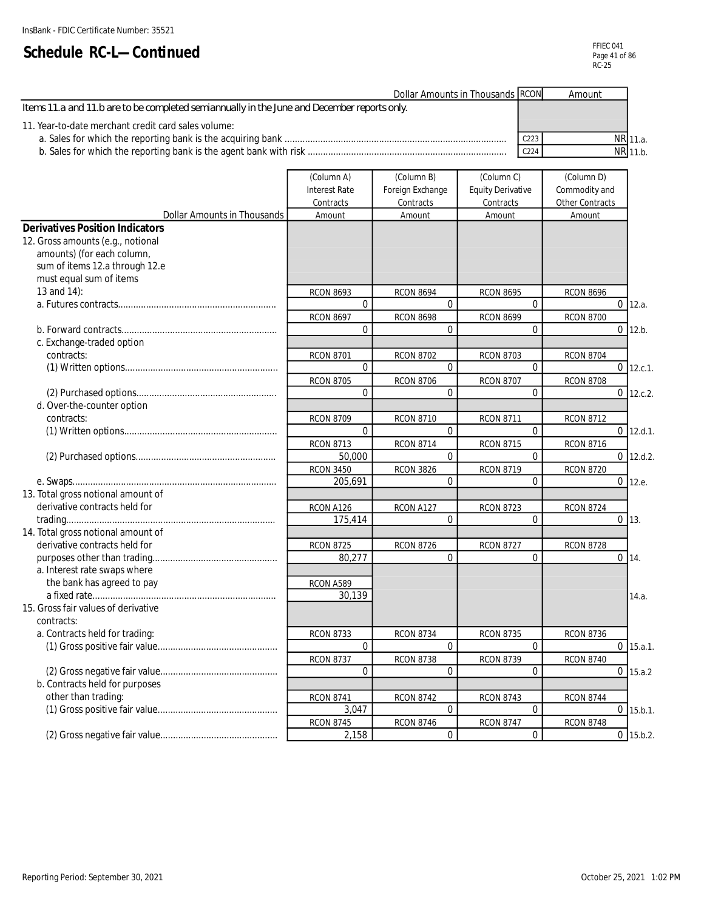| Dollar Amounts in Thousands RCON                                                            |                  | Amount |          |
|---------------------------------------------------------------------------------------------|------------------|--------|----------|
| Items 11.a and 11.b are to be completed semiannually in the June and December reports only. |                  |        |          |
| 11. Year-to-date merchant credit card sales volume:                                         |                  |        |          |
|                                                                                             | C <sub>223</sub> |        | NR 11.a. |
|                                                                                             | C <sub>224</sub> |        | NR 11.b. |
|                                                                                             |                  |        |          |

|                                        | (Column A)           | (Column B)       | (Column C)               | (Column D)       |                 |
|----------------------------------------|----------------------|------------------|--------------------------|------------------|-----------------|
|                                        | <b>Interest Rate</b> | Foreign Exchange | <b>Equity Derivative</b> | Commodity and    |                 |
|                                        | Contracts            | Contracts        | Contracts                | Other Contracts  |                 |
| Dollar Amounts in Thousands            | Amount               | Amount           | Amount                   | Amount           |                 |
| <b>Derivatives Position Indicators</b> |                      |                  |                          |                  |                 |
| 12. Gross amounts (e.g., notional      |                      |                  |                          |                  |                 |
| amounts) (for each column,             |                      |                  |                          |                  |                 |
| sum of items 12.a through 12.e         |                      |                  |                          |                  |                 |
| must equal sum of items                |                      |                  |                          |                  |                 |
| 13 and 14):                            | <b>RCON 8693</b>     | <b>RCON 8694</b> | <b>RCON 8695</b>         | <b>RCON 8696</b> |                 |
|                                        | $\Omega$             | $\Omega$         | $\Omega$                 |                  | $0 \vert 12.a.$ |
|                                        | <b>RCON 8697</b>     | <b>RCON 8698</b> | <b>RCON 8699</b>         | <b>RCON 8700</b> |                 |
|                                        | $\Omega$             | $\Omega$         | $\Omega$                 |                  | $0$ 12.b.       |
| c. Exchange-traded option              |                      |                  |                          |                  |                 |
| contracts:                             | <b>RCON 8701</b>     | <b>RCON 8702</b> | <b>RCON 8703</b>         | <b>RCON 8704</b> |                 |
|                                        | $\Omega$             | $\Omega$         | $\Omega$                 |                  | $0$ 12.c.1.     |
|                                        | <b>RCON 8705</b>     | <b>RCON 8706</b> | <b>RCON 8707</b>         | <b>RCON 8708</b> |                 |
|                                        | $\overline{0}$       | $\overline{0}$   | $\mathbf 0$              |                  | $0$ 12.c.2.     |
| d. Over-the-counter option             |                      |                  |                          |                  |                 |
| contracts:                             | <b>RCON 8709</b>     | <b>RCON 8710</b> | <b>RCON 8711</b>         | <b>RCON 8712</b> |                 |
|                                        | $\boldsymbol{0}$     | $\mathbf 0$      | $\mathbf 0$              |                  | $0$ 12.d.1.     |
|                                        | <b>RCON 8713</b>     | <b>RCON 8714</b> | <b>RCON 8715</b>         | <b>RCON 8716</b> |                 |
|                                        | 50,000               | $\overline{0}$   | $\mathbf{0}$             |                  | $0$ 12.d.2.     |
|                                        | <b>RCON 3450</b>     | <b>RCON 3826</b> | <b>RCON 8719</b>         | <b>RCON 8720</b> |                 |
|                                        | 205,691              | $\Omega$         | $\Omega$                 |                  | $0 \, 12.e.$    |
| 13. Total gross notional amount of     |                      |                  |                          |                  |                 |
| derivative contracts held for          | RCON A126            | RCON A127        | <b>RCON 8723</b>         | <b>RCON 8724</b> |                 |
|                                        | 175,414              | $\Omega$         | $\Omega$                 |                  | $0$ 13.         |
| 14. Total gross notional amount of     |                      |                  |                          |                  |                 |
| derivative contracts held for          | <b>RCON 8725</b>     | <b>RCON 8726</b> | <b>RCON 8727</b>         | <b>RCON 8728</b> |                 |
|                                        | 80,277               | $\Omega$         | $\mathbf{0}$             |                  | $0 \mid 14.$    |
| a. Interest rate swaps where           |                      |                  |                          |                  |                 |
| the bank has agreed to pay             | RCON A589            |                  |                          |                  |                 |
|                                        | 30,139               |                  |                          |                  | 14.a.           |
| 15. Gross fair values of derivative    |                      |                  |                          |                  |                 |
| contracts:                             |                      |                  |                          |                  |                 |
| a. Contracts held for trading:         | <b>RCON 8733</b>     | <b>RCON 8734</b> | <b>RCON 8735</b>         | <b>RCON 8736</b> |                 |
|                                        | $\overline{0}$       | $\Omega$         | $\Omega$                 |                  | $0$ 15.a.1.     |
|                                        | <b>RCON 8737</b>     | <b>RCON 8738</b> | <b>RCON 8739</b>         | <b>RCON 8740</b> |                 |
|                                        | $\Omega$             | $\Omega$         | $\Omega$                 |                  | $0$ 15.a.2      |
| b. Contracts held for purposes         |                      |                  |                          |                  |                 |
|                                        |                      |                  |                          |                  |                 |
| other than trading:                    | <b>RCON 8741</b>     | <b>RCON 8742</b> | <b>RCON 8743</b>         | <b>RCON 8744</b> |                 |
|                                        | 3,047                | $\mathbf 0$      | $\mathbf{0}$             |                  | $0$ 15.b.1.     |
|                                        | <b>RCON 8745</b>     | <b>RCON 8746</b> | <b>RCON 8747</b>         | <b>RCON 8748</b> |                 |
|                                        | 2,158                | $\mathbf 0$      | $\mathbf{0}$             |                  | $0$ 15.b.2.     |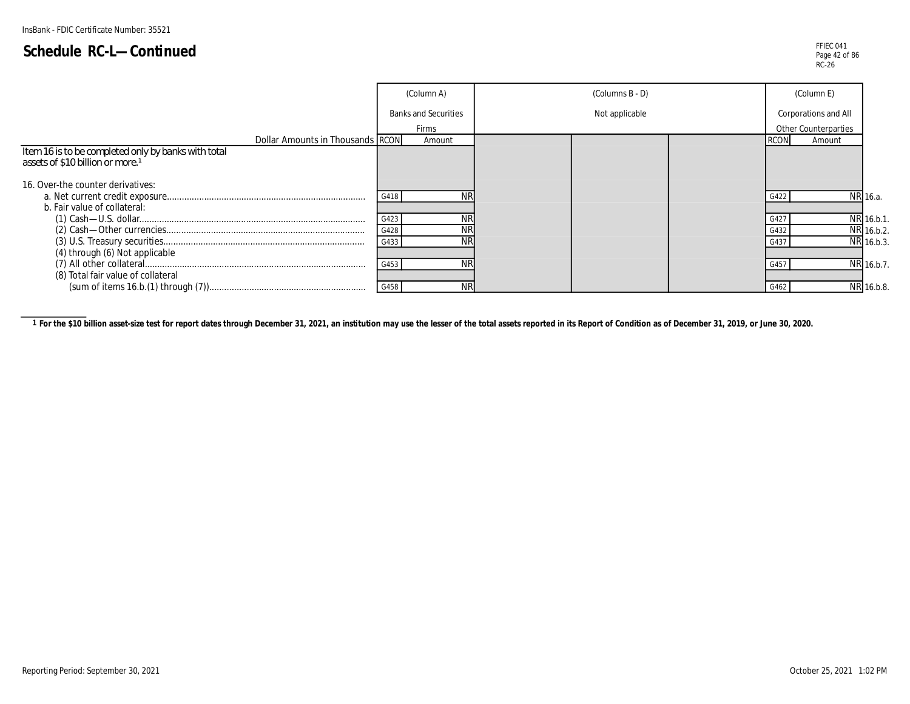FFIEC 041 Page 42 of 86 RC-26

|                                                                                                     | (Column A)                  | (Columns B - D) | (Column E)           |            |
|-----------------------------------------------------------------------------------------------------|-----------------------------|-----------------|----------------------|------------|
|                                                                                                     | <b>Banks and Securities</b> | Not applicable  | Corporations and All |            |
|                                                                                                     | <b>Firms</b>                |                 | Other Counterparties |            |
| Dollar Amounts in Thousands RCON                                                                    | Amount                      |                 |                      | Amount     |
| Item 16 is to be completed only by banks with total<br>assets of \$10 billion or more. <sup>1</sup> |                             |                 |                      |            |
| 16. Over-the counter derivatives:                                                                   |                             |                 |                      |            |
|                                                                                                     | G418                        |                 |                      | NR 16.a.   |
| b. Fair value of collateral:                                                                        |                             |                 |                      |            |
|                                                                                                     | ΝR<br>G423                  |                 | G42                  | NR 16.b.1. |
|                                                                                                     | ΝR<br>G428                  |                 | G432                 | NR 16.b.2. |
|                                                                                                     | <b>NR</b><br>G433           |                 | G43                  | NR 16.b.3. |
| (4) through (6) Not applicable                                                                      |                             |                 |                      |            |
|                                                                                                     | <b>NR</b><br>G453           |                 | G45                  | NR 16.b.7. |
| (8) Total fair value of collateral                                                                  |                             |                 |                      |            |
|                                                                                                     | <b>NR</b><br>G458           |                 | G462                 | NR 16.b.8. |

1 For the \$10 billion asset-size test for report dates through December 31, 2021, an institution may use the lesser of the total assets reported in its Report of Condition as of December 31, 2019, or June 30, 2020.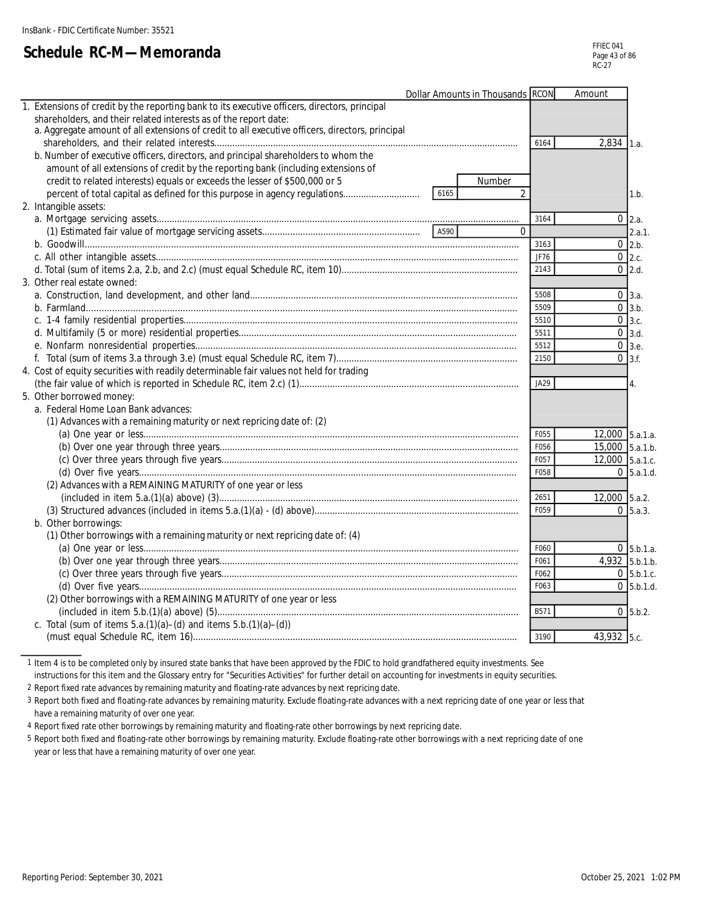# **Schedule RC-M—Memoranda**

|    | Dollar Amounts in Thousands RCON                                                                     |      | Amount          |                                  |
|----|------------------------------------------------------------------------------------------------------|------|-----------------|----------------------------------|
| 1. | Extensions of credit by the reporting bank to its executive officers, directors, principal           |      |                 |                                  |
|    | shareholders, and their related interests as of the report date:                                     |      |                 |                                  |
|    | a. Aggregate amount of all extensions of credit to all executive officers, directors, principal      |      |                 |                                  |
|    |                                                                                                      | 6164 | $2,834$ 1.a.    |                                  |
|    | b. Number of executive officers, directors, and principal shareholders to whom the                   |      |                 |                                  |
|    | amount of all extensions of credit by the reporting bank (including extensions of                    |      |                 |                                  |
|    | credit to related interests) equals or exceeds the lesser of \$500,000 or 5<br>Number                |      |                 |                                  |
|    | percent of total capital as defined for this purpose in agency regulations<br>$\overline{2}$<br>6165 |      |                 | 1.b.                             |
|    | 2. Intangible assets:                                                                                |      |                 |                                  |
|    |                                                                                                      | 3164 |                 | $0\vert 2.a.$                    |
|    | $\Omega$                                                                                             |      |                 | 2.a.1.                           |
|    |                                                                                                      | 3163 |                 | $0\,$ 2.b.                       |
|    |                                                                                                      | JF76 |                 | $0$ 2.c.                         |
|    |                                                                                                      | 2143 |                 | $0$ 2.d.                         |
|    | 3. Other real estate owned:                                                                          |      |                 |                                  |
|    |                                                                                                      | 5508 |                 | $0 \, 3.a.$                      |
|    |                                                                                                      | 5509 |                 | $0 \overline{\smash{\big)}3.b.}$ |
|    |                                                                                                      | 5510 |                 | $0 \,$ 3.c.                      |
|    |                                                                                                      | 5511 |                 | $0 \overline{\smash{\big)}3.d.}$ |
|    |                                                                                                      | 5512 |                 | $0 \,$ 3.e.                      |
|    |                                                                                                      | 2150 |                 | $0 \overline{3}$ .f.             |
|    | 4. Cost of equity securities with readily determinable fair values not held for trading              |      |                 |                                  |
|    |                                                                                                      | JA29 |                 | 4.                               |
|    | 5. Other borrowed money:                                                                             |      |                 |                                  |
|    | a. Federal Home Loan Bank advances:                                                                  |      |                 |                                  |
|    | (1) Advances with a remaining maturity or next repricing date of: (2)                                |      |                 |                                  |
|    |                                                                                                      | F055 | 12,000 5.a.1.a. |                                  |
|    |                                                                                                      | F056 | 15,000 5.a.1.b. |                                  |
|    |                                                                                                      | F057 | 12,000 5.a.1.c. |                                  |
|    |                                                                                                      | F058 |                 | $0\,$ 5.a.1.d.                   |
|    | (2) Advances with a REMAINING MATURITY of one year or less                                           |      |                 |                                  |
|    |                                                                                                      | 2651 | 12,000 5.a.2.   |                                  |
|    |                                                                                                      | F059 |                 | $0\,$ 5.a.3.                     |
|    | b. Other borrowings:                                                                                 |      |                 |                                  |
|    | (1) Other borrowings with a remaining maturity or next repricing date of: (4)                        |      |                 |                                  |
|    |                                                                                                      | F060 |                 | $0 \,$ 5.b.1.a.                  |
|    |                                                                                                      | F061 | 4,932 5.b.1.b.  |                                  |
|    |                                                                                                      | F062 |                 | $0\,$ 5.b.1.c.                   |
|    |                                                                                                      | F063 |                 | $0$ 5.b.1.d.                     |
|    | (2) Other borrowings with a REMAINING MATURITY of one year or less                                   |      |                 |                                  |
|    |                                                                                                      | B571 |                 | $0\,$ 5.b.2.                     |
|    | c. Total (sum of items $5.a.(1)(a) - (d)$ and items $5.b.(1)(a) - (d))$                              |      |                 |                                  |
|    |                                                                                                      | 3190 | 43,932 5.c.     |                                  |
|    |                                                                                                      |      |                 |                                  |

1 Item 4 is to be completed only by insured state banks that have been approved by the FDIC to hold grandfathered equity investments. See

instructions for this item and the Glossary entry for "Securities Activities" for further detail on accounting for investments in equity securities.

2 Report fixed rate advances by remaining maturity and floating-rate advances by next repricing date.

3 Report both fixed and floating-rate advances by remaining maturity. Exclude floating-rate advances with a next repricing date of one year or less that have a remaining maturity of over one year.

4 Report fixed rate other borrowings by remaining maturity and floating-rate other borrowings by next repricing date.

5 Report both fixed and floating-rate other borrowings by remaining maturity. Exclude floating-rate other borrowings with a next repricing date of one year or less that have a remaining maturity of over one year.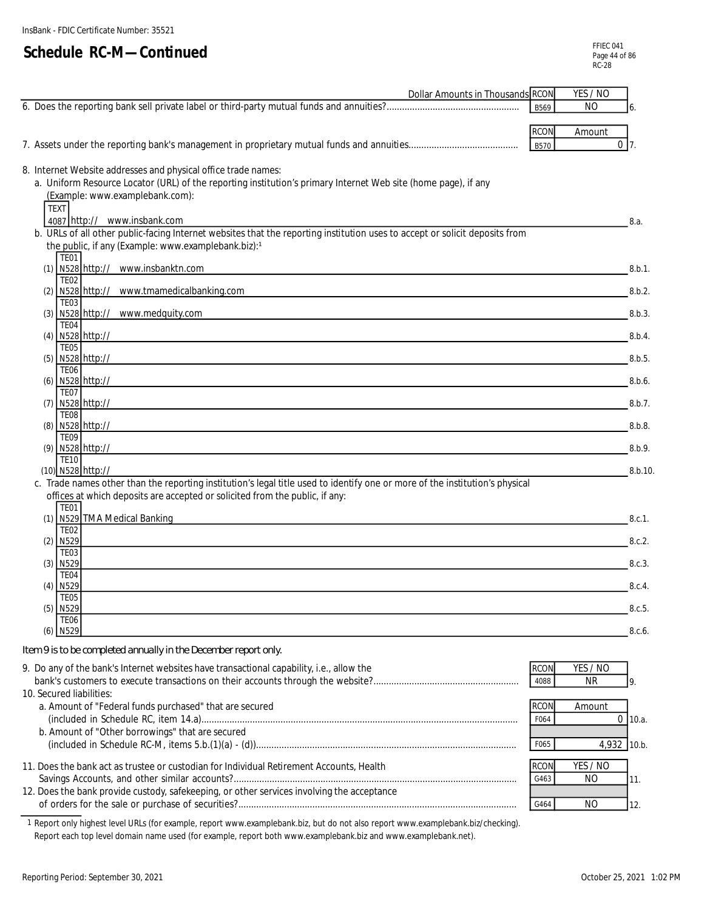| <b>Dollar Amounts in Thousands RCON</b>                                                                                                                                            |                     | YES / NO                   |              |
|------------------------------------------------------------------------------------------------------------------------------------------------------------------------------------|---------------------|----------------------------|--------------|
|                                                                                                                                                                                    | B569                | <b>NO</b>                  |              |
|                                                                                                                                                                                    | <b>RCON</b>         | Amount                     |              |
|                                                                                                                                                                                    | <b>B570</b>         |                            | $0\vert 7$ . |
| 8. Internet Website addresses and physical office trade names:                                                                                                                     |                     |                            |              |
| a. Uniform Resource Locator (URL) of the reporting institution's primary Internet Web site (home page), if any                                                                     |                     |                            |              |
| (Example: www.examplebank.com):<br><b>TEXT</b>                                                                                                                                     |                     |                            |              |
| 4087 http:// www.insbank.com                                                                                                                                                       |                     |                            | 8.a.         |
| b. URLs of all other public-facing Internet websites that the reporting institution uses to accept or solicit deposits from<br>the public, if any (Example: www.examplebank.biz):1 |                     |                            |              |
| TE01                                                                                                                                                                               |                     |                            |              |
| (1) N528 http:// www.insbanktn.com<br><u> 1989 - Johann Barnett, fransk politiker (d. 1989)</u><br><b>TE02</b>                                                                     |                     |                            | 8.b.1.       |
| (2) N528 http:// www.tmamedicalbanking.com<br><b>TE03</b>                                                                                                                          |                     |                            | 8.b.2.       |
| (3) N528 http:// www.medquity.com                                                                                                                                                  |                     |                            | 8.b.3.       |
| TE04<br>(4) N528 http://                                                                                                                                                           |                     |                            | 8.b.4.       |
| <b>TE05</b><br>(5) N528 http://                                                                                                                                                    |                     |                            | 8.b.5        |
| TE <sub>06</sub>                                                                                                                                                                   |                     |                            |              |
| (6) N528 http://<br>and the control of the control of the control of the control of the control of the control of the control of the<br><b>TE07</b>                                |                     |                            | 8.b.6.       |
| (7) N528 http://<br><u> 1989 - Johann Stoff, amerikansk politiker (d. 1989)</u>                                                                                                    |                     |                            | 8.b.7.       |
| <b>TE08</b><br>(8) N528 http://<br>and the control of the control of the control of the control of the control of the control of the control of the                                |                     |                            | 8.b.8.       |
| <b>TE09</b><br>(9) N528 http://                                                                                                                                                    |                     |                            | 8.b.9.       |
| <b>TE10</b>                                                                                                                                                                        |                     |                            |              |
| (10) N528 http://<br>c. Trade names other than the reporting institution's legal title used to identify one or more of the institution's physical                                  |                     |                            | 8.b.10       |
| offices at which deposits are accepted or solicited from the public, if any:                                                                                                       |                     |                            |              |
| <b>TE01</b><br>(1) N529 TMA Medical Banking                                                                                                                                        |                     |                            | 8.c.1.       |
| <b>TE02</b><br>$(2)$ N <sub>529</sub>                                                                                                                                              |                     |                            | 8.c.2.       |
| <b>TE03</b>                                                                                                                                                                        |                     |                            |              |
| $(3)$ N529<br>TE <sub>04</sub>                                                                                                                                                     |                     |                            | 8.c.3.       |
| $(4)$ N529                                                                                                                                                                         |                     |                            | 8.c.4.       |
| TE05<br>$(5)$ N529                                                                                                                                                                 |                     |                            | 8.c.5.       |
| TE <sub>06</sub><br>$(6)$ N529                                                                                                                                                     |                     |                            | 8.c.6.       |
| Item 9 is to be completed annually in the December report only.                                                                                                                    |                     |                            |              |
| 9. Do any of the bank's Internet websites have transactional capability, i.e., allow the                                                                                           | <b>RCON</b>         | YES / NO                   |              |
|                                                                                                                                                                                    | 4088                | <b>NR</b>                  | 9.           |
| 10. Secured liabilities:<br>a. Amount of "Federal funds purchased" that are secured                                                                                                | <b>RCON</b>         | Amount                     |              |
|                                                                                                                                                                                    | F064                |                            | $0$ 10.a.    |
| b. Amount of "Other borrowings" that are secured                                                                                                                                   | F065                | 4,932 10.b.                |              |
|                                                                                                                                                                                    |                     |                            |              |
| 11. Does the bank act as trustee or custodian for Individual Retirement Accounts, Health                                                                                           | <b>RCON</b><br>G463 | YES / NO<br>N <sub>O</sub> | 11.          |
| 12. Does the bank provide custody, safekeeping, or other services involving the acceptance                                                                                         |                     |                            |              |
|                                                                                                                                                                                    | G464                | <b>NO</b>                  | 12.          |

1 Report only highest level URLs (for example, report www.examplebank.biz, but do not also report www.examplebank.biz/checking). Report each top level domain name used (for example, report both www.examplebank.biz and www.examplebank.net).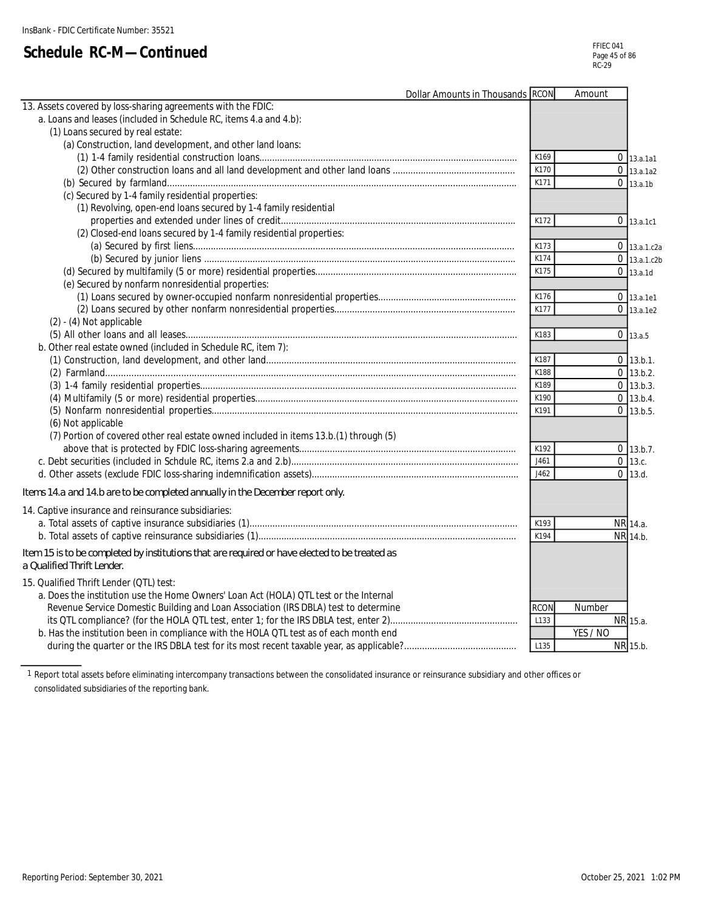| a. Loans and leases (included in Schedule RC, items 4.a and 4.b):<br>(1) Loans secured by real estate:<br>(a) Construction, land development, and other land loans:<br>K169<br>$0$ 13.a.1a1<br>K170<br>$0$ 13.a.1a2<br>K171<br>$0$ 13.a.1b<br>(c) Secured by 1-4 family residential properties:<br>(1) Revolving, open-end loans secured by 1-4 family residential<br>K172<br>$0$ 13.a.1c1<br>(2) Closed-end loans secured by 1-4 family residential properties:<br>K173<br>$0$ 13.a.1.c2a<br>K174<br>$0$ 13.a.1.c2b<br>K175<br>$0$ 13.a.1d<br>(e) Secured by nonfarm nonresidential properties:<br>K176<br>0 13.a.1e1<br>K177<br>$0$ 13.a.1e2<br>$(2) - (4)$ Not applicable<br>K183<br>$0$ 13.a.5<br>b. Other real estate owned (included in Schedule RC, item 7):<br>K187<br>$0$ 13.b.1.<br>K188<br>$0$ 13.b.2.<br>$0$ 13.b.3.<br>K189<br>$0$ 13.b.4.<br>K190<br>$0$ 13.b.5.<br>K191<br>(6) Not applicable<br>(7) Portion of covered other real estate owned included in items 13.b.(1) through (5)<br>K192<br>$0$ 13.b.7.<br>$0$ 13.c.<br>J461<br>J462<br>$0$ 13.d.<br>14. Captive insurance and reinsurance subsidiaries:<br>K193<br>NR 14.a.<br>K194<br>NR 14.b.<br>Item 15 is to be completed by institutions that are required or have elected to be treated as<br>15. Qualified Thrift Lender (QTL) test:<br>a. Does the institution use the Home Owners' Loan Act (HOLA) QTL test or the Internal<br>Revenue Service Domestic Building and Loan Association (IRS DBLA) test to determine<br><b>RCON</b><br>Number<br>L133<br>NR 15.a.<br>YES / NO<br>b. Has the institution been in compliance with the HOLA QTL test as of each month end<br>NR 15.b.<br>L135 |                                                                               | Dollar Amounts in Thousands RCON | Amount |  |
|-------------------------------------------------------------------------------------------------------------------------------------------------------------------------------------------------------------------------------------------------------------------------------------------------------------------------------------------------------------------------------------------------------------------------------------------------------------------------------------------------------------------------------------------------------------------------------------------------------------------------------------------------------------------------------------------------------------------------------------------------------------------------------------------------------------------------------------------------------------------------------------------------------------------------------------------------------------------------------------------------------------------------------------------------------------------------------------------------------------------------------------------------------------------------------------------------------------------------------------------------------------------------------------------------------------------------------------------------------------------------------------------------------------------------------------------------------------------------------------------------------------------------------------------------------------------------------------------------------------------------------------------------------------------------|-------------------------------------------------------------------------------|----------------------------------|--------|--|
|                                                                                                                                                                                                                                                                                                                                                                                                                                                                                                                                                                                                                                                                                                                                                                                                                                                                                                                                                                                                                                                                                                                                                                                                                                                                                                                                                                                                                                                                                                                                                                                                                                                                         | 13. Assets covered by loss-sharing agreements with the FDIC:                  |                                  |        |  |
|                                                                                                                                                                                                                                                                                                                                                                                                                                                                                                                                                                                                                                                                                                                                                                                                                                                                                                                                                                                                                                                                                                                                                                                                                                                                                                                                                                                                                                                                                                                                                                                                                                                                         |                                                                               |                                  |        |  |
|                                                                                                                                                                                                                                                                                                                                                                                                                                                                                                                                                                                                                                                                                                                                                                                                                                                                                                                                                                                                                                                                                                                                                                                                                                                                                                                                                                                                                                                                                                                                                                                                                                                                         |                                                                               |                                  |        |  |
|                                                                                                                                                                                                                                                                                                                                                                                                                                                                                                                                                                                                                                                                                                                                                                                                                                                                                                                                                                                                                                                                                                                                                                                                                                                                                                                                                                                                                                                                                                                                                                                                                                                                         |                                                                               |                                  |        |  |
|                                                                                                                                                                                                                                                                                                                                                                                                                                                                                                                                                                                                                                                                                                                                                                                                                                                                                                                                                                                                                                                                                                                                                                                                                                                                                                                                                                                                                                                                                                                                                                                                                                                                         |                                                                               |                                  |        |  |
|                                                                                                                                                                                                                                                                                                                                                                                                                                                                                                                                                                                                                                                                                                                                                                                                                                                                                                                                                                                                                                                                                                                                                                                                                                                                                                                                                                                                                                                                                                                                                                                                                                                                         |                                                                               |                                  |        |  |
|                                                                                                                                                                                                                                                                                                                                                                                                                                                                                                                                                                                                                                                                                                                                                                                                                                                                                                                                                                                                                                                                                                                                                                                                                                                                                                                                                                                                                                                                                                                                                                                                                                                                         |                                                                               |                                  |        |  |
|                                                                                                                                                                                                                                                                                                                                                                                                                                                                                                                                                                                                                                                                                                                                                                                                                                                                                                                                                                                                                                                                                                                                                                                                                                                                                                                                                                                                                                                                                                                                                                                                                                                                         |                                                                               |                                  |        |  |
|                                                                                                                                                                                                                                                                                                                                                                                                                                                                                                                                                                                                                                                                                                                                                                                                                                                                                                                                                                                                                                                                                                                                                                                                                                                                                                                                                                                                                                                                                                                                                                                                                                                                         |                                                                               |                                  |        |  |
|                                                                                                                                                                                                                                                                                                                                                                                                                                                                                                                                                                                                                                                                                                                                                                                                                                                                                                                                                                                                                                                                                                                                                                                                                                                                                                                                                                                                                                                                                                                                                                                                                                                                         |                                                                               |                                  |        |  |
|                                                                                                                                                                                                                                                                                                                                                                                                                                                                                                                                                                                                                                                                                                                                                                                                                                                                                                                                                                                                                                                                                                                                                                                                                                                                                                                                                                                                                                                                                                                                                                                                                                                                         |                                                                               |                                  |        |  |
|                                                                                                                                                                                                                                                                                                                                                                                                                                                                                                                                                                                                                                                                                                                                                                                                                                                                                                                                                                                                                                                                                                                                                                                                                                                                                                                                                                                                                                                                                                                                                                                                                                                                         |                                                                               |                                  |        |  |
|                                                                                                                                                                                                                                                                                                                                                                                                                                                                                                                                                                                                                                                                                                                                                                                                                                                                                                                                                                                                                                                                                                                                                                                                                                                                                                                                                                                                                                                                                                                                                                                                                                                                         |                                                                               |                                  |        |  |
|                                                                                                                                                                                                                                                                                                                                                                                                                                                                                                                                                                                                                                                                                                                                                                                                                                                                                                                                                                                                                                                                                                                                                                                                                                                                                                                                                                                                                                                                                                                                                                                                                                                                         |                                                                               |                                  |        |  |
|                                                                                                                                                                                                                                                                                                                                                                                                                                                                                                                                                                                                                                                                                                                                                                                                                                                                                                                                                                                                                                                                                                                                                                                                                                                                                                                                                                                                                                                                                                                                                                                                                                                                         |                                                                               |                                  |        |  |
|                                                                                                                                                                                                                                                                                                                                                                                                                                                                                                                                                                                                                                                                                                                                                                                                                                                                                                                                                                                                                                                                                                                                                                                                                                                                                                                                                                                                                                                                                                                                                                                                                                                                         |                                                                               |                                  |        |  |
|                                                                                                                                                                                                                                                                                                                                                                                                                                                                                                                                                                                                                                                                                                                                                                                                                                                                                                                                                                                                                                                                                                                                                                                                                                                                                                                                                                                                                                                                                                                                                                                                                                                                         |                                                                               |                                  |        |  |
|                                                                                                                                                                                                                                                                                                                                                                                                                                                                                                                                                                                                                                                                                                                                                                                                                                                                                                                                                                                                                                                                                                                                                                                                                                                                                                                                                                                                                                                                                                                                                                                                                                                                         |                                                                               |                                  |        |  |
|                                                                                                                                                                                                                                                                                                                                                                                                                                                                                                                                                                                                                                                                                                                                                                                                                                                                                                                                                                                                                                                                                                                                                                                                                                                                                                                                                                                                                                                                                                                                                                                                                                                                         |                                                                               |                                  |        |  |
|                                                                                                                                                                                                                                                                                                                                                                                                                                                                                                                                                                                                                                                                                                                                                                                                                                                                                                                                                                                                                                                                                                                                                                                                                                                                                                                                                                                                                                                                                                                                                                                                                                                                         |                                                                               |                                  |        |  |
|                                                                                                                                                                                                                                                                                                                                                                                                                                                                                                                                                                                                                                                                                                                                                                                                                                                                                                                                                                                                                                                                                                                                                                                                                                                                                                                                                                                                                                                                                                                                                                                                                                                                         |                                                                               |                                  |        |  |
|                                                                                                                                                                                                                                                                                                                                                                                                                                                                                                                                                                                                                                                                                                                                                                                                                                                                                                                                                                                                                                                                                                                                                                                                                                                                                                                                                                                                                                                                                                                                                                                                                                                                         |                                                                               |                                  |        |  |
|                                                                                                                                                                                                                                                                                                                                                                                                                                                                                                                                                                                                                                                                                                                                                                                                                                                                                                                                                                                                                                                                                                                                                                                                                                                                                                                                                                                                                                                                                                                                                                                                                                                                         |                                                                               |                                  |        |  |
|                                                                                                                                                                                                                                                                                                                                                                                                                                                                                                                                                                                                                                                                                                                                                                                                                                                                                                                                                                                                                                                                                                                                                                                                                                                                                                                                                                                                                                                                                                                                                                                                                                                                         |                                                                               |                                  |        |  |
|                                                                                                                                                                                                                                                                                                                                                                                                                                                                                                                                                                                                                                                                                                                                                                                                                                                                                                                                                                                                                                                                                                                                                                                                                                                                                                                                                                                                                                                                                                                                                                                                                                                                         |                                                                               |                                  |        |  |
|                                                                                                                                                                                                                                                                                                                                                                                                                                                                                                                                                                                                                                                                                                                                                                                                                                                                                                                                                                                                                                                                                                                                                                                                                                                                                                                                                                                                                                                                                                                                                                                                                                                                         |                                                                               |                                  |        |  |
|                                                                                                                                                                                                                                                                                                                                                                                                                                                                                                                                                                                                                                                                                                                                                                                                                                                                                                                                                                                                                                                                                                                                                                                                                                                                                                                                                                                                                                                                                                                                                                                                                                                                         |                                                                               |                                  |        |  |
|                                                                                                                                                                                                                                                                                                                                                                                                                                                                                                                                                                                                                                                                                                                                                                                                                                                                                                                                                                                                                                                                                                                                                                                                                                                                                                                                                                                                                                                                                                                                                                                                                                                                         |                                                                               |                                  |        |  |
|                                                                                                                                                                                                                                                                                                                                                                                                                                                                                                                                                                                                                                                                                                                                                                                                                                                                                                                                                                                                                                                                                                                                                                                                                                                                                                                                                                                                                                                                                                                                                                                                                                                                         |                                                                               |                                  |        |  |
|                                                                                                                                                                                                                                                                                                                                                                                                                                                                                                                                                                                                                                                                                                                                                                                                                                                                                                                                                                                                                                                                                                                                                                                                                                                                                                                                                                                                                                                                                                                                                                                                                                                                         |                                                                               |                                  |        |  |
|                                                                                                                                                                                                                                                                                                                                                                                                                                                                                                                                                                                                                                                                                                                                                                                                                                                                                                                                                                                                                                                                                                                                                                                                                                                                                                                                                                                                                                                                                                                                                                                                                                                                         | Items 14.a and 14.b are to be completed annually in the December report only. |                                  |        |  |
|                                                                                                                                                                                                                                                                                                                                                                                                                                                                                                                                                                                                                                                                                                                                                                                                                                                                                                                                                                                                                                                                                                                                                                                                                                                                                                                                                                                                                                                                                                                                                                                                                                                                         |                                                                               |                                  |        |  |
|                                                                                                                                                                                                                                                                                                                                                                                                                                                                                                                                                                                                                                                                                                                                                                                                                                                                                                                                                                                                                                                                                                                                                                                                                                                                                                                                                                                                                                                                                                                                                                                                                                                                         |                                                                               |                                  |        |  |
|                                                                                                                                                                                                                                                                                                                                                                                                                                                                                                                                                                                                                                                                                                                                                                                                                                                                                                                                                                                                                                                                                                                                                                                                                                                                                                                                                                                                                                                                                                                                                                                                                                                                         |                                                                               |                                  |        |  |
|                                                                                                                                                                                                                                                                                                                                                                                                                                                                                                                                                                                                                                                                                                                                                                                                                                                                                                                                                                                                                                                                                                                                                                                                                                                                                                                                                                                                                                                                                                                                                                                                                                                                         |                                                                               |                                  |        |  |
|                                                                                                                                                                                                                                                                                                                                                                                                                                                                                                                                                                                                                                                                                                                                                                                                                                                                                                                                                                                                                                                                                                                                                                                                                                                                                                                                                                                                                                                                                                                                                                                                                                                                         | a Qualified Thrift Lender.                                                    |                                  |        |  |
|                                                                                                                                                                                                                                                                                                                                                                                                                                                                                                                                                                                                                                                                                                                                                                                                                                                                                                                                                                                                                                                                                                                                                                                                                                                                                                                                                                                                                                                                                                                                                                                                                                                                         |                                                                               |                                  |        |  |
|                                                                                                                                                                                                                                                                                                                                                                                                                                                                                                                                                                                                                                                                                                                                                                                                                                                                                                                                                                                                                                                                                                                                                                                                                                                                                                                                                                                                                                                                                                                                                                                                                                                                         |                                                                               |                                  |        |  |
|                                                                                                                                                                                                                                                                                                                                                                                                                                                                                                                                                                                                                                                                                                                                                                                                                                                                                                                                                                                                                                                                                                                                                                                                                                                                                                                                                                                                                                                                                                                                                                                                                                                                         |                                                                               |                                  |        |  |
|                                                                                                                                                                                                                                                                                                                                                                                                                                                                                                                                                                                                                                                                                                                                                                                                                                                                                                                                                                                                                                                                                                                                                                                                                                                                                                                                                                                                                                                                                                                                                                                                                                                                         |                                                                               |                                  |        |  |
|                                                                                                                                                                                                                                                                                                                                                                                                                                                                                                                                                                                                                                                                                                                                                                                                                                                                                                                                                                                                                                                                                                                                                                                                                                                                                                                                                                                                                                                                                                                                                                                                                                                                         |                                                                               |                                  |        |  |
|                                                                                                                                                                                                                                                                                                                                                                                                                                                                                                                                                                                                                                                                                                                                                                                                                                                                                                                                                                                                                                                                                                                                                                                                                                                                                                                                                                                                                                                                                                                                                                                                                                                                         |                                                                               |                                  |        |  |

1 Report total assets before eliminating intercompany transactions between the consolidated insurance or reinsurance subsidiary and other offices or consolidated subsidiaries of the reporting bank.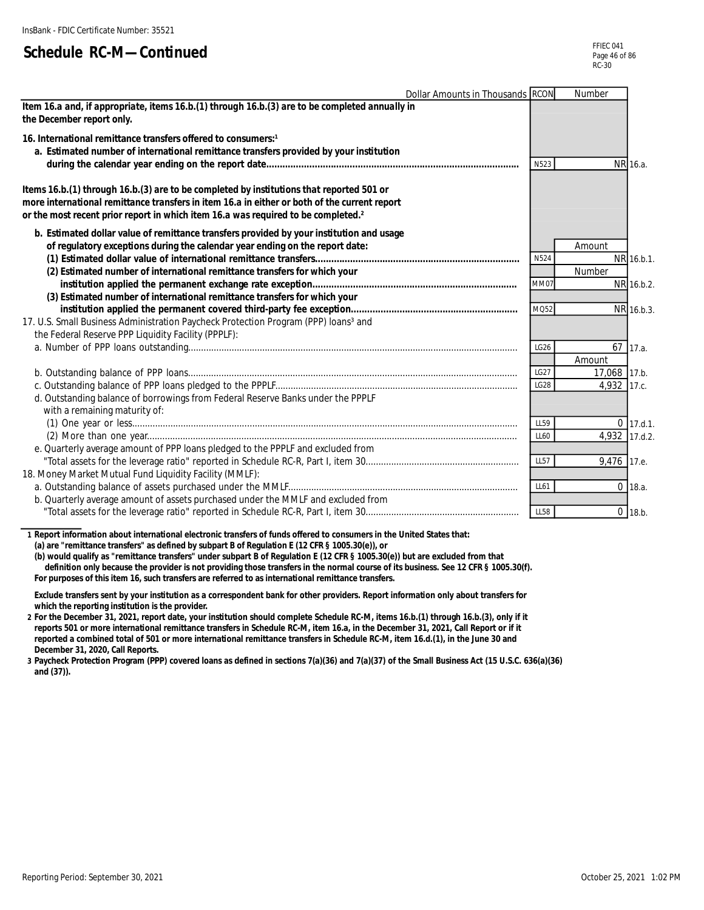| Dollar Amounts in Thousands RCON                                                                                                                                                                                                                                                          |                  | Number        |             |
|-------------------------------------------------------------------------------------------------------------------------------------------------------------------------------------------------------------------------------------------------------------------------------------------|------------------|---------------|-------------|
| Item 16.a and, if appropriate, items 16.b.(1) through 16.b.(3) are to be completed annually in<br>the December report only.                                                                                                                                                               |                  |               |             |
| 16. International remittance transfers offered to consumers:1<br>a. Estimated number of international remittance transfers provided by your institution                                                                                                                                   | N523             |               | NR 16.a.    |
|                                                                                                                                                                                                                                                                                           |                  |               |             |
| Items 16.b.(1) through 16.b.(3) are to be completed by institutions that reported 501 or<br>more international remittance transfers in item 16.a in either or both of the current report<br>or the most recent prior report in which item 16.a was required to be completed. <sup>2</sup> |                  |               |             |
| b. Estimated dollar value of remittance transfers provided by your institution and usage<br>of regulatory exceptions during the calendar year ending on the report date:                                                                                                                  |                  | Amount        |             |
|                                                                                                                                                                                                                                                                                           | N524             |               | NR 16.b.1.  |
| (2) Estimated number of international remittance transfers for which your                                                                                                                                                                                                                 |                  | Number        |             |
|                                                                                                                                                                                                                                                                                           | <b>MM07</b>      |               | NR 16.b.2.  |
| (3) Estimated number of international remittance transfers for which your                                                                                                                                                                                                                 |                  |               |             |
|                                                                                                                                                                                                                                                                                           | MQ52             |               | NR 16.b.3.  |
| 17. U.S. Small Business Administration Paycheck Protection Program (PPP) loans <sup>3</sup> and<br>the Federal Reserve PPP Liquidity Facility (PPPLF):                                                                                                                                    |                  |               |             |
|                                                                                                                                                                                                                                                                                           | LG <sub>26</sub> |               | $67$ 17.a.  |
|                                                                                                                                                                                                                                                                                           |                  | Amount        |             |
|                                                                                                                                                                                                                                                                                           | LG27             | 17,068 17.b.  |             |
| d. Outstanding balance of borrowings from Federal Reserve Banks under the PPPLF<br>with a remaining maturity of:                                                                                                                                                                          | LG28             | 4.932 17.c.   |             |
|                                                                                                                                                                                                                                                                                           | LL59             |               | $0$ 17.d.1. |
|                                                                                                                                                                                                                                                                                           | LL60             | 4,932 17.d.2. |             |
| e. Quarterly average amount of PPP loans pledged to the PPPLF and excluded from                                                                                                                                                                                                           |                  |               |             |
|                                                                                                                                                                                                                                                                                           | <b>LL57</b>      | 9,476 17.e.   |             |
| 18. Money Market Mutual Fund Liquidity Facility (MMLF):                                                                                                                                                                                                                                   |                  |               |             |
| b. Quarterly average amount of assets purchased under the MMLF and excluded from                                                                                                                                                                                                          | <b>LL61</b>      |               | $0$ 18.a.   |
|                                                                                                                                                                                                                                                                                           | <b>LL58</b>      |               | $0$ 18.b.   |
|                                                                                                                                                                                                                                                                                           |                  |               |             |

**1 Report information about international electronic transfers of funds offered to consumers in the United States that:**

**(a) are "remittance transfers" as defined by subpart B of Regulation E (12 CFR § 1005.30(e)), or**

**(b) would qualify as "remittance transfers" under subpart B of Regulation E (12 CFR § 1005.30(e)) but are excluded from that definition only because the provider is not providing those transfers in the normal course of its business. See 12 CFR § 1005.30(f). For purposes of this item 16, such transfers are referred to as international remittance transfers.**

**Exclude transfers sent by your institution as a correspondent bank for other providers. Report information only about transfers for which the reporting institution is the provider.**

**2 For the December 31, 2021, report date, your institution should complete Schedule RC-M, items 16.b.(1) through 16.b.(3), only if it reports 501 or more international remittance transfers in Schedule RC-M, item 16.a, in the December 31, 2021, Call Report or if it reported a combined total of 501 or more international remittance transfers in Schedule RC-M, item 16.d.(1), in the June 30 and December 31, 2020, Call Reports.**

**3 Paycheck Protection Program (PPP) covered loans as defined in sections 7(a)(36) and 7(a)(37) of the Small Business Act (15 U.S.C. 636(a)(36) and (37)).**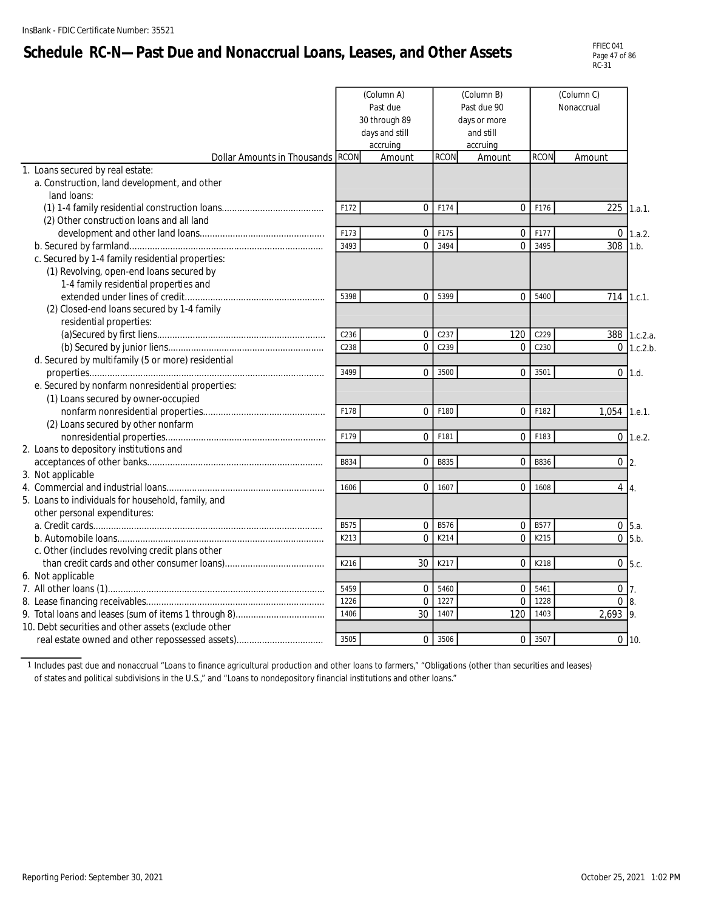# **Schedule RC-N—Past Due and Nonaccrual Loans, Leases, and Other Assets**

|                                                             |                  | (Column A)<br>Past due<br>30 through 89<br>days and still<br>accruing |              | (Column B)<br>Past due 90<br>days or more<br>and still<br>accruing |              |                          |                |
|-------------------------------------------------------------|------------------|-----------------------------------------------------------------------|--------------|--------------------------------------------------------------------|--------------|--------------------------|----------------|
| Dollar Amounts in Thousands RCON                            |                  | Amount                                                                | <b>RCON</b>  | Amount                                                             | <b>RCON</b>  | Amount                   |                |
| 1. Loans secured by real estate:                            |                  |                                                                       |              |                                                                    |              |                          |                |
| a. Construction, land development, and other<br>land loans: |                  |                                                                       |              |                                                                    |              |                          |                |
|                                                             | F172             | $\Omega$                                                              | F174         | $\overline{0}$                                                     | F176         | 225                      | 1.a.1.         |
| (2) Other construction loans and all land                   |                  |                                                                       |              |                                                                    |              |                          |                |
|                                                             | F173             | $\mathbf{0}$                                                          | F175         | $\overline{0}$                                                     | F177         | $\overline{0}$           | 1.a.2.         |
|                                                             | 3493             | $\Omega$                                                              | 3494         | $\Omega$                                                           | 3495         | 308                      | 1.h.           |
| c. Secured by 1-4 family residential properties:            |                  |                                                                       |              |                                                                    |              |                          |                |
| (1) Revolving, open-end loans secured by                    |                  |                                                                       |              |                                                                    |              |                          |                |
| 1-4 family residential properties and                       |                  |                                                                       |              |                                                                    |              |                          |                |
|                                                             | 5398             | $\Omega$                                                              | 5399         | 0                                                                  | 5400         | 714                      | 1.c.1.         |
| (2) Closed-end loans secured by 1-4 family                  |                  |                                                                       |              |                                                                    |              |                          |                |
| residential properties:                                     |                  |                                                                       |              |                                                                    |              |                          |                |
|                                                             | C <sub>236</sub> | $\mathbf{0}$                                                          | C237         | 120                                                                | C229         |                          | 388 1.c.2.a.   |
|                                                             | C238             | $\Omega$                                                              | C239         | 0                                                                  | C230         | $\Omega$                 | 1.c.2.b.       |
| d. Secured by multifamily (5 or more) residential           |                  |                                                                       |              |                                                                    |              |                          |                |
|                                                             | 3499             | $\Omega$                                                              | 3500         | $\overline{0}$                                                     | 3501         | $\overline{0}$           | 1.d.           |
| e. Secured by nonfarm nonresidential properties:            |                  |                                                                       |              |                                                                    |              |                          |                |
| (1) Loans secured by owner-occupied                         |                  |                                                                       |              |                                                                    |              |                          |                |
|                                                             | F178             | $\Omega$                                                              | F180         | 0                                                                  | F182         | 1,054                    | 1.e.1.         |
| (2) Loans secured by other nonfarm                          |                  |                                                                       |              |                                                                    |              |                          |                |
|                                                             | F179             | $\Omega$                                                              | F181         | $\Omega$                                                           | F183         |                          | $0$ 1.e.2.     |
| 2. Loans to depository institutions and                     |                  |                                                                       |              |                                                                    |              |                          |                |
|                                                             | B834             | $\mathbf{0}$                                                          | B835         | 0                                                                  | B836         | $0\vert 2$ .             |                |
| 3. Not applicable                                           |                  |                                                                       |              |                                                                    |              |                          |                |
|                                                             | 1606             | $\Omega$                                                              | 1607         | $\overline{0}$                                                     | 1608         | $4 \mid 4$ .             |                |
| 5. Loans to individuals for household, family, and          |                  |                                                                       |              |                                                                    |              |                          |                |
| other personal expenditures:                                |                  |                                                                       |              |                                                                    |              |                          |                |
|                                                             | B575             | $\mathbf{0}$                                                          | B576         | 0                                                                  | B577         |                          | $0 \vert 5.a.$ |
|                                                             | K213             | $\mathbf 0$                                                           | K214         | $\overline{0}$                                                     | K215         |                          | $0$ 5.b.       |
| c. Other (includes revolving credit plans other             |                  |                                                                       |              |                                                                    |              |                          |                |
|                                                             | K216             | 30                                                                    | K217         | $\Omega$                                                           | K218         |                          | $0\,$ 5.c.     |
| 6. Not applicable                                           |                  |                                                                       |              |                                                                    |              |                          |                |
|                                                             | 5459<br>1226     | $\mathbf 0$<br>$\Omega$                                               | 5460<br>1227 | 0<br>$\Omega$                                                      | 5461<br>1228 | $0\vert 7$ .<br>$\Omega$ |                |
|                                                             | 1406             | 30                                                                    | 1407         | 120                                                                | 1403         | 2,693                    |                |
| 10. Debt securities and other assets (exclude other         |                  |                                                                       |              |                                                                    |              |                          | 19.            |
|                                                             | 3505             | $\Omega$                                                              | 3506         | $\overline{0}$                                                     | 3507         |                          | $0 \mid 10.$   |
|                                                             |                  |                                                                       |              |                                                                    |              |                          |                |

1 Includes past due and nonaccrual "Loans to finance agricultural production and other loans to farmers," "Obligations (other than securities and leases) of states and political subdivisions in the U.S.," and "Loans to nondepository financial institutions and other loans."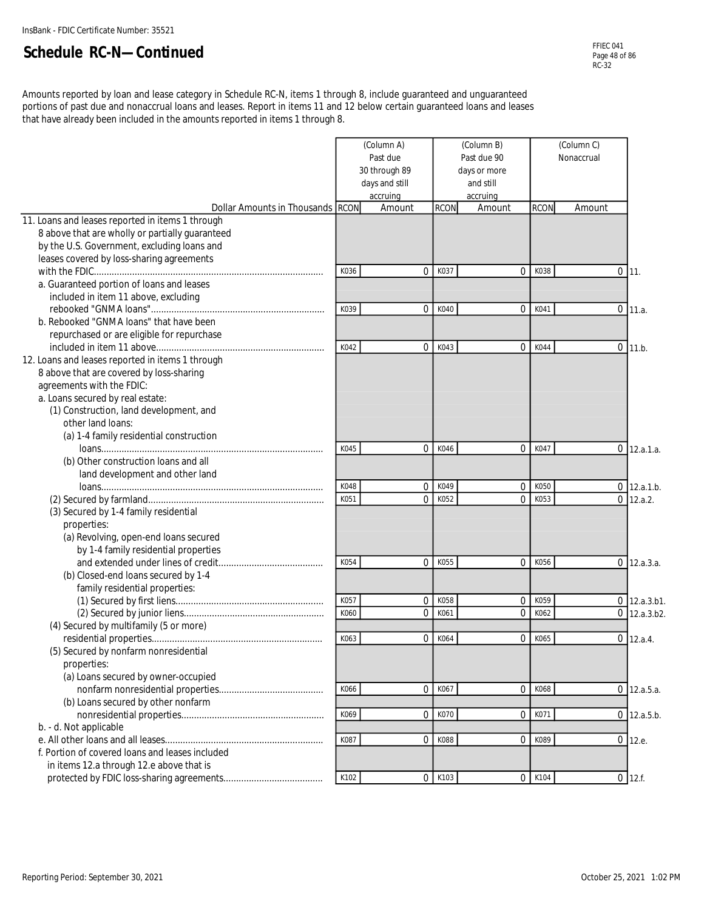Amounts reported by loan and lease category in Schedule RC-N, items 1 through 8, include guaranteed and unguaranteed portions of past due and nonaccrual loans and leases. Report in items 11 and 12 below certain guaranteed loans and leases that have already been included in the amounts reported in items 1 through 8.

|                                                                                                                                                                                                                                                                          |              | (Column A)<br>Past due<br>30 through 89<br>days and still<br>accruing |              | (Column B)<br>Past due 90<br>days or more<br>and still<br>accruing | (Column C)<br>Nonaccrual |        |                              |
|--------------------------------------------------------------------------------------------------------------------------------------------------------------------------------------------------------------------------------------------------------------------------|--------------|-----------------------------------------------------------------------|--------------|--------------------------------------------------------------------|--------------------------|--------|------------------------------|
| Dollar Amounts in Thousands RCON                                                                                                                                                                                                                                         |              | Amount                                                                | <b>RCON</b>  | Amount                                                             | <b>RCON</b>              | Amount |                              |
| 11. Loans and leases reported in items 1 through<br>8 above that are wholly or partially guaranteed<br>by the U.S. Government, excluding loans and<br>leases covered by loss-sharing agreements                                                                          |              |                                                                       |              |                                                                    |                          |        |                              |
|                                                                                                                                                                                                                                                                          | K036         | $\Omega$                                                              | K037         | 0                                                                  | K038                     |        | $0$ 11.                      |
| a. Guaranteed portion of loans and leases<br>included in item 11 above, excluding                                                                                                                                                                                        | K039         | $\mathbf{0}$                                                          | K040         | 0                                                                  | K041                     |        | $0$ 11.a.                    |
| b. Rebooked "GNMA loans" that have been<br>repurchased or are eligible for repurchase                                                                                                                                                                                    |              |                                                                       |              |                                                                    |                          |        |                              |
| 12. Loans and leases reported in items 1 through<br>8 above that are covered by loss-sharing<br>agreements with the FDIC:<br>a. Loans secured by real estate:<br>(1) Construction, land development, and<br>other land loans:<br>(a) 1-4 family residential construction | K042         | $\Omega$                                                              | K043         | 0                                                                  | K044                     |        | $0$ 11.b.                    |
| (b) Other construction loans and all<br>land development and other land                                                                                                                                                                                                  | K045         | $\Omega$                                                              | K046         | $\overline{0}$                                                     | K047                     |        | $0$ 12.a.1.a.                |
|                                                                                                                                                                                                                                                                          | K048         | $\Omega$                                                              | K049         | $\mathbf 0$                                                        | K050                     |        | $0$ 12.a.1.b.                |
| (3) Secured by 1-4 family residential<br>properties:<br>(a) Revolving, open-end loans secured<br>by 1-4 family residential properties                                                                                                                                    | K051         | $\Omega$                                                              | K052         | 0                                                                  | K053                     |        | $0$ 12.a.2.                  |
|                                                                                                                                                                                                                                                                          | K054         | $\Omega$                                                              | K055         | $\mathbf 0$                                                        | K056                     |        | $0$ 12.a.3.a.                |
| (b) Closed-end loans secured by 1-4<br>family residential properties:                                                                                                                                                                                                    |              |                                                                       |              |                                                                    |                          |        |                              |
|                                                                                                                                                                                                                                                                          | K057<br>K060 | $\Omega$<br>$\mathbf 0$                                               | K058<br>K061 | 0<br>0                                                             | K059<br>K062             | 0      | $0$ 12.a.3.b1.<br>12.a.3.b2. |
| (4) Secured by multifamily (5 or more)                                                                                                                                                                                                                                   |              |                                                                       |              |                                                                    |                          |        |                              |
| (5) Secured by nonfarm nonresidential<br>properties:<br>(a) Loans secured by owner-occupied                                                                                                                                                                              | K063         | $\mathbf 0$                                                           | K064         | $\mathbf 0$                                                        | K065                     |        | $0$ 12.a.4.                  |
| (b) Loans secured by other nonfarm                                                                                                                                                                                                                                       | K066         | $\overline{0}$                                                        | K067         | $\overline{0}$                                                     | K068                     |        | $0$ 12.a.5.a.                |
| b. - d. Not applicable                                                                                                                                                                                                                                                   | K069         | $\mathbf 0$                                                           | K070         | $\overline{0}$                                                     | K071                     |        | $0$ 12.a.5.b.                |
| f. Portion of covered loans and leases included<br>in items 12.a through 12.e above that is                                                                                                                                                                              | K087         | $\mathbf 0$                                                           | K088         | $\overline{0}$                                                     | K089                     |        | $0$ 12.e.                    |
|                                                                                                                                                                                                                                                                          | K102         | $\mathbf 0$                                                           | K103         | $\overline{0}$                                                     | K104                     |        | $0$ 12.f.                    |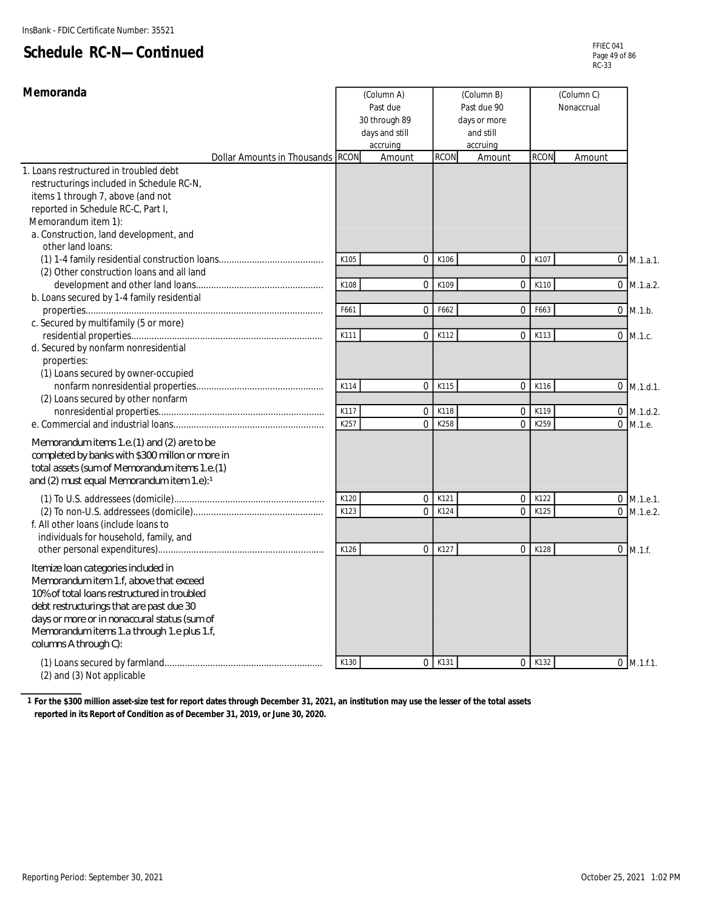| Memoranda                                                                                                                                                                                                                                                                                       |      | (Column A)<br>Past due<br>30 through 89<br>days and still<br>accruing |             | (Column B)<br>Past due 90<br>days or more<br>and still<br>accruing |             | (Column C)<br>Nonaccrual |              |
|-------------------------------------------------------------------------------------------------------------------------------------------------------------------------------------------------------------------------------------------------------------------------------------------------|------|-----------------------------------------------------------------------|-------------|--------------------------------------------------------------------|-------------|--------------------------|--------------|
| Dollar Amounts in Thousands RCON                                                                                                                                                                                                                                                                |      | Amount                                                                | <b>RCON</b> | Amount                                                             | <b>RCON</b> | Amount                   |              |
| 1. Loans restructured in troubled debt<br>restructurings included in Schedule RC-N,<br>items 1 through 7, above (and not<br>reported in Schedule RC-C, Part I,<br>Memorandum item 1):<br>a. Construction, land development, and                                                                 |      |                                                                       |             |                                                                    |             |                          |              |
| other land loans:                                                                                                                                                                                                                                                                               |      |                                                                       |             |                                                                    |             |                          |              |
|                                                                                                                                                                                                                                                                                                 | K105 | 0                                                                     | K106        | $\overline{0}$                                                     | K107        |                          | $0$ M.1.a.1. |
| (2) Other construction loans and all land<br>b. Loans secured by 1-4 family residential                                                                                                                                                                                                         | K108 | $\mathbf{0}$                                                          | K109        | $\mathbf 0$                                                        | K110        |                          | $0$ M.1.a.2. |
|                                                                                                                                                                                                                                                                                                 | F661 | $\mathbf{0}$                                                          | F662        | $\overline{0}$                                                     | F663        | $0$ M.1.b.               |              |
| c. Secured by multifamily (5 or more)                                                                                                                                                                                                                                                           |      |                                                                       |             |                                                                    |             |                          |              |
| d. Secured by nonfarm nonresidential<br>properties:<br>(1) Loans secured by owner-occupied                                                                                                                                                                                                      | K111 | $\mathbf{0}$                                                          | K112        | $\mathbf 0$                                                        | K113        | $0$ M.1.c.               |              |
| (2) Loans secured by other nonfarm                                                                                                                                                                                                                                                              | K114 | 0                                                                     | K115        | $\mathbf 0$                                                        | K116        |                          | $0$ M.1.d.1. |
|                                                                                                                                                                                                                                                                                                 | K117 | $\mathbf{0}$                                                          | K118        | $\mathbf 0$                                                        | K119        |                          | $0$ M.1.d.2. |
|                                                                                                                                                                                                                                                                                                 | K257 | $\Omega$                                                              | K258        | $\Omega$                                                           | K259        | $0$ M.1.e.               |              |
| Memorandum items 1.e. (1) and (2) are to be<br>completed by banks with \$300 millon or more in<br>total assets (sum of Memorandum items 1.e. (1)<br>and (2) must equal Memorandum item 1.e):1                                                                                                   |      |                                                                       |             |                                                                    |             |                          |              |
|                                                                                                                                                                                                                                                                                                 | K120 | 0                                                                     | K121        | $\mathbf 0$                                                        | K122        |                          | $0$ M.1.e.1. |
| f. All other loans (include loans to<br>individuals for household, family, and                                                                                                                                                                                                                  | K123 | $\Omega$                                                              | K124        | $\Omega$                                                           | K125        |                          | $0$ M.1.e.2. |
| Itemize Ioan categories included in<br>Memorandum item 1.f, above that exceed<br>10% of total loans restructured in troubled<br>debt restructurings that are past due 30<br>days or more or in nonaccural status (sum of<br>Memorandum items 1.a through 1.e plus 1.f,<br>columns A through C): | K126 | 0                                                                     | K127        | $\mathbf 0$                                                        | K128        | $0$ M.1.f.               |              |
| $(2)$ and $(2)$ Not enplicable                                                                                                                                                                                                                                                                  | K130 | $\mathbf{0}$                                                          | K131        | $\overline{0}$                                                     | K132        |                          | $0$ M.1.f.1. |

(2) and (3) Not applicable

**1 For the \$300 million asset-size test for report dates through December 31, 2021, an institution may use the lesser of the total assets reported in its Report of Condition as of December 31, 2019, or June 30, 2020.**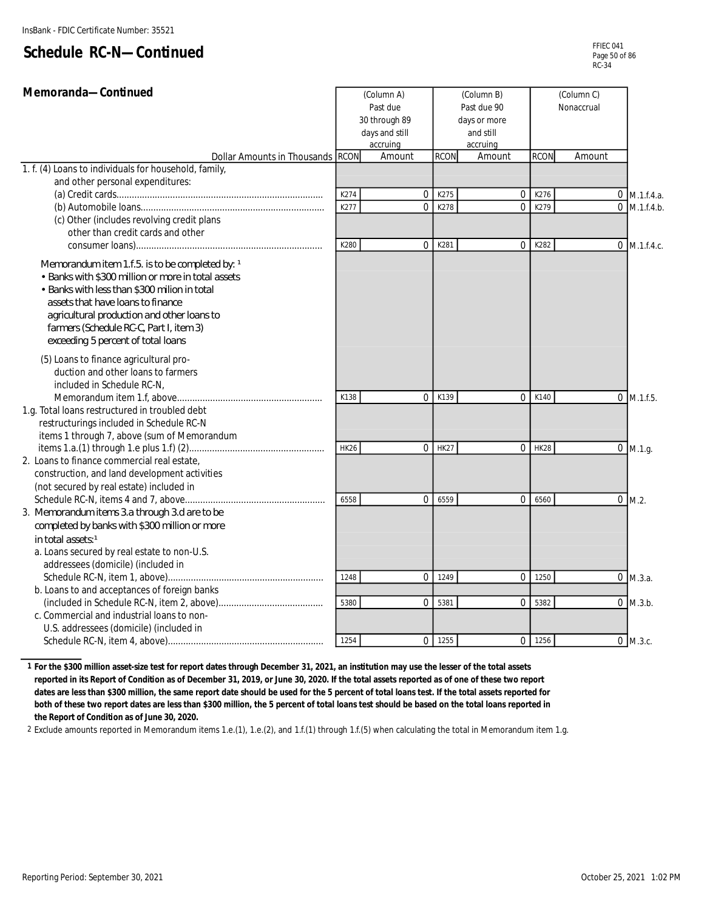| Memoranda-Continued                                                                   |             | (Column A)         |                               | (Column B)         |                |             | (Column C) |  |                   |
|---------------------------------------------------------------------------------------|-------------|--------------------|-------------------------------|--------------------|----------------|-------------|------------|--|-------------------|
|                                                                                       |             | Past due           |                               | Past due 90        |                |             | Nonaccrual |  |                   |
|                                                                                       |             | 30 through 89      |                               | days or more       |                |             |            |  |                   |
|                                                                                       |             | days and still     |                               | and still          |                |             |            |  |                   |
| Dollar Amounts in Thousands RCON                                                      |             | accruing<br>Amount | <b>RCON</b>                   | accruing<br>Amount |                | <b>RCON</b> | Amount     |  |                   |
| 1. f. (4) Loans to individuals for household, family,                                 |             |                    |                               |                    |                |             |            |  |                   |
| and other personal expenditures:                                                      |             |                    |                               |                    |                |             |            |  |                   |
|                                                                                       | K274        |                    | 0<br>K275                     |                    | $\Omega$       | K276        |            |  | $0 \,$ M.1.f.4.a. |
|                                                                                       | K277        |                    | 0<br>K278                     |                    | $\mathbf 0$    | K279        |            |  | $0$ M.1.f.4.b.    |
| (c) Other (includes revolving credit plans                                            |             |                    |                               |                    |                |             |            |  |                   |
| other than credit cards and other                                                     |             |                    |                               |                    |                |             |            |  |                   |
|                                                                                       | K280        |                    | K281<br>$\overline{0}$        |                    | $\overline{0}$ | K282        |            |  | $0 \,$ M.1.f.4.c. |
| Memorandum item 1.f.5. is to be completed by: 1                                       |             |                    |                               |                    |                |             |            |  |                   |
| • Banks with \$300 million or more in total assets                                    |             |                    |                               |                    |                |             |            |  |                   |
| • Banks with less than \$300 milion in total                                          |             |                    |                               |                    |                |             |            |  |                   |
| assets that have loans to finance                                                     |             |                    |                               |                    |                |             |            |  |                   |
| agricultural production and other loans to                                            |             |                    |                               |                    |                |             |            |  |                   |
| farmers (Schedule RC-C, Part I, item 3)                                               |             |                    |                               |                    |                |             |            |  |                   |
| exceeding 5 percent of total loans                                                    |             |                    |                               |                    |                |             |            |  |                   |
| (5) Loans to finance agricultural pro-                                                |             |                    |                               |                    |                |             |            |  |                   |
| duction and other loans to farmers                                                    |             |                    |                               |                    |                |             |            |  |                   |
| included in Schedule RC-N,                                                            |             |                    |                               |                    |                |             |            |  |                   |
|                                                                                       | K138        |                    | $\Omega$<br>K139              |                    | $\mathbf 0$    | K140        |            |  | $0$ M.1.f.5.      |
| 1.g. Total loans restructured in troubled debt                                        |             |                    |                               |                    |                |             |            |  |                   |
| restructurings included in Schedule RC-N                                              |             |                    |                               |                    |                |             |            |  |                   |
| items 1 through 7, above (sum of Memorandum                                           |             |                    |                               |                    |                |             |            |  |                   |
|                                                                                       | <b>HK26</b> |                    | $\overline{0}$<br><b>HK27</b> |                    | $\Omega$       | <b>HK28</b> |            |  | $0$ M.1.g.        |
| 2. Loans to finance commercial real estate,                                           |             |                    |                               |                    |                |             |            |  |                   |
| construction, and land development activities                                         |             |                    |                               |                    |                |             |            |  |                   |
| (not secured by real estate) included in                                              |             |                    |                               |                    |                |             |            |  |                   |
|                                                                                       | 6558        |                    | 6559<br>0                     |                    | $\mathbf 0$    | 6560        |            |  | $0 \, M.2.$       |
| 3. Memorandum items 3.a through 3.d are to be                                         |             |                    |                               |                    |                |             |            |  |                   |
| completed by banks with \$300 million or more                                         |             |                    |                               |                    |                |             |            |  |                   |
| in total assets <sup>1</sup>                                                          |             |                    |                               |                    |                |             |            |  |                   |
| a. Loans secured by real estate to non-U.S.                                           |             |                    |                               |                    |                |             |            |  |                   |
| addressees (domicile) (included in                                                    |             |                    |                               |                    |                |             |            |  |                   |
|                                                                                       | 1248        |                    | $\Omega$<br>1249              |                    | $\Omega$       | 1250        |            |  | $0$ M.3.a.        |
| b. Loans to and acceptances of foreign banks                                          |             |                    |                               |                    |                |             |            |  |                   |
|                                                                                       | 5380        |                    | 0<br>5381                     |                    | $\mathbf 0$    | 5382        |            |  | $0$ M.3.b.        |
| c. Commercial and industrial loans to non-<br>U.S. addressees (domicile) (included in |             |                    |                               |                    |                |             |            |  |                   |
|                                                                                       | 1254        |                    | $0$ 1255                      |                    | $\Omega$       | 1256        |            |  | $0$ M.3.c.        |
|                                                                                       |             |                    |                               |                    |                |             |            |  |                   |

**1 For the \$300 million asset-size test for report dates through December 31, 2021, an institution may use the lesser of the total assets reported in its Report of Condition as of December 31, 2019, or June 30, 2020. If the total assets reported as of one of these two report dates are less than \$300 million, the same report date should be used for the 5 percent of total loans test. If the total assets reported for both of these two report dates are less than \$300 million, the 5 percent of total loans test should be based on the total loans reported in the Report of Condition as of June 30, 2020.**

2 Exclude amounts reported in Memorandum items 1.e.(1), 1.e.(2), and 1.f.(1) through 1.f.(5) when calculating the total in Memorandum item 1.g.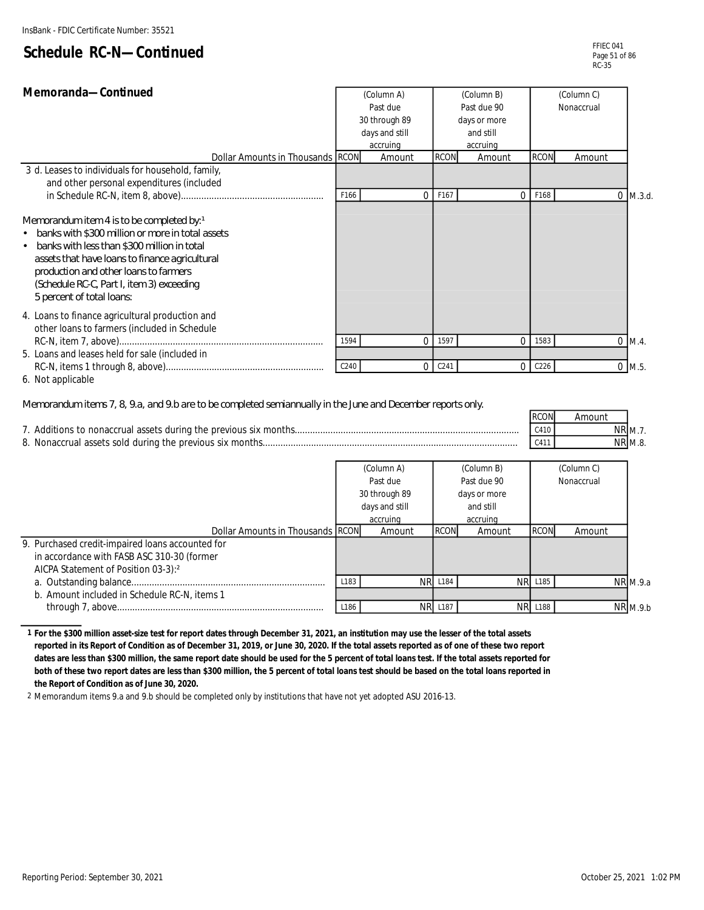| Memoranda-Continued                                                                                                                                                                                                                                                                                                    |      | (Column A)     |                  | (Column B)   |                  | (Column C) |            |
|------------------------------------------------------------------------------------------------------------------------------------------------------------------------------------------------------------------------------------------------------------------------------------------------------------------------|------|----------------|------------------|--------------|------------------|------------|------------|
|                                                                                                                                                                                                                                                                                                                        |      | Past due       |                  | Past due 90  |                  | Nonaccrual |            |
|                                                                                                                                                                                                                                                                                                                        |      | 30 through 89  |                  | days or more |                  |            |            |
|                                                                                                                                                                                                                                                                                                                        |      | days and still |                  | and still    |                  |            |            |
|                                                                                                                                                                                                                                                                                                                        |      | accruing       |                  | accruing     |                  |            |            |
| Dollar Amounts in Thousands RCON                                                                                                                                                                                                                                                                                       |      | Amount         | <b>RCON</b>      | Amount       | <b>RCON</b>      | Amount     |            |
| 3 d. Leases to individuals for household, family,<br>and other personal expenditures (included                                                                                                                                                                                                                         |      |                |                  |              |                  |            |            |
|                                                                                                                                                                                                                                                                                                                        | F166 |                | F167             | $\Omega$     | F168             |            | $0$ M.3.d. |
| Memorandum item 4 is to be completed by: 1<br>banks with \$300 million or more in total assets<br>banks with less than \$300 million in total<br>٠<br>assets that have loans to finance agricultural<br>production and other loans to farmers<br>(Schedule RC-C, Part I, item 3) exceeding<br>5 percent of total loans |      |                |                  |              |                  |            |            |
| 4. Loans to finance agricultural production and<br>other loans to farmers (included in Schedule                                                                                                                                                                                                                        | 1594 | 0              | 1597             | 0            | 1583             |            | $0$ M.4.   |
| 5. Loans and leases held for sale (included in                                                                                                                                                                                                                                                                         | C240 | 0              | C <sub>241</sub> | $\Omega$     | C <sub>226</sub> |            | $0$ M.5.   |
| 6. Not applicable                                                                                                                                                                                                                                                                                                      |      |                |                  |              |                  |            |            |

#### *Memorandum items 7, 8, 9.a, and 9.b are to be completed semiannually in the June and December reports only.*

| $\sim$ The condition of the state $\sim$ and $\sim$ and $\sim$ and $\sim$ conditions and $\sim$ can be directed become to be any |             |        |                |
|----------------------------------------------------------------------------------------------------------------------------------|-------------|--------|----------------|
|                                                                                                                                  | <b>RCON</b> | Amount |                |
|                                                                                                                                  | C410        |        | <b>NR M.7.</b> |
|                                                                                                                                  | C411        |        | <b>NR M.8.</b> |
|                                                                                                                                  |             |        |                |

|                                                  |                  | (Column A)     |                | (Column B)   |                | (Column C) |                 |
|--------------------------------------------------|------------------|----------------|----------------|--------------|----------------|------------|-----------------|
|                                                  | Past due         |                |                | Past due 90  | Nonaccrual     |            |                 |
|                                                  |                  | 30 through 89  |                | days or more |                |            |                 |
|                                                  |                  | days and still |                | and still    |                |            |                 |
|                                                  |                  | accruing       |                | accruing     |                |            |                 |
| Dollar Amounts in Thousands RCON                 |                  | Amount         | <b>RCON</b>    | Amount       | <b>RCON</b>    | Amount     |                 |
| 9. Purchased credit-impaired loans accounted for |                  |                |                |              |                |            |                 |
| in accordance with FASB ASC 310-30 (former       |                  |                |                |              |                |            |                 |
| AICPA Statement of Position 03-3):2              |                  |                |                |              |                |            |                 |
|                                                  | L <sub>183</sub> |                | <b>NR L184</b> |              | <b>NR L185</b> |            | $NR$ M.9.a      |
| b. Amount included in Schedule RC-N, items 1     |                  |                |                |              |                |            |                 |
|                                                  | L186             |                | <b>NR L187</b> |              | <b>NR L188</b> |            | <b>NR</b> M.9.b |

**1 For the \$300 million asset-size test for report dates through December 31, 2021, an institution may use the lesser of the total assets reported in its Report of Condition as of December 31, 2019, or June 30, 2020. If the total assets reported as of one of these two report dates are less than \$300 million, the same report date should be used for the 5 percent of total loans test. If the total assets reported for both of these two report dates are less than \$300 million, the 5 percent of total loans test should be based on the total loans reported in the Report of Condition as of June 30, 2020.**

2 Memorandum items 9.a and 9.b should be completed only by institutions that have not yet adopted ASU 2016-13.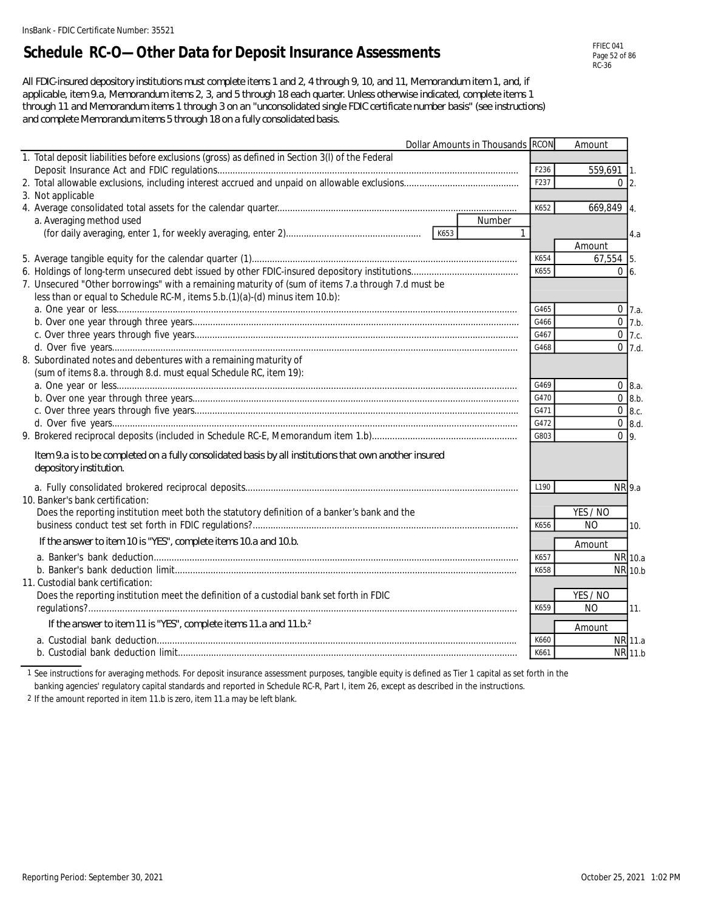## **Schedule RC-O—Other Data for Deposit Insurance Assessments**

*All FDIC-insured depository institutions must complete items 1 and 2, 4 through 9, 10, and 11, Memorandum item 1, and, if applicable, item 9.a, Memorandum items 2, 3, and 5 through 18 each quarter. Unless otherwise indicated, complete items 1 through 11 and Memorandum items 1 through 3 on an "unconsolidated single FDIC certificate number basis" (see instructions) and complete Memorandum items 5 through 18 on a fully consolidated basis.*

| Dollar Amounts in Thousands RCON                                                                       |              | Amount        |                     |
|--------------------------------------------------------------------------------------------------------|--------------|---------------|---------------------|
| 1. Total deposit liabilities before exclusions (gross) as defined in Section 3(I) of the Federal       |              |               |                     |
|                                                                                                        | F236         | 559,691       | $\mathbf{11}$       |
|                                                                                                        | F237         | $0\vert 2$ .  |                     |
| 3. Not applicable                                                                                      |              |               |                     |
|                                                                                                        | K652         | 669,849 4.    |                     |
| a. Averaging method used                                                                               | Number       |               |                     |
|                                                                                                        | $\mathbf{1}$ |               | 4.a                 |
|                                                                                                        |              | Amount        |                     |
|                                                                                                        | K654         | $67,554$ 5.   |                     |
|                                                                                                        | K655         | $0\vert_{6.}$ |                     |
| 7. Unsecured "Other borrowings" with a remaining maturity of (sum of items 7.a through 7.d must be     |              |               |                     |
| less than or equal to Schedule RC-M, items 5.b.(1)(a)-(d) minus item 10.b):                            |              |               |                     |
|                                                                                                        | G465         |               | $0 \, 7.a.$         |
|                                                                                                        | G466         |               | $\overline{0}$ 7.b. |
|                                                                                                        | G467         |               | $0$ 7.c.            |
|                                                                                                        | G468         |               | $\overline{0}$ 7.d. |
| 8. Subordinated notes and debentures with a remaining maturity of                                      |              |               |                     |
| (sum of items 8.a. through 8.d. must equal Schedule RC, item 19):                                      |              |               |                     |
|                                                                                                        | G469         |               | 08.a.               |
|                                                                                                        | G470         |               | $0 \, 8.b.$         |
|                                                                                                        | G471         |               | 0 8.c.              |
|                                                                                                        | G472         |               | $0 \, 8.d.$         |
|                                                                                                        | G803         | $0\,$ 9.      |                     |
| Item 9.a is to be completed on a fully consolidated basis by all institutions that own another insured |              |               |                     |
| depository institution.                                                                                |              |               |                     |
|                                                                                                        | L190         | NR 9.a        |                     |
| 10. Banker's bank certification:                                                                       |              |               |                     |
| Does the reporting institution meet both the statutory definition of a banker's bank and the           |              | YES / NO      |                     |
|                                                                                                        | K656         | <b>NO</b>     | 10.                 |
| If the answer to item 10 is "YES", complete items 10.a and 10.b.                                       |              | Amount        |                     |
|                                                                                                        | K657         |               | NR 10.a             |
|                                                                                                        | K658         |               | NR 10.b             |
| 11. Custodial bank certification:                                                                      |              |               |                     |
| Does the reporting institution meet the definition of a custodial bank set forth in FDIC               |              | YES / NO      |                     |
|                                                                                                        | K659         | <b>NO</b>     | 11.                 |
| If the answer to item 11 is "YES", complete items 11.a and 11.b. <sup>2</sup>                          |              | Amount        |                     |
|                                                                                                        | K660         |               | NR 11.a             |
|                                                                                                        | K661         |               | NR 11.b             |
|                                                                                                        |              |               |                     |

1 See instructions for averaging methods. For deposit insurance assessment purposes, tangible equity is defined as Tier 1 capital as set forth in the

banking agencies' regulatory capital standards and reported in Schedule RC-R, Part I, item 26, except as described in the instructions. 2 If the amount reported in item 11.b is zero, item 11.a may be left blank.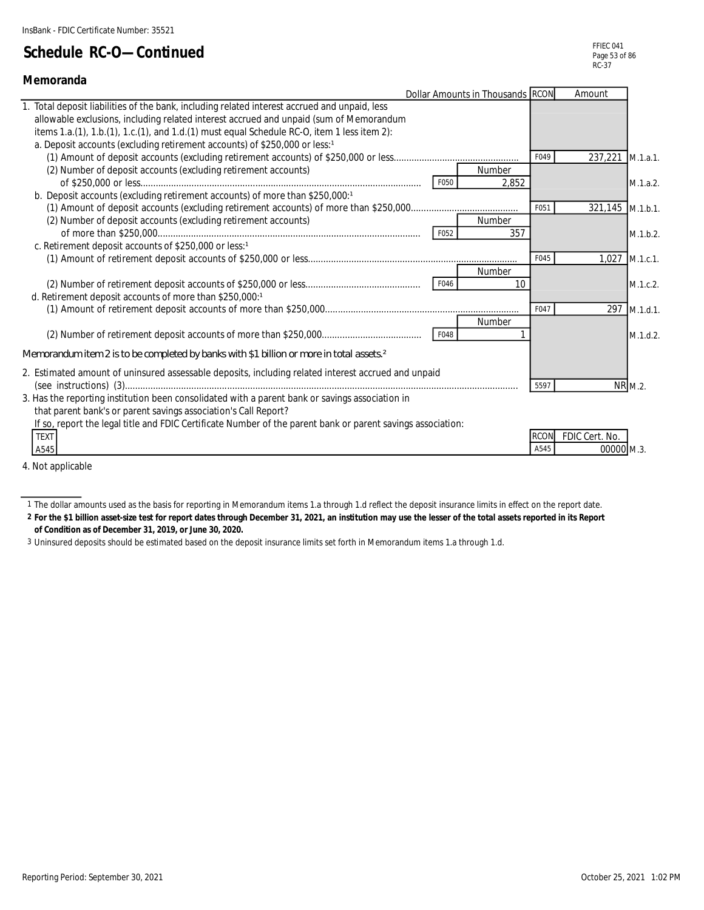| Memoranda                                                                                                                                                                                                                                                                                                                                                         |      |                                  |             |                  |                |
|-------------------------------------------------------------------------------------------------------------------------------------------------------------------------------------------------------------------------------------------------------------------------------------------------------------------------------------------------------------------|------|----------------------------------|-------------|------------------|----------------|
|                                                                                                                                                                                                                                                                                                                                                                   |      | Dollar Amounts in Thousands RCON |             | Amount           |                |
| Total deposit liabilities of the bank, including related interest accrued and unpaid, less<br>allowable exclusions, including related interest accrued and unpaid (sum of Memorandum<br>items 1.a.(1), 1.b.(1), 1.c.(1), and 1.d.(1) must equal Schedule RC-O, item 1 less item 2):<br>a. Deposit accounts (excluding retirement accounts) of \$250,000 or less:1 |      |                                  |             |                  |                |
|                                                                                                                                                                                                                                                                                                                                                                   |      |                                  | F049        | 237,221 M.1.a.1. |                |
| (2) Number of deposit accounts (excluding retirement accounts)                                                                                                                                                                                                                                                                                                    | F050 | Number<br>2.852                  |             |                  | M.1.a.2.       |
| b. Deposit accounts (excluding retirement accounts) of more than \$250,000:1                                                                                                                                                                                                                                                                                      |      |                                  |             |                  |                |
|                                                                                                                                                                                                                                                                                                                                                                   |      |                                  | F051        | 321,145 M.1.b.1. |                |
| (2) Number of deposit accounts (excluding retirement accounts)                                                                                                                                                                                                                                                                                                    |      | Number                           |             |                  |                |
|                                                                                                                                                                                                                                                                                                                                                                   | F052 | 357                              |             |                  | M.1.b.2.       |
| c. Retirement deposit accounts of \$250,000 or less:1                                                                                                                                                                                                                                                                                                             |      |                                  |             |                  |                |
|                                                                                                                                                                                                                                                                                                                                                                   |      |                                  | F045        |                  | 1,027 M.1.c.1. |
|                                                                                                                                                                                                                                                                                                                                                                   |      | Number                           |             |                  |                |
|                                                                                                                                                                                                                                                                                                                                                                   | F046 | 10                               |             |                  | M.1.c.2.       |
| d. Retirement deposit accounts of more than \$250,000:1                                                                                                                                                                                                                                                                                                           |      |                                  |             |                  |                |
|                                                                                                                                                                                                                                                                                                                                                                   |      |                                  | F047        |                  | 297 M.1.d.1.   |
|                                                                                                                                                                                                                                                                                                                                                                   |      | Number                           |             |                  |                |
|                                                                                                                                                                                                                                                                                                                                                                   | F048 |                                  |             |                  | M.1.d.2.       |
| Memorandum item 2 is to be completed by banks with \$1 billion or more in total assets $2$                                                                                                                                                                                                                                                                        |      |                                  |             |                  |                |
| 2. Estimated amount of uninsured assessable deposits, including related interest accrued and unpaid                                                                                                                                                                                                                                                               |      |                                  | 5597        |                  | NR M.2.        |
| 3. Has the reporting institution been consolidated with a parent bank or savings association in                                                                                                                                                                                                                                                                   |      |                                  |             |                  |                |
| that parent bank's or parent savings association's Call Report?                                                                                                                                                                                                                                                                                                   |      |                                  |             |                  |                |
| If so, report the legal title and FDIC Certificate Number of the parent bank or parent savings association:<br><b>TEXT</b>                                                                                                                                                                                                                                        |      |                                  | <b>RCON</b> | FDIC Cert. No.   |                |
| A545                                                                                                                                                                                                                                                                                                                                                              |      |                                  | A545        | 00000 M.3.       |                |
| والماموزا ويورم للملا                                                                                                                                                                                                                                                                                                                                             |      |                                  |             |                  |                |

4. Not applicable

**2 For the \$1 billion asset-size test for report dates through December 31, 2021, an institution may use the lesser of the total assets reported in its Report of Condition as of December 31, 2019, or June 30, 2020.**

3 Uninsured deposits should be estimated based on the deposit insurance limits set forth in Memorandum items 1.a through 1.d.

<sup>1</sup> The dollar amounts used as the basis for reporting in Memorandum items 1.a through 1.d reflect the deposit insurance limits in effect on the report date.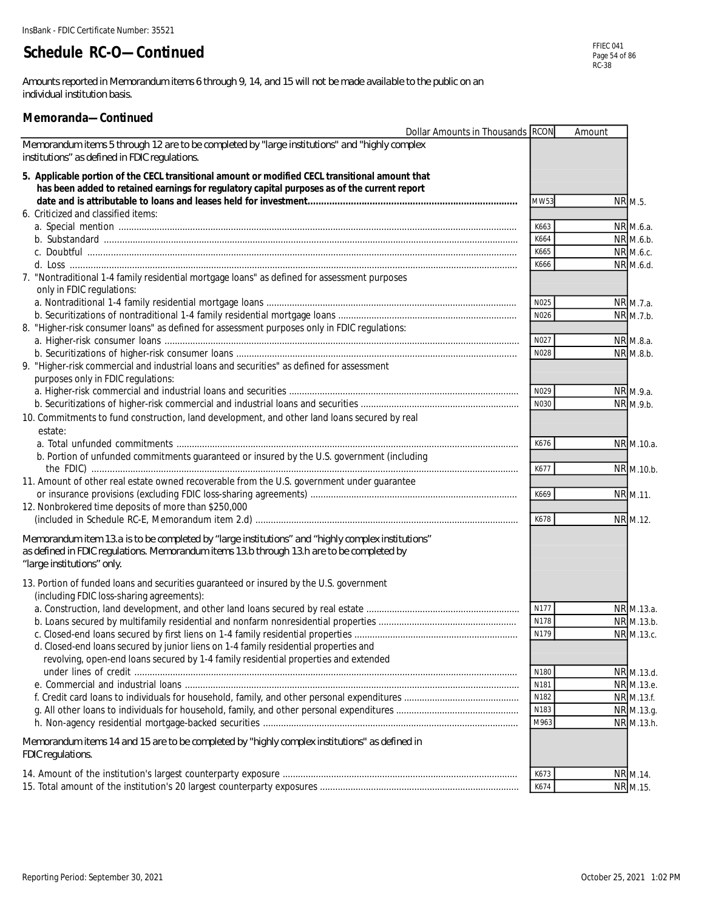*Amounts reported in Memorandum items 6 through 9, 14, and 15 will not be made available to the public on an individual institution basis.*

#### **Memoranda—Continued**

| Dollar Amounts in Thousands RCON                                                                                                                                                                                             |                  | Amount |                        |
|------------------------------------------------------------------------------------------------------------------------------------------------------------------------------------------------------------------------------|------------------|--------|------------------------|
| Memorandum items 5 through 12 are to be completed by "large institutions" and "highly complex<br>institutions" as defined in FDIC regulations.                                                                               |                  |        |                        |
| 5. Applicable portion of the CECL transitional amount or modified CECL transitional amount that<br>has been added to retained earnings for regulatory capital purposes as of the current report                              |                  |        |                        |
|                                                                                                                                                                                                                              | MW53             |        | NR M.5.                |
| 6. Criticized and classified items:                                                                                                                                                                                          |                  |        |                        |
|                                                                                                                                                                                                                              | K663             |        | NR M.6.a.              |
|                                                                                                                                                                                                                              | K664             |        | NR M.6.b.              |
|                                                                                                                                                                                                                              | K665             |        | NR M.6.c.              |
|                                                                                                                                                                                                                              | K666             |        | NR M.6.d.              |
| 7. "Nontraditional 1-4 family residential mortgage loans" as defined for assessment purposes<br>only in FDIC regulations:                                                                                                    |                  |        |                        |
|                                                                                                                                                                                                                              | N025             |        | NR M.7.a.              |
|                                                                                                                                                                                                                              | N026             |        | NR M.7.b.              |
| 8. "Higher-risk consumer loans" as defined for assessment purposes only in FDIC regulations:                                                                                                                                 |                  |        |                        |
|                                                                                                                                                                                                                              | N027<br>N028     |        | NR M.8.a.<br>NR M.8.b. |
| 9. "Higher-risk commercial and industrial loans and securities" as defined for assessment                                                                                                                                    |                  |        |                        |
| purposes only in FDIC regulations:                                                                                                                                                                                           |                  |        |                        |
|                                                                                                                                                                                                                              | N029             |        | NR M.9.a.              |
|                                                                                                                                                                                                                              | N030             |        | NR M.9.b.              |
| 10. Commitments to fund construction, land development, and other land loans secured by real                                                                                                                                 |                  |        |                        |
| estate:                                                                                                                                                                                                                      |                  |        |                        |
|                                                                                                                                                                                                                              | K676             |        | NR M.10.a.             |
| b. Portion of unfunded commitments guaranteed or insured by the U.S. government (including                                                                                                                                   | K677             |        | NR M.10.b.             |
| 11. Amount of other real estate owned recoverable from the U.S. government under guarantee                                                                                                                                   |                  |        |                        |
|                                                                                                                                                                                                                              | K669             |        | NR M.11.               |
| 12. Nonbrokered time deposits of more than \$250,000                                                                                                                                                                         |                  |        |                        |
|                                                                                                                                                                                                                              | K678             |        | NR M.12.               |
| Memorandum item 13.a is to be completed by "large institutions" and "highly complex institutions"<br>as defined in FDIC regulations. Memorandum items 13.b through 13.h are to be completed by<br>"large institutions" only. |                  |        |                        |
| 13. Portion of funded loans and securities guaranteed or insured by the U.S. government<br>(including FDIC loss-sharing agreements):                                                                                         |                  |        |                        |
|                                                                                                                                                                                                                              | N177             |        | NR M.13.a.             |
|                                                                                                                                                                                                                              | N178             |        | NR M.13.b.             |
|                                                                                                                                                                                                                              | N179             |        | NR M.13.c.             |
| d. Closed-end loans secured by junior liens on 1-4 family residential properties and                                                                                                                                         |                  |        |                        |
| revolving, open-end loans secured by 1-4 family residential properties and extended                                                                                                                                          |                  |        |                        |
|                                                                                                                                                                                                                              | N <sub>180</sub> |        | NR M.13.d.             |
|                                                                                                                                                                                                                              | N181             |        | NR M.13.e.             |
|                                                                                                                                                                                                                              | N182             |        | NR M.13.f.             |
|                                                                                                                                                                                                                              | N183             |        | NR M.13.g.             |
|                                                                                                                                                                                                                              | M963             |        | NR M.13.h.             |
| Memorandum items 14 and 15 are to be completed by "highly complex institutions" as defined in<br>FDIC regulations.                                                                                                           |                  |        |                        |
|                                                                                                                                                                                                                              | K673             |        | NR M.14.               |
|                                                                                                                                                                                                                              | K674             |        | NR M.15.               |
|                                                                                                                                                                                                                              |                  |        |                        |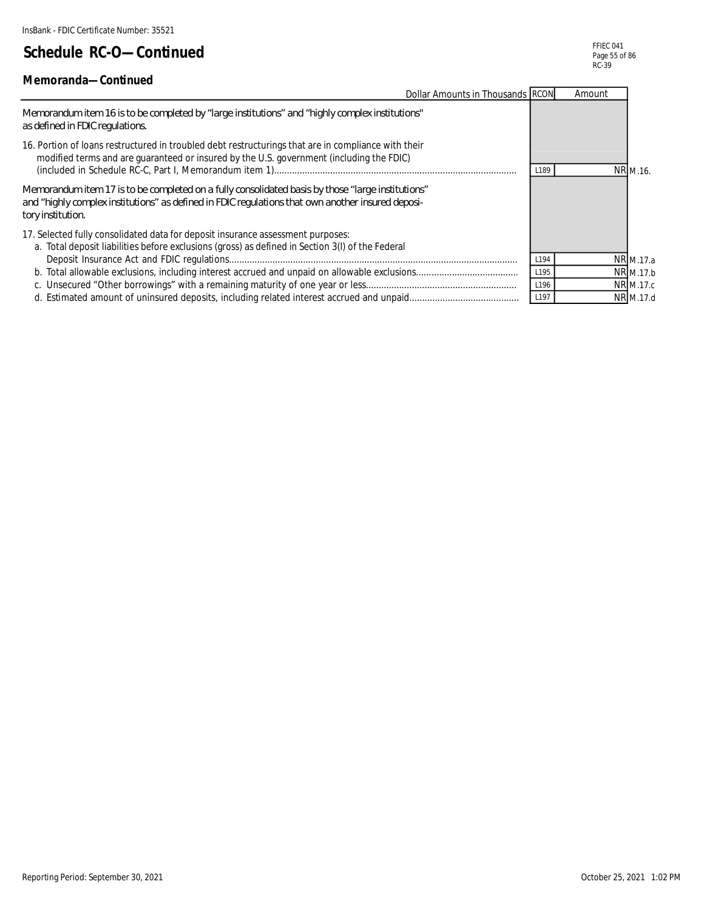#### **Memoranda—Continued**

| Dollar Amounts in Thousands RCON                                                                                                                                                                                             |                  | Amount |                  |
|------------------------------------------------------------------------------------------------------------------------------------------------------------------------------------------------------------------------------|------------------|--------|------------------|
| Memorandum item 16 is to be completed by "large institutions" and "highly complex institutions"<br>as defined in FDIC regulations.                                                                                           |                  |        |                  |
| 16. Portion of loans restructured in troubled debt restructurings that are in compliance with their<br>modified terms and are guaranteed or insured by the U.S. government (including the FDIC)                              | L <sub>189</sub> |        | NR M.16.         |
| "Memorandum item 17 is to be completed on a fully consolidated basis by those "large institutions"<br>and "highly complex institutions" as defined in FDIC regulations that own another insured deposi-<br>tory institution. |                  |        |                  |
| 17. Selected fully consolidated data for deposit insurance assessment purposes:<br>a. Total deposit liabilities before exclusions (gross) as defined in Section 3(I) of the Federal                                          |                  |        |                  |
|                                                                                                                                                                                                                              | L194             |        | NR M.17.a        |
|                                                                                                                                                                                                                              | L195             |        | NR M.17.b        |
|                                                                                                                                                                                                                              | L196             |        | <b>NR</b> M.17.c |
|                                                                                                                                                                                                                              | L197             |        | NR M.17.d        |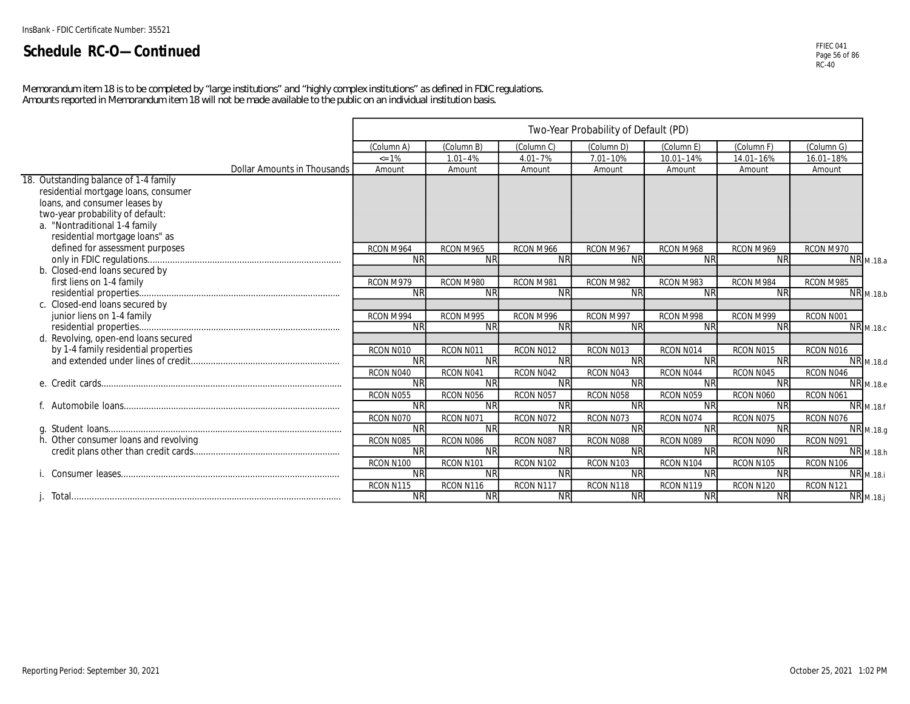FFIEC 041 Page 56 of 86 RC-40

*Memorandum item 18 is to be completed by "large institutions" and "highly complex institutions" as defined in FDIC regulations. Amounts reported in Memorandum item 18 will not be made available to the public on an individual institution basis.*

|                                       |            |             |             | Two-Year Probability of Default (PD) |            |            |            |                               |
|---------------------------------------|------------|-------------|-------------|--------------------------------------|------------|------------|------------|-------------------------------|
|                                       | (Column A) | (Column B)  | (Column C)  | (Column D)                           | (Column E) | (Column F) | (Column G) |                               |
|                                       | $= 1\%$    | $1.01 - 4%$ | $4.01 - 7%$ | 7.01-10%                             | 10.01-14%  | 14.01-16%  | 16.01-18%  |                               |
| <b>Dollar Amounts in Thousands</b>    | Amount     | Amount      | Amount      | Amount                               | Amount     | Amount     | Amount     |                               |
| 18. Outstanding balance of 1-4 family |            |             |             |                                      |            |            |            |                               |
| residential mortgage loans, consumer  |            |             |             |                                      |            |            |            |                               |
| loans, and consumer leases by         |            |             |             |                                      |            |            |            |                               |
| two-year probability of default:      |            |             |             |                                      |            |            |            |                               |
| a. "Nontraditional 1-4 family         |            |             |             |                                      |            |            |            |                               |
| residential mortgage loans" as        |            |             |             |                                      |            |            |            |                               |
| defined for assessment purposes       | RCON M964  | RCON M965   | RCON M966   | RCON M967                            | RCON M968  | RCON M969  | RCON M970  |                               |
|                                       | <b>NR</b>  | <b>NR</b>   | <b>NR</b>   | <b>NR</b>                            | <b>NR</b>  | <b>NR</b>  |            | <b>NR</b> M.18.a              |
| b. Closed-end loans secured by        |            |             |             |                                      |            |            |            |                               |
| first liens on 1-4 family             | RCON M979  | RCON M980   | RCON M981   | RCON M982                            | RCON M983  | RCON M984  | RCON M985  |                               |
|                                       | <b>NR</b>  | <b>NR</b>   | <b>NR</b>   | <b>NR</b>                            | <b>NR</b>  | <b>NR</b>  |            | <b>NR</b> M.18.b              |
| c. Closed-end loans secured by        |            |             |             |                                      |            |            |            |                               |
| junior liens on 1-4 family            | RCON M994  | RCON M995   | RCON M996   | RCON M997                            | RCON M998  | RCON M999  | RCON N001  |                               |
|                                       | <b>NR</b>  | <b>NR</b>   | <b>NR</b>   | <b>NR</b>                            | <b>NR</b>  | <b>NR</b>  |            | <b>NR</b> M.18.c              |
| d. Revolving, open-end loans secured  |            |             |             |                                      |            |            |            |                               |
| by 1-4 family residential properties  | RCON N010  | RCON N011   | RCON N012   | RCON N013                            | RCON N014  | RCON N015  | RCON N016  |                               |
|                                       | <b>NR</b>  | <b>NR</b>   | <b>NR</b>   | <b>NR</b>                            | <b>NR</b>  | <b>NR</b>  |            | $\overline{\text{NR}}$ M.18.d |
|                                       | RCON N040  | RCON N041   | RCON N042   | RCON N043                            | RCON N044  | RCON N045  | RCON N046  |                               |
|                                       | <b>NR</b>  | <b>NR</b>   | <b>NR</b>   | <b>NR</b>                            | <b>NR</b>  | <b>NR</b>  |            | NR M.18.e                     |
|                                       | RCON N055  | RCON N056   | RCON N057   | RCON N058                            | RCON N059  | RCON N060  | RCON N061  |                               |
|                                       | <b>NR</b>  | <b>NR</b>   | <b>NR</b>   | <b>NR</b>                            | <b>NR</b>  | <b>NR</b>  |            | NR <sub>M.18.f</sub>          |
|                                       | RCON N070  | RCON N071   | RCON N072   | RCON N073                            | RCON N074  | RCON N075  | RCON N076  |                               |
|                                       | <b>NR</b>  | <b>NR</b>   | <b>NR</b>   | <b>NR</b>                            | <b>NR</b>  | <b>NR</b>  |            | NR M.18.g                     |
| h. Other consumer loans and revolving | RCON N085  | RCON N086   | RCON N087   | RCON N088                            | RCON N089  | RCON N090  | RCON N091  |                               |
|                                       | <b>NR</b>  | <b>NR</b>   | <b>NR</b>   | <b>NR</b>                            | <b>NR</b>  | <b>NR</b>  |            | $\overline{\text{NR}}$ M.18.h |
|                                       | RCON N100  | RCON N101   | RCON N102   | RCON N103                            | RCON N104  | RCON N105  | RCON N106  |                               |
|                                       | <b>NR</b>  | <b>NR</b>   | <b>NR</b>   | <b>NR</b>                            | <b>NR</b>  | <b>NR</b>  |            | <b>NR</b> M.18.i              |
|                                       | RCON N115  | RCON N116   | RCON N117   | RCON N118                            | RCON N119  | RCON N120  | RCON N121  |                               |
|                                       | <b>NR</b>  | <b>NR</b>   | <b>NR</b>   | <b>NR</b>                            | <b>NR</b>  | <b>NR</b>  |            | <b>NR</b> M.18.j              |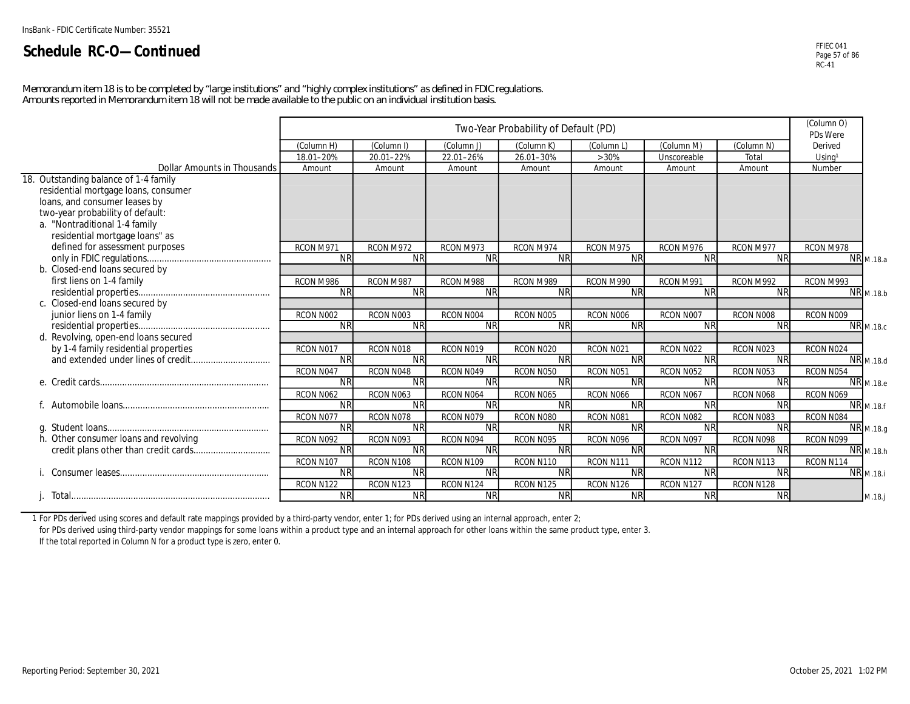FFIEC 041 Page 57 of 86 RC-41

*Memorandum item 18 is to be completed by "large institutions" and "highly complex institutions" as defined in FDIC regulations. Amounts reported in Memorandum item 18 will not be made available to the public on an individual institution basis.*

|                                       |            | Two-Year Probability of Default (PD) |                        |            |                        |                        |                        |                    |                  |  |  |
|---------------------------------------|------------|--------------------------------------|------------------------|------------|------------------------|------------------------|------------------------|--------------------|------------------|--|--|
|                                       | (Column H) | (Column I)                           | (Column J)             | (Column K) | (Column L              | (Column M)             | (Column N)             | Derived            |                  |  |  |
|                                       | 18.01-20%  | 20.01-22%                            | 22.01-26%              | 26.01-30%  | >30%                   | Unscoreable            | Total                  | Using <sup>1</sup> |                  |  |  |
| Dollar Amounts in Thousands           | Amount     | Amount                               | Amount                 | Amount     | Amount                 | Amount                 | Amount                 | Number             |                  |  |  |
| 18. Outstanding balance of 1-4 family |            |                                      |                        |            |                        |                        |                        |                    |                  |  |  |
| residential mortgage loans, consumer  |            |                                      |                        |            |                        |                        |                        |                    |                  |  |  |
| loans, and consumer leases by         |            |                                      |                        |            |                        |                        |                        |                    |                  |  |  |
| two-year probability of default:      |            |                                      |                        |            |                        |                        |                        |                    |                  |  |  |
| a. "Nontraditional 1-4 family         |            |                                      |                        |            |                        |                        |                        |                    |                  |  |  |
| residential mortgage loans" as        |            |                                      |                        |            |                        |                        |                        |                    |                  |  |  |
| defined for assessment purposes       | RCON M971  | RCON M972                            | RCON M973              | RCON M974  | RCON M975              | RCON M976              | RCON M977              | RCON M978          |                  |  |  |
|                                       | <b>NR</b>  | $\overline{\text{NR}}$               | <b>NR</b>              | <b>NR</b>  | $\overline{\text{NR}}$ | <b>NR</b>              | $\overline{\text{NR}}$ |                    | <b>NR</b> M.18.a |  |  |
| b. Closed-end loans secured by        |            |                                      |                        |            |                        |                        |                        |                    |                  |  |  |
| first liens on 1-4 family             | RCON M986  | RCON M987                            | RCON M988              | RCON M989  | RCON M990              | RCON M991              | RCON M992              | RCON M993          |                  |  |  |
|                                       | <b>NR</b>  | <b>NR</b>                            | <b>NR</b>              | <b>NR</b>  | <b>NR</b>              | <b>NR</b>              | <b>NR</b>              |                    | <b>NR</b> M.18.b |  |  |
| c. Closed-end loans secured by        |            |                                      |                        |            |                        |                        |                        |                    |                  |  |  |
| junior liens on 1-4 family            | RCON N002  | RCON N003                            | RCON N004              | RCON N005  | RCON N006              | RCON N007              | RCON N008              | RCON N009          |                  |  |  |
|                                       | <b>NR</b>  | <b>NR</b>                            | <b>NR</b>              | <b>NR</b>  | <b>NR</b>              | <b>NR</b>              | <b>NR</b>              |                    | <b>NR</b> M.18.c |  |  |
| d. Revolving, open-end loans secured  |            |                                      |                        |            |                        |                        |                        |                    |                  |  |  |
| by 1-4 family residential properties  | RCON N017  | RCON N018                            | RCON N019              | RCON N020  | RCON N021              | RCON N022              | RCON N023              | RCON N024          |                  |  |  |
|                                       | <b>NR</b>  | <b>NR</b>                            | <b>NR</b>              | <b>NR</b>  | <b>NR</b>              | <b>NR</b>              | <b>NR</b>              |                    | NR M.18.d        |  |  |
|                                       | RCON N047  | RCON N048                            | RCON N049              | RCON N050  | RCON N051              | RCON N052              | RCON N053              | RCON N054          |                  |  |  |
|                                       | <b>NR</b>  | <b>NR</b>                            | $\overline{\text{NR}}$ | <b>NR</b>  | $\overline{\text{NR}}$ | $\overline{\text{NR}}$ | <b>NR</b>              |                    | <b>NR</b> M.18.e |  |  |
|                                       | RCON N062  | RCON N063                            | RCON N064              | RCON N065  | RCON N066              | RCON N067              | RCON N068              | RCON N069          |                  |  |  |
|                                       | <b>NR</b>  | <b>NR</b>                            | <b>NR</b>              | <b>NR</b>  | <b>NR</b>              | <b>NR</b>              | <b>NR</b>              |                    | <b>NR</b> M.18.f |  |  |
|                                       | RCON N077  | RCON N078                            | RCON N079              | RCON N080  | RCON N081              | RCON N082              | RCON N083              | RCON N084          |                  |  |  |
|                                       | <b>NR</b>  | <b>NR</b>                            | <b>NR</b>              | <b>NR</b>  | <b>NR</b>              | <b>NR</b>              | <b>NR</b>              |                    | NR M.18.g        |  |  |
| h. Other consumer loans and revolving | RCON N092  | RCON N093                            | RCON N094              | RCON N095  | RCON N096              | RCON N097              | RCON N098              | RCON N099          |                  |  |  |
|                                       | <b>NR</b>  | <b>NR</b>                            | <b>NR</b>              | <b>NR</b>  | <b>NR</b>              | <b>NR</b>              | <b>NR</b>              |                    | NR M.18.h        |  |  |
|                                       | RCON N107  | RCON N108                            | RCON N109              | RCON N110  | RCON N111              | RCON N112              | RCON N113              | RCON N114          |                  |  |  |
|                                       | <b>NR</b>  | <b>NR</b>                            | <b>NR</b>              | <b>NR</b>  | <b>NR</b>              | <b>NR</b>              | <b>NR</b>              |                    | <b>NR</b> M.18.i |  |  |
|                                       | RCON N122  | RCON N123                            | RCON N124              | RCON N125  | RCON N126              | RCON N127              | RCON N128              |                    |                  |  |  |
|                                       | <b>NR</b>  | <b>NR</b>                            | <b>NR</b>              | <b>NR</b>  | <b>NR</b>              | <b>NR</b>              | <b>NR</b>              |                    | $M.18.$ j        |  |  |

1 For PDs derived using scores and default rate mappings provided by a third-party vendor, enter 1; for PDs derived using an internal approach, enter 2;

for PDs derived using third-party vendor mappings for some loans within a product type and an internal approach for other loans within the same product type, enter 3. If the total reported in Column N for a product type is zero, enter 0.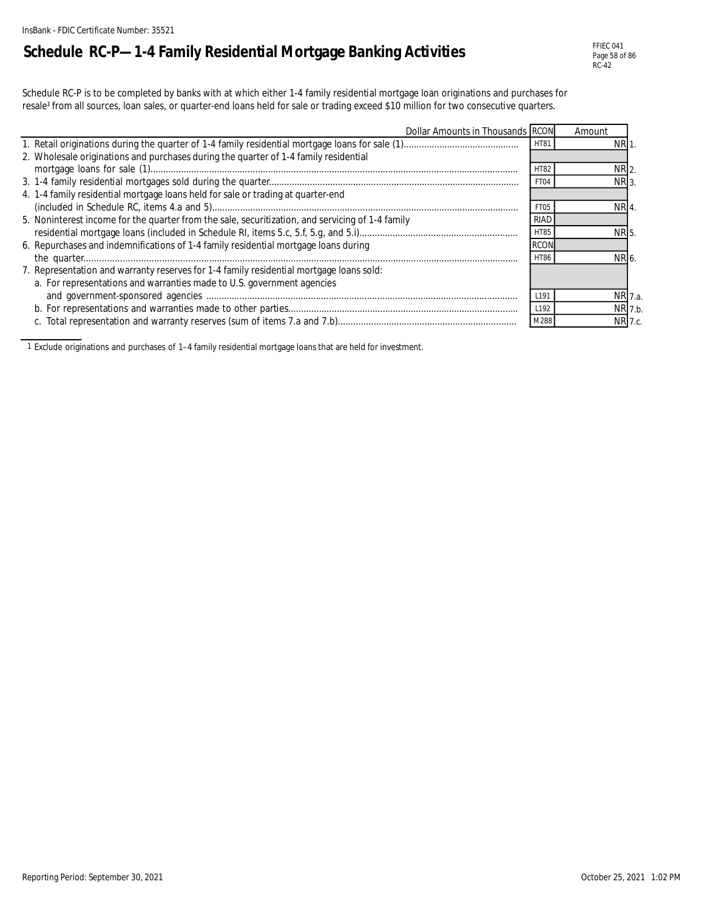# **Schedule RC-P—1-4 Family Residential Mortgage Banking Activities**

Schedule RC-P is to be completed by banks with at which either 1-4 family residential mortgage loan originations and purchases for resale<sup>1</sup> from all sources, loan sales, or quarter-end loans held for sale or trading exceed \$10 million for two consecutive quarters.

| Dollar Amounts in Thousands RCON                                                                 |                  | Amount          |         |
|--------------------------------------------------------------------------------------------------|------------------|-----------------|---------|
|                                                                                                  | <b>HT81</b>      | NRI.            |         |
| 2. Wholesale originations and purchases during the quarter of 1-4 family residential             |                  |                 |         |
|                                                                                                  | <b>HT82</b>      | NR <sub>2</sub> |         |
|                                                                                                  | FT04             | NR <sub>3</sub> |         |
| 4. 1-4 family residential mortgage loans held for sale or trading at quarter-end                 |                  |                 |         |
|                                                                                                  | FT <sub>05</sub> | NR <sub>4</sub> |         |
| 5. Noninterest income for the quarter from the sale, securitization, and servicing of 1-4 family | <b>RIAD</b>      |                 |         |
|                                                                                                  | <b>HT85</b>      | NR <sub>5</sub> |         |
| 6. Repurchases and indemnifications of 1-4 family residential mortgage loans during              |                  |                 |         |
|                                                                                                  | <b>HT86</b>      | NR 6            |         |
| 7. Representation and warranty reserves for 1-4 family residential mortgage loans sold:          |                  |                 |         |
| a. For representations and warranties made to U.S. government agencies                           |                  |                 |         |
|                                                                                                  | L <sub>191</sub> |                 | NR 7.a. |
|                                                                                                  | L192             |                 | NR 7.b. |
|                                                                                                  | M288             |                 | NR 7.c. |

1 Exclude originations and purchases of 1–4 family residential mortgage loans that are held for investment.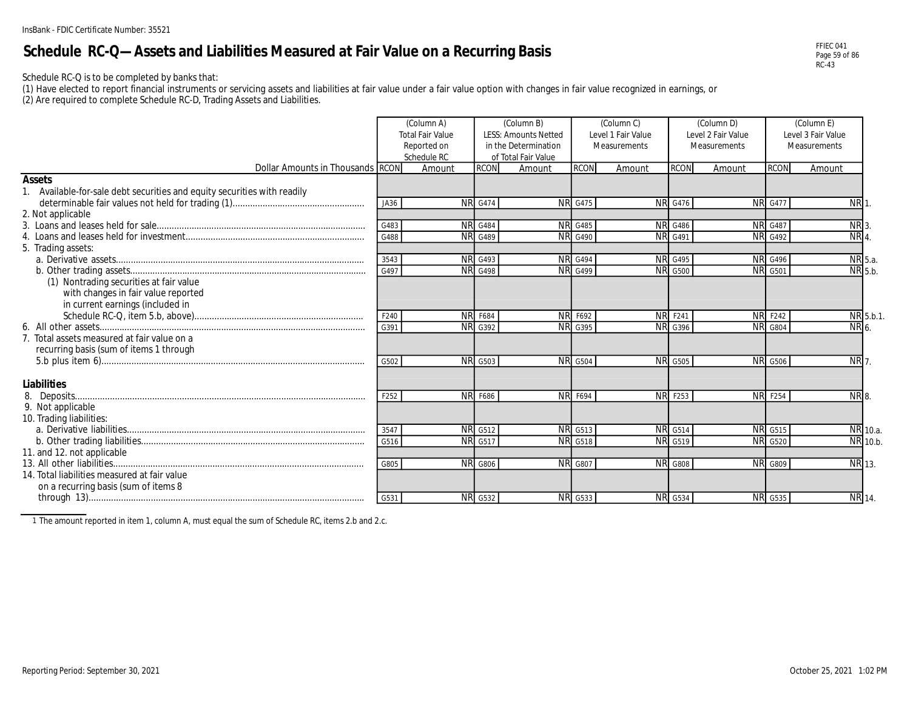### **Schedule RC-Q—Assets and Liabilities Measured at Fair Value on a Recurring Basis**

Schedule RC-Q is to be completed by banks that:

(1) Have elected to report financial instruments or servicing assets and liabilities at fair value under a fair value option with changes in fair value recognized in earnings, or

(2) Are required to complete Schedule RC-D, Trading Assets and Liabilities.

|                                                                          |      | (Column A)<br><b>Total Fair Value</b><br>Reported on<br>Schedule RC |                | (Column B)<br><b>LESS: Amounts Netted</b><br>in the Determination<br>of Total Fair Value |                | (Column C)<br>Level 1 Fair Value<br>Measurements |                | (Column D)<br>Level 2 Fair Value<br>Measurements |                | (Column E)<br>Level 3 Fair Value<br>Measurements |                 |
|--------------------------------------------------------------------------|------|---------------------------------------------------------------------|----------------|------------------------------------------------------------------------------------------|----------------|--------------------------------------------------|----------------|--------------------------------------------------|----------------|--------------------------------------------------|-----------------|
| Dollar Amounts in Thousands RCON                                         |      | Amount                                                              | <b>RCON</b>    | Amount                                                                                   | <b>RCON</b>    | Amount                                           | <b>RCON</b>    | Amount                                           | <b>RCON</b>    | Amount                                           |                 |
| <b>Assets</b>                                                            |      |                                                                     |                |                                                                                          |                |                                                  |                |                                                  |                |                                                  |                 |
| 1. Available-for-sale debt securities and equity securities with readily |      |                                                                     |                |                                                                                          |                |                                                  |                |                                                  |                |                                                  |                 |
|                                                                          | JA36 |                                                                     | <b>NR</b> G474 |                                                                                          | <b>NR</b> G475 | <b>NR</b>                                        | G476           |                                                  | <b>NR G477</b> | <b>NR</b>                                        |                 |
| 2. Not applicable                                                        |      |                                                                     |                |                                                                                          |                |                                                  |                |                                                  |                |                                                  |                 |
|                                                                          | G483 |                                                                     | <b>NR</b> G484 |                                                                                          | <b>NR</b> G485 |                                                  | <b>NR</b> G486 |                                                  | <b>NR</b> G487 | NR <sub>3</sub>                                  |                 |
|                                                                          | G488 |                                                                     | <b>NR</b> G489 |                                                                                          | <b>NR</b> G490 | <b>NR</b>                                        | G491           |                                                  | <b>NR</b> G492 | NR <sub>4</sub>                                  |                 |
| 5. Trading assets:                                                       |      |                                                                     |                |                                                                                          |                |                                                  |                |                                                  |                |                                                  |                 |
|                                                                          | 3543 |                                                                     | <b>NR</b> G493 |                                                                                          | <b>NR</b> G494 |                                                  | <b>NR G495</b> |                                                  | <b>NR</b> G496 |                                                  | NR 5.a.         |
|                                                                          | G497 |                                                                     | <b>NR</b> G498 |                                                                                          | <b>NR</b> G499 | <b>NR</b>                                        | G500           |                                                  | <b>NR</b> G501 |                                                  | NR 5.b.         |
| (1) Nontrading securities at fair value                                  |      |                                                                     |                |                                                                                          |                |                                                  |                |                                                  |                |                                                  |                 |
| with changes in fair value reported                                      |      |                                                                     |                |                                                                                          |                |                                                  |                |                                                  |                |                                                  |                 |
| in current earnings (included in                                         |      |                                                                     |                |                                                                                          |                |                                                  |                |                                                  |                |                                                  |                 |
|                                                                          | F240 |                                                                     | <b>NR F684</b> |                                                                                          | <b>NR F692</b> |                                                  | <b>NR</b> F241 |                                                  | <b>NR</b> F242 |                                                  | NR 5.b.1.       |
|                                                                          | G391 |                                                                     | <b>NR</b> G392 |                                                                                          | <b>NR</b> G395 |                                                  | <b>NR</b> G396 |                                                  | <b>NR</b> G804 |                                                  | NR 6.           |
| 7. Total assets measured at fair value on a                              |      |                                                                     |                |                                                                                          |                |                                                  |                |                                                  |                |                                                  |                 |
| recurring basis (sum of items 1 through                                  |      |                                                                     |                |                                                                                          |                |                                                  |                |                                                  |                |                                                  |                 |
|                                                                          | G502 | <b>NR</b>                                                           | G503           |                                                                                          | <b>NR</b> G504 | <b>NR</b>                                        | G505           |                                                  | <b>NR</b> G506 | NR <sub>7</sub>                                  |                 |
|                                                                          |      |                                                                     |                |                                                                                          |                |                                                  |                |                                                  |                |                                                  |                 |
| Liabilities                                                              |      |                                                                     |                |                                                                                          |                |                                                  |                |                                                  |                |                                                  |                 |
|                                                                          | F252 |                                                                     | <b>NR F686</b> |                                                                                          | <b>NR F694</b> | <b>NR</b>                                        | F253           |                                                  | <b>NR F254</b> |                                                  | NR <sub>8</sub> |
| 9. Not applicable                                                        |      |                                                                     |                |                                                                                          |                |                                                  |                |                                                  |                |                                                  |                 |
| 10. Trading liabilities:                                                 |      |                                                                     |                |                                                                                          |                |                                                  |                |                                                  |                |                                                  |                 |
|                                                                          | 3547 |                                                                     | <b>NR G512</b> |                                                                                          | <b>NR</b> G513 |                                                  | <b>NR G514</b> |                                                  | <b>NR G515</b> |                                                  | NR 10.a.        |
|                                                                          | G516 |                                                                     | <b>NR</b> G517 |                                                                                          | <b>NR</b> G518 | <b>NR</b>                                        | G519           |                                                  | <b>NR G520</b> |                                                  | NR 10.b.        |
| 11. and 12. not applicable                                               |      |                                                                     |                |                                                                                          |                |                                                  |                |                                                  |                |                                                  |                 |
|                                                                          | G805 |                                                                     | NR G806        |                                                                                          | <b>NR G807</b> | <b>NR</b>                                        | G808           |                                                  | <b>NR G809</b> |                                                  | NR 13.          |
| 14. Total liabilities measured at fair value                             |      |                                                                     |                |                                                                                          |                |                                                  |                |                                                  |                |                                                  |                 |
| on a recurring basis (sum of items 8                                     |      |                                                                     |                |                                                                                          |                |                                                  |                |                                                  |                |                                                  |                 |
|                                                                          | G531 |                                                                     | <b>NR</b> G532 |                                                                                          | <b>NR</b> G533 |                                                  | <b>NR</b> G534 |                                                  | <b>NR</b> G535 |                                                  | <b>NR</b> 14.   |

1 The amount reported in item 1, column A, must equal the sum of Schedule RC, items 2.b and 2.c.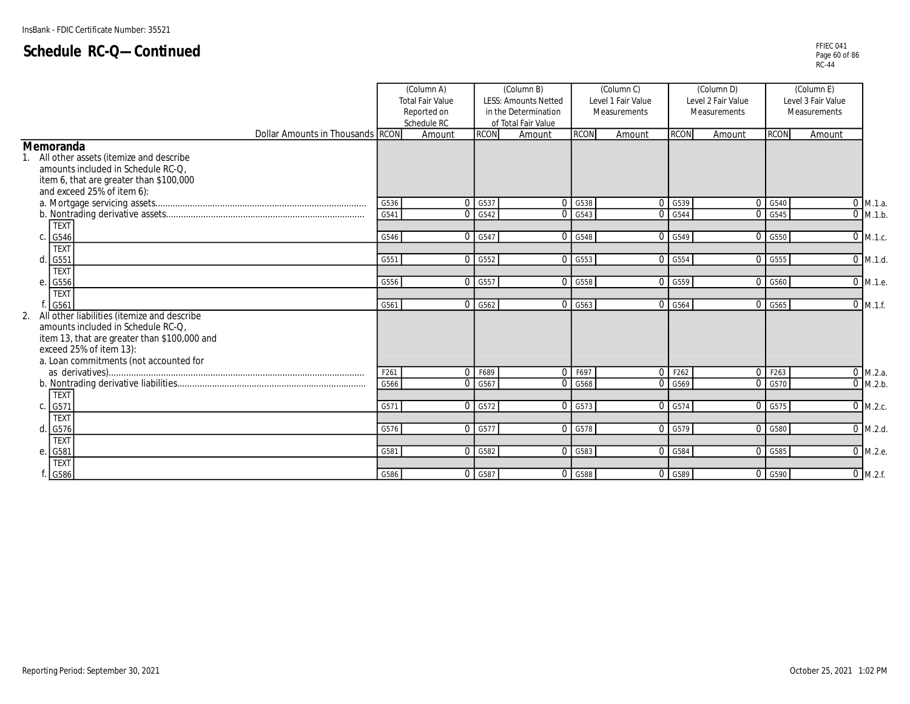|                                                                                                                                                                                                              |      | (Column A)<br><b>Total Fair Value</b><br>Reported on<br>Schedule RC |                      | (Column B)<br><b>LESS: Amounts Netted</b><br>in the Determination<br>of Total Fair Value |                                 | (Column C)<br>Level 1 Fair Value<br>Measurements |                      | (Column D)<br>Level 2 Fair Value<br>Measurements |                      | (Column E)<br>Level 3 Fair Value<br>Measurements |                       |
|--------------------------------------------------------------------------------------------------------------------------------------------------------------------------------------------------------------|------|---------------------------------------------------------------------|----------------------|------------------------------------------------------------------------------------------|---------------------------------|--------------------------------------------------|----------------------|--------------------------------------------------|----------------------|--------------------------------------------------|-----------------------|
| Dollar Amounts in Thousands RCON                                                                                                                                                                             |      | Amount                                                              | <b>RCON</b>          | Amount                                                                                   | <b>RCON</b>                     | Amount                                           | <b>RCON</b>          | Amount                                           | <b>RCON</b>          | Amount                                           |                       |
| <b>Memoranda</b><br>All other assets (itemize and describe<br>amounts included in Schedule RC-Q.<br>item 6, that are greater than \$100,000<br>and exceed 25% of item 6):                                    |      |                                                                     |                      |                                                                                          |                                 |                                                  |                      |                                                  |                      |                                                  |                       |
|                                                                                                                                                                                                              | G536 |                                                                     | $0$ G <sub>537</sub> |                                                                                          | 0 G538                          | $\Omega$                                         | G539                 |                                                  | 0 G540               | $\mathbf 0$                                      | M.1.a.                |
|                                                                                                                                                                                                              | G541 |                                                                     | $0$ G <sub>542</sub> |                                                                                          | $0$ G <sub>543</sub>            | $\Omega$                                         | G544                 |                                                  | 0 G545               | $\Omega$                                         | M.1.b.                |
| <b>TEXT</b><br>G546<br>$\mathsf{C}$                                                                                                                                                                          | G546 |                                                                     | 0 G547               |                                                                                          | $\overline{0}$ G <sub>548</sub> |                                                  | $0$ G <sub>549</sub> |                                                  | 0 G550               |                                                  | $0$ M.1.c.            |
| <b>TEXT</b>                                                                                                                                                                                                  |      |                                                                     |                      |                                                                                          |                                 |                                                  |                      |                                                  |                      |                                                  |                       |
| G551<br>h                                                                                                                                                                                                    | G551 |                                                                     | $0$ G <sub>552</sub> |                                                                                          | $0$ G <sub>553</sub>            |                                                  | 0 G554               |                                                  | $0$ G <sub>555</sub> |                                                  | $\overline{0}$ M.1.d. |
| <b>TEXT</b><br>G556<br>e                                                                                                                                                                                     | G556 |                                                                     | 0 G557               |                                                                                          | $0$ G <sub>558</sub>            | $\Omega$                                         | G559                 |                                                  | $0$ G <sub>560</sub> |                                                  | 0 M.1.e.              |
| <b>TEXT</b><br>G561                                                                                                                                                                                          | G561 |                                                                     | $0$ G <sub>562</sub> |                                                                                          | $0$ G <sub>563</sub>            |                                                  | 0 G564               |                                                  | 0 G565               |                                                  | $0$ M.1.f.            |
| All other liabilities (itemize and describe<br>2.<br>amounts included in Schedule RC-Q.<br>item 13, that are greater than \$100,000 and<br>exceed 25% of item 13):<br>a. Loan commitments (not accounted for |      |                                                                     |                      |                                                                                          |                                 |                                                  |                      |                                                  |                      |                                                  |                       |
|                                                                                                                                                                                                              | F261 |                                                                     | 0 F689               |                                                                                          | 0. F697                         |                                                  | 0 F262               |                                                  | 0 F263               |                                                  | $\overline{0}$ M.2.a. |
| <b>TEXT</b>                                                                                                                                                                                                  | G566 |                                                                     | 0 G567               |                                                                                          | 0 G568                          | $\Omega$                                         | G569                 |                                                  | 0 G570               |                                                  | $\overline{0}$ M.2.b. |
| G571<br>$\mathsf{C}$                                                                                                                                                                                         | G571 |                                                                     | 0 G572               |                                                                                          | $0$ G <sub>573</sub>            |                                                  | $0$ G <sub>574</sub> |                                                  | 0 G575               |                                                  | $0$ M.2.c.            |
| <b>TEXT</b><br>d<br>G576                                                                                                                                                                                     | G576 |                                                                     | 0 G577               |                                                                                          | 0 G578                          |                                                  | 0 G579               |                                                  | $0$ G <sub>580</sub> |                                                  | $\overline{0}$ M.2.d. |
| <b>TEXT</b><br>G581<br>e                                                                                                                                                                                     | G581 |                                                                     | $0$ G <sub>582</sub> |                                                                                          | $0$ G <sub>5</sub> 83           |                                                  | 0 G584               |                                                  | $0$ G <sub>585</sub> |                                                  | 0 M.2.e.              |
| <b>TEXT</b>                                                                                                                                                                                                  |      |                                                                     |                      |                                                                                          |                                 |                                                  |                      |                                                  |                      |                                                  |                       |
| G586                                                                                                                                                                                                         | G586 |                                                                     | 0 G587               |                                                                                          | 0 G588                          |                                                  | $0$ G <sub>589</sub> |                                                  | $0$ G <sub>590</sub> |                                                  | $0$ M.2.f.            |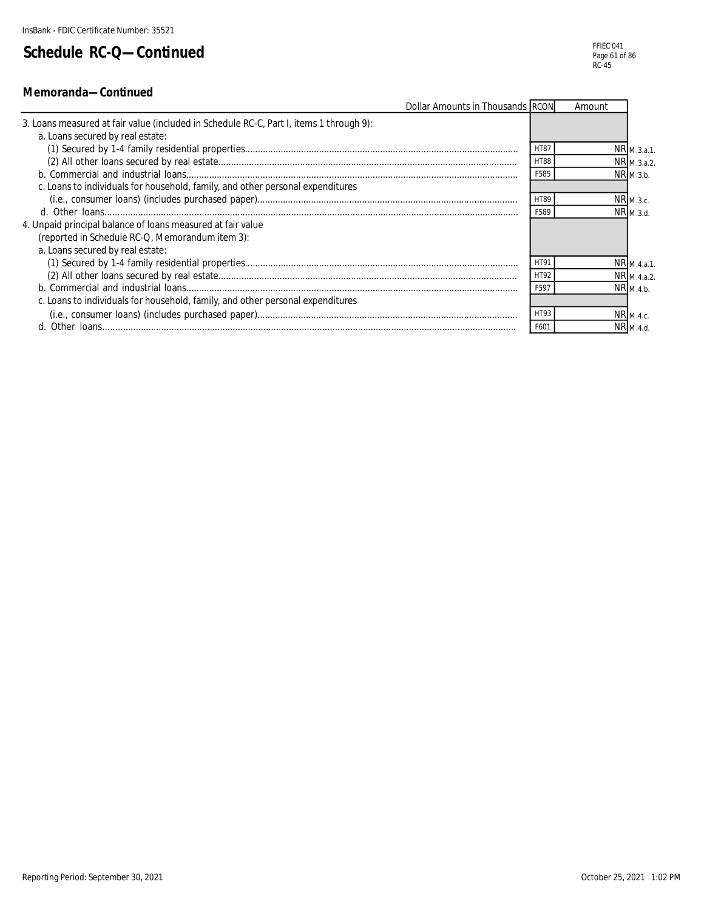| Dollar Amounts in Thousands RCON                                                        |             | Amount |                       |
|-----------------------------------------------------------------------------------------|-------------|--------|-----------------------|
| 3. Loans measured at fair value (included in Schedule RC-C, Part I, items 1 through 9): |             |        |                       |
| a. Loans secured by real estate:                                                        |             |        |                       |
|                                                                                         | <b>HT87</b> |        | $NR$ $M.3.a.1$ .      |
|                                                                                         | <b>HT88</b> |        | NR M.3.a.2.           |
|                                                                                         | F585        |        | $NR_{M.3.b.}$         |
| c. Loans to individuals for household, family, and other personal expenditures          |             |        |                       |
|                                                                                         | <b>HT89</b> |        | NR <sub>M.3.c.</sub>  |
|                                                                                         | F589        |        | $NR_{M.3.d.}$         |
| 4. Unpaid principal balance of loans measured at fair value                             |             |        |                       |
| (reported in Schedule RC-Q, Memorandum item 3):                                         |             |        |                       |
| a. Loans secured by real estate:                                                        |             |        |                       |
|                                                                                         | HT91        |        | NR <sub>M.4.a.1</sub> |
|                                                                                         | HT92        |        | NR M.4.a.2.           |
|                                                                                         | F597        |        | NRM.4.b               |
| c. Loans to individuals for household, family, and other personal expenditures          |             |        |                       |
|                                                                                         | HT93        |        | $NR_{M.4.c.}$         |
|                                                                                         | F601        |        | NR <sub>M.4.d</sub>   |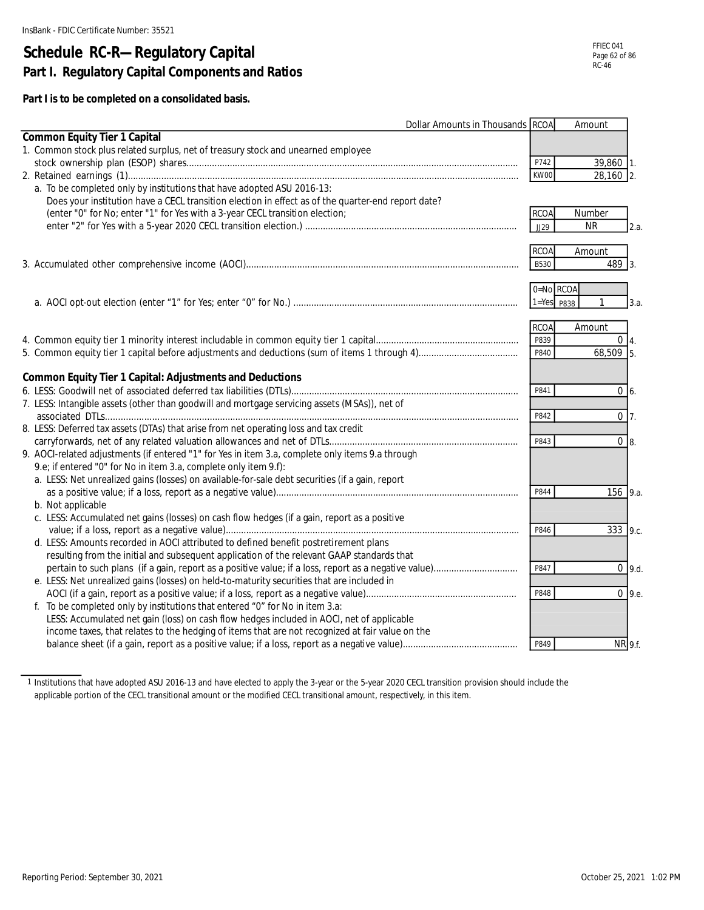# **Schedule RC-R—Regulatory Capital Part I. Regulatory Capital Components and Ratios**

**Part I is to be completed on a consolidated basis.**

|                                                                                                    | <b>Dollar Amounts in Thousands RCOA</b> | Amount            |
|----------------------------------------------------------------------------------------------------|-----------------------------------------|-------------------|
| <b>Common Equity Tier 1 Capital</b>                                                                |                                         |                   |
| 1. Common stock plus related surplus, net of treasury stock and unearned employee                  |                                         |                   |
|                                                                                                    | P742                                    | 39,860 1.         |
|                                                                                                    | KW00                                    | 28,160 2.         |
| a. To be completed only by institutions that have adopted ASU 2016-13:                             |                                         |                   |
| Does your institution have a CECL transition election in effect as of the quarter-end report date? |                                         |                   |
| (enter "0" for No; enter "1" for Yes with a 3-year CECL transition election;                       | <b>RCOA</b>                             | Number            |
|                                                                                                    | JJ29                                    | <b>NR</b><br>2.a. |
|                                                                                                    |                                         |                   |
|                                                                                                    | <b>RCOA</b>                             | Amount            |
|                                                                                                    | B530                                    | 489 3.            |
|                                                                                                    |                                         |                   |
|                                                                                                    | 0=No RCOA                               |                   |
|                                                                                                    | $1 = Yes$ P838                          | 3.a.              |
|                                                                                                    |                                         |                   |
|                                                                                                    | <b>RCOA</b>                             | Amount            |
|                                                                                                    | P839                                    | $0\vert 4.$       |
|                                                                                                    | P840                                    | 68,509 5.         |
|                                                                                                    |                                         |                   |
| <b>Common Equity Tier 1 Capital: Adjustments and Deductions</b>                                    |                                         |                   |
|                                                                                                    | P841                                    | $0\,$ 6.          |
| 7. LESS: Intangible assets (other than goodwill and mortgage servicing assets (MSAs)), net of      |                                         |                   |
|                                                                                                    | P842                                    | $0\vert 7.$       |
| 8. LESS: Deferred tax assets (DTAs) that arise from net operating loss and tax credit              |                                         |                   |
|                                                                                                    | P843                                    | $0 \vert 8$ .     |
| 9. AOCI-related adjustments (if entered "1" for Yes in item 3.a, complete only items 9.a through   |                                         |                   |
| 9.e; if entered "0" for No in item 3.a, complete only item 9.f):                                   |                                         |                   |
| a. LESS: Net unrealized gains (losses) on available-for-sale debt securities (if a gain, report    |                                         |                   |
|                                                                                                    | P844                                    | 156 9.a.          |
| b. Not applicable                                                                                  |                                         |                   |
| c. LESS: Accumulated net gains (losses) on cash flow hedges (if a gain, report as a positive       |                                         |                   |
|                                                                                                    | P846                                    | 333 9.c.          |
| d. LESS: Amounts recorded in AOCI attributed to defined benefit postretirement plans               |                                         |                   |
| resulting from the initial and subsequent application of the relevant GAAP standards that          | P847                                    |                   |
|                                                                                                    |                                         | $0$ 9.d.          |
| e. LESS: Net unrealized gains (losses) on held-to-maturity securities that are included in         |                                         |                   |
|                                                                                                    | P848                                    | $0\,9.e.$         |
| f. To be completed only by institutions that entered "0" for No in item 3.a:                       |                                         |                   |
| LESS: Accumulated net gain (loss) on cash flow hedges included in AOCI, net of applicable          |                                         |                   |
| income taxes, that relates to the hedging of items that are not recognized at fair value on the    |                                         |                   |
|                                                                                                    | P849                                    | NR 9.f.           |

1 Institutions that have adopted ASU 2016-13 and have elected to apply the 3-year or the 5-year 2020 CECL transition provision should include the applicable portion of the CECL transitional amount or the modified CECL transitional amount, respectively, in this item.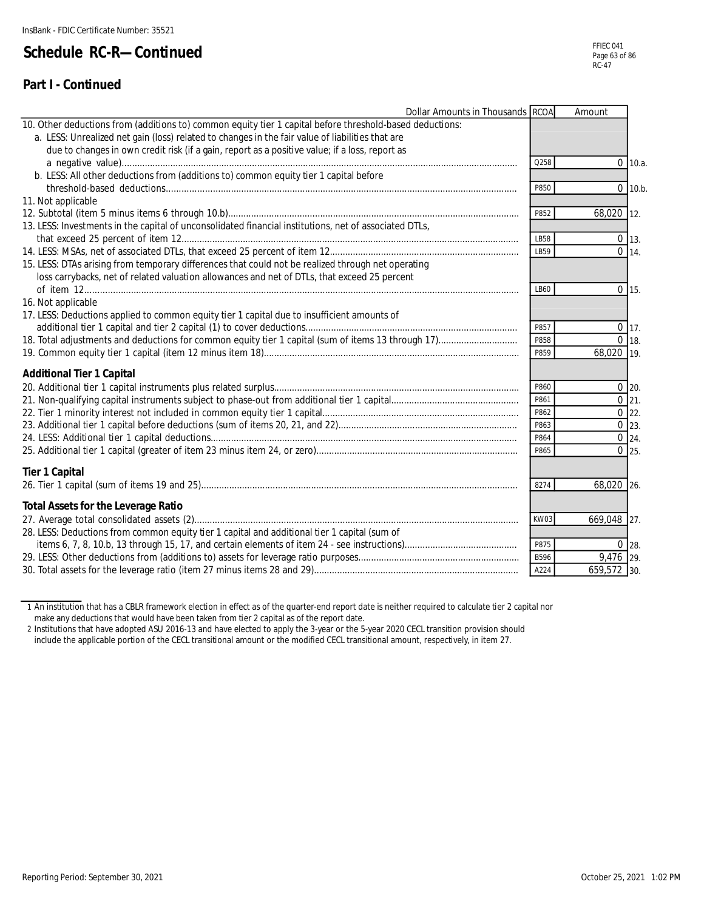#### **Part I - Continued**

| Dollar Amounts in Thousands RCOA                                                                         |      | Amount      |                    |
|----------------------------------------------------------------------------------------------------------|------|-------------|--------------------|
| 10. Other deductions from (additions to) common equity tier 1 capital before threshold-based deductions: |      |             |                    |
| a. LESS: Unrealized net gain (loss) related to changes in the fair value of liabilities that are         |      |             |                    |
| due to changes in own credit risk (if a gain, report as a positive value; if a loss, report as           |      |             |                    |
|                                                                                                          | Q258 |             | $0$ 10.a.          |
| b. LESS: All other deductions from (additions to) common equity tier 1 capital before                    |      |             |                    |
|                                                                                                          | P850 |             | $0$ 10.b.          |
| 11. Not applicable                                                                                       |      |             |                    |
|                                                                                                          | P852 | 68,020 12.  |                    |
| 13. LESS: Investments in the capital of unconsolidated financial institutions, net of associated DTLs,   |      |             |                    |
|                                                                                                          | LB58 |             | $0$ 13.            |
|                                                                                                          | IB59 |             | $0 \overline{14}$  |
| 15. LESS: DTAs arising from temporary differences that could not be realized through net operating       |      |             |                    |
| loss carrybacks, net of related valuation allowances and net of DTLs, that exceed 25 percent             |      |             |                    |
|                                                                                                          | LB60 |             | $0$ 15.            |
| 16. Not applicable                                                                                       |      |             |                    |
| 17. LESS: Deductions applied to common equity tier 1 capital due to insufficient amounts of              |      |             |                    |
|                                                                                                          | P857 |             | $0$ 17.            |
|                                                                                                          | P858 |             | $0$ 18.            |
|                                                                                                          | P859 | 68.020 19.  |                    |
| <b>Additional Tier 1 Capital</b>                                                                         |      |             |                    |
|                                                                                                          | P860 |             | $0$ 20.            |
|                                                                                                          | P861 |             | $0 \ 21.$          |
|                                                                                                          | P862 |             | $0 \ 22.$          |
|                                                                                                          | P863 |             | $\overline{0}$ 23. |
|                                                                                                          | P864 |             | $0 \, 24.$         |
|                                                                                                          | P865 |             | $0$ 25.            |
|                                                                                                          |      |             |                    |
| <b>Tier 1 Capital</b>                                                                                    |      |             |                    |
|                                                                                                          | 8274 | 68,020 26.  |                    |
|                                                                                                          |      |             |                    |
| <b>Total Assets for the Leverage Ratio</b>                                                               |      |             |                    |
|                                                                                                          | KW03 | 669,048 27. |                    |
| 28. LESS: Deductions from common equity tier 1 capital and additional tier 1 capital (sum of             |      |             |                    |
|                                                                                                          | P875 |             | $0$ 28.            |
|                                                                                                          | B596 | 9,476 29.   |                    |
|                                                                                                          | A224 | 659,572 30. |                    |

1 An institution that has a CBLR framework election in effect as of the quarter-end report date is neither required to calculate tier 2 capital nor make any deductions that would have been taken from tier 2 capital as of the report date.

2 Institutions that have adopted ASU 2016-13 and have elected to apply the 3-year or the 5-year 2020 CECL transition provision should include the applicable portion of the CECL transitional amount or the modified CECL transitional amount, respectively, in item 27.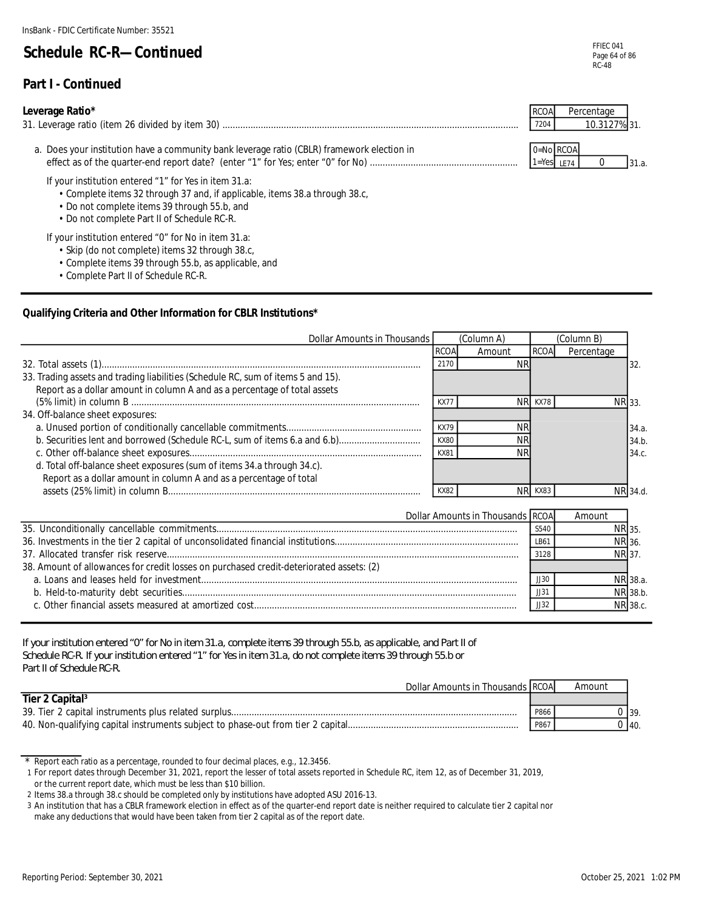#### **Part I - Continued**

#### **Leverage Ratio\***

| 31. Leverage ratio (item 26 divided by item<br>30) | /204 |  |
|----------------------------------------------------|------|--|
|                                                    |      |  |

a. Does your institution have a community bank leverage ratio (CBLR) framework election in **1970 a. A. C. A. A. A. A. A. A. A. A. A.** O=No RCOA effect as of the quarter-end report date? (enter "1" for Yes; enter "0" for No) .......................................................... 1=Yes LE74 0

If your institution entered "1" for Yes in item 31.a:

- Complete items 32 through 37 and, if applicable, items 38.a through 38.c,
- Do not complete items 39 through 55.b, and
- Do not complete Part II of Schedule RC-R.

If your institution entered "0" for No in item 31.a:

- Skip (do not complete) items 32 through 38.c,
- Complete items 39 through 55.b, as applicable, and
- Complete Part II of Schedule RC-R.

#### **Qualifying Criteria and Other Information for CBLR Institutions\***

| Dollar Amounts in Thousands                                                      | (Column A)  |           |             | (Column B) |        |
|----------------------------------------------------------------------------------|-------------|-----------|-------------|------------|--------|
|                                                                                  | <b>RCOA</b> | Amount    | <b>RCOA</b> | Percentage |        |
|                                                                                  | 2170        |           |             |            | 32.    |
| 33. Trading assets and trading liabilities (Schedule RC, sum of items 5 and 15). |             |           |             |            |        |
| Report as a dollar amount in column A and as a percentage of total assets        |             |           |             |            |        |
|                                                                                  | KX7         | NRI       | KX78        |            | NR 33. |
| 34. Off-balance sheet exposures:                                                 |             |           |             |            |        |
|                                                                                  | <b>KX79</b> | ΝR        |             |            | 34.a.  |
|                                                                                  | <b>KX80</b> | ΝR        |             |            | 34.b.  |
|                                                                                  | <b>KX81</b> | <b>NR</b> |             |            | 34.c.  |
| d. Total off-balance sheet exposures (sum of items 34.a through 34.c).           |             |           |             |            |        |
| Report as a dollar amount in column A and as a percentage of total               |             |           |             |            |        |
|                                                                                  | KX82        |           | KX83        |            | 34.d.  |

| Dollar Amounts in Thousands RCOA                                                        |      | Amount |          |
|-----------------------------------------------------------------------------------------|------|--------|----------|
|                                                                                         | S540 | NR 35. |          |
|                                                                                         | LB61 | NR 36. |          |
|                                                                                         | 3128 | NR 37. |          |
| 38. Amount of allowances for credit losses on purchased credit-deteriorated assets: (2) |      |        |          |
|                                                                                         | JJ3C |        | NR 38.a. |
|                                                                                         | JJ31 |        | NR 38.b. |
|                                                                                         | JJ32 |        | NR 38.c. |
|                                                                                         |      |        |          |

*If your institution entered "0" for No in item 31.a, complete items 39 through 55.b, as applicable, and Part II of Schedule RC-R. If your institution entered "1" for Yes in item 31.a, do not complete items 39 through 55.b or Part II of Schedule RC-R.*

| Dollar Amounts in Thousands RCOA                                                |      | Amount |      |
|---------------------------------------------------------------------------------|------|--------|------|
| Tier 2 Capital <sup>3</sup>                                                     |      |        |      |
| 39. Tier 2 capital instruments plus related surplus                             | P866 |        | 139. |
| 40. Non-qualifying capital instruments subject to phase-out from tier 2 capital | P867 |        | 40.  |

<sup>\*</sup> Report each ratio as a percentage, rounded to four decimal places, e.g., 12.3456.

RCOA Percentage

31.

31.a.

<sup>1</sup> For report dates through December 31, 2021, report the lesser of total assets reported in Schedule RC, item 12, as of December 31, 2019,

or the current report date, which must be less than \$10 billion.

<sup>2</sup> Items 38.a through 38.c should be completed only by institutions have adopted ASU 2016-13.

<sup>3</sup> An institution that has a CBLR framework election in effect as of the quarter-end report date is neither required to calculate tier 2 capital nor make any deductions that would have been taken from tier 2 capital as of the report date.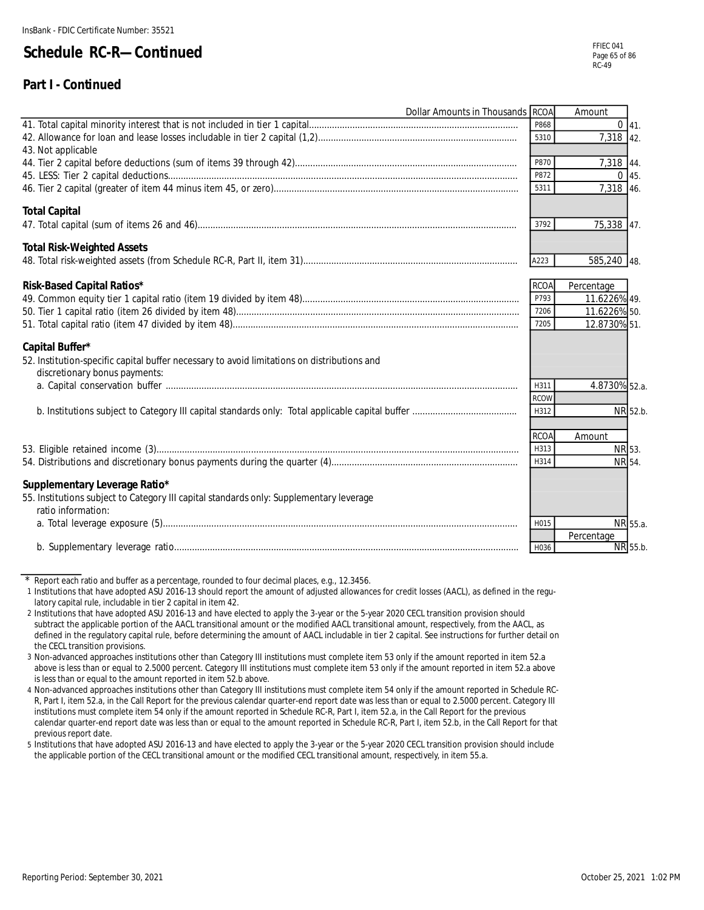#### **Part I - Continued**

| Dollar Amounts in Thousands RCOA                                                            |             | Amount        |  |
|---------------------------------------------------------------------------------------------|-------------|---------------|--|
|                                                                                             | P868        | $0 \, 41.$    |  |
|                                                                                             | 5310        | 7,318 42.     |  |
| 43. Not applicable                                                                          |             |               |  |
|                                                                                             | P870        | 7,318 44.     |  |
|                                                                                             | P872        | $0 \, 45.$    |  |
|                                                                                             | 5311        | 7,318 46.     |  |
| <b>Total Capital</b>                                                                        |             |               |  |
|                                                                                             | 3792        | 75,338 47.    |  |
| <b>Total Risk-Weighted Assets</b>                                                           |             |               |  |
|                                                                                             | A223        | 585,240 48.   |  |
| Risk-Based Capital Ratios*                                                                  | <b>RCOA</b> | Percentage    |  |
|                                                                                             | P793        | 11.6226% 49.  |  |
|                                                                                             | 7206        | 11.6226% 50.  |  |
|                                                                                             | 7205        | 12.8730% 51.  |  |
| Capital Buffer*                                                                             |             |               |  |
| 52. Institution-specific capital buffer necessary to avoid limitations on distributions and |             |               |  |
| discretionary bonus payments:                                                               |             |               |  |
|                                                                                             | H311        | 4.8730% 52.a. |  |
|                                                                                             | <b>RCOW</b> |               |  |
|                                                                                             | H312        | NR 52.b.      |  |
|                                                                                             | <b>RCOA</b> | Amount        |  |
|                                                                                             | H313        | NR 53.        |  |
|                                                                                             | H314        | NR 54.        |  |
| Supplementary Leverage Ratio*                                                               |             |               |  |
| 55. Institutions subject to Category III capital standards only: Supplementary leverage     |             |               |  |
| ratio information:                                                                          |             |               |  |
|                                                                                             | H015        | NR 55.a.      |  |
|                                                                                             |             | Percentage    |  |
|                                                                                             | H036        | NR 55.b.      |  |

\* Report each ratio and buffer as a percentage, rounded to four decimal places, e.g., 12.3456.

1 Institutions that have adopted ASU 2016-13 should report the amount of adjusted allowances for credit losses (AACL), as defined in the regulatory capital rule, includable in tier 2 capital in item 42.

2 Institutions that have adopted ASU 2016-13 and have elected to apply the 3-year or the 5-year 2020 CECL transition provision should subtract the applicable portion of the AACL transitional amount or the modified AACL transitional amount, respectively, from the AACL, as defined in the regulatory capital rule, before determining the amount of AACL includable in tier 2 capital. See instructions for further detail on the CECL transition provisions.

3 Non-advanced approaches institutions other than Category III institutions must complete item 53 only if the amount reported in item 52.a above is less than or equal to 2.5000 percent. Category III institutions must complete item 53 only if the amount reported in item 52.a above is less than or equal to the amount reported in item 52.b above.

4 Non-advanced approaches institutions other than Category III institutions must complete item 54 only if the amount reported in Schedule RC-R, Part I, item 52.a, in the Call Report for the previous calendar quarter-end report date was less than or equal to 2.5000 percent. Category III institutions must complete item 54 only if the amount reported in Schedule RC-R, Part I, item 52.a, in the Call Report for the previous calendar quarter-end report date was less than or equal to the amount reported in Schedule RC-R, Part I, item 52.b, in the Call Report for that previous report date.

5 Institutions that have adopted ASU 2016-13 and have elected to apply the 3-year or the 5-year 2020 CECL transition provision should include the applicable portion of the CECL transitional amount or the modified CECL transitional amount, respectively, in item 55.a.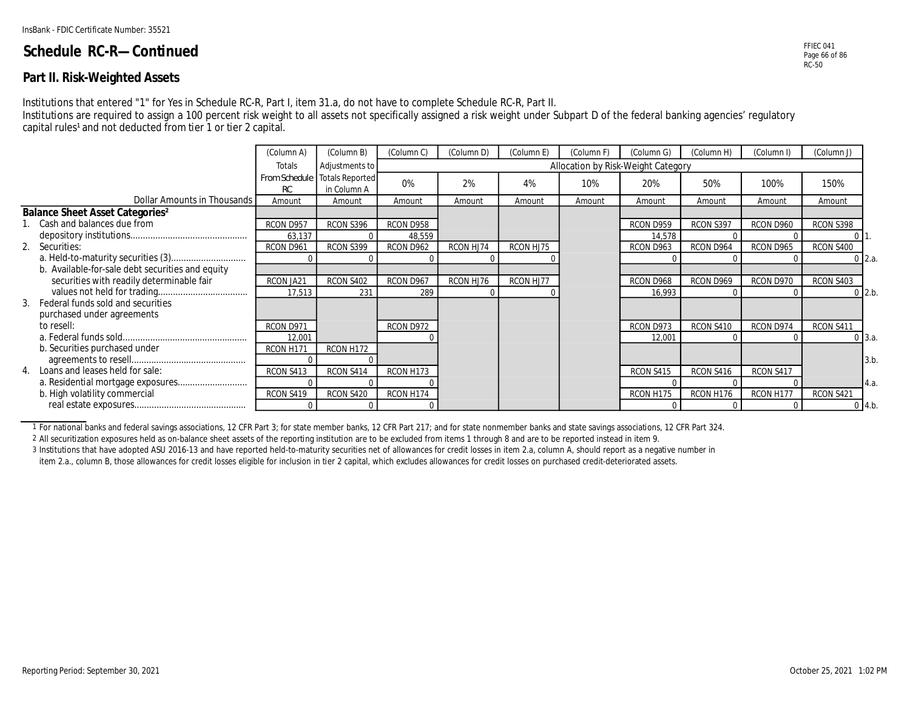#### **Part II. Risk-Weighted Assets**

Institutions that entered "1" for Yes in Schedule RC-R, Part I, item 31.a, do not have to complete Schedule RC-R, Part II.

Institutions are required to assign a 100 percent risk weight to all assets not specifically assigned a risk weight under Subpart D of the federal banking agencies' regulatory capital rules<sup>1</sup> and not deducted from tier 1 or tier 2 capital.

|                                                   | (Column A) | (Column B)                                   | (Column C) | (Column D) | (Column E) | (Column F)                         | (Column G) | (Column H) | (Column I) | (Column J) |                  |
|---------------------------------------------------|------------|----------------------------------------------|------------|------------|------------|------------------------------------|------------|------------|------------|------------|------------------|
|                                                   | Totals     | Adjustments to                               |            |            |            | Allocation by Risk-Weight Category |            |            |            |            |                  |
|                                                   | RC         | From Schedule Totals Reported<br>in Column A | 0%         | 2%         | 4%         | 10%                                | 20%        | 50%        | 100%       | 150%       |                  |
| Dollar Amounts in Thousands                       | Amount     | Amount                                       | Amount     | Amount     | Amoun      | Amount                             | Amount     | Amount     | Amount     | Amount     |                  |
| <b>Balance Sheet Asset Categories<sup>2</sup></b> |            |                                              |            |            |            |                                    |            |            |            |            |                  |
| Cash and balances due from                        | RCON D957  | RCON S396                                    | RCON D958  |            |            |                                    | RCON D959  | RCON S397  | RCON D960  | RCON S398  |                  |
|                                                   | 63,137     |                                              | 48,559     |            |            |                                    | 14,578     |            |            |            |                  |
| 2. Securities:                                    | RCON D96   | RCON S399                                    | RCON D962  | RCON HJ74  | RCON HJ75  |                                    | RCON D963  | RCON D964  | RCON D965  | RCON S400  |                  |
|                                                   |            |                                              |            |            |            |                                    |            |            |            |            | $0\,$ 2.a.       |
| b. Available-for-sale debt securities and equity  |            |                                              |            |            |            |                                    |            |            |            |            |                  |
| securities with readily determinable fair         | RCON JA21  | RCON S402                                    | RCON D967  | RCON HJ76  | RCON HJ77  |                                    | RCON D968  | RCON D969  | RCON D970  | RCON S403  |                  |
|                                                   | 17,513     | 231                                          | 289        |            |            |                                    | 16,993     |            |            |            | $0$ 2.b.         |
| 3. Federal funds sold and securities              |            |                                              |            |            |            |                                    |            |            |            |            |                  |
| purchased under agreements                        |            |                                              |            |            |            |                                    |            |            |            |            |                  |
| to resell:                                        | RCON D971  |                                              | RCON D972  |            |            |                                    | RCON D973  | RCON S410  | RCON D974  | RCON S411  |                  |
|                                                   | 12,001     |                                              |            |            |            |                                    | 12,001     |            |            |            | 0 <sup>3.a</sup> |
| b. Securities purchased under                     | RCON H171  | RCON H172                                    |            |            |            |                                    |            |            |            |            |                  |
|                                                   |            |                                              |            |            |            |                                    |            |            |            |            | 3.b              |
| 4. Loans and leases held for sale:                | RCON S413  | RCON S414                                    | RCON H173  |            |            |                                    | RCON S415  | RCON S416  | RCON S417  |            |                  |
|                                                   |            |                                              |            |            |            |                                    |            |            |            |            | 4.a.             |
| b. High volatility commercial                     | RCON S419  | RCON S420                                    | RCON H174  |            |            |                                    | RCON H175  | RCON H176  | RCON H177  | RCON S421  |                  |
|                                                   |            |                                              |            |            |            |                                    |            |            |            |            | $0 \mid 4.b$     |

1 For national banks and federal savings associations, 12 CFR Part 3; for state member banks, 12 CFR Part 217; and for state nonmember banks and state savings associations, 12 CFR Part 324.

2 All securitization exposures held as on-balance sheet assets of the reporting institution are to be excluded from items 1 through 8 and are to be reported instead in item 9.

3 Institutions that have adopted ASU 2016-13 and have reported held-to-maturity securities net of allowances for credit losses in item 2.a, column A, should report as a negative number in

item 2.a., column B, those allowances for credit losses eligible for inclusion in tier 2 capital, which excludes allowances for credit losses on purchased credit-deteriorated assets.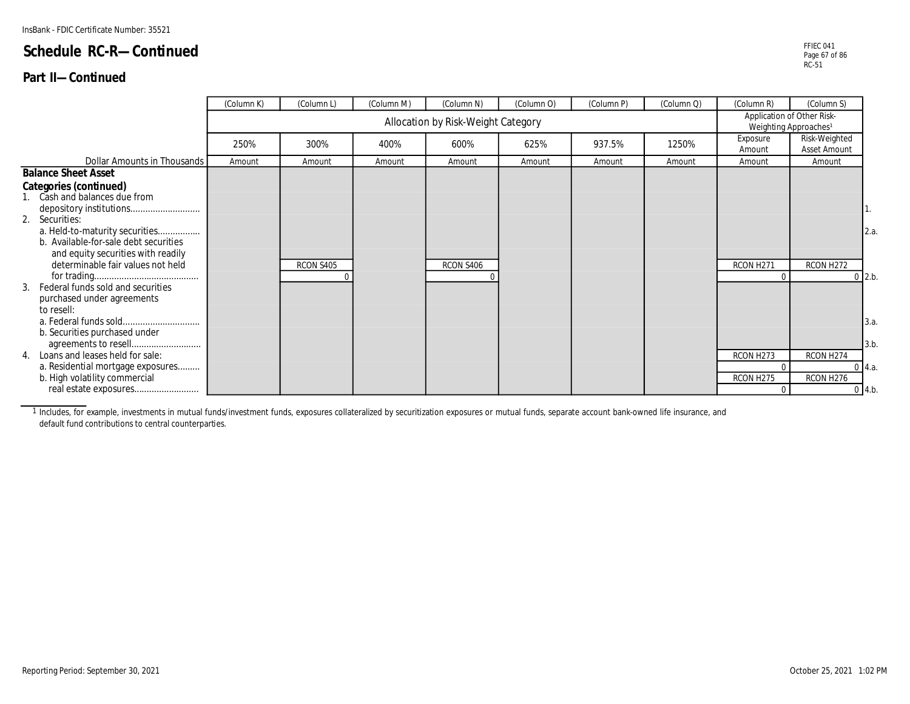#### **Part II—Continued**

|                                                                                                                                                    | (Column K) | (Column L) | (Column M) | (Column N)                         | (Column O) | (Column P) | (Column Q) | (Column R)                                                      | (Column S)                    |                                     |
|----------------------------------------------------------------------------------------------------------------------------------------------------|------------|------------|------------|------------------------------------|------------|------------|------------|-----------------------------------------------------------------|-------------------------------|-------------------------------------|
|                                                                                                                                                    |            |            |            | Allocation by Risk-Weight Category |            |            |            | Application of Other Risk-<br>Weighting Approaches <sup>1</sup> |                               |                                     |
|                                                                                                                                                    | 250%       | 300%       | 400%       | 600%                               | 625%       | 937.5%     | 1250%      | Exposure<br>Amount                                              | Risk-Weighted<br>Asset Amount |                                     |
| Dollar Amounts in Thousands                                                                                                                        | Amount     | Amount     | Amount     | Amount                             | Amount     | Amount     | Amount     | Amount                                                          | Amount                        |                                     |
| <b>Balance Sheet Asset</b>                                                                                                                         |            |            |            |                                    |            |            |            |                                                                 |                               |                                     |
| Categories (continued)<br>1. Cash and balances due from<br>2. Securities:                                                                          |            |            |            |                                    |            |            |            |                                                                 |                               |                                     |
| a. Held-to-maturity securities<br>b. Available-for-sale debt securities<br>and equity securities with readily<br>determinable fair values not held |            | RCON S405  |            | RCON S406                          |            |            |            | RCON H271<br>$\Omega$                                           | RCON H272                     | 2.a.<br>$0$ 2.b.                    |
| Federal funds sold and securities<br>purchased under agreements<br>to resell:<br>b. Securities purchased under                                     |            |            |            |                                    |            |            |            |                                                                 |                               | 3.a.                                |
| 4. Loans and leases held for sale:<br>a. Residential mortgage exposures<br>b. High volatility commercial                                           |            |            |            |                                    |            |            |            | RCON H273<br>$\Omega$<br>RCON H275<br>$\Omega$                  | RCON H274<br>RCON H276        | 3.b<br>$0 \, 4.a.$<br>$0 \mid 4.b.$ |
|                                                                                                                                                    |            |            |            |                                    |            |            |            |                                                                 |                               |                                     |

1 Includes, for example, investments in mutual funds/investment funds, exposures collateralized by securitization exposures or mutual funds, separate account bank-owned life insurance, and default fund contributions to central counterparties.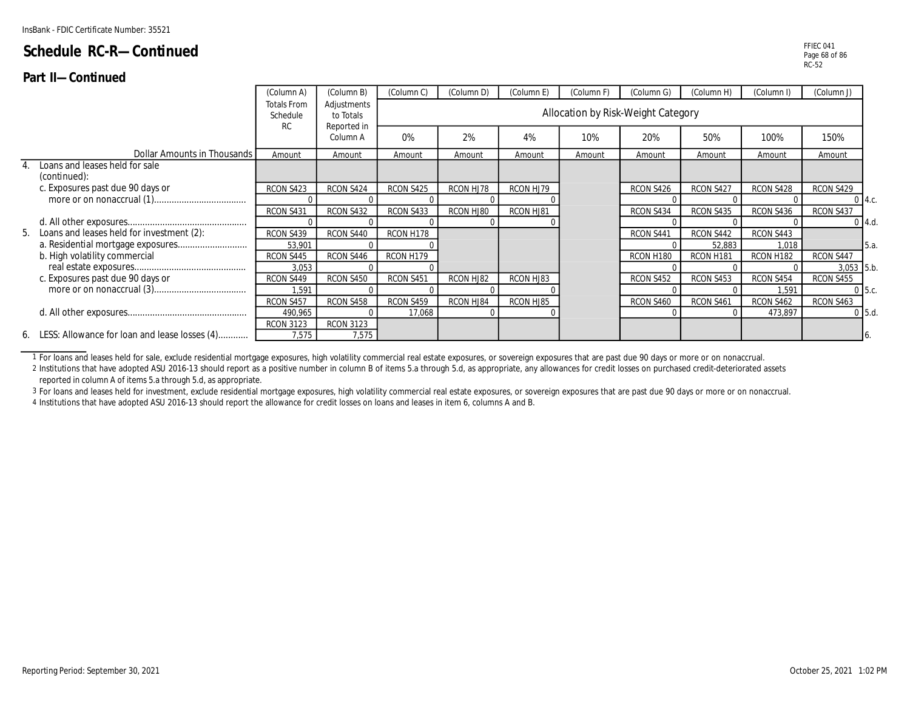#### **Part II—Continued**

|                                                  | (Column A)                                  | (Column B)               | (Column C) | (Column D) | (Column E) | (Column F)                         | (Column G) | (Column H) | (Column I) | (Column J) |              |
|--------------------------------------------------|---------------------------------------------|--------------------------|------------|------------|------------|------------------------------------|------------|------------|------------|------------|--------------|
|                                                  | <b>Totals From</b><br>Schedule<br><b>RC</b> | Adjustments<br>to Totals |            |            |            | Allocation by Risk-Weight Category |            |            |            |            |              |
|                                                  |                                             | Reported in<br>Column A  | 0%         | 2%         | 4%         | 10%                                | 20%        | 50%        | 100%       | 150%       |              |
| Dollar Amounts in Thousands                      | Amount                                      | Amount                   | Amount     | Amount     | Amount     | Amount                             | Amount     | Amount     | Amount     | Amount     |              |
| Loans and leases held for sale<br>(continued):   |                                             |                          |            |            |            |                                    |            |            |            |            |              |
| c. Exposures past due 90 days or                 | RCON S423                                   | RCON S424                | RCON S425  | RCON HJ78  | RCON HJ79  |                                    | RCON S426  | RCON S427  | RCON S428  | RCON S429  |              |
|                                                  |                                             |                          |            |            |            |                                    |            |            |            |            | $0 \, 14.c.$ |
|                                                  | RCON S431                                   | RCON S432                | RCON S433  | RCON HJ80  | RCON HJ81  |                                    | RCON S434  | RCON S435  | RCON S436  | RCON S437  |              |
|                                                  |                                             |                          |            |            |            |                                    |            |            |            |            | $0$ 4.d.     |
| 5. Loans and leases held for investment (2):     | RCON S439                                   | RCON S440                | RCON H178  |            |            |                                    | RCON S441  | RCON S442  | RCON S443  |            |              |
|                                                  | 53,901                                      |                          |            |            |            |                                    |            | 52,883     | 1,018      |            | <b>5.a.</b>  |
| b. High volatility commercial                    | RCON S445                                   | RCON S446                | RCON H179  |            |            |                                    | RCON H180  | RCON H181  | RCON H182  | RCON S447  |              |
|                                                  | 3,053                                       |                          |            |            |            |                                    |            |            |            | 3,053 5.b. |              |
| c. Exposures past due 90 days or                 | RCON S449                                   | RCON S450                | RCON S451  | RCON HJ82  | RCON HJ83  |                                    | RCON S452  | RCON S453  | RCON S454  | RCON S455  |              |
|                                                  | 1.591                                       |                          |            |            |            |                                    |            |            | .591       |            | $0\,$ 5.c.   |
|                                                  | RCON S457                                   | RCON S458                | RCON S459  | RCON HJ84  | RCON HJ85  |                                    | RCON S460  | RCON S461  | RCON S462  | RCON S463  |              |
|                                                  | 490,965                                     |                          | 17,068     |            |            |                                    |            |            | 473,897    |            | $0$ 5.d.     |
|                                                  | <b>RCON 3123</b>                            | <b>RCON 3123</b>         |            |            |            |                                    |            |            |            |            |              |
| 6. LESS: Allowance for loan and lease losses (4) | 7,575                                       | 7,575                    |            |            |            |                                    |            |            |            |            |              |

1 For loans and leases held for sale, exclude residential mortgage exposures, high volatility commercial real estate exposures, or sovereign exposures that are past due 90 days or more or on nonaccrual.

2 Institutions that have adopted ASU 2016-13 should report as a positive number in column B of items 5.a through 5.d, as appropriate, any allowances for credit losses on purchased credit-deteriorated assets reported in column A of items 5.a through 5.d, as appropriate.

3 For loans and leases held for investment, exclude residential mortgage exposures, high volatility commercial real estate exposures, or sovereign exposures that are past due 90 days or more or on nonaccrual.

4 Institutions that have adopted ASU 2016-13 should report the allowance for credit losses on loans and leases in item 6, columns A and B.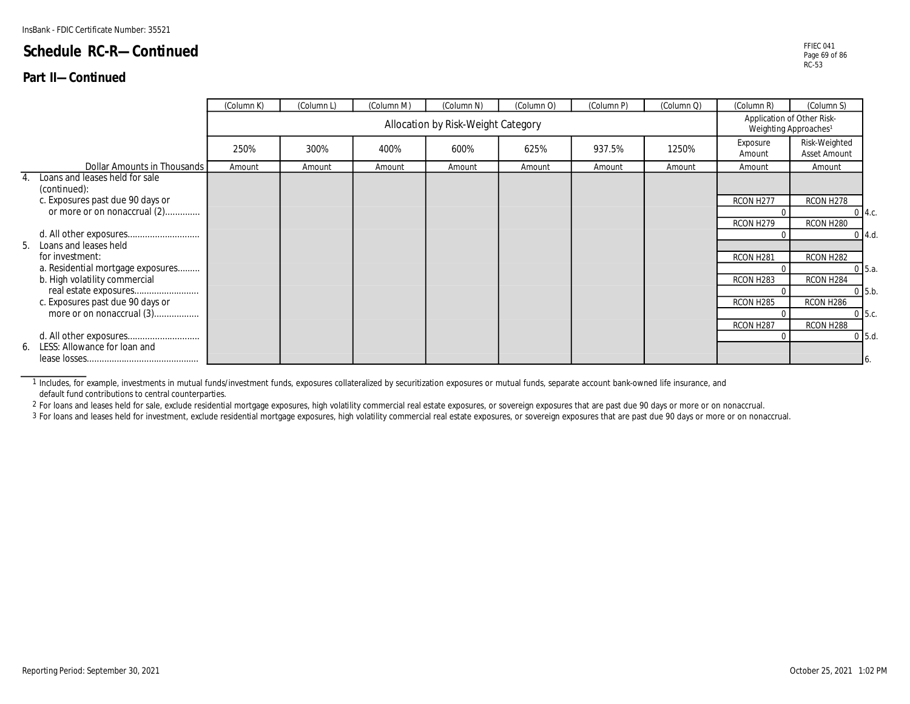#### **Part II—Continued**

|                                                      | (Column K) | (Column L) | (Column M) | (Column N)                         | (Column O) | (Column P) | (Column Q) | (Column R)            | (Column S)                                                      |               |
|------------------------------------------------------|------------|------------|------------|------------------------------------|------------|------------|------------|-----------------------|-----------------------------------------------------------------|---------------|
|                                                      |            |            |            | Allocation by Risk-Weight Category |            |            |            |                       | Application of Other Risk-<br>Weighting Approaches <sup>1</sup> |               |
|                                                      | 250%       | 300%       | 400%       | 600%                               | 625%       | 937.5%     | 1250%      | Exposure<br>Amount    | Risk-Weighted<br>Asset Amount                                   |               |
| Dollar Amounts in Thousands                          | Amount     | Amount     | Amount     | Amount                             | Amount     | Amount     | Amount     | Amount                | Amount                                                          |               |
| Loans and leases held for sale<br>4.<br>(continued): |            |            |            |                                    |            |            |            |                       |                                                                 |               |
| c. Exposures past due 90 days or                     |            |            |            |                                    |            |            |            | RCON H277             | RCON H278                                                       |               |
| or more or on nonaccrual (2)                         |            |            |            |                                    |            |            |            | $\Omega$              |                                                                 | $0 \, 4.c.$   |
|                                                      |            |            |            |                                    |            |            |            | RCON H279             | RCON H280                                                       |               |
|                                                      |            |            |            |                                    |            |            |            |                       |                                                                 | $0 \, 4.d.$   |
| 5. Loans and leases held<br>for investment:          |            |            |            |                                    |            |            |            |                       |                                                                 |               |
| a. Residential mortgage exposures                    |            |            |            |                                    |            |            |            | RCON H281<br>$\Omega$ | RCON H282                                                       | $0 \mid 5.a.$ |
| b. High volatility commercial                        |            |            |            |                                    |            |            |            | RCON H283             | RCON H284                                                       |               |
|                                                      |            |            |            |                                    |            |            |            | $\Omega$              |                                                                 | $0$ 5.b.      |
| c. Exposures past due 90 days or                     |            |            |            |                                    |            |            |            | RCON H285             | RCON H286                                                       |               |
| more or on nonaccrual (3)                            |            |            |            |                                    |            |            |            | $\Omega$              |                                                                 | $0\,5.c.$     |
|                                                      |            |            |            |                                    |            |            |            | RCON H287             | RCON H288                                                       |               |
|                                                      |            |            |            |                                    |            |            |            | $\Omega$              |                                                                 | $0$ 5.d.      |
| 6. LESS: Allowance for loan and                      |            |            |            |                                    |            |            |            |                       |                                                                 |               |
|                                                      |            |            |            |                                    |            |            |            |                       |                                                                 | 16.           |

1 Includes, for example, investments in mutual funds/investment funds, exposures collateralized by securitization exposures or mutual funds, separate account bank-owned life insurance, and default fund contributions to central counterparties.

2 For loans and leases held for sale, exclude residential mortgage exposures, high volatility commercial real estate exposures, or sovereign exposures that are past due 90 days or more or on nonaccrual.

3 For loans and leases held for investment, exclude residential mortgage exposures, high volatility commercial real estate exposures, or sovereign exposures that are past due 90 days or more or on nonaccrual.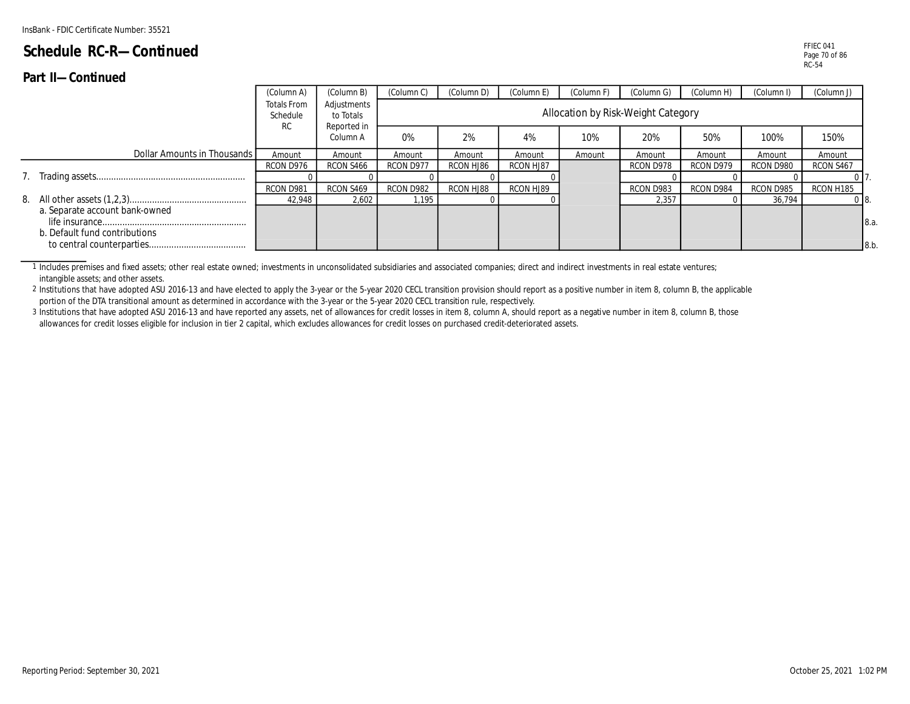#### **Part II—Continued**

|                                                                 | (Column A)                    | (Column B)               | (Column C) | (Column D) | (Column E) | (Column F)                         | (Column G) | (Column H) | (Column I) | (Column J) |             |
|-----------------------------------------------------------------|-------------------------------|--------------------------|------------|------------|------------|------------------------------------|------------|------------|------------|------------|-------------|
|                                                                 | Totals From<br>Schedule<br>RC | Adjustments<br>to Totals |            |            |            | Allocation by Risk-Weight Category |            |            |            |            |             |
|                                                                 |                               | Reported in<br>Column A  | 0%         | 2%         | 4%         | 10%                                | 20%        | 50%        | 100%       | 150%       |             |
| Dollar Amounts in Thousands I                                   | Amount                        | Amount                   | Amount     | Amount     | Amount     | Amount                             | Amount     | Amount     | Amount     | Amount     |             |
|                                                                 | RCON D976                     | RCON S466                | RCON D977  | RCON HJ86  | RCON HJ87  |                                    | RCON D978  | RCON D979  | RCON D980  | RCON S467  |             |
|                                                                 |                               |                          |            |            |            |                                    |            |            |            |            |             |
|                                                                 | RCON D981                     | RCON S469                | RCON D982  | RCON HJ88  | RCON HJ89  |                                    | RCON D983  | RCON D984  | RCON D985  | RCON H185  |             |
|                                                                 | 42.948                        | 2,602                    | 1,195      |            |            |                                    | 2,357      |            | 36,794     |            |             |
| a. Separate account bank-owned<br>b. Default fund contributions |                               |                          |            |            |            |                                    |            |            |            |            | 8.a.<br>8.b |

1 Includes premises and fixed assets; other real estate owned; investments in unconsolidated subsidiaries and associated companies; direct and indirect investments in real estate ventures; intangible assets; and other assets.

2 Institutions that have adopted ASU 2016-13 and have elected to apply the 3-year or the 5-year 2020 CECL transition provision should report as a positive number in item 8, column B, the applicable portion of the DTA transitional amount as determined in accordance with the 3-year or the 5-year 2020 CECL transition rule, respectively.

3 Institutions that have adopted ASU 2016-13 and have reported any assets, net of allowances for credit losses in item 8, column A, should report as a negative number in item 8, column B, those allowances for credit losses eligible for inclusion in tier 2 capital, which excludes allowances for credit losses on purchased credit-deteriorated assets.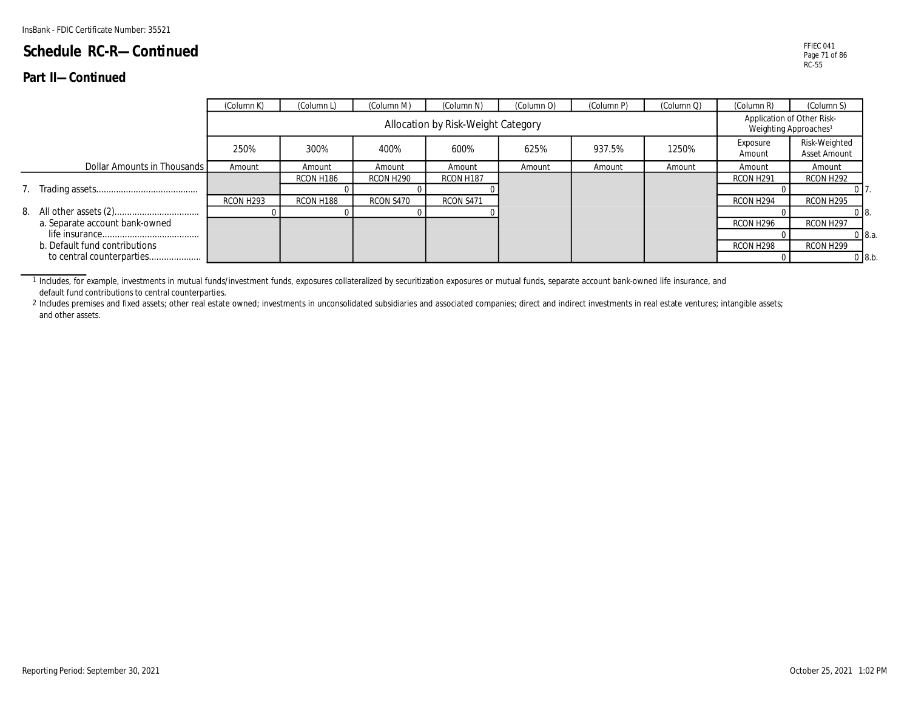#### **Part II—Continued**

|                                | (Column K) | (Column L) | (Column M)            | (Column N)                         | (Column O) | (Column P) | (Column Q) | (Column R)                                                      | (Column S)                    |  |
|--------------------------------|------------|------------|-----------------------|------------------------------------|------------|------------|------------|-----------------------------------------------------------------|-------------------------------|--|
|                                |            |            |                       | Allocation by Risk-Weight Category |            |            |            | Application of Other Risk-<br>Weighting Approaches <sup>1</sup> |                               |  |
|                                | 250%       | 300%       | 400%                  | 600%                               | 625%       | 937.5%     | 1250%      | Exposure<br>Amount                                              | Risk-Weighted<br>Asset Amount |  |
| Dollar Amounts in Thousands    | Amount     | Amount     | Amount                | Amount                             | Amount     | Amount     | Amount     | Amount                                                          | Amount                        |  |
|                                |            | RCON H186  | RCON H <sub>290</sub> | RCON H187                          |            |            |            | RCON H <sub>291</sub>                                           | RCON H292                     |  |
|                                |            |            |                       |                                    |            |            |            |                                                                 |                               |  |
|                                | RCON H293  | RCON H188  | RCON S470             | RCON S471                          |            |            |            | RCON H294                                                       | RCON H295                     |  |
|                                |            |            |                       |                                    |            |            |            |                                                                 | 08.                           |  |
| a. Separate account bank-owned |            |            |                       |                                    |            |            |            | RCON H296                                                       | RCON H <sub>297</sub>         |  |
|                                |            |            |                       |                                    |            |            |            |                                                                 | $0\,8.a.$                     |  |
| b. Default fund contributions  |            |            |                       |                                    |            |            |            | RCON H298                                                       | RCON H299                     |  |
| to central counterparties      |            |            |                       |                                    |            |            |            |                                                                 | $0\,8.b.$                     |  |

1 Includes, for example, investments in mutual funds/investment funds, exposures collateralized by securitization exposures or mutual funds, separate account bank-owned life insurance, and default fund contributions to central counterparties.

<sup>2</sup> Includes premises and fixed assets; other real estate owned; investments in unconsolidated subsidiaries and associated companies; direct and indirect investments in real estate ventures; intangible assets; and other assets.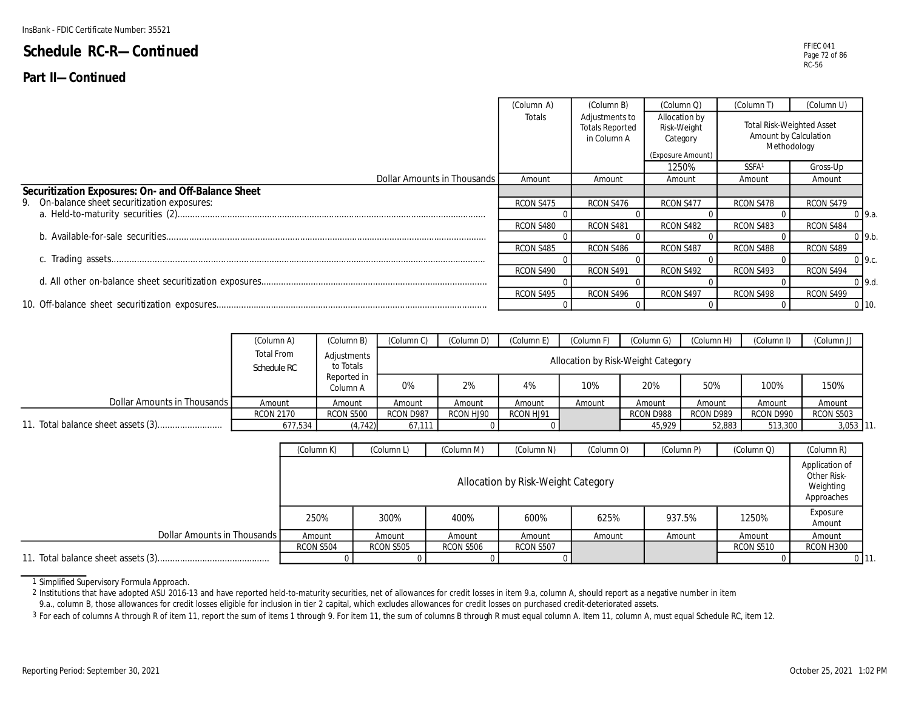|                                                     | (Column A) | (Column B)                                              | (Column Q)                                                    | (Column T)        | (Column U)                                                               |  |
|-----------------------------------------------------|------------|---------------------------------------------------------|---------------------------------------------------------------|-------------------|--------------------------------------------------------------------------|--|
|                                                     | Totals     | Adjustments to<br><b>Totals Reported</b><br>in Column A | Allocation by<br>Risk-Weight<br>Category<br>(Exposure Amount) |                   | <b>Total Risk-Weighted Asset</b><br>Amount by Calculation<br>Methodology |  |
|                                                     |            |                                                         | 1250%                                                         | SSFA <sup>1</sup> | Gross-Up                                                                 |  |
| Dollar Amounts in Thousands                         | Amount     | Amount                                                  | Amount                                                        | Amount            | Amount                                                                   |  |
| Securitization Exposures: On- and Off-Balance Sheet |            |                                                         |                                                               |                   |                                                                          |  |
| 9. On-balance sheet securitization exposures:       | RCON S475  | RCON S476                                               | RCON S477                                                     | RCON S478         | RCON S479                                                                |  |
|                                                     |            |                                                         |                                                               |                   | $0\,$ 9.a.                                                               |  |
|                                                     | RCON S480  | RCON S481                                               | RCON S482                                                     | RCON S483         | RCON S484                                                                |  |
|                                                     |            |                                                         |                                                               |                   | $0$ 9.b.                                                                 |  |
|                                                     | RCON S485  | RCON S486                                               | RCON S487                                                     | RCON S488         | RCON S489                                                                |  |
|                                                     |            |                                                         |                                                               |                   | $0\,$ 9.c.                                                               |  |
|                                                     | RCON S490  | RCON S491                                               | RCON S492                                                     | RCON S493         | RCON S494                                                                |  |
|                                                     |            |                                                         |                                                               |                   | $0\,9.d.$                                                                |  |
|                                                     | RCON S495  | RCON S496                                               | RCON S497                                                     | RCON S498         | RCON S499                                                                |  |
|                                                     |            |                                                         |                                                               |                   | $0$ 10.                                                                  |  |

|                             | (Column A)                | (Column B)               | Column C) | (Column D) | (Column E) | 'Column F) | (Column G)                         | (Column H) | (Column I) | (Column J) |
|-----------------------------|---------------------------|--------------------------|-----------|------------|------------|------------|------------------------------------|------------|------------|------------|
|                             | Total From<br>Schedule RC | Adjustments<br>to Totals |           |            |            |            | Allocation by Risk-Weight Category |            |            |            |
|                             |                           | Reported in<br>Column A  | 0%        | 2%         | 4%         | 10%        | 20%                                | 50%        | 100%       | 150%       |
| Dollar Amounts in Thousands | Amount                    | Amount                   | Amount    | Amount     | Amount     | Amount     | Amount                             | Amount     | Amount     | Amount     |
|                             | <b>RCON 2170</b>          | <b>RCON S500</b>         | RCON D987 | RCON HJ90  | RCON HJ91  |            | RCON D988                          | RCON D989  | RCON D990  | RCON S503  |
|                             | 677,534                   | (4.742)                  | 67.111    |            |            |            | 45.929                             | 52,883     | 513,300    | 3,053 11   |

|                             | (Column K) | (Column L)       | (Column M) | (Column N)                         | (Column O) | (Column P) | (Column Q) | (Column R)                                               |
|-----------------------------|------------|------------------|------------|------------------------------------|------------|------------|------------|----------------------------------------------------------|
|                             |            |                  |            | Allocation by Risk-Weight Category |            |            |            | Application of<br>Other Risk-<br>Weighting<br>Approaches |
|                             | 250%       | 300%             | 400%       | 600%                               | 625%       | 937.5%     | 1250%      | Exposure<br>Amount                                       |
| Dollar Amounts in Thousands | Amount     | Amount           | Amount     | Amount                             | Amount     | Amount     | Amount     | Amount                                                   |
|                             | RCON S504  | <b>RCON S505</b> | RCON S506  | RCON S507                          |            |            | RCON S510  | RCON H300                                                |
|                             |            |                  |            |                                    |            |            |            |                                                          |

1 Simplified Supervisory Formula Approach.

2 Institutions that have adopted ASU 2016-13 and have reported held-to-maturity securities, net of allowances for credit losses in item 9.a, column A, should report as a negative number in item

9.a., column B, those allowances for credit losses eligible for inclusion in tier 2 capital, which excludes allowances for credit losses on purchased credit-deteriorated assets.

3 For each of columns A through R of item 11, report the sum of items 1 through 9. For item 11, the sum of columns B through R must equal column A. Item 11, column A, must equal Schedule RC, item 12.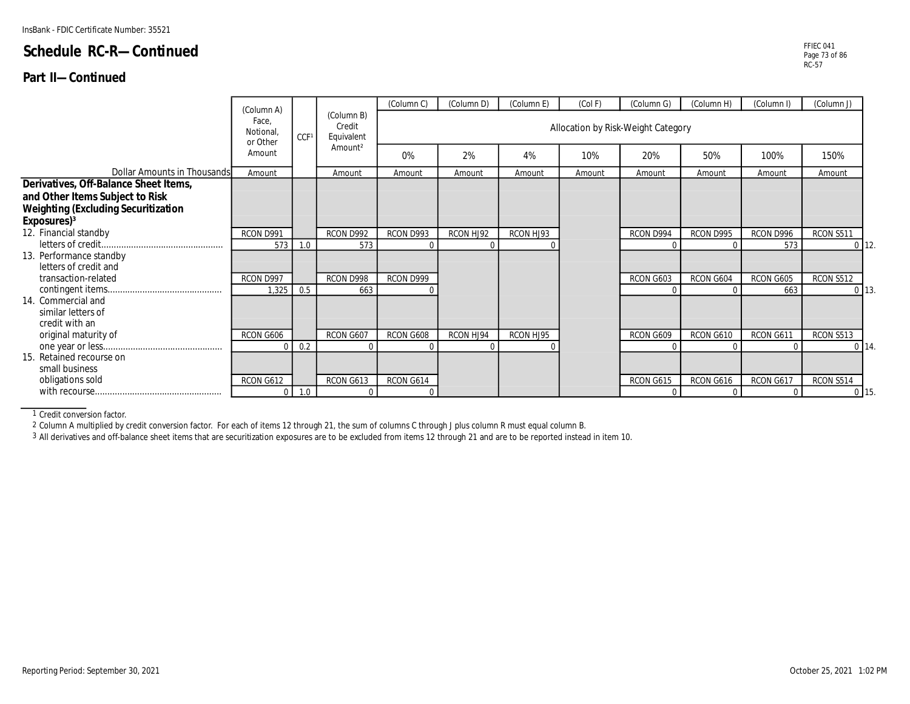#### **Part II—Continued**

|                                                                                                                                                   | (Column A)                    |                  |                                    | (Column C) | (Column D) | (Column E) | (Col F) | (Column G)                         | (Column H) | (Column I) | (Column J) |                 |
|---------------------------------------------------------------------------------------------------------------------------------------------------|-------------------------------|------------------|------------------------------------|------------|------------|------------|---------|------------------------------------|------------|------------|------------|-----------------|
|                                                                                                                                                   | Face,<br>Notional<br>or Other | CCF <sup>1</sup> | (Column B)<br>Credit<br>Equivalent |            |            |            |         | Allocation by Risk-Weight Category |            |            |            |                 |
|                                                                                                                                                   | Amount                        |                  | Amount <sup>2</sup>                | 0%         | 2%         | 4%         | 10%     | 20%                                | 50%        | 100%       | 150%       |                 |
| Dollar Amounts in Thousands                                                                                                                       | Amount                        |                  | Amount                             | Amount     | Amount     | Amount     | Amount  | Amount                             | Amount     | Amount     | Amount     |                 |
| Derivatives, Off-Balance Sheet Items,<br>and Other Items Subject to Risk<br><b>Weighting (Excluding Securitization</b><br>Exposures) <sup>3</sup> |                               |                  |                                    |            |            |            |         |                                    |            |            |            |                 |
| 12. Financial standby                                                                                                                             | RCON D991                     |                  | RCON D992                          | RCON D993  | RCON HJ92  | RCON HJ93  |         | RCON D994                          | RCON D995  | RCON D996  | RCON S511  |                 |
|                                                                                                                                                   | 573                           | 1.0              | 573                                |            |            |            |         |                                    |            | 573        |            | $0$ 12.         |
| 13. Performance standby<br>letters of credit and                                                                                                  |                               |                  |                                    |            |            |            |         |                                    |            |            |            |                 |
| transaction-related                                                                                                                               | RCON D997                     |                  | RCON D998                          | RCON D999  |            |            |         | RCON G603                          | RCON G604  | RCON G605  | RCON S512  |                 |
| 14. Commercial and<br>similar letters of<br>credit with an                                                                                        | 1,325                         | 0.5              | 663                                |            |            |            |         |                                    |            | 663        |            | $0\vert 13$     |
| original maturity of                                                                                                                              | RCON G606                     |                  | RCON G607                          | RCON G608  | RCON HJ94  | RCON HJ95  |         | RCON G609                          | RCON G610  | RCON G611  | RCON S513  |                 |
|                                                                                                                                                   | U                             | 0.2              |                                    |            |            | $\Omega$   |         |                                    |            |            |            | $0 \vert 14$    |
| 15. Retained recourse on<br>small business                                                                                                        |                               |                  |                                    |            |            |            |         |                                    |            |            |            |                 |
| obligations sold                                                                                                                                  | RCON G612                     |                  | RCON G613                          | RCON G614  |            |            |         | RCON G615                          | RCON G616  | RCON G617  | RCON S514  |                 |
|                                                                                                                                                   |                               | $0 \mid 1.0$     |                                    |            |            |            |         |                                    |            |            |            | 0 <sub>15</sub> |

1 Credit conversion factor.

2 Column A multiplied by credit conversion factor. For each of items 12 through 21, the sum of columns C through J plus column R must equal column B.

3 All derivatives and off-balance sheet items that are securitization exposures are to be excluded from items 12 through 21 and are to be reported instead in item 10.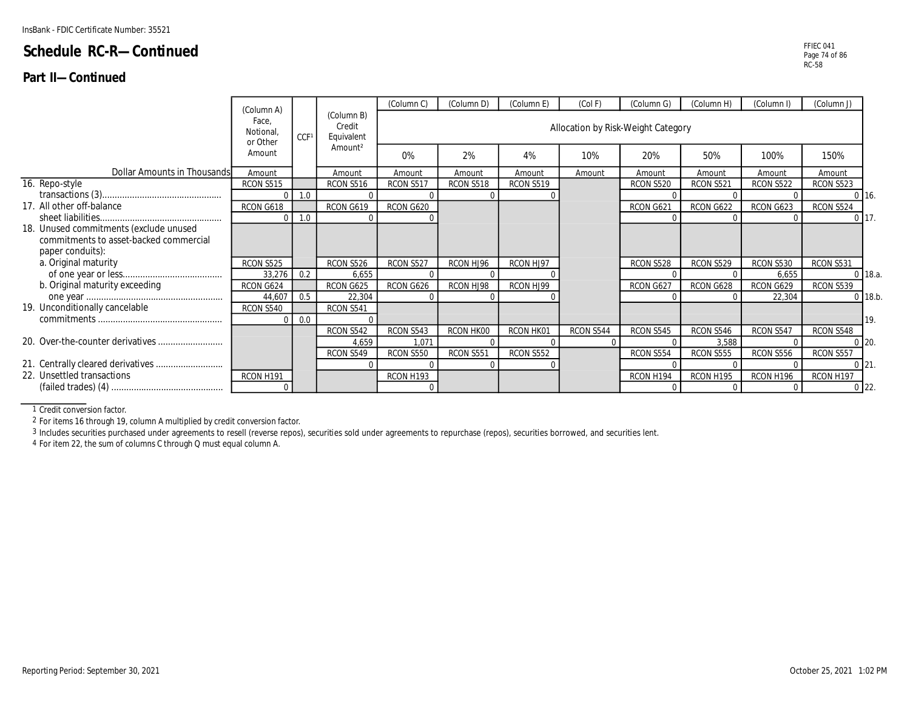#### **Part II—Continued**

|                                        |                                                    |                  |                                    | (Column C) | (Column D) | (Column E) | (Col F)   | (Column G)                         | (Column H)       | (Column I)       | (Column J) |           |
|----------------------------------------|----------------------------------------------------|------------------|------------------------------------|------------|------------|------------|-----------|------------------------------------|------------------|------------------|------------|-----------|
|                                        | (Column A)<br>Face.<br><b>Notional</b><br>or Other | CCF <sup>1</sup> | (Column B)<br>Credit<br>Equivalent |            |            |            |           | Allocation by Risk-Weight Category |                  |                  |            |           |
|                                        | Amount                                             |                  | Amount <sup>2</sup>                | 0%         | 2%         | 4%         | 10%       | 20%                                | 50%              | 100%             | 150%       |           |
| Dollar Amounts in Thousands            | Amount                                             |                  | Amount                             | Amount     | Amount     | Amount     | Amount    | Amount                             | Amount           | Amount           | Amount     |           |
| 16. Repo-style                         | RCON S515                                          |                  | RCON S516                          | RCON S517  | RCON S518  | RCON S519  |           | RCON S520                          | RCON S521        | <b>RCON S522</b> | RCON S523  |           |
|                                        |                                                    | 1.0              |                                    |            |            |            |           |                                    |                  |                  |            | $0\,16.$  |
| 17. All other off-balance              | RCON G618                                          |                  | RCON G619                          | RCON G620  |            |            |           | RCON G621                          | RCON G622        | RCON G623        | RCON S524  |           |
|                                        |                                                    | 1.0              |                                    |            |            |            |           |                                    |                  |                  |            | 0117.     |
| 18. Unused commitments (exclude unused |                                                    |                  |                                    |            |            |            |           |                                    |                  |                  |            |           |
| commitments to asset-backed commercial |                                                    |                  |                                    |            |            |            |           |                                    |                  |                  |            |           |
| paper conduits):                       |                                                    |                  |                                    |            |            |            |           |                                    |                  |                  |            |           |
| a. Original maturity                   | RCON S525                                          |                  | RCON S526                          | RCON S527  | RCON HJ96  | RCON HJ97  |           | RCON S528                          | RCON S529        | RCON S530        | RCON S531  |           |
|                                        | 33,276                                             | 0.2              | 6,655                              |            |            |            |           |                                    |                  | 6,655            |            | $0$ 18.a. |
| b. Original maturity exceeding         | RCON G624                                          |                  | RCON G625                          | RCON G626  | RCON HJ98  | RCON HJ99  |           | RCON G627                          | RCON G628        | RCON G629        | RCON S539  |           |
|                                        | 44,607                                             | 0.5              | 22,304                             |            |            |            |           |                                    |                  | 22,304           |            | $0$ 18.b. |
| 19. Unconditionally cancelable         | RCON S540                                          |                  | RCON S541                          |            |            |            |           |                                    |                  |                  |            |           |
|                                        |                                                    | 0.0              |                                    |            |            |            |           |                                    |                  |                  |            | 19.       |
|                                        |                                                    |                  | <b>RCON S542</b>                   | RCON S543  | RCON HK00  | RCON HK01  | RCON S544 | RCON S545                          | RCON S546        | RCON S547        | RCON S548  |           |
|                                        |                                                    |                  | 4,659                              | 1,071      |            |            |           |                                    | 3,588            |                  |            | $0$ 20.   |
|                                        |                                                    |                  | RCON S549                          | RCON S550  | RCON S551  | RCON S552  |           | RCON S554                          | <b>RCON S555</b> | RCON S556        | RCON S557  |           |
|                                        |                                                    |                  |                                    |            |            |            |           |                                    |                  |                  |            |           |

RCON H191 RCON H193 RCON H194 RCON H195 RCON H196 RCON H197

21. 21. Centrally cleared derivatives ........................... 0 0 0 0 0 0 0 0 22. Unsettled transactions

(failed trades) (4) ............................................. 0 0 0 0 0 0

1 Credit conversion factor.

2 For items 16 through 19, column A multiplied by credit conversion factor.

3 Includes securities purchased under agreements to resell (reverse repos), securities sold under agreements to repurchase (repos), securities borrowed, and securities lent.

4 For item 22, the sum of columns C through Q must equal column A.

22.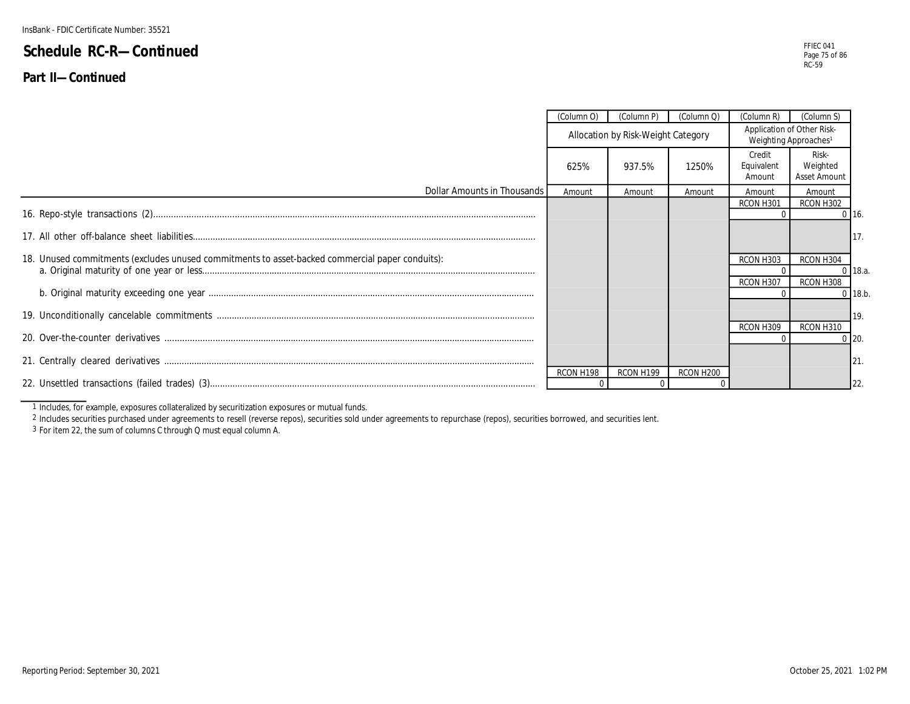**Part II—Continued**

|                                                                                                 | (Column O) | (Column P)                         | (Column Q)            | (Column R)                                                      | (Column S)                               |             |
|-------------------------------------------------------------------------------------------------|------------|------------------------------------|-----------------------|-----------------------------------------------------------------|------------------------------------------|-------------|
|                                                                                                 |            | Allocation by Risk-Weight Category |                       | Application of Other Risk-<br>Weighting Approaches <sup>1</sup> |                                          |             |
|                                                                                                 | 625%       | 937.5%                             | 1250%                 | Credit<br>Equivalent<br>Amount                                  | Risk-<br>Weighted<br><b>Asset Amount</b> |             |
| Dollar Amounts in Thousands                                                                     | Amount     | Amount                             | Amount                | Amount                                                          | Amount                                   |             |
|                                                                                                 |            |                                    |                       | RCON H301                                                       | RCON H302                                | $0$ 16.     |
|                                                                                                 |            |                                    |                       |                                                                 |                                          | 117.        |
| 18. Unused commitments (excludes unused commitments to asset-backed commercial paper conduits): |            |                                    |                       | RCON H303                                                       | RCON H304                                | $0$ 18.a.   |
|                                                                                                 |            |                                    |                       | RCON H307                                                       | RCON H308                                | $0$ 18.b.   |
|                                                                                                 |            |                                    |                       | RCON H309                                                       | RCON H310                                | <b>119.</b> |
|                                                                                                 |            |                                    |                       |                                                                 |                                          | $0$ 20.     |
|                                                                                                 |            |                                    |                       |                                                                 |                                          | 121.        |
|                                                                                                 | RCON H198  | RCON H199                          | RCON H <sub>200</sub> |                                                                 |                                          | 122.        |

1 Includes, for example, exposures collateralized by securitization exposures or mutual funds.

2 Includes securities purchased under agreements to resell (reverse repos), securities sold under agreements to repurchase (repos), securities borrowed, and securities lent.

3 For item 22, the sum of columns C through Q must equal column A.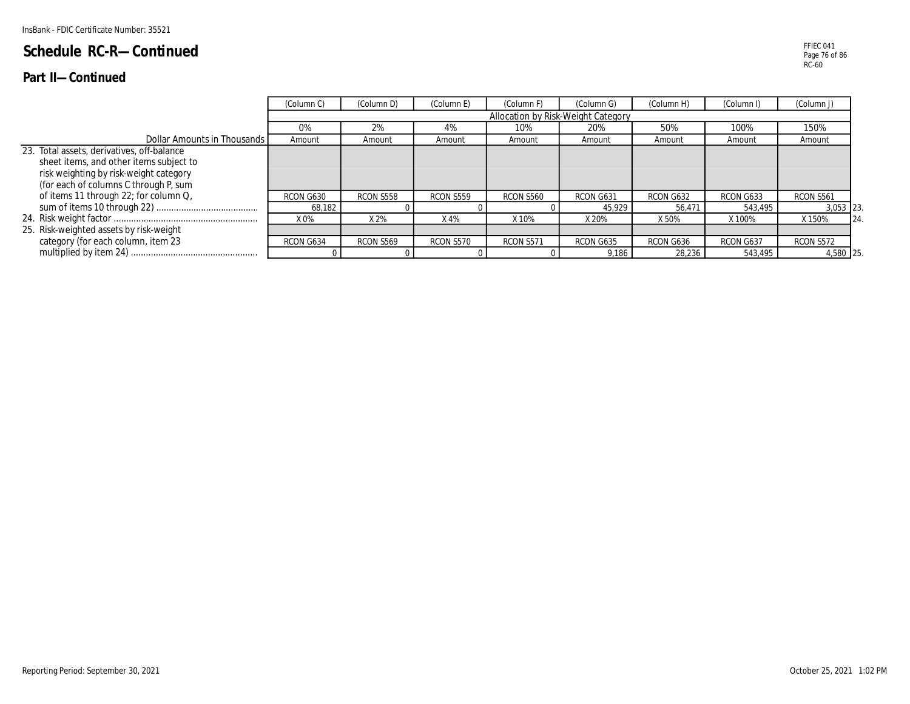#### **Part II—Continued**

|                                                                                                                                                                          | (Column C)     | (Column D) | (Column E) | (Column F)                         | (Column G)      | (Column H)      | (Column I)           | (Column J)            |    |
|--------------------------------------------------------------------------------------------------------------------------------------------------------------------------|----------------|------------|------------|------------------------------------|-----------------|-----------------|----------------------|-----------------------|----|
|                                                                                                                                                                          |                |            |            | Allocation by Risk-Weight Category |                 |                 |                      |                       |    |
|                                                                                                                                                                          | $0\%$          | 2%         | 4%         | 10%                                | 20%             | 50%             | 100%                 | 150%                  |    |
| Dollar Amounts in Thousands I                                                                                                                                            | Amount         | Amount     | Amount     | Amount                             | Amount          | Amount          | Amount               | Amount                |    |
| 23. Total assets, derivatives, off-balance<br>sheet items, and other items subject to<br>risk weighting by risk-weight category<br>(for each of columns C through P, sum |                |            |            |                                    |                 |                 |                      |                       |    |
| of items 11 through 22; for column Q,                                                                                                                                    | RCON G630      | RCON S558  | RCON S559  | RCON S560                          | RCON G631       | RCON G632       | RCON G633<br>543.495 | RCON S561<br>3,053 23 |    |
|                                                                                                                                                                          | 68,182<br>X 0% | X 2%       | X 4%       | X 10%                              | 45,929<br>X 20% | 56.471<br>X 50% | X 100%               | X 150%                | 24 |
| 25. Risk-weighted assets by risk-weight                                                                                                                                  |                |            |            |                                    |                 |                 |                      |                       |    |
| category (for each column, item 23                                                                                                                                       | RCON G634      | RCON S569  | RCON S570  | RCON S571                          | RCON G635       | RCON G636       | RCON G637            | RCON S572             |    |
|                                                                                                                                                                          |                |            |            |                                    | 9.186           | 28,236          | 543,495              | 4,580 25              |    |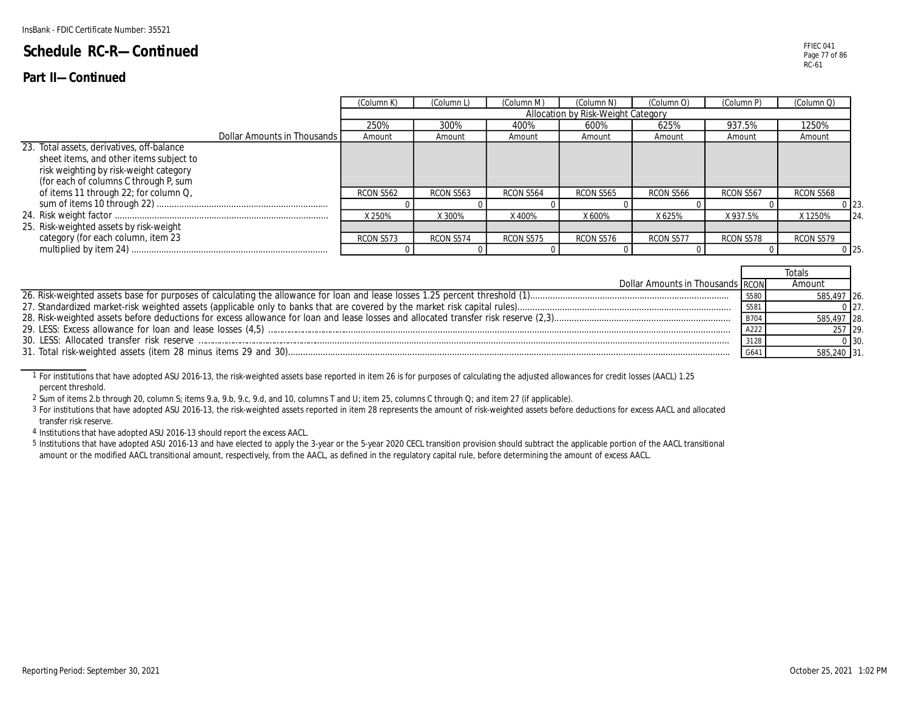#### **Part II—Continued**

| (Column Q)<br>(Column M)<br>(Column O)<br>(Column K)<br>'Column L<br>(Column P)<br>(Column N)<br>Allocation by Risk-Weight Category<br>250%<br>300%<br>937.5%<br>1250%<br>625%<br>400%<br>600%<br>Dollar Amounts in Thousands<br>Amount<br>Amount<br>Amount<br>Amount<br>Amount<br>Amount<br>Amount<br>sheet items, and other items subject to<br>risk weighting by risk-weight category<br>(for each of columns C through P, sum<br>of items 11 through 22; for column Q,<br><b>RCON S562</b><br>RCON S563<br>RCON S564<br>RCON S565<br>RCON S566<br>RCON S567<br>RCON S568<br>0 <sup>23</sup><br>X 250%<br>X 625%<br>X 300%<br>X400%<br>X 600%<br>X937.5%<br>X 1250%<br>category (for each column, item 23<br>RCON S573<br>RCON S574<br>RCON S575<br>RCON S576<br>RCON S577<br>RCON S578<br>RCON S579<br>0 <sub>25</sub> |                                            |  |  |  |  |    |
|----------------------------------------------------------------------------------------------------------------------------------------------------------------------------------------------------------------------------------------------------------------------------------------------------------------------------------------------------------------------------------------------------------------------------------------------------------------------------------------------------------------------------------------------------------------------------------------------------------------------------------------------------------------------------------------------------------------------------------------------------------------------------------------------------------------------------|--------------------------------------------|--|--|--|--|----|
|                                                                                                                                                                                                                                                                                                                                                                                                                                                                                                                                                                                                                                                                                                                                                                                                                            |                                            |  |  |  |  |    |
|                                                                                                                                                                                                                                                                                                                                                                                                                                                                                                                                                                                                                                                                                                                                                                                                                            |                                            |  |  |  |  |    |
|                                                                                                                                                                                                                                                                                                                                                                                                                                                                                                                                                                                                                                                                                                                                                                                                                            |                                            |  |  |  |  |    |
|                                                                                                                                                                                                                                                                                                                                                                                                                                                                                                                                                                                                                                                                                                                                                                                                                            |                                            |  |  |  |  |    |
|                                                                                                                                                                                                                                                                                                                                                                                                                                                                                                                                                                                                                                                                                                                                                                                                                            | 23. Total assets, derivatives, off-balance |  |  |  |  |    |
|                                                                                                                                                                                                                                                                                                                                                                                                                                                                                                                                                                                                                                                                                                                                                                                                                            |                                            |  |  |  |  |    |
|                                                                                                                                                                                                                                                                                                                                                                                                                                                                                                                                                                                                                                                                                                                                                                                                                            |                                            |  |  |  |  | 24 |
|                                                                                                                                                                                                                                                                                                                                                                                                                                                                                                                                                                                                                                                                                                                                                                                                                            | 25. Risk-weighted assets by risk-weight    |  |  |  |  |    |
|                                                                                                                                                                                                                                                                                                                                                                                                                                                                                                                                                                                                                                                                                                                                                                                                                            |                                            |  |  |  |  |    |
|                                                                                                                                                                                                                                                                                                                                                                                                                                                                                                                                                                                                                                                                                                                                                                                                                            |                                            |  |  |  |  |    |

| Dollar Amounts in Thousands RCON |      | Amount      |            |
|----------------------------------|------|-------------|------------|
|                                  | S580 | 585,497 26. |            |
|                                  |      |             |            |
|                                  | B704 | 585,497 28. |            |
|                                  |      | 257 29.     |            |
|                                  |      |             | $0 \, 30.$ |
|                                  |      | 585,240 31. |            |

1 For institutions that have adopted ASU 2016-13, the risk-weighted assets base reported in item 26 is for purposes of calculating the adjusted allowances for credit losses (AACL) 1.25 percent threshold.

2 Sum of items 2.b through 20, column S; items 9.a, 9.b, 9.c, 9.d, and 10, columns T and U; item 25, columns C through Q; and item 27 (if applicable).

3 For institutions that have adopted ASU 2016-13, the risk-weighted assets reported in item 28 represents the amount of risk-weighted assets before deductions for excess AACL and allocated transfer risk reserve.

4 Institutions that have adopted ASU 2016-13 should report the excess AACL.

5 Institutions that have adopted ASU 2016-13 and have elected to apply the 3-year or the 5-year 2020 CECL transition provision should subtract the applicable portion of the AACL transitional amount or the modified AACL transitional amount, respectively, from the AACL, as defined in the regulatory capital rule, before determining the amount of excess AACL.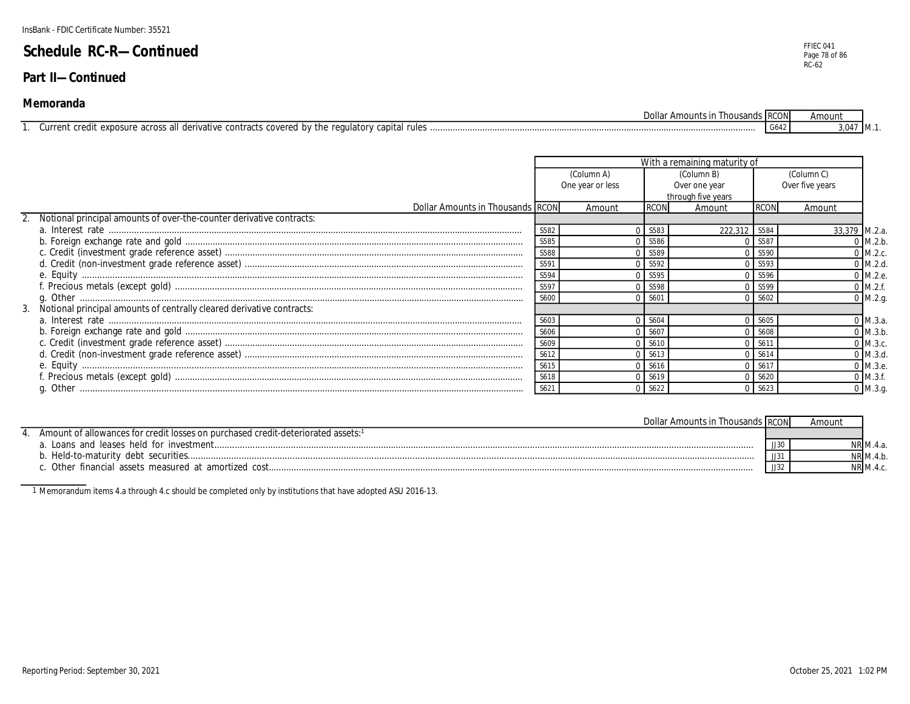#### **Part II—Continued**

#### **Memoranda**

|                                                               | DOIIS<br>Amount:<br>l noi                                                      | anas i RCO | Amour |      |
|---------------------------------------------------------------|--------------------------------------------------------------------------------|------------|-------|------|
| Jurrent<br>derivative<br>. exposure<br>. across all<br>tedit: | <sup>1</sup> rules<br>A hy the rule<br>qulato<br>covered<br>contrac<br>`apıtal | ، 004 -    | 3.04. | ′IM∴ |

|                                                                          |      |                  |                  | With a remaining maturity of |             |                 |
|--------------------------------------------------------------------------|------|------------------|------------------|------------------------------|-------------|-----------------|
|                                                                          |      | (Column A)       | (Column B)       |                              |             | (Column C)      |
|                                                                          |      | One year or less |                  | Over one year                |             | Over five years |
|                                                                          |      |                  |                  | through five years           |             |                 |
| Dollar Amounts in Thousands RCON                                         |      | Amount           | <b>RCON</b>      | Amount                       | <b>RCON</b> | Amount          |
| Notional principal amounts of over-the-counter derivative contracts:     |      |                  |                  |                              |             |                 |
|                                                                          | S582 |                  | S583             | 222.312                      | S584        | 33,379 M.2.a.   |
|                                                                          | S585 |                  | 0 S586           |                              | S587        | $0$ M.2.b.      |
|                                                                          | S588 |                  | 0.5589           |                              | S590        | $0$ M.2.c.      |
|                                                                          | S591 |                  | S592             |                              | S593        | $0$ M.2.d.      |
|                                                                          | S594 |                  | 0 S595           |                              | S596        | 0 M.2.e.        |
|                                                                          | S597 |                  | 0 S598           |                              | S599        | $0$ M.2.f.      |
|                                                                          | S600 |                  | 0 <sup>560</sup> |                              | S602        | $0$ M.2.g.      |
| 3. Notional principal amounts of centrally cleared derivative contracts: |      |                  |                  |                              |             |                 |
|                                                                          | S603 |                  | S604             |                              | S605        | $0 \,$ M.3.a.   |
|                                                                          | S606 |                  | $0$ S60          |                              | S608        | $0$ M.3.b.      |
|                                                                          | S609 |                  | S610             |                              | S61'        | 0 M.3.c.        |
|                                                                          | S612 |                  | 0 S613           |                              | 0.5614      | $0$ M.3.d.      |
|                                                                          | S615 |                  | 0.5616           |                              | S617        | 0 M.3.e.        |
|                                                                          | S618 |                  | 0 S619           |                              | S620        | $0$ M.3.f.      |
|                                                                          | S621 |                  | 0.5622           |                              | S623        | $0$ M.3.g.      |

|                                                                                  | Dollar Amounts in Thousands RCON |  |  |
|----------------------------------------------------------------------------------|----------------------------------|--|--|
| Amount of allowances for credit losses on purchased credit-deteriorated assets:1 |                                  |  |  |
|                                                                                  |                                  |  |  |
| . Held-to-maturity debt securities.                                              |                                  |  |  |
| . Other financial assets measured at amortized cost                              |                                  |  |  |

1 Memorandum items 4.a through 4.c should be completed only by institutions that have adopted ASU 2016-13.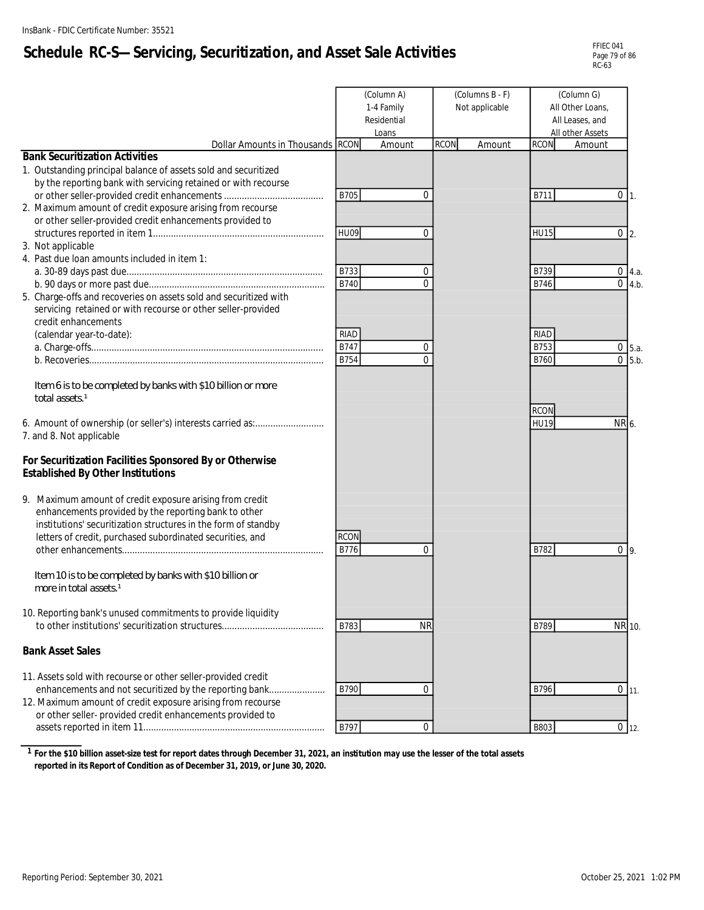# **Schedule RC-S—Servicing, Securitization, and Asset Sale Activities**

| FFIFC 041     |
|---------------|
| Page 79 of 86 |
| RC-63         |

|                                                                                                                                                                                                                                                     |                     | (Column A)<br>1-4 Family<br>Residential<br>Loans |             | (Columns B - F)<br>Not applicable | (Column G)<br>All Other Loans,<br>All Leases, and<br>All other Assets<br><b>RCON</b><br>Amount |       |                               |
|-----------------------------------------------------------------------------------------------------------------------------------------------------------------------------------------------------------------------------------------------------|---------------------|--------------------------------------------------|-------------|-----------------------------------|------------------------------------------------------------------------------------------------|-------|-------------------------------|
| Dollar Amounts in Thousands RCON<br><b>Bank Securitization Activities</b>                                                                                                                                                                           |                     | Amount                                           | <b>RCON</b> | Amount                            |                                                                                                |       |                               |
| 1. Outstanding principal balance of assets sold and securitized<br>by the reporting bank with servicing retained or with recourse                                                                                                                   | B705                | $\Omega$                                         |             |                                   | B711                                                                                           | 0     |                               |
| 2. Maximum amount of credit exposure arising from recourse<br>or other seller-provided credit enhancements provided to                                                                                                                              |                     |                                                  |             |                                   |                                                                                                |       | $\overline{1}$ .              |
| 3. Not applicable<br>4. Past due loan amounts included in item 1:                                                                                                                                                                                   | HU09                | $\mathbf{0}$                                     |             |                                   | <b>HU15</b>                                                                                    |       | $0\vert 2.$                   |
| 5. Charge-offs and recoveries on assets sold and securitized with                                                                                                                                                                                   | B733<br><b>B740</b> | 0<br>$\Omega$                                    |             |                                   | B739<br>B746                                                                                   |       | $0 \, 4.a.$<br>$0 \quad 4.b.$ |
| servicing retained or with recourse or other seller-provided<br>credit enhancements<br>(calendar year-to-date):                                                                                                                                     | RIAD                |                                                  |             |                                   | <b>RIAD</b>                                                                                    |       |                               |
|                                                                                                                                                                                                                                                     | B747                | 0                                                |             |                                   | B753                                                                                           |       | $0$ 5.a.                      |
|                                                                                                                                                                                                                                                     | B754                | $\Omega$                                         |             |                                   | B760                                                                                           |       | $0\,5.b.$                     |
| Item 6 is to be completed by banks with \$10 billion or more<br>total assets <sup>1</sup><br>7. and 8. Not applicable                                                                                                                               |                     |                                                  |             |                                   | <b>RCON</b><br><b>HU19</b>                                                                     | NR 6. |                               |
| For Securitization Facilities Sponsored By or Otherwise<br><b>Established By Other Institutions</b>                                                                                                                                                 |                     |                                                  |             |                                   |                                                                                                |       |                               |
| 9. Maximum amount of credit exposure arising from credit<br>enhancements provided by the reporting bank to other<br>institutions' securitization structures in the form of standby<br>letters of credit, purchased subordinated securities, and     | <b>RCON</b><br>B776 | $\Omega$                                         |             |                                   | B782                                                                                           |       | 0 <sub>9</sub>                |
| Item 10 is to be completed by banks with \$10 billion or<br>more in total assets 1                                                                                                                                                                  |                     |                                                  |             |                                   |                                                                                                |       |                               |
| 10. Reporting bank's unused commitments to provide liquidity                                                                                                                                                                                        | B783                | <b>NR</b>                                        |             |                                   | B789                                                                                           |       | NR 10.                        |
| <b>Bank Asset Sales</b>                                                                                                                                                                                                                             |                     |                                                  |             |                                   |                                                                                                |       |                               |
| 11. Assets sold with recourse or other seller-provided credit<br>enhancements and not securitized by the reporting bank<br>12. Maximum amount of credit exposure arising from recourse<br>or other seller- provided credit enhancements provided to | B790                | $\Omega$                                         |             |                                   | B796                                                                                           |       | $0 \mid 11.$                  |
|                                                                                                                                                                                                                                                     | B797                | $\mathbf{0}$                                     |             |                                   | <b>B803</b>                                                                                    |       | $0$ 12.                       |

**1 For the \$10 billion asset-size test for report dates through December 31, 2021, an institution may use the lesser of the total assets reported in its Report of Condition as of December 31, 2019, or June 30, 2020.**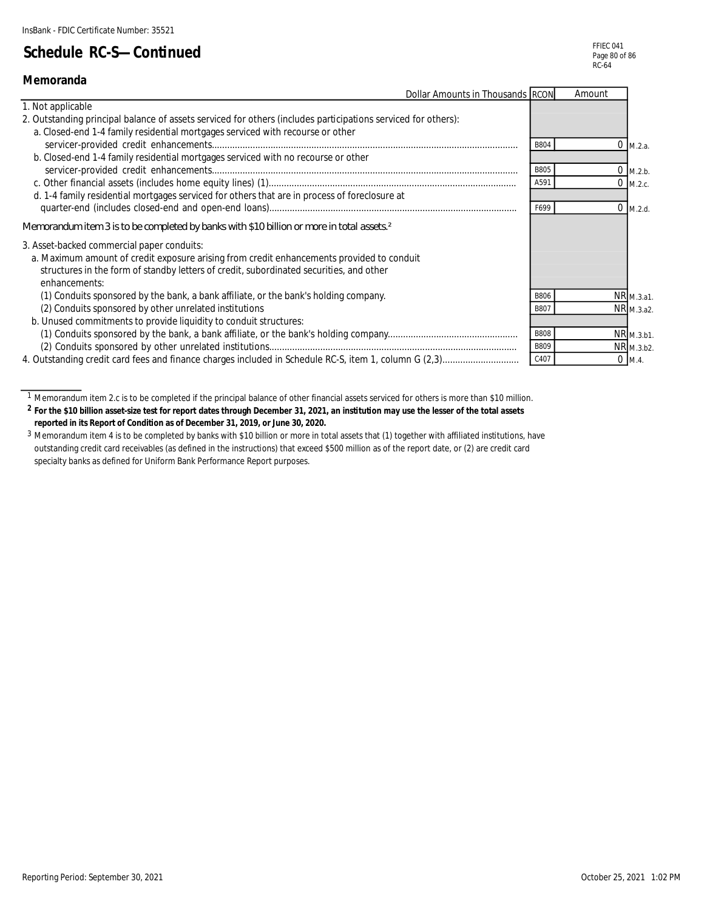**Memoranda**

## **Schedule RC-S—Continued**

|                                                                                                               | Dollar Amounts in Thousands RCON | Amount     |
|---------------------------------------------------------------------------------------------------------------|----------------------------------|------------|
| 1. Not applicable                                                                                             |                                  |            |
| 2. Outstanding principal balance of assets serviced for others (includes participations serviced for others): |                                  |            |
| a. Closed-end 1-4 family residential mortgages serviced with recourse or other                                |                                  |            |
|                                                                                                               | B804                             | M.2.a.     |
| b. Closed-end 1-4 family residential mortgages serviced with no recourse or other                             |                                  |            |
|                                                                                                               | B805                             | $0$ M.2.b. |
|                                                                                                               | A591                             | $0$ M.2.c. |
| d. 1-4 family residential mortgages serviced for others that are in process of foreclosure at                 |                                  |            |
|                                                                                                               | F699                             | $0$ M.2.d. |
| Memorandum item 3 is to be completed by banks with \$10 billion or more in total assets <sup>2</sup>          |                                  |            |
| 3. Asset-backed commercial paper conduits:                                                                    |                                  |            |
| a. Maximum amount of credit exposure arising from credit enhancements provided to conduit                     |                                  |            |
| structures in the form of standby letters of credit, subordinated securities, and other                       |                                  |            |
| enhancements:                                                                                                 |                                  |            |
| (1) Conduits sponsored by the bank, a bank affiliate, or the bank's holding company.                          | <b>B806</b>                      | NR M.3.a1. |
| (2) Conduits sponsored by other unrelated institutions                                                        | B807                             | NR M.3.a2. |
| b. Unused commitments to provide liquidity to conduit structures:                                             |                                  |            |
|                                                                                                               | <b>B808</b>                      | NR M.3.b1. |
|                                                                                                               | B809                             | NR M.3.b2. |
| 4. Outstanding credit card fees and finance charges included in Schedule RC-S, item 1, column G (2,3)         | C407                             | $0$ M.4.   |

**2 For the \$10 billion asset-size test for report dates through December 31, 2021, an institution may use the lesser of the total assets reported in its Report of Condition as of December 31, 2019, or June 30, 2020.**

<sup>1</sup> Memorandum item 2.c is to be completed if the principal balance of other financial assets serviced for others is more than \$10 million.

<sup>3</sup> Memorandum item 4 is to be completed by banks with \$10 billion or more in total assets that (1) together with affiliated institutions, have outstanding credit card receivables (as defined in the instructions) that exceed \$500 million as of the report date, or (2) are credit card specialty banks as defined for Uniform Bank Performance Report purposes.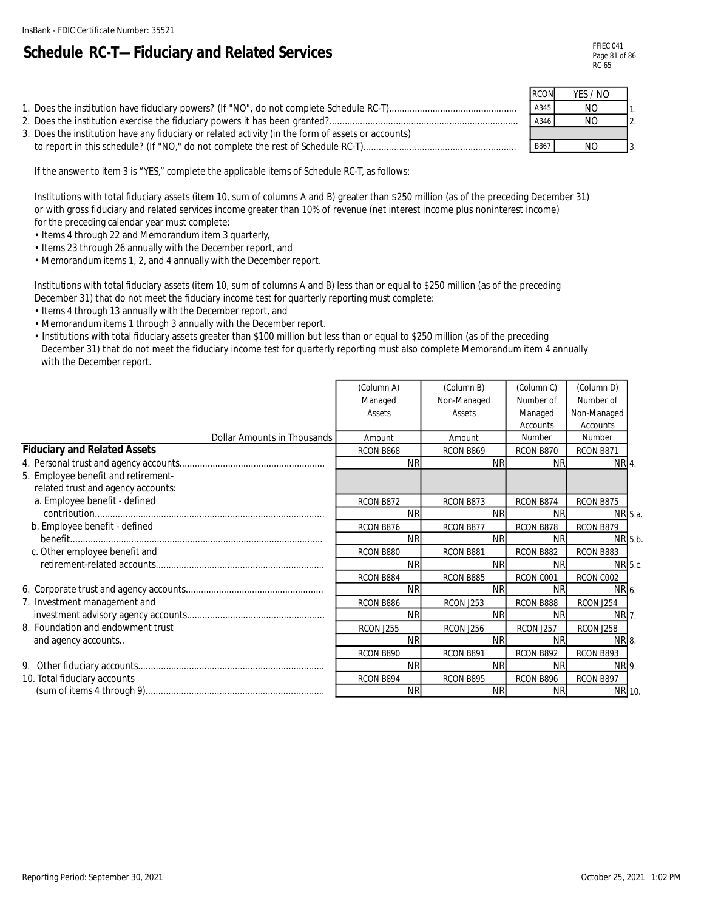# **Schedule RC-T—Fiduciary and Related Services**

|                                                                                                    | <b>RCON</b> | YES / NO |                  |
|----------------------------------------------------------------------------------------------------|-------------|----------|------------------|
|                                                                                                    | A345        | NO.      |                  |
|                                                                                                    | A346        | NO       | $\overline{2}$ . |
| 3. Does the institution have any fiduciary or related activity (in the form of assets or accounts) |             |          |                  |
|                                                                                                    | B867        | NO.      |                  |

If the answer to item 3 is "YES," complete the applicable items of Schedule RC-T, as follows:

Institutions with total fiduciary assets (item 10, sum of columns A and B) greater than \$250 million (as of the preceding December 31) or with gross fiduciary and related services income greater than 10% of revenue (net interest income plus noninterest income) for the preceding calendar year must complete:

- Items 4 through 22 and Memorandum item 3 quarterly,
- Items 23 through 26 annually with the December report, and
- Memorandum items 1, 2, and 4 annually with the December report.

Institutions with total fiduciary assets (item 10, sum of columns A and B) less than or equal to \$250 million (as of the preceding December 31) that do not meet the fiduciary income test for quarterly reporting must complete:

- Items 4 through 13 annually with the December report, and
- Memorandum items 1 through 3 annually with the December report.
- Institutions with total fiduciary assets greater than \$100 million but less than or equal to \$250 million (as of the preceding December 31) that do not meet the fiduciary income test for quarterly reporting must also complete Memorandum item 4 annually with the December report.

|                                     | (Column A)       | (Column B)  | (Column C) | (Column D)  |  |
|-------------------------------------|------------------|-------------|------------|-------------|--|
|                                     | Managed          | Non-Managed | Number of  | Number of   |  |
|                                     | Assets           | Assets      | Managed    | Non-Managed |  |
|                                     |                  |             | Accounts   | Accounts    |  |
| Dollar Amounts in Thousands         | Amount           | Amount      | Number     | Number      |  |
| <b>Fiduciary and Related Assets</b> | RCON B868        | RCON B869   | RCON B870  | RCON B871   |  |
|                                     | <b>NR</b>        | <b>NR</b>   | <b>NR</b>  | NR 4.       |  |
| 5. Employee benefit and retirement- |                  |             |            |             |  |
| related trust and agency accounts:  |                  |             |            |             |  |
| a. Employee benefit - defined       | RCON B872        | RCON B873   | RCON B874  | RCON B875   |  |
|                                     | <b>NR</b>        | <b>NR</b>   | <b>NR</b>  | NR 5.a.     |  |
| b. Employee benefit - defined       | RCON B876        | RCON B877   | RCON B878  | RCON B879   |  |
|                                     | <b>NR</b>        | <b>NR</b>   | <b>NR</b>  | NR 5.b.     |  |
| c. Other employee benefit and       | RCON B880        | RCON B881   | RCON B882  | RCON B883   |  |
|                                     | <b>NR</b>        | <b>NR</b>   | <b>NR</b>  | NR 5.c.     |  |
|                                     | RCON B884        | RCON B885   | RCON C001  | RCON C002   |  |
|                                     | <b>NR</b>        | <b>NR</b>   | <b>NR</b>  | NR 6.       |  |
| 7. Investment management and        | RCON B886        | RCON J253   | RCON B888  | RCON J254   |  |
|                                     | <b>NR</b>        | <b>NR</b>   | <b>NR</b>  | NR 7.       |  |
| 8. Foundation and endowment trust   | <b>RCON J255</b> | RCON J256   | RCON J257  | RCON J258   |  |
| and agency accounts                 | <b>NR</b>        | <b>NR</b>   | <b>NR</b>  | NR 8.       |  |
|                                     | RCON B890        | RCON B891   | RCON B892  | RCON B893   |  |
|                                     | <b>NR</b>        | <b>NR</b>   | <b>NR</b>  | NR 9.       |  |
| 10. Total fiduciary accounts        | RCON B894        | RCON B895   | RCON B896  | RCON B897   |  |
|                                     | <b>NR</b>        | <b>NR</b>   | <b>NR</b>  | NR 10.      |  |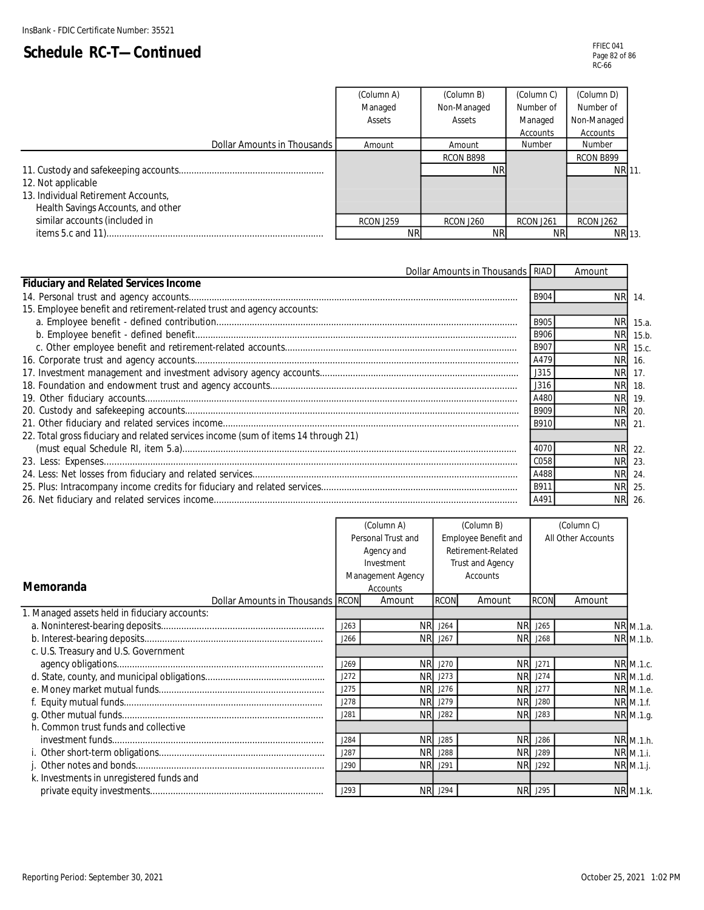|                                     | (Column A)<br>(Column B) |                  | (Column C)       | (Column D)       |  |
|-------------------------------------|--------------------------|------------------|------------------|------------------|--|
|                                     | Managed                  | Non-Managed      | Number of        | Number of        |  |
|                                     | Assets                   | Assets           | Managed          | Non-Managed      |  |
|                                     |                          |                  | Accounts         | Accounts         |  |
| Dollar Amounts in Thousands         | Amount                   | Amount           | Number           | Number           |  |
|                                     |                          | RCON B898        |                  | RCON B899        |  |
|                                     |                          | <b>NR</b>        |                  | NR 11.           |  |
| 12. Not applicable                  |                          |                  |                  |                  |  |
| 13. Individual Retirement Accounts, |                          |                  |                  |                  |  |
| Health Savings Accounts, and other  |                          |                  |                  |                  |  |
| similar accounts (included in       | <b>RCON J259</b>         | <b>RCON J260</b> | <b>RCON J261</b> | <b>RCON J262</b> |  |
|                                     | ΝR                       | <b>NR</b>        | NR               | NR 13.           |  |

| <b>Dollar Amounts in Thousands RIAD</b>                                            |             | Amount    |          |
|------------------------------------------------------------------------------------|-------------|-----------|----------|
| <b>Fiduciary and Related Services Income</b>                                       |             |           |          |
|                                                                                    | <b>B904</b> | NR.       | 14       |
| 15. Employee benefit and retirement-related trust and agency accounts:             |             |           |          |
|                                                                                    | B905        | <b>NR</b> | 15.a.    |
|                                                                                    | <b>B906</b> | NR.       | 15.b.    |
|                                                                                    | B907        |           | NR 15.c. |
|                                                                                    | A479        | <b>NR</b> | 16.      |
|                                                                                    | J315        | <b>NR</b> | 17.      |
|                                                                                    | J316        | NR.       | 18.      |
|                                                                                    | A480        | NR.       | 19.      |
|                                                                                    | <b>B909</b> | NR.       | 20.      |
|                                                                                    | B910        |           | NR 21    |
| 22. Total gross fiduciary and related services income (sum of items 14 through 21) |             |           |          |
|                                                                                    | 4070        |           | NR 22.   |
|                                                                                    | C058        |           | NR 23.   |
|                                                                                    | A488        |           | NR 24.   |
|                                                                                    | B911        | <b>NR</b> | 25       |
|                                                                                    | A491        | NR.       | 26       |

|                                               | (Column A)                                 |                   | (Column B)         |                  | (Column C)     |             |  |
|-----------------------------------------------|--------------------------------------------|-------------------|--------------------|------------------|----------------|-------------|--|
|                                               | Employee Benefit and<br>Personal Trust and |                   | All Other Accounts |                  |                |             |  |
|                                               |                                            | Agency and        | Retirement-Related |                  |                |             |  |
|                                               |                                            | Investment        |                    | Trust and Agency |                |             |  |
|                                               |                                            | Management Agency |                    | Accounts         |                |             |  |
| Memoranda                                     |                                            | Accounts          |                    |                  |                |             |  |
| Dollar Amounts in Thousands RCON              |                                            | Amount            | <b>RCON</b>        | Amount           | <b>RCON</b>    | Amount      |  |
| 1. Managed assets held in fiduciary accounts: |                                            |                   |                    |                  |                |             |  |
|                                               | J263                                       | <b>NR</b>         | J264               | <b>NR</b>        | J265           | NR M.1.a.   |  |
|                                               | J266                                       | NR.               | J267               | <b>NR</b>        | J268           | NR M.1.b.   |  |
| c. U.S. Treasury and U.S. Government          |                                            |                   |                    |                  |                |             |  |
|                                               | J269                                       |                   | <b>NR</b> J270     |                  | NR J271        | NR M.1.c.   |  |
|                                               | J272                                       | NR.               | J273               |                  | <b>NR</b> J274 | NR M.1.d.   |  |
|                                               | J275                                       |                   | NR J276            |                  | <b>NR</b> J277 | NR M.1.e.   |  |
|                                               | J278                                       | <b>NR</b>         | J279               |                  | <b>NR</b> J280 | NR M.1.f.   |  |
|                                               | J281                                       | NR.               | J282               | <b>NR</b>        | J283           | NR M.1.g.   |  |
| h. Common trust funds and collective          |                                            |                   |                    |                  |                |             |  |
|                                               | J284                                       | <b>NR</b>         | J285               |                  | <b>NR</b> J286 | NR M.1.h.   |  |
|                                               | J287                                       | <b>NR</b>         | J288               | <b>NR</b>        | J289           | NR M.1.i.   |  |
|                                               | J290                                       | NR.               | J291               | <b>NR</b>        | J292           | $NR$ M.1.j. |  |
| k. Investments in unregistered funds and      |                                            |                   |                    |                  |                |             |  |
|                                               | J293                                       |                   | <b>NR</b> J294     |                  | <b>NR</b> J295 | NR M.1.k.   |  |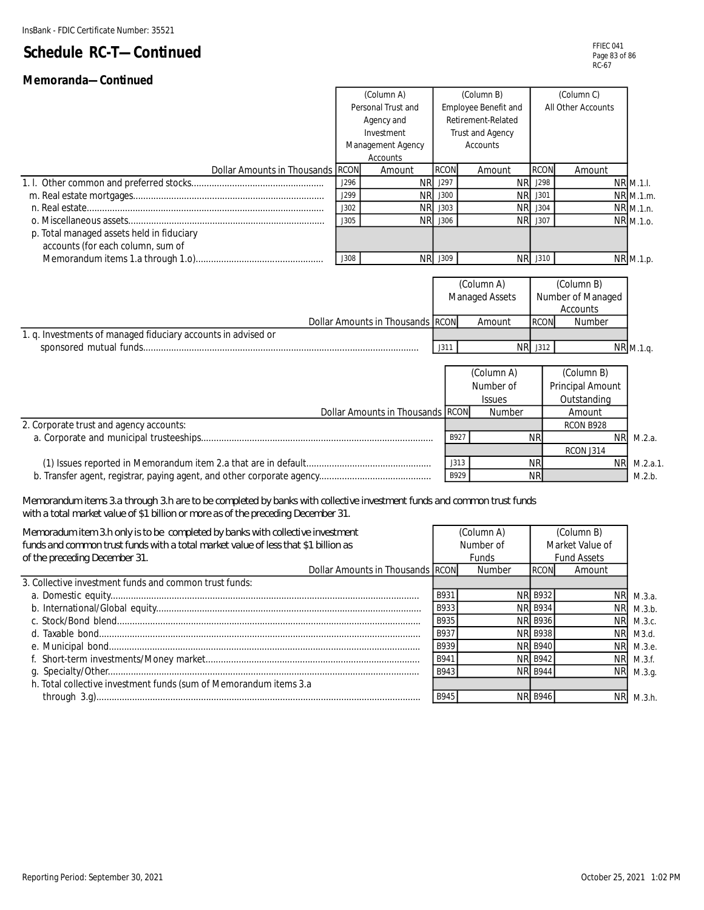| Memoranda-Continued                                                                                                   |             |                                  |                      |                         |                |                     |  |  |
|-----------------------------------------------------------------------------------------------------------------------|-------------|----------------------------------|----------------------|-------------------------|----------------|---------------------|--|--|
|                                                                                                                       |             | (Column A)                       |                      | (Column B)              | (Column C)     |                     |  |  |
|                                                                                                                       |             | Personal Trust and               | Employee Benefit and |                         |                | All Other Accounts  |  |  |
|                                                                                                                       |             | Agency and                       |                      | Retirement-Related      |                |                     |  |  |
|                                                                                                                       |             | Investment                       |                      | Trust and Agency        |                |                     |  |  |
|                                                                                                                       |             | Management Agency                |                      | Accounts                |                |                     |  |  |
|                                                                                                                       |             | Accounts                         |                      |                         |                |                     |  |  |
| Dollar Amounts in Thousands RCON                                                                                      |             | Amount                           | <b>RCON</b>          | Amount                  | <b>RCON</b>    | Amount              |  |  |
|                                                                                                                       | J296        | <b>NR</b>                        | J297                 | <b>NR</b>               | J298           | NR M.1.I.           |  |  |
|                                                                                                                       | J299        | <b>NR</b>                        | J300                 | <b>NR</b>               | J301           | NR M.1.m.           |  |  |
|                                                                                                                       | J302        | <b>NR</b>                        | J303                 | <b>NR</b>               | J304           | NR M.1.n.           |  |  |
|                                                                                                                       | J305        | <b>NR</b>                        | J306                 | <b>NR</b>               | J307           | NR M.1.o.           |  |  |
| p. Total managed assets held in fiduciary                                                                             |             |                                  |                      |                         |                |                     |  |  |
| accounts (for each column, sum of                                                                                     |             |                                  |                      |                         |                |                     |  |  |
|                                                                                                                       | <b>J308</b> | <b>NR</b>                        | J309                 |                         | NR J310        | NR M.1.p.           |  |  |
|                                                                                                                       |             |                                  |                      |                         |                |                     |  |  |
|                                                                                                                       |             |                                  |                      | (Column A)              |                | (Column B)          |  |  |
|                                                                                                                       |             |                                  |                      | Managed Assets          |                | Number of Managed   |  |  |
|                                                                                                                       |             |                                  |                      |                         |                | Accounts            |  |  |
|                                                                                                                       |             | Dollar Amounts in Thousands RCON |                      | Amount                  | <b>RCON</b>    | Number              |  |  |
| 1. q. Investments of managed fiduciary accounts in advised or                                                         |             |                                  |                      |                         |                |                     |  |  |
|                                                                                                                       |             |                                  | J311                 | <b>NR</b>               | J312           | NR M.1.q.           |  |  |
|                                                                                                                       |             |                                  |                      |                         |                |                     |  |  |
|                                                                                                                       |             |                                  |                      | $\overline{(Column A)}$ |                | (Column B)          |  |  |
|                                                                                                                       |             |                                  |                      | Number of               |                | Principal Amount    |  |  |
|                                                                                                                       |             |                                  |                      | Issues                  |                | Outstanding         |  |  |
|                                                                                                                       |             | Dollar Amounts in Thousands RCON |                      | Number                  |                | Amount              |  |  |
| 2. Corporate trust and agency accounts:                                                                               |             |                                  |                      |                         |                | RCON B928           |  |  |
|                                                                                                                       |             |                                  | B927                 |                         | <b>NR</b>      | <b>NR</b>           |  |  |
|                                                                                                                       |             |                                  |                      |                         |                | RCON J314           |  |  |
|                                                                                                                       |             |                                  | J313                 |                         | <b>NR</b>      | <b>NR</b>           |  |  |
|                                                                                                                       |             |                                  | B929                 |                         | <b>NR</b>      |                     |  |  |
|                                                                                                                       |             |                                  |                      |                         |                |                     |  |  |
| Memorandum items 3.a through 3.h are to be completed by banks with collective investment funds and common trust funds |             |                                  |                      |                         |                |                     |  |  |
| with a total market value of \$1 billion or more as of the preceding December 31.                                     |             |                                  |                      |                         |                |                     |  |  |
| Memoradum item 3.h only is to be completed by banks with collective investment                                        |             |                                  |                      | (Column A)              |                | (Column B)          |  |  |
| funds and common trust funds with a total market value of less that \$1 billion as                                    |             |                                  |                      | Number of               |                | Market Value of     |  |  |
|                                                                                                                       |             |                                  |                      |                         |                |                     |  |  |
| of the preceding December 31.                                                                                         |             |                                  |                      | Funds                   |                | <b>Fund Assets</b>  |  |  |
| 3. Collective investment funds and common trust funds:                                                                |             | Dollar Amounts in Thousands RCON |                      | Number                  | <b>RCON</b>    | Amount              |  |  |
|                                                                                                                       |             |                                  |                      |                         |                |                     |  |  |
|                                                                                                                       |             |                                  | B931                 |                         | <b>NR B932</b> | <b>NR</b><br>М.3.а. |  |  |
|                                                                                                                       |             |                                  | B933                 |                         | <b>NR B934</b> | <b>NR</b>           |  |  |
|                                                                                                                       |             |                                  | B935                 |                         | <b>NR B936</b> | <b>NR</b>           |  |  |
|                                                                                                                       |             |                                  | B937                 |                         | <b>NR B938</b> | <b>NR</b>           |  |  |

 h. Total collective investment funds (sum of Memorandum items 3.a d. Taxable bond.............................................................................................................................. B937 NR B938 NR e. Municipal bond.......................................................................................................................... B939 NR B940 NR f. Short-term investments/Money market.................................................................................... B941 NR B942 NR g. Specialty/Other.......................................................................................................................... B943 NR B944 NR through 3.g)............................................................................................................................... B945 NR B946 NR

 M.3.e. M.3.f. M.3.g.

M.3.h.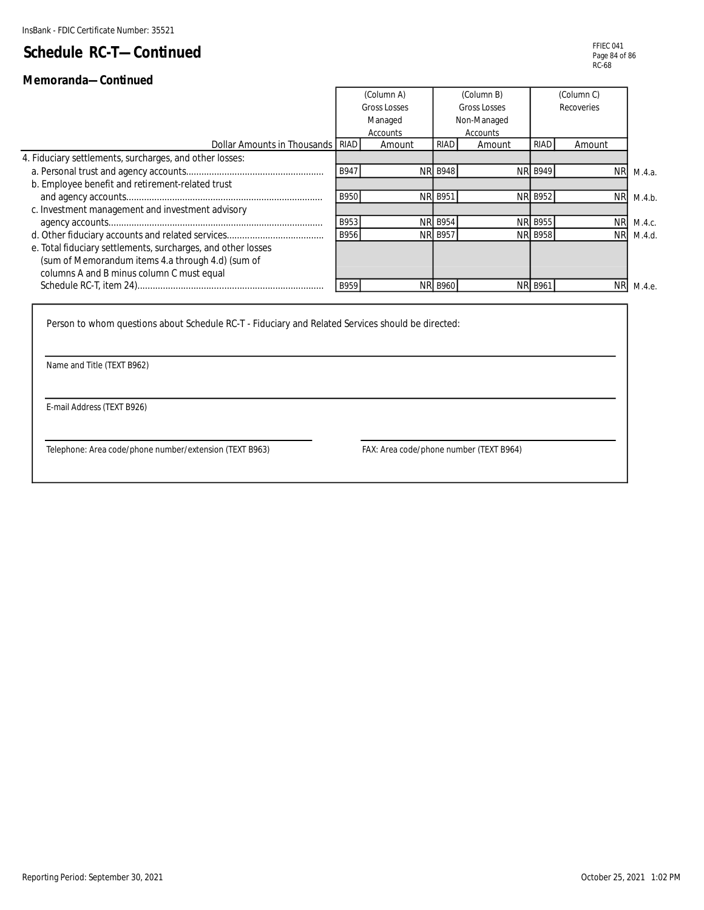#### **Memoranda—Continued**

|                                                              | (Column A)<br>(Column B)            |          | (Column C)     |             |                |            |           |
|--------------------------------------------------------------|-------------------------------------|----------|----------------|-------------|----------------|------------|-----------|
|                                                              | <b>Gross Losses</b><br>Gross Losses |          | Recoveries     |             |                |            |           |
|                                                              |                                     | Managed  |                | Non-Managed |                |            |           |
|                                                              |                                     | Accounts |                | Accounts    |                |            |           |
| Dollar Amounts in Thousands RIAD                             |                                     | Amount   | RIAD           | Amount      | RIAD           | Amount     |           |
| 4. Fiduciary settlements, surcharges, and other losses:      |                                     |          |                |             |                |            |           |
|                                                              | B947                                |          | <b>NR B948</b> |             | <b>NR B949</b> | <b>NRI</b> | M.4.a.    |
| b. Employee benefit and retirement-related trust             |                                     |          |                |             |                |            |           |
|                                                              | B950                                |          | <b>NR B951</b> |             | <b>NR B952</b> |            | NR M.4.b. |
| c. Investment management and investment advisory             |                                     |          |                |             |                |            |           |
|                                                              | B953                                |          | <b>NR B954</b> |             | <b>NR B955</b> |            | NR M.4.c. |
|                                                              | B956                                |          | <b>NR B957</b> |             | <b>NR B958</b> |            | NR M.4.d. |
| e. Total fiduciary settlements, surcharges, and other losses |                                     |          |                |             |                |            |           |
| (sum of Memorandum items 4.a through 4.d) (sum of            |                                     |          |                |             |                |            |           |
| columns A and B minus column C must equal                    |                                     |          |                |             |                |            |           |
|                                                              | B959                                |          | <b>NR B960</b> |             | <b>NR B961</b> | <b>NR</b>  | M.4.e.    |
|                                                              |                                     |          |                |             |                |            |           |

Person to whom questions about Schedule RC-T - Fiduciary and Related Services should be directed:

Name and Title (TEXT B962)

E-mail Address (TEXT B926)

Telephone: Area code/phone number/extension (TEXT B963) FAX: Area code/phone number (TEXT B964)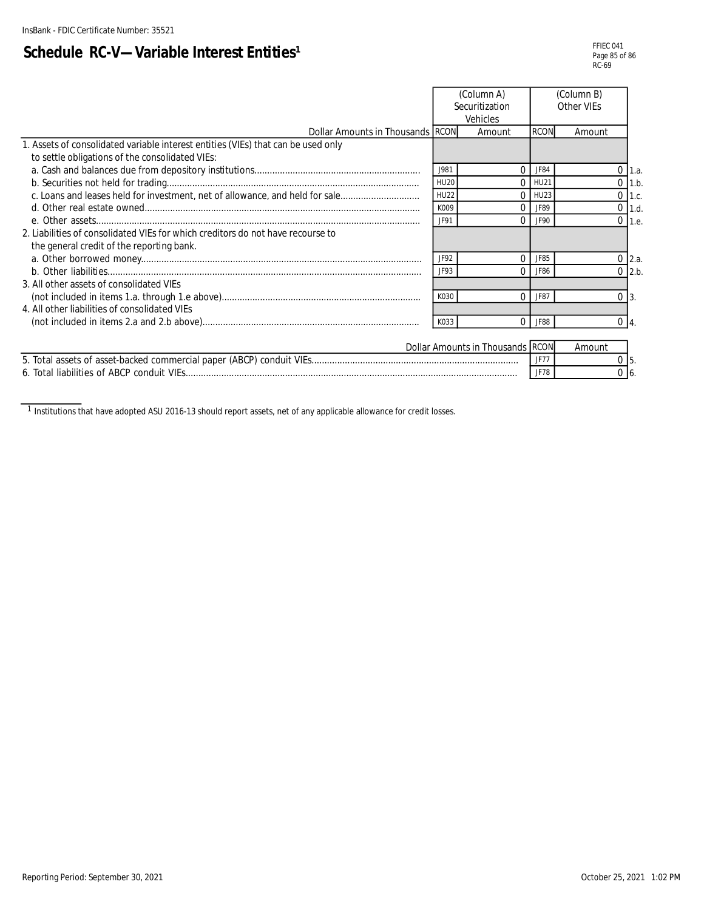# **Schedule RC-V-Variable Interest Entities<sup>1</sup>**

|                                                                                   |             | (Column A)<br>Securitization<br>Vehicles | (Column B)<br>Other VIEs |        |                     |
|-----------------------------------------------------------------------------------|-------------|------------------------------------------|--------------------------|--------|---------------------|
| Dollar Amounts in Thousands RCON                                                  |             | Amount                                   | <b>RCON</b>              | Amount |                     |
| 1. Assets of consolidated variable interest entities (VIEs) that can be used only |             |                                          |                          |        |                     |
| to settle obligations of the consolidated VIEs:                                   |             |                                          |                          |        |                     |
|                                                                                   | J981        |                                          | JF84                     |        | 1.3                 |
|                                                                                   | <b>HU20</b> |                                          | <b>HU21</b>              |        | $0$ 1.b.            |
| c. Loans and leases held for investment, net of allowance, and held for sale      | <b>HU22</b> |                                          | HU23                     |        | $0$ 1.c.            |
|                                                                                   | K009        |                                          | JF89                     |        | $0$ 1.d.            |
|                                                                                   | JF91        | $\Omega$                                 | JF90                     |        | $0$ 1.e.            |
| 2. Liabilities of consolidated VIEs for which creditors do not have recourse to   |             |                                          |                          |        |                     |
| the general credit of the reporting bank.                                         |             |                                          |                          |        |                     |
|                                                                                   | JF92        | $\Omega$                                 | JF85                     |        | $0 \, 2.a.$         |
|                                                                                   | JF93        | $\Omega$                                 | JF86                     |        | $0\overline{2}$ .b. |
| 3. All other assets of consolidated VIEs                                          |             |                                          |                          |        |                     |
|                                                                                   | K030        | $\Omega$                                 | JF87                     |        | $0\,$ $\,$ 3.       |
| 4. All other liabilities of consolidated VIEs                                     |             |                                          |                          |        |                     |
|                                                                                   | K033        | 0                                        | JF88                     |        | $0\vert 4$ .        |
|                                                                                   |             |                                          |                          |        |                     |
|                                                                                   |             | Dollar Amounts in Thousands RCON         |                          | Amount |                     |

5.  $\overline{0}$  6. 5. Total assets of asset-backed commercial paper (ABCP) conduit VIEs................................................................................. JF77 0 6. Total liabilities of ABCP conduit VIEs.................................................................................................................................. JF78 0

<sup>1</sup> Institutions that have adopted ASU 2016-13 should report assets, net of any applicable allowance for credit losses.